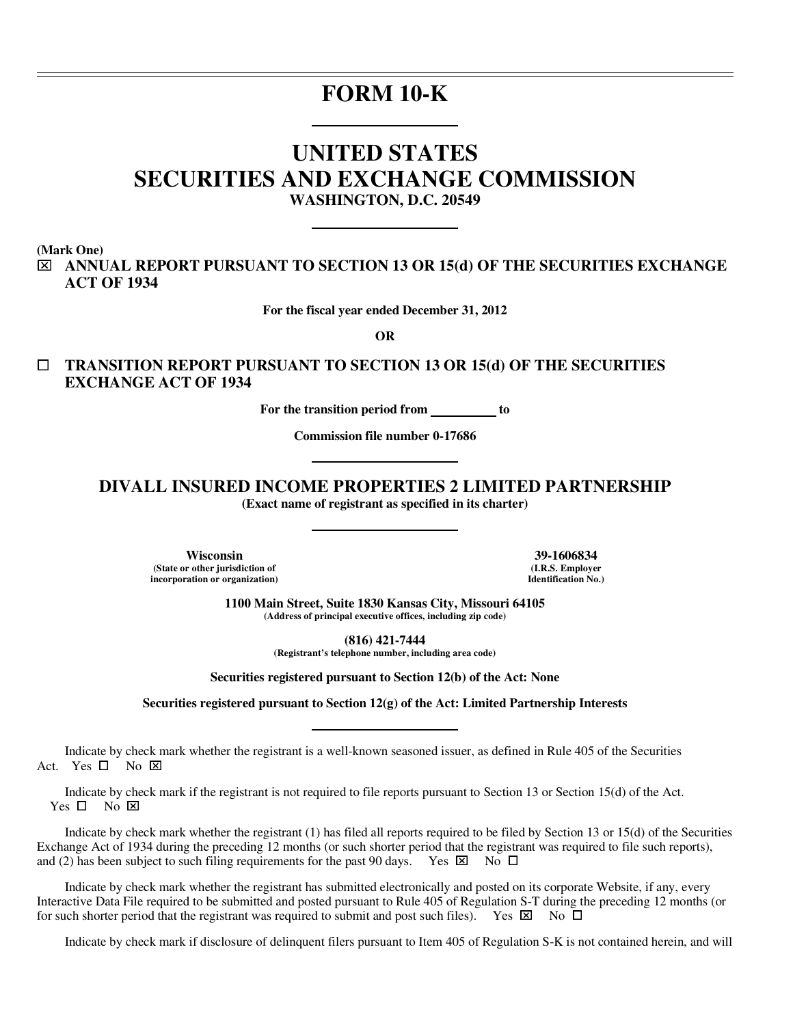# **FORM 10-K**

# **UNITED STATES SECURITIES AND EXCHANGE COMMISSION**

**WASHINGTON, D.C. 20549** 

**(Mark One)** 

 $\overline{a}$ 

⌧ **ANNUAL REPORT PURSUANT TO SECTION 13 OR 15(d) OF THE SECURITIES EXCHANGE ACT OF 1934** 

**For the fiscal year ended December 31, 2012** 

**OR** 

 **TRANSITION REPORT PURSUANT TO SECTION 13 OR 15(d) OF THE SECURITIES EXCHANGE ACT OF 1934** 

For the transition period from \_\_\_\_\_\_\_\_\_ to

**Commission file number 0-17686** 

**DIVALL INSURED INCOME PROPERTIES 2 LIMITED PARTNERSHIP (Exact name of registrant as specified in its charter)** 

**Wisconsin 39-1606834 (State or other jurisdiction of incorporation or organization)**

**(I.R.S. Employer Identification No.)**

**1100 Main Street, Suite 1830 Kansas City, Missouri 64105 (Address of principal executive offices, including zip code)** 

**(816) 421-7444** 

**(Registrant's telephone number, including area code)** 

**Securities registered pursuant to Section 12(b) of the Act: None** 

**Securities registered pursuant to Section 12(g) of the Act: Limited Partnership Interests** 

Indicate by check mark whether the registrant is a well-known seasoned issuer, as defined in Rule 405 of the Securities Act. Yes  $\square$  No  $\square$ 

Indicate by check mark if the registrant is not required to file reports pursuant to Section 13 or Section 15(d) of the Act. Yes  $\square$  No  $\square$ 

Indicate by check mark whether the registrant (1) has filed all reports required to be filed by Section 13 or 15(d) of the Securities Exchange Act of 1934 during the preceding 12 months (or such shorter period that the registrant was required to file such reports), and (2) has been subject to such filing requirements for the past 90 days. Yes  $\boxtimes$  No  $\Box$ 

Indicate by check mark whether the registrant has submitted electronically and posted on its corporate Website, if any, every Interactive Data File required to be submitted and posted pursuant to Rule 405 of Regulation S-T during the preceding 12 months (or for such shorter period that the registrant was required to submit and post such files). Yes  $\boxtimes$  No  $\square$ 

Indicate by check mark if disclosure of delinquent filers pursuant to Item 405 of Regulation S-K is not contained herein, and will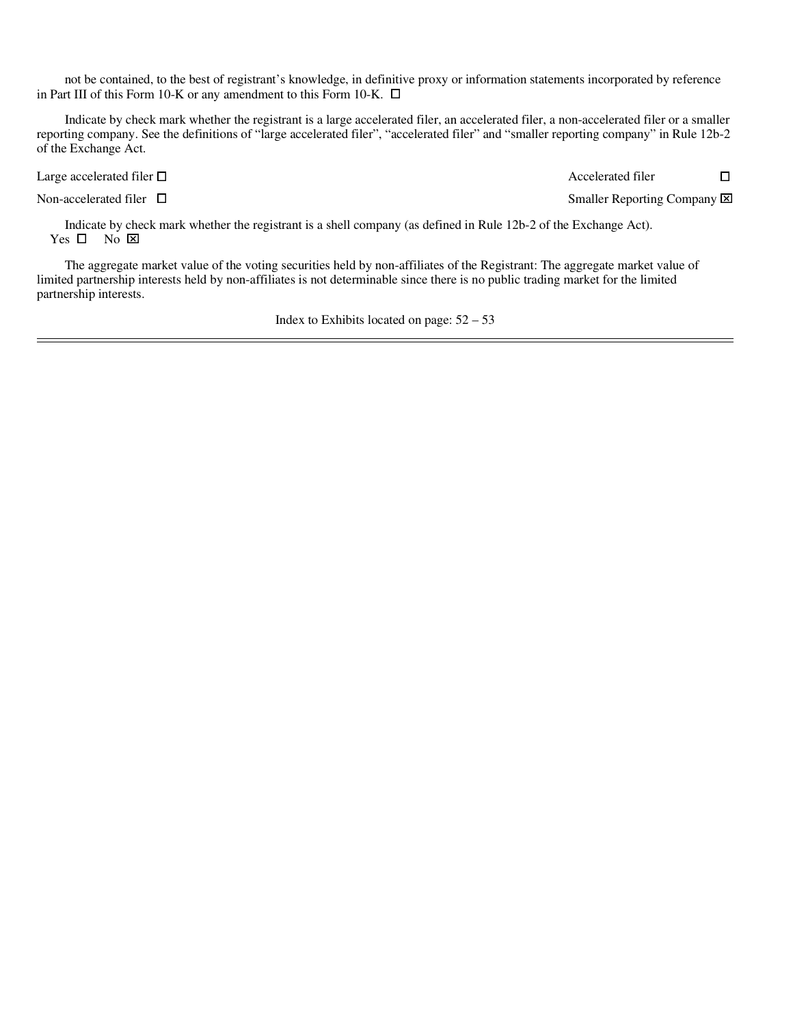not be contained, to the best of registrant's knowledge, in definitive proxy or information statements incorporated by reference in Part III of this Form 10-K or any amendment to this Form 10-K.  $\Box$ 

Indicate by check mark whether the registrant is a large accelerated filer, an accelerated filer, a non-accelerated filer or a smaller reporting company. See the definitions of "large accelerated filer", "accelerated filer" and "smaller reporting company" in Rule 12b-2 of the Exchange Act.

Large accelerated filer  $\Box$ <br>
Accelerated filer  $\Box$ <br>
Accelerated filer  $\Box$ <br>
Accelerated filer  $\Box$ Smaller Reporting Company  $\boxtimes$ 

Indicate by check mark whether the registrant is a shell company (as defined in Rule 12b-2 of the Exchange Act). Yes  $\square$  No  $\square$ 

The aggregate market value of the voting securities held by non-affiliates of the Registrant: The aggregate market value of limited partnership interests held by non-affiliates is not determinable since there is no public trading market for the limited partnership interests.

Index to Exhibits located on page:  $52 - 53$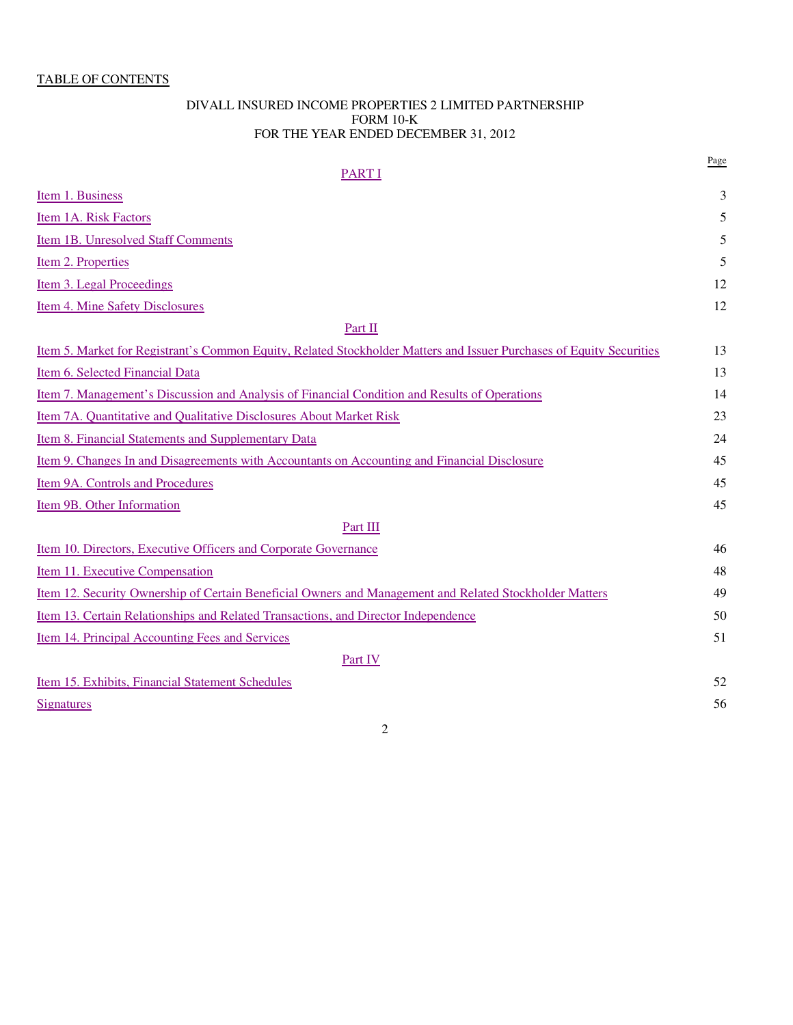# TABLE OF CONTENTS

#### DIVALL INSURED INCOME PROPERTIES 2 LIMITED PARTNERSHIP FORM 10-K FOR THE YEAR ENDED DECEMBER 31, 2012

|                                                                                                                      | Page |
|----------------------------------------------------------------------------------------------------------------------|------|
| <b>PARTI</b>                                                                                                         |      |
| Item 1. Business                                                                                                     | 3    |
| Item 1A. Risk Factors                                                                                                | 5    |
| <b>Item 1B. Unresolved Staff Comments</b>                                                                            | 5    |
| Item 2. Properties                                                                                                   | 5    |
| Item 3. Legal Proceedings                                                                                            | 12   |
| <b>Item 4. Mine Safety Disclosures</b>                                                                               | 12   |
| Part II                                                                                                              |      |
| Item 5. Market for Registrant's Common Equity, Related Stockholder Matters and Issuer Purchases of Equity Securities | 13   |
| Item 6. Selected Financial Data                                                                                      | 13   |
| Item 7. Management's Discussion and Analysis of Financial Condition and Results of Operations                        | 14   |
| Item 7A. Quantitative and Qualitative Disclosures About Market Risk                                                  | 23   |
| <b>Item 8. Financial Statements and Supplementary Data</b>                                                           | 24   |
| Item 9. Changes In and Disagreements with Accountants on Accounting and Financial Disclosure                         | 45   |
| Item 9A. Controls and Procedures                                                                                     | 45   |
| Item 9B. Other Information                                                                                           | 45   |
| Part III                                                                                                             |      |
| Item 10. Directors, Executive Officers and Corporate Governance                                                      | 46   |
| Item 11. Executive Compensation                                                                                      | 48   |
| Item 12. Security Ownership of Certain Beneficial Owners and Management and Related Stockholder Matters              | 49   |
| Item 13. Certain Relationships and Related Transactions, and Director Independence                                   | 50   |
| Item 14. Principal Accounting Fees and Services                                                                      | 51   |
| Part IV                                                                                                              |      |
| Item 15, Exhibits, Financial Statement Schedules                                                                     | 52   |
| <b>Signatures</b>                                                                                                    | 56   |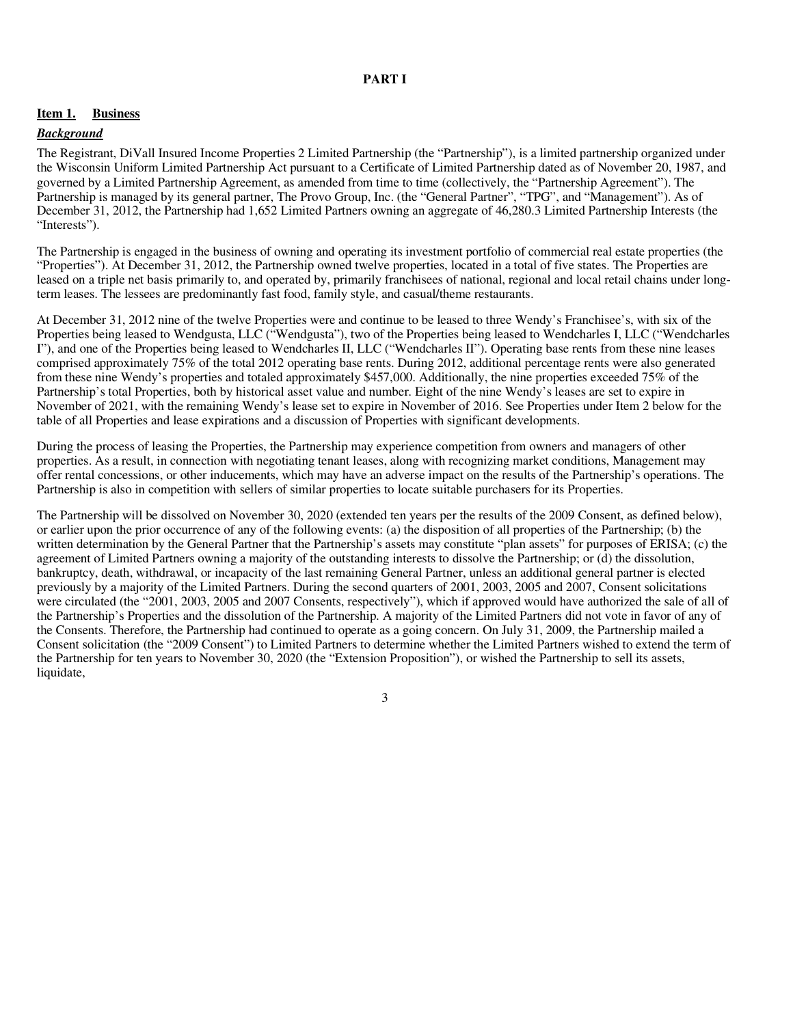#### **PART I**

#### **Item 1. Business**

#### *Background*

The Registrant, DiVall Insured Income Properties 2 Limited Partnership (the "Partnership"), is a limited partnership organized under the Wisconsin Uniform Limited Partnership Act pursuant to a Certificate of Limited Partnership dated as of November 20, 1987, and governed by a Limited Partnership Agreement, as amended from time to time (collectively, the "Partnership Agreement"). The Partnership is managed by its general partner, The Provo Group, Inc. (the "General Partner", "TPG", and "Management"). As of December 31, 2012, the Partnership had 1,652 Limited Partners owning an aggregate of 46,280.3 Limited Partnership Interests (the "Interests").

The Partnership is engaged in the business of owning and operating its investment portfolio of commercial real estate properties (the "Properties"). At December 31, 2012, the Partnership owned twelve properties, located in a total of five states. The Properties are leased on a triple net basis primarily to, and operated by, primarily franchisees of national, regional and local retail chains under longterm leases. The lessees are predominantly fast food, family style, and casual/theme restaurants.

At December 31, 2012 nine of the twelve Properties were and continue to be leased to three Wendy's Franchisee's, with six of the Properties being leased to Wendgusta, LLC ("Wendgusta"), two of the Properties being leased to Wendcharles I, LLC ("Wendcharles I"), and one of the Properties being leased to Wendcharles II, LLC ("Wendcharles II"). Operating base rents from these nine leases comprised approximately 75% of the total 2012 operating base rents. During 2012, additional percentage rents were also generated from these nine Wendy's properties and totaled approximately \$457,000. Additionally, the nine properties exceeded 75% of the Partnership's total Properties, both by historical asset value and number. Eight of the nine Wendy's leases are set to expire in November of 2021, with the remaining Wendy's lease set to expire in November of 2016. See Properties under Item 2 below for the table of all Properties and lease expirations and a discussion of Properties with significant developments.

During the process of leasing the Properties, the Partnership may experience competition from owners and managers of other properties. As a result, in connection with negotiating tenant leases, along with recognizing market conditions, Management may offer rental concessions, or other inducements, which may have an adverse impact on the results of the Partnership's operations. The Partnership is also in competition with sellers of similar properties to locate suitable purchasers for its Properties.

The Partnership will be dissolved on November 30, 2020 (extended ten years per the results of the 2009 Consent, as defined below), or earlier upon the prior occurrence of any of the following events: (a) the disposition of all properties of the Partnership; (b) the written determination by the General Partner that the Partnership's assets may constitute "plan assets" for purposes of ERISA; (c) the agreement of Limited Partners owning a majority of the outstanding interests to dissolve the Partnership; or (d) the dissolution, bankruptcy, death, withdrawal, or incapacity of the last remaining General Partner, unless an additional general partner is elected previously by a majority of the Limited Partners. During the second quarters of 2001, 2003, 2005 and 2007, Consent solicitations were circulated (the "2001, 2003, 2005 and 2007 Consents, respectively"), which if approved would have authorized the sale of all of the Partnership's Properties and the dissolution of the Partnership. A majority of the Limited Partners did not vote in favor of any of the Consents. Therefore, the Partnership had continued to operate as a going concern. On July 31, 2009, the Partnership mailed a Consent solicitation (the "2009 Consent") to Limited Partners to determine whether the Limited Partners wished to extend the term of the Partnership for ten years to November 30, 2020 (the "Extension Proposition"), or wished the Partnership to sell its assets, liquidate,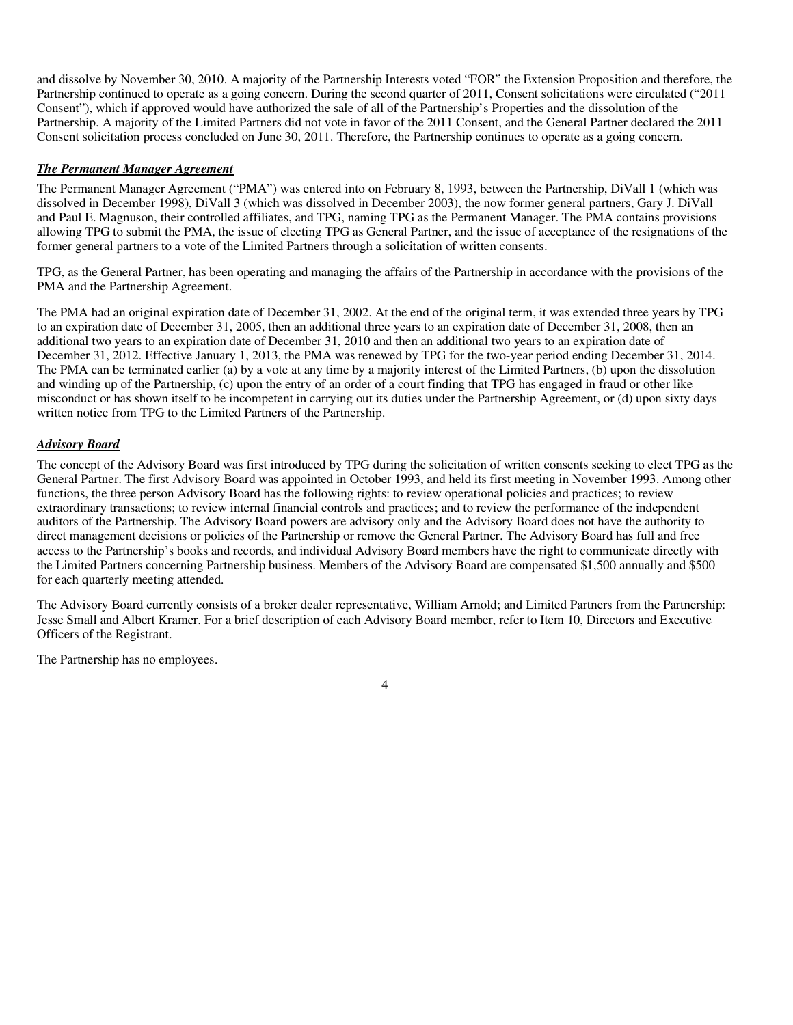and dissolve by November 30, 2010. A majority of the Partnership Interests voted "FOR" the Extension Proposition and therefore, the Partnership continued to operate as a going concern. During the second quarter of 2011, Consent solicitations were circulated ("2011 Consent"), which if approved would have authorized the sale of all of the Partnership's Properties and the dissolution of the Partnership. A majority of the Limited Partners did not vote in favor of the 2011 Consent, and the General Partner declared the 2011 Consent solicitation process concluded on June 30, 2011. Therefore, the Partnership continues to operate as a going concern.

#### *The Permanent Manager Agreement*

The Permanent Manager Agreement ("PMA") was entered into on February 8, 1993, between the Partnership, DiVall 1 (which was dissolved in December 1998), DiVall 3 (which was dissolved in December 2003), the now former general partners, Gary J. DiVall and Paul E. Magnuson, their controlled affiliates, and TPG, naming TPG as the Permanent Manager. The PMA contains provisions allowing TPG to submit the PMA, the issue of electing TPG as General Partner, and the issue of acceptance of the resignations of the former general partners to a vote of the Limited Partners through a solicitation of written consents.

TPG, as the General Partner, has been operating and managing the affairs of the Partnership in accordance with the provisions of the PMA and the Partnership Agreement.

The PMA had an original expiration date of December 31, 2002. At the end of the original term, it was extended three years by TPG to an expiration date of December 31, 2005, then an additional three years to an expiration date of December 31, 2008, then an additional two years to an expiration date of December 31, 2010 and then an additional two years to an expiration date of December 31, 2012. Effective January 1, 2013, the PMA was renewed by TPG for the two-year period ending December 31, 2014. The PMA can be terminated earlier (a) by a vote at any time by a majority interest of the Limited Partners, (b) upon the dissolution and winding up of the Partnership, (c) upon the entry of an order of a court finding that TPG has engaged in fraud or other like misconduct or has shown itself to be incompetent in carrying out its duties under the Partnership Agreement, or (d) upon sixty days written notice from TPG to the Limited Partners of the Partnership.

#### *Advisory Board*

The concept of the Advisory Board was first introduced by TPG during the solicitation of written consents seeking to elect TPG as the General Partner. The first Advisory Board was appointed in October 1993, and held its first meeting in November 1993. Among other functions, the three person Advisory Board has the following rights: to review operational policies and practices; to review extraordinary transactions; to review internal financial controls and practices; and to review the performance of the independent auditors of the Partnership. The Advisory Board powers are advisory only and the Advisory Board does not have the authority to direct management decisions or policies of the Partnership or remove the General Partner. The Advisory Board has full and free access to the Partnership's books and records, and individual Advisory Board members have the right to communicate directly with the Limited Partners concerning Partnership business. Members of the Advisory Board are compensated \$1,500 annually and \$500 for each quarterly meeting attended.

The Advisory Board currently consists of a broker dealer representative, William Arnold; and Limited Partners from the Partnership: Jesse Small and Albert Kramer. For a brief description of each Advisory Board member, refer to Item 10, Directors and Executive Officers of the Registrant.

The Partnership has no employees.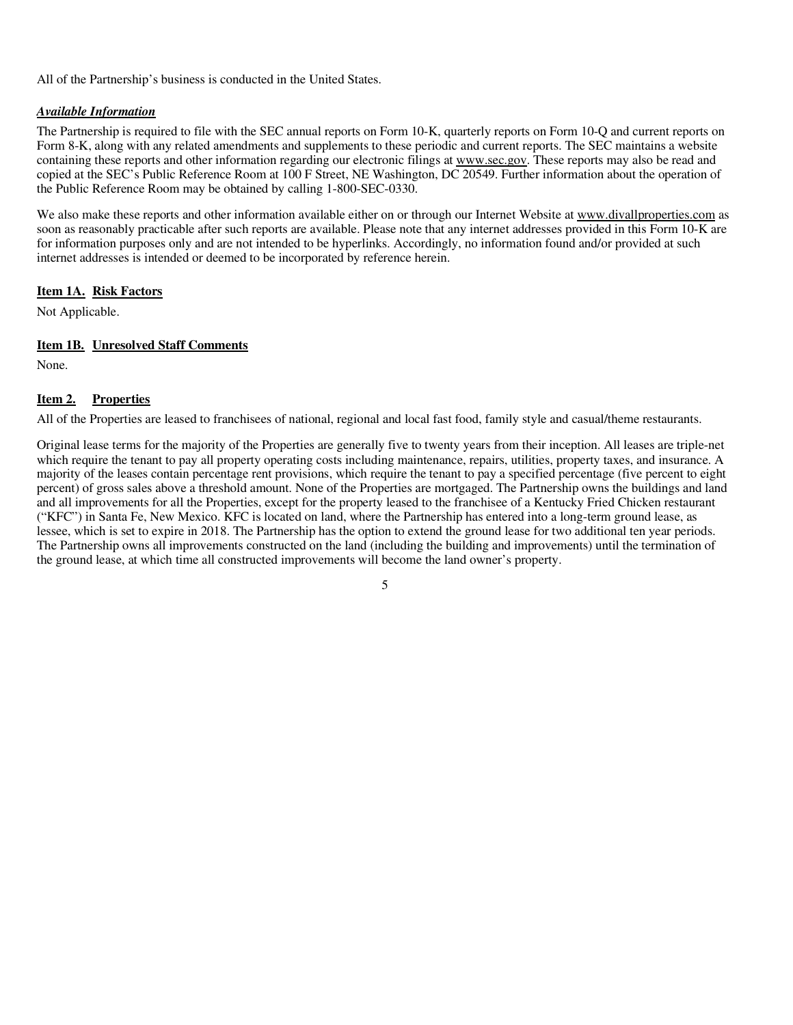All of the Partnership's business is conducted in the United States.

#### *Available Information*

The Partnership is required to file with the SEC annual reports on Form 10-K, quarterly reports on Form 10-Q and current reports on Form 8-K, along with any related amendments and supplements to these periodic and current reports. The SEC maintains a website containing these reports and other information regarding our electronic filings at www.sec.gov. These reports may also be read and copied at the SEC's Public Reference Room at 100 F Street, NE Washington, DC 20549. Further information about the operation of the Public Reference Room may be obtained by calling 1-800-SEC-0330.

We also make these reports and other information available either on or through our Internet Website at www.divallproperties.com as soon as reasonably practicable after such reports are available. Please note that any internet addresses provided in this Form 10-K are for information purposes only and are not intended to be hyperlinks. Accordingly, no information found and/or provided at such internet addresses is intended or deemed to be incorporated by reference herein.

#### **Item 1A. Risk Factors**

Not Applicable.

#### **Item 1B. Unresolved Staff Comments**

None.

#### **Item 2. Properties**

All of the Properties are leased to franchisees of national, regional and local fast food, family style and casual/theme restaurants.

Original lease terms for the majority of the Properties are generally five to twenty years from their inception. All leases are triple-net which require the tenant to pay all property operating costs including maintenance, repairs, utilities, property taxes, and insurance. A majority of the leases contain percentage rent provisions, which require the tenant to pay a specified percentage (five percent to eight percent) of gross sales above a threshold amount. None of the Properties are mortgaged. The Partnership owns the buildings and land and all improvements for all the Properties, except for the property leased to the franchisee of a Kentucky Fried Chicken restaurant ("KFC") in Santa Fe, New Mexico. KFC is located on land, where the Partnership has entered into a long-term ground lease, as lessee, which is set to expire in 2018. The Partnership has the option to extend the ground lease for two additional ten year periods. The Partnership owns all improvements constructed on the land (including the building and improvements) until the termination of the ground lease, at which time all constructed improvements will become the land owner's property.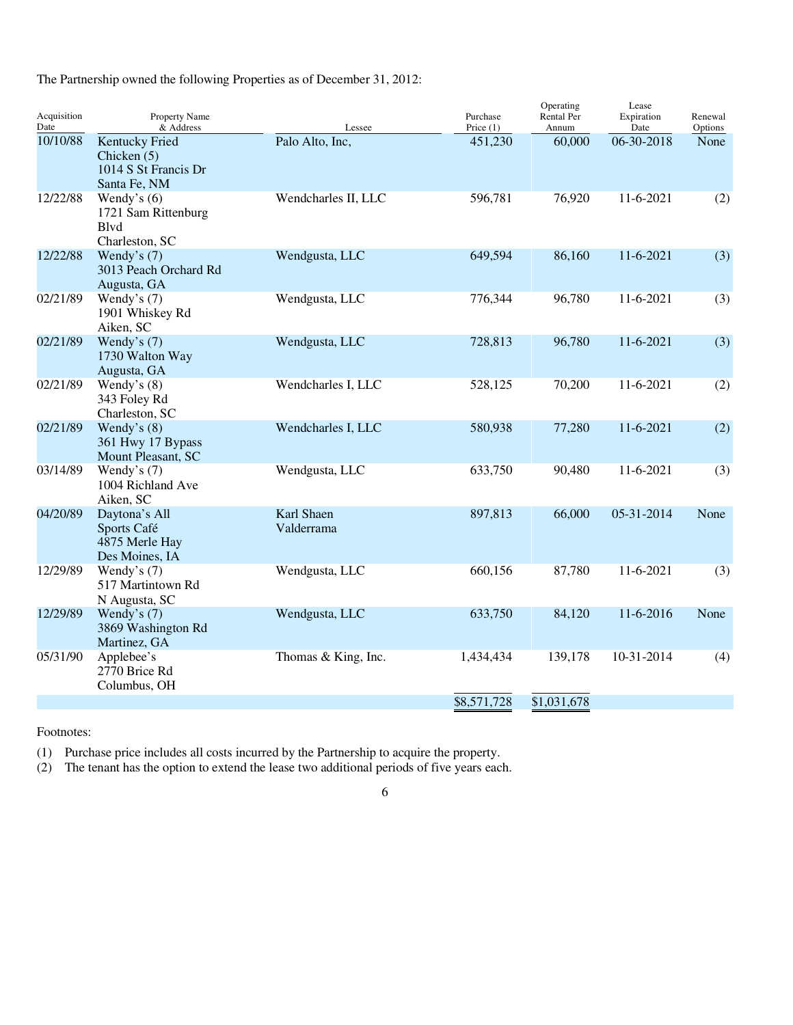| Acquisition<br>Date | Property Name<br>& Address                                              | Lessee                   | Purchase<br>Price $(1)$ | Operating<br>Rental Per<br>Annum | Lease<br>Expiration<br>Date | Renewal<br>Options |
|---------------------|-------------------------------------------------------------------------|--------------------------|-------------------------|----------------------------------|-----------------------------|--------------------|
| 10/10/88            | Kentucky Fried<br>Chicken $(5)$<br>1014 S St Francis Dr<br>Santa Fe, NM | Palo Alto, Inc,          | 451,230                 | 60,000                           | 06-30-2018                  | None               |
| 12/22/88            | Wendy's $(6)$<br>1721 Sam Rittenburg<br><b>B</b> lvd<br>Charleston, SC  | Wendcharles II, LLC      | 596,781                 | 76,920                           | 11-6-2021                   | (2)                |
| 12/22/88            | Wendy's $(7)$<br>3013 Peach Orchard Rd<br>Augusta, GA                   | Wendgusta, LLC           | 649.594                 | 86,160                           | 11-6-2021                   | (3)                |
| 02/21/89            | Wendy's $(7)$<br>1901 Whiskey Rd<br>Aiken, SC                           | Wendgusta, LLC           | 776,344                 | 96,780                           | 11-6-2021                   | (3)                |
| 02/21/89            | Wendy's $(7)$<br>1730 Walton Way<br>Augusta, GA                         | Wendgusta, LLC           | 728,813                 | 96,780                           | 11-6-2021                   | (3)                |
| 02/21/89            | Wendy's $(8)$<br>343 Foley Rd<br>Charleston, SC                         | Wendcharles I, LLC       | 528,125                 | 70,200                           | 11-6-2021                   | (2)                |
| 02/21/89            | Wendy's $(8)$<br>361 Hwy 17 Bypass<br>Mount Pleasant, SC                | Wendcharles I, LLC       | 580,938                 | 77,280                           | 11-6-2021                   | (2)                |
| 03/14/89            | Wendy's $(7)$<br>1004 Richland Ave<br>Aiken, SC                         | Wendgusta, LLC           | 633,750                 | 90,480                           | 11-6-2021                   | (3)                |
| 04/20/89            | Daytona's All<br>Sports Café<br>4875 Merle Hay<br>Des Moines, IA        | Karl Shaen<br>Valderrama | 897,813                 | 66,000                           | 05-31-2014                  | None               |
| 12/29/89            | Wendy's $(7)$<br>517 Martintown Rd<br>N Augusta, SC                     | Wendgusta, LLC           | 660,156                 | 87,780                           | 11-6-2021                   | (3)                |
| 12/29/89            | Wendy's $(7)$<br>3869 Washington Rd<br>Martinez, GA                     | Wendgusta, LLC           | 633,750                 | 84,120                           | 11-6-2016                   | None               |
| 05/31/90            | Applebee's<br>2770 Brice Rd<br>Columbus, OH                             | Thomas & King, Inc.      | 1,434,434               | 139,178                          | 10-31-2014                  | (4)                |
|                     |                                                                         |                          | \$8,571,728             | \$1,031,678                      |                             |                    |

The Partnership owned the following Properties as of December 31, 2012:

Footnotes:

(1) Purchase price includes all costs incurred by the Partnership to acquire the property.

(2) The tenant has the option to extend the lease two additional periods of five years each.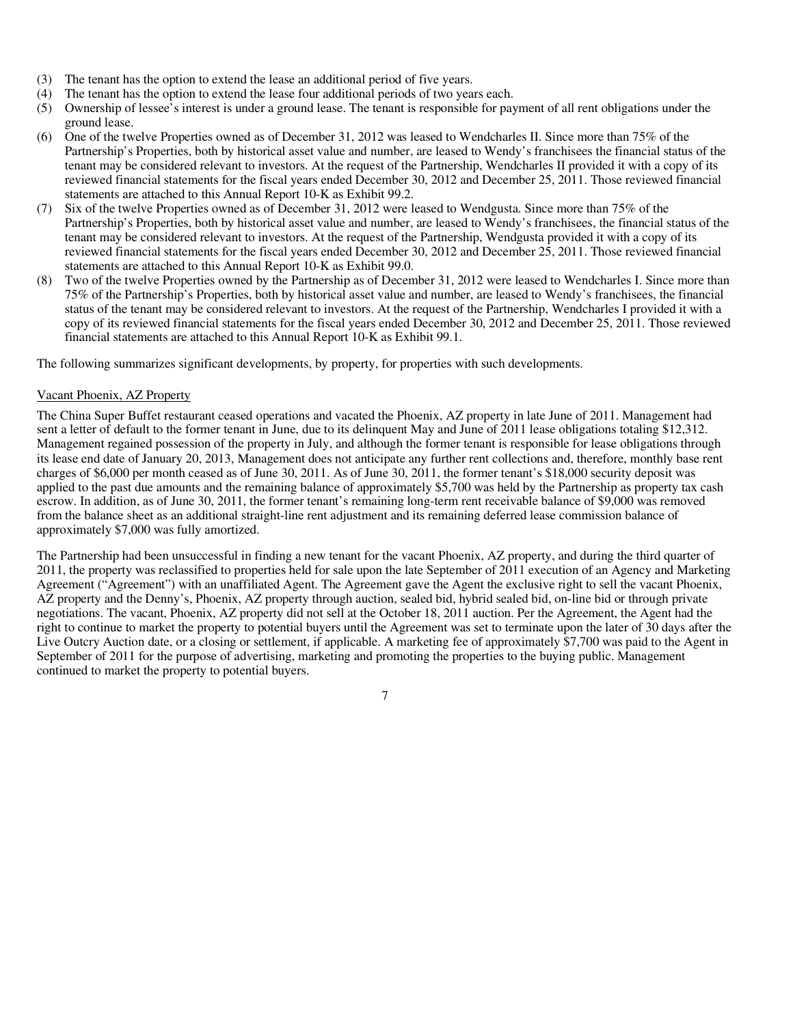- (3) The tenant has the option to extend the lease an additional period of five years.
- (4) The tenant has the option to extend the lease four additional periods of two years each.
- (5) Ownership of lessee's interest is under a ground lease. The tenant is responsible for payment of all rent obligations under the ground lease.
- (6) One of the twelve Properties owned as of December 31, 2012 was leased to Wendcharles II. Since more than 75% of the Partnership's Properties, both by historical asset value and number, are leased to Wendy's franchisees the financial status of the tenant may be considered relevant to investors. At the request of the Partnership, Wendcharles II provided it with a copy of its reviewed financial statements for the fiscal years ended December 30, 2012 and December 25, 2011. Those reviewed financial statements are attached to this Annual Report 10-K as Exhibit 99.2.
- (7) Six of the twelve Properties owned as of December 31, 2012 were leased to Wendgusta. Since more than 75% of the Partnership's Properties, both by historical asset value and number, are leased to Wendy's franchisees, the financial status of the tenant may be considered relevant to investors. At the request of the Partnership, Wendgusta provided it with a copy of its reviewed financial statements for the fiscal years ended December 30, 2012 and December 25, 2011. Those reviewed financial statements are attached to this Annual Report 10-K as Exhibit 99.0.
- (8) Two of the twelve Properties owned by the Partnership as of December 31, 2012 were leased to Wendcharles I. Since more than 75% of the Partnership's Properties, both by historical asset value and number, are leased to Wendy's franchisees, the financial status of the tenant may be considered relevant to investors. At the request of the Partnership, Wendcharles I provided it with a copy of its reviewed financial statements for the fiscal years ended December 30, 2012 and December 25, 2011. Those reviewed financial statements are attached to this Annual Report 10-K as Exhibit 99.1.

The following summarizes significant developments, by property, for properties with such developments.

#### Vacant Phoenix, AZ Property

The China Super Buffet restaurant ceased operations and vacated the Phoenix, AZ property in late June of 2011. Management had sent a letter of default to the former tenant in June, due to its delinquent May and June of 2011 lease obligations totaling \$12,312. Management regained possession of the property in July, and although the former tenant is responsible for lease obligations through its lease end date of January 20, 2013, Management does not anticipate any further rent collections and, therefore, monthly base rent charges of \$6,000 per month ceased as of June 30, 2011. As of June 30, 2011, the former tenant's \$18,000 security deposit was applied to the past due amounts and the remaining balance of approximately \$5,700 was held by the Partnership as property tax cash escrow. In addition, as of June 30, 2011, the former tenant's remaining long-term rent receivable balance of \$9,000 was removed from the balance sheet as an additional straight-line rent adjustment and its remaining deferred lease commission balance of approximately \$7,000 was fully amortized.

The Partnership had been unsuccessful in finding a new tenant for the vacant Phoenix, AZ property, and during the third quarter of 2011, the property was reclassified to properties held for sale upon the late September of 2011 execution of an Agency and Marketing Agreement ("Agreement") with an unaffiliated Agent. The Agreement gave the Agent the exclusive right to sell the vacant Phoenix, AZ property and the Denny's, Phoenix, AZ property through auction, sealed bid, hybrid sealed bid, on-line bid or through private negotiations. The vacant, Phoenix, AZ property did not sell at the October 18, 2011 auction. Per the Agreement, the Agent had the right to continue to market the property to potential buyers until the Agreement was set to terminate upon the later of 30 days after the Live Outcry Auction date, or a closing or settlement, if applicable. A marketing fee of approximately \$7,700 was paid to the Agent in September of 2011 for the purpose of advertising, marketing and promoting the properties to the buying public. Management continued to market the property to potential buyers.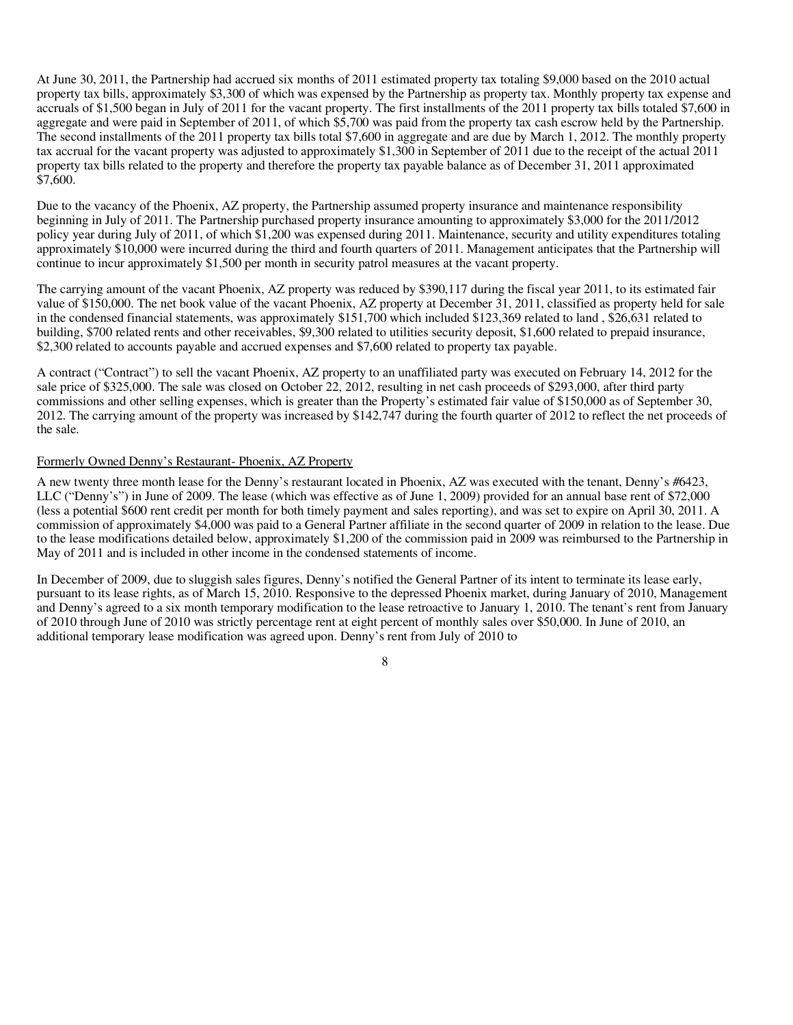At June 30, 2011, the Partnership had accrued six months of 2011 estimated property tax totaling \$9,000 based on the 2010 actual property tax bills, approximately \$3,300 of which was expensed by the Partnership as property tax. Monthly property tax expense and accruals of \$1,500 began in July of 2011 for the vacant property. The first installments of the 2011 property tax bills totaled \$7,600 in aggregate and were paid in September of 2011, of which \$5,700 was paid from the property tax cash escrow held by the Partnership. The second installments of the 2011 property tax bills total \$7,600 in aggregate and are due by March 1, 2012. The monthly property tax accrual for the vacant property was adjusted to approximately \$1,300 in September of 2011 due to the receipt of the actual 2011 property tax bills related to the property and therefore the property tax payable balance as of December 31, 2011 approximated \$7,600.

Due to the vacancy of the Phoenix, AZ property, the Partnership assumed property insurance and maintenance responsibility beginning in July of 2011. The Partnership purchased property insurance amounting to approximately \$3,000 for the 2011/2012 policy year during July of 2011, of which \$1,200 was expensed during 2011. Maintenance, security and utility expenditures totaling approximately \$10,000 were incurred during the third and fourth quarters of 2011. Management anticipates that the Partnership will continue to incur approximately \$1,500 per month in security patrol measures at the vacant property.

The carrying amount of the vacant Phoenix, AZ property was reduced by \$390,117 during the fiscal year 2011, to its estimated fair value of \$150,000. The net book value of the vacant Phoenix, AZ property at December 31, 2011, classified as property held for sale in the condensed financial statements, was approximately \$151,700 which included \$123,369 related to land , \$26,631 related to building, \$700 related rents and other receivables, \$9,300 related to utilities security deposit, \$1,600 related to prepaid insurance, \$2,300 related to accounts payable and accrued expenses and \$7,600 related to property tax payable.

A contract ("Contract") to sell the vacant Phoenix, AZ property to an unaffiliated party was executed on February 14, 2012 for the sale price of \$325,000. The sale was closed on October 22, 2012, resulting in net cash proceeds of \$293,000, after third party commissions and other selling expenses, which is greater than the Property's estimated fair value of \$150,000 as of September 30, 2012. The carrying amount of the property was increased by \$142,747 during the fourth quarter of 2012 to reflect the net proceeds of the sale.

#### Formerly Owned Denny's Restaurant- Phoenix, AZ Property

A new twenty three month lease for the Denny's restaurant located in Phoenix, AZ was executed with the tenant, Denny's #6423, LLC ("Denny's") in June of 2009. The lease (which was effective as of June 1, 2009) provided for an annual base rent of \$72,000 (less a potential \$600 rent credit per month for both timely payment and sales reporting), and was set to expire on April 30, 2011. A commission of approximately \$4,000 was paid to a General Partner affiliate in the second quarter of 2009 in relation to the lease. Due to the lease modifications detailed below, approximately \$1,200 of the commission paid in 2009 was reimbursed to the Partnership in May of 2011 and is included in other income in the condensed statements of income.

In December of 2009, due to sluggish sales figures, Denny's notified the General Partner of its intent to terminate its lease early, pursuant to its lease rights, as of March 15, 2010. Responsive to the depressed Phoenix market, during January of 2010, Management and Denny's agreed to a six month temporary modification to the lease retroactive to January 1, 2010. The tenant's rent from January of 2010 through June of 2010 was strictly percentage rent at eight percent of monthly sales over \$50,000. In June of 2010, an additional temporary lease modification was agreed upon. Denny's rent from July of 2010 to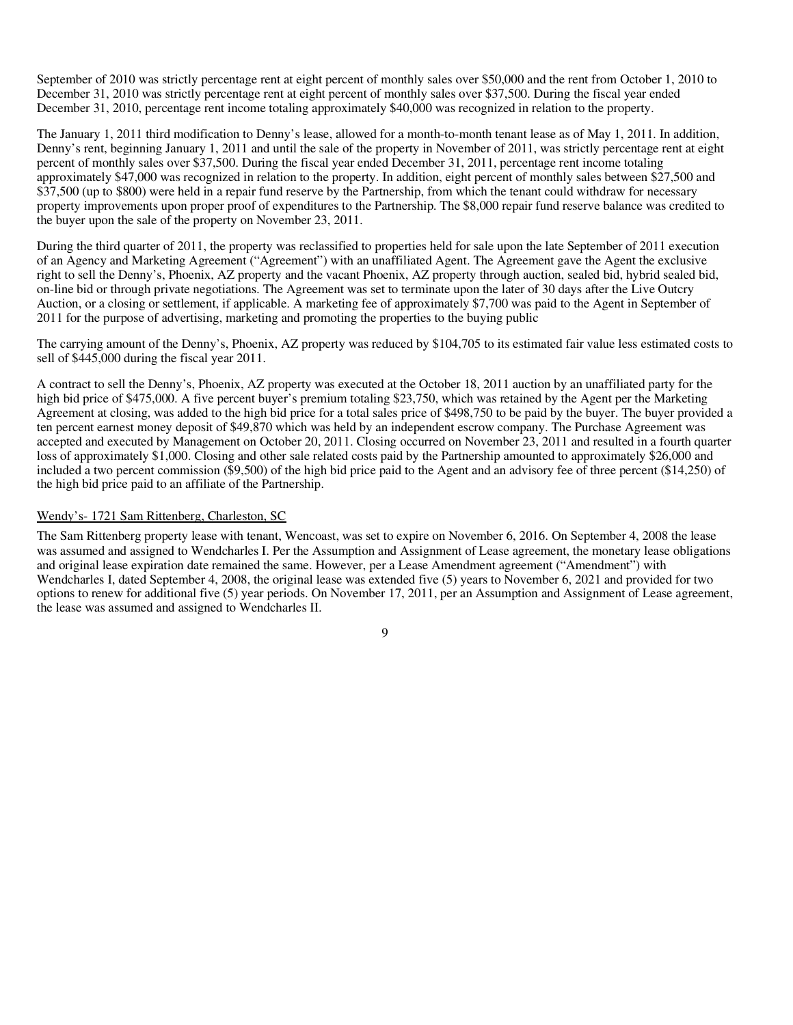September of 2010 was strictly percentage rent at eight percent of monthly sales over \$50,000 and the rent from October 1, 2010 to December 31, 2010 was strictly percentage rent at eight percent of monthly sales over \$37,500. During the fiscal year ended December 31, 2010, percentage rent income totaling approximately \$40,000 was recognized in relation to the property.

The January 1, 2011 third modification to Denny's lease, allowed for a month-to-month tenant lease as of May 1, 2011. In addition, Denny's rent, beginning January 1, 2011 and until the sale of the property in November of 2011, was strictly percentage rent at eight percent of monthly sales over \$37,500. During the fiscal year ended December 31, 2011, percentage rent income totaling approximately \$47,000 was recognized in relation to the property. In addition, eight percent of monthly sales between \$27,500 and \$37,500 (up to \$800) were held in a repair fund reserve by the Partnership, from which the tenant could withdraw for necessary property improvements upon proper proof of expenditures to the Partnership. The \$8,000 repair fund reserve balance was credited to the buyer upon the sale of the property on November 23, 2011.

During the third quarter of 2011, the property was reclassified to properties held for sale upon the late September of 2011 execution of an Agency and Marketing Agreement ("Agreement") with an unaffiliated Agent. The Agreement gave the Agent the exclusive right to sell the Denny's, Phoenix, AZ property and the vacant Phoenix, AZ property through auction, sealed bid, hybrid sealed bid, on-line bid or through private negotiations. The Agreement was set to terminate upon the later of 30 days after the Live Outcry Auction, or a closing or settlement, if applicable. A marketing fee of approximately \$7,700 was paid to the Agent in September of 2011 for the purpose of advertising, marketing and promoting the properties to the buying public

The carrying amount of the Denny's, Phoenix, AZ property was reduced by \$104,705 to its estimated fair value less estimated costs to sell of \$445,000 during the fiscal year 2011.

A contract to sell the Denny's, Phoenix, AZ property was executed at the October 18, 2011 auction by an unaffiliated party for the high bid price of \$475,000. A five percent buyer's premium totaling \$23,750, which was retained by the Agent per the Marketing Agreement at closing, was added to the high bid price for a total sales price of \$498,750 to be paid by the buyer. The buyer provided a ten percent earnest money deposit of \$49,870 which was held by an independent escrow company. The Purchase Agreement was accepted and executed by Management on October 20, 2011. Closing occurred on November 23, 2011 and resulted in a fourth quarter loss of approximately \$1,000. Closing and other sale related costs paid by the Partnership amounted to approximately \$26,000 and included a two percent commission (\$9,500) of the high bid price paid to the Agent and an advisory fee of three percent (\$14,250) of the high bid price paid to an affiliate of the Partnership.

#### Wendy's- 1721 Sam Rittenberg, Charleston, SC

The Sam Rittenberg property lease with tenant, Wencoast, was set to expire on November 6, 2016. On September 4, 2008 the lease was assumed and assigned to Wendcharles I. Per the Assumption and Assignment of Lease agreement, the monetary lease obligations and original lease expiration date remained the same. However, per a Lease Amendment agreement ("Amendment") with Wendcharles I, dated September 4, 2008, the original lease was extended five (5) years to November 6, 2021 and provided for two options to renew for additional five (5) year periods. On November 17, 2011, per an Assumption and Assignment of Lease agreement, the lease was assumed and assigned to Wendcharles II.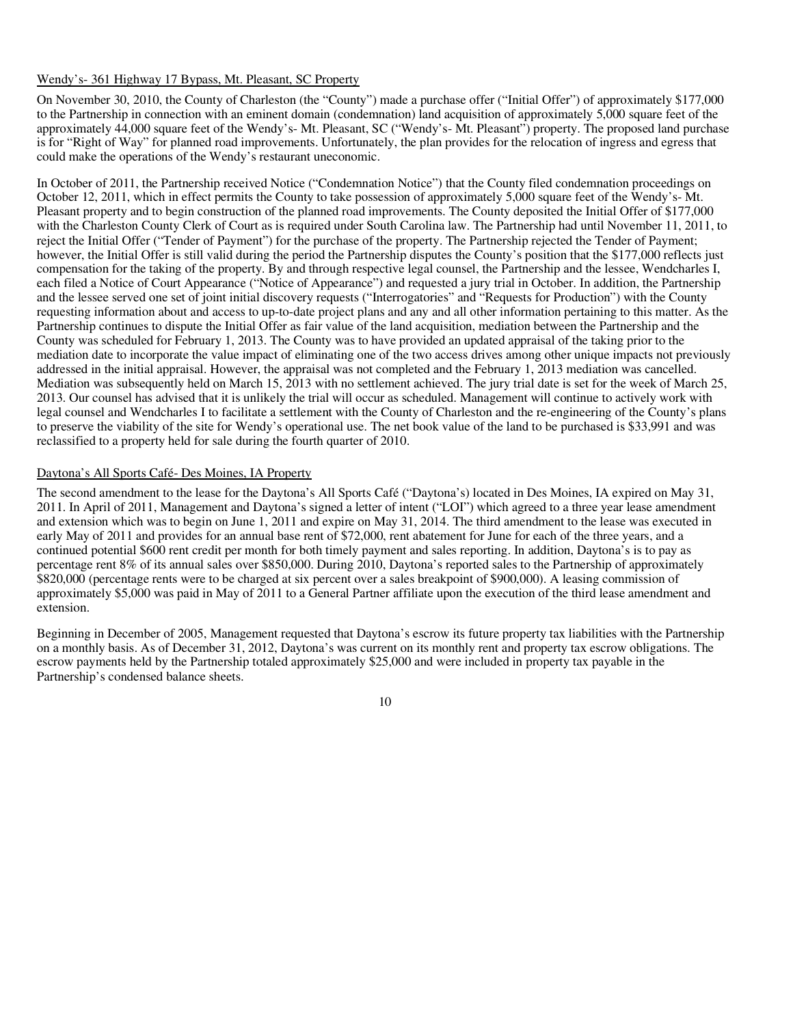#### Wendy's- 361 Highway 17 Bypass, Mt. Pleasant, SC Property

On November 30, 2010, the County of Charleston (the "County") made a purchase offer ("Initial Offer") of approximately \$177,000 to the Partnership in connection with an eminent domain (condemnation) land acquisition of approximately 5,000 square feet of the approximately 44,000 square feet of the Wendy's- Mt. Pleasant, SC ("Wendy's- Mt. Pleasant") property. The proposed land purchase is for "Right of Way" for planned road improvements. Unfortunately, the plan provides for the relocation of ingress and egress that could make the operations of the Wendy's restaurant uneconomic.

In October of 2011, the Partnership received Notice ("Condemnation Notice") that the County filed condemnation proceedings on October 12, 2011, which in effect permits the County to take possession of approximately 5,000 square feet of the Wendy's- Mt. Pleasant property and to begin construction of the planned road improvements. The County deposited the Initial Offer of \$177,000 with the Charleston County Clerk of Court as is required under South Carolina law. The Partnership had until November 11, 2011, to reject the Initial Offer ("Tender of Payment") for the purchase of the property. The Partnership rejected the Tender of Payment; however, the Initial Offer is still valid during the period the Partnership disputes the County's position that the \$177,000 reflects just compensation for the taking of the property. By and through respective legal counsel, the Partnership and the lessee, Wendcharles I, each filed a Notice of Court Appearance ("Notice of Appearance") and requested a jury trial in October. In addition, the Partnership and the lessee served one set of joint initial discovery requests ("Interrogatories" and "Requests for Production") with the County requesting information about and access to up-to-date project plans and any and all other information pertaining to this matter. As the Partnership continues to dispute the Initial Offer as fair value of the land acquisition, mediation between the Partnership and the County was scheduled for February 1, 2013. The County was to have provided an updated appraisal of the taking prior to the mediation date to incorporate the value impact of eliminating one of the two access drives among other unique impacts not previously addressed in the initial appraisal. However, the appraisal was not completed and the February 1, 2013 mediation was cancelled. Mediation was subsequently held on March 15, 2013 with no settlement achieved. The jury trial date is set for the week of March 25, 2013. Our counsel has advised that it is unlikely the trial will occur as scheduled. Management will continue to actively work with legal counsel and Wendcharles I to facilitate a settlement with the County of Charleston and the re-engineering of the County's plans to preserve the viability of the site for Wendy's operational use. The net book value of the land to be purchased is \$33,991 and was reclassified to a property held for sale during the fourth quarter of 2010.

#### Daytona's All Sports Café- Des Moines, IA Property

The second amendment to the lease for the Daytona's All Sports Café ("Daytona's) located in Des Moines, IA expired on May 31, 2011. In April of 2011, Management and Daytona's signed a letter of intent ("LOI") which agreed to a three year lease amendment and extension which was to begin on June 1, 2011 and expire on May 31, 2014. The third amendment to the lease was executed in early May of 2011 and provides for an annual base rent of \$72,000, rent abatement for June for each of the three years, and a continued potential \$600 rent credit per month for both timely payment and sales reporting. In addition, Daytona's is to pay as percentage rent 8% of its annual sales over \$850,000. During 2010, Daytona's reported sales to the Partnership of approximately \$820,000 (percentage rents were to be charged at six percent over a sales breakpoint of \$900,000). A leasing commission of approximately \$5,000 was paid in May of 2011 to a General Partner affiliate upon the execution of the third lease amendment and extension.

Beginning in December of 2005, Management requested that Daytona's escrow its future property tax liabilities with the Partnership on a monthly basis. As of December 31, 2012, Daytona's was current on its monthly rent and property tax escrow obligations. The escrow payments held by the Partnership totaled approximately \$25,000 and were included in property tax payable in the Partnership's condensed balance sheets.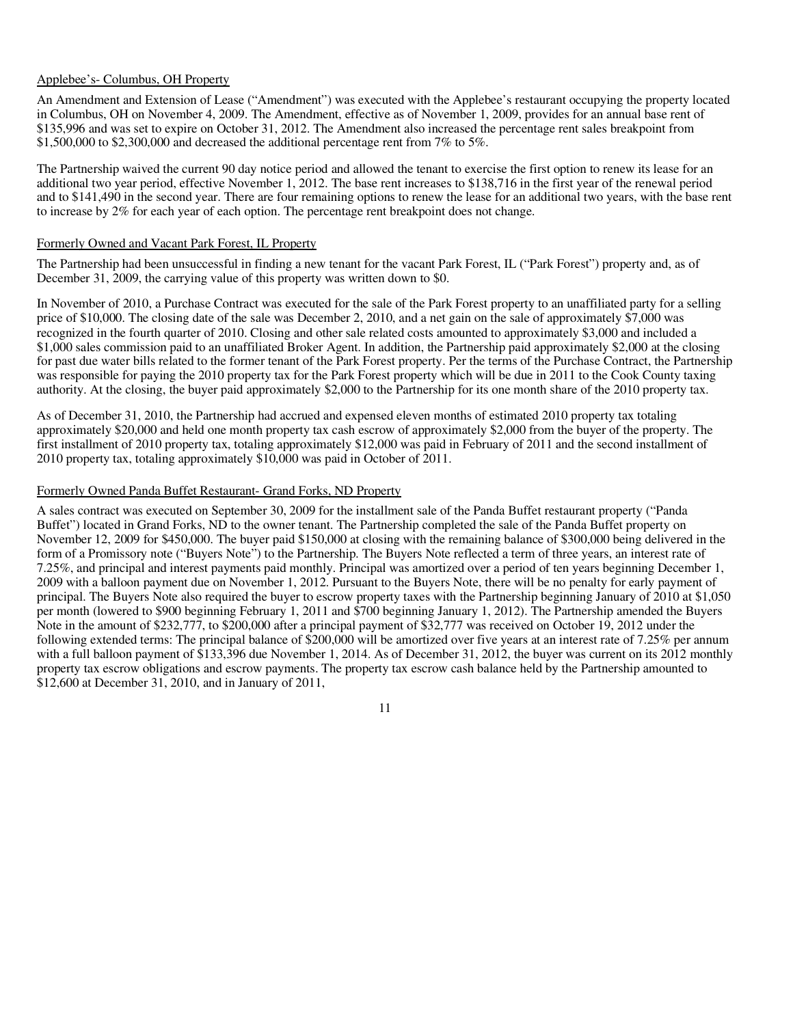#### Applebee's- Columbus, OH Property

An Amendment and Extension of Lease ("Amendment") was executed with the Applebee's restaurant occupying the property located in Columbus, OH on November 4, 2009. The Amendment, effective as of November 1, 2009, provides for an annual base rent of \$135,996 and was set to expire on October 31, 2012. The Amendment also increased the percentage rent sales breakpoint from \$1,500,000 to \$2,300,000 and decreased the additional percentage rent from 7% to 5%.

The Partnership waived the current 90 day notice period and allowed the tenant to exercise the first option to renew its lease for an additional two year period, effective November 1, 2012. The base rent increases to \$138,716 in the first year of the renewal period and to \$141,490 in the second year. There are four remaining options to renew the lease for an additional two years, with the base rent to increase by 2% for each year of each option. The percentage rent breakpoint does not change.

#### Formerly Owned and Vacant Park Forest, IL Property

The Partnership had been unsuccessful in finding a new tenant for the vacant Park Forest, IL ("Park Forest") property and, as of December 31, 2009, the carrying value of this property was written down to \$0.

In November of 2010, a Purchase Contract was executed for the sale of the Park Forest property to an unaffiliated party for a selling price of \$10,000. The closing date of the sale was December 2, 2010, and a net gain on the sale of approximately \$7,000 was recognized in the fourth quarter of 2010. Closing and other sale related costs amounted to approximately \$3,000 and included a \$1,000 sales commission paid to an unaffiliated Broker Agent. In addition, the Partnership paid approximately \$2,000 at the closing for past due water bills related to the former tenant of the Park Forest property. Per the terms of the Purchase Contract, the Partnership was responsible for paying the 2010 property tax for the Park Forest property which will be due in 2011 to the Cook County taxing authority. At the closing, the buyer paid approximately \$2,000 to the Partnership for its one month share of the 2010 property tax.

As of December 31, 2010, the Partnership had accrued and expensed eleven months of estimated 2010 property tax totaling approximately \$20,000 and held one month property tax cash escrow of approximately \$2,000 from the buyer of the property. The first installment of 2010 property tax, totaling approximately \$12,000 was paid in February of 2011 and the second installment of 2010 property tax, totaling approximately \$10,000 was paid in October of 2011.

#### Formerly Owned Panda Buffet Restaurant- Grand Forks, ND Property

A sales contract was executed on September 30, 2009 for the installment sale of the Panda Buffet restaurant property ("Panda Buffet") located in Grand Forks, ND to the owner tenant. The Partnership completed the sale of the Panda Buffet property on November 12, 2009 for \$450,000. The buyer paid \$150,000 at closing with the remaining balance of \$300,000 being delivered in the form of a Promissory note ("Buyers Note") to the Partnership. The Buyers Note reflected a term of three years, an interest rate of 7.25%, and principal and interest payments paid monthly. Principal was amortized over a period of ten years beginning December 1, 2009 with a balloon payment due on November 1, 2012. Pursuant to the Buyers Note, there will be no penalty for early payment of principal. The Buyers Note also required the buyer to escrow property taxes with the Partnership beginning January of 2010 at \$1,050 per month (lowered to \$900 beginning February 1, 2011 and \$700 beginning January 1, 2012). The Partnership amended the Buyers Note in the amount of \$232,777, to \$200,000 after a principal payment of \$32,777 was received on October 19, 2012 under the following extended terms: The principal balance of \$200,000 will be amortized over five years at an interest rate of 7.25% per annum with a full balloon payment of \$133,396 due November 1, 2014. As of December 31, 2012, the buyer was current on its 2012 monthly property tax escrow obligations and escrow payments. The property tax escrow cash balance held by the Partnership amounted to \$12,600 at December 31, 2010, and in January of 2011,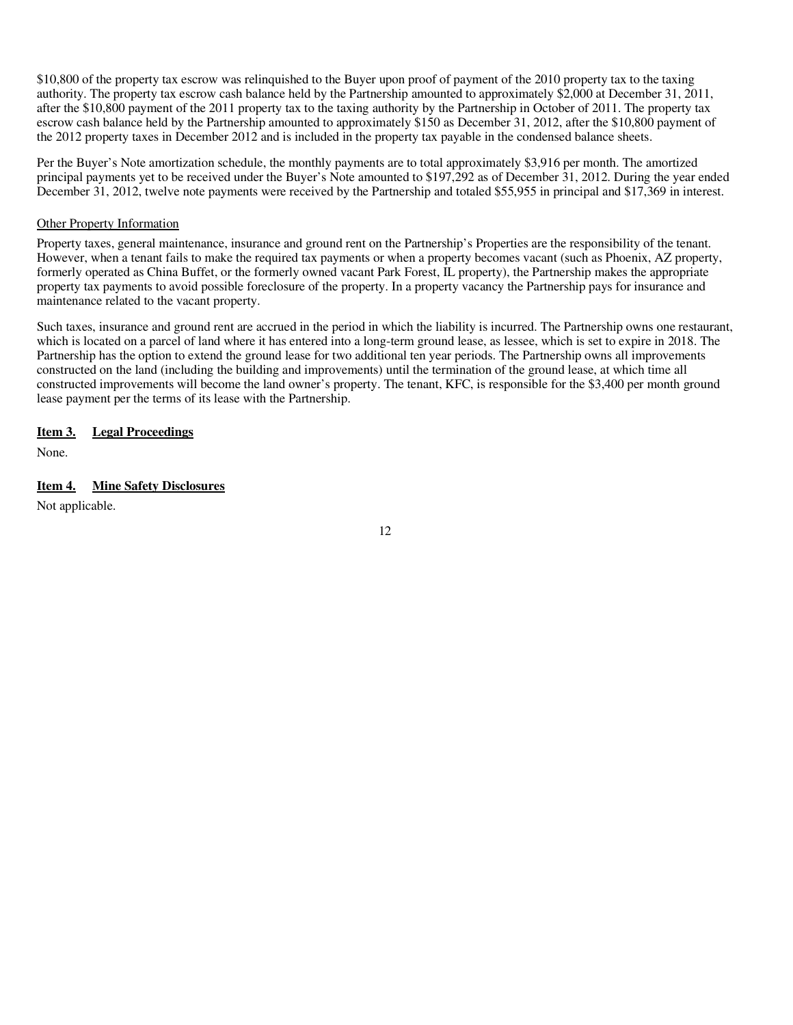\$10,800 of the property tax escrow was relinquished to the Buyer upon proof of payment of the 2010 property tax to the taxing authority. The property tax escrow cash balance held by the Partnership amounted to approximately \$2,000 at December 31, 2011, after the \$10,800 payment of the 2011 property tax to the taxing authority by the Partnership in October of 2011. The property tax escrow cash balance held by the Partnership amounted to approximately \$150 as December 31, 2012, after the \$10,800 payment of the 2012 property taxes in December 2012 and is included in the property tax payable in the condensed balance sheets.

Per the Buyer's Note amortization schedule, the monthly payments are to total approximately \$3,916 per month. The amortized principal payments yet to be received under the Buyer's Note amounted to \$197,292 as of December 31, 2012. During the year ended December 31, 2012, twelve note payments were received by the Partnership and totaled \$55,955 in principal and \$17,369 in interest.

#### Other Property Information

Property taxes, general maintenance, insurance and ground rent on the Partnership's Properties are the responsibility of the tenant. However, when a tenant fails to make the required tax payments or when a property becomes vacant (such as Phoenix, AZ property, formerly operated as China Buffet, or the formerly owned vacant Park Forest, IL property), the Partnership makes the appropriate property tax payments to avoid possible foreclosure of the property. In a property vacancy the Partnership pays for insurance and maintenance related to the vacant property.

Such taxes, insurance and ground rent are accrued in the period in which the liability is incurred. The Partnership owns one restaurant, which is located on a parcel of land where it has entered into a long-term ground lease, as lessee, which is set to expire in 2018. The Partnership has the option to extend the ground lease for two additional ten year periods. The Partnership owns all improvements constructed on the land (including the building and improvements) until the termination of the ground lease, at which time all constructed improvements will become the land owner's property. The tenant, KFC, is responsible for the \$3,400 per month ground lease payment per the terms of its lease with the Partnership.

#### **Item 3. Legal Proceedings**

None.

#### **Item 4. Mine Safety Disclosures**

Not applicable.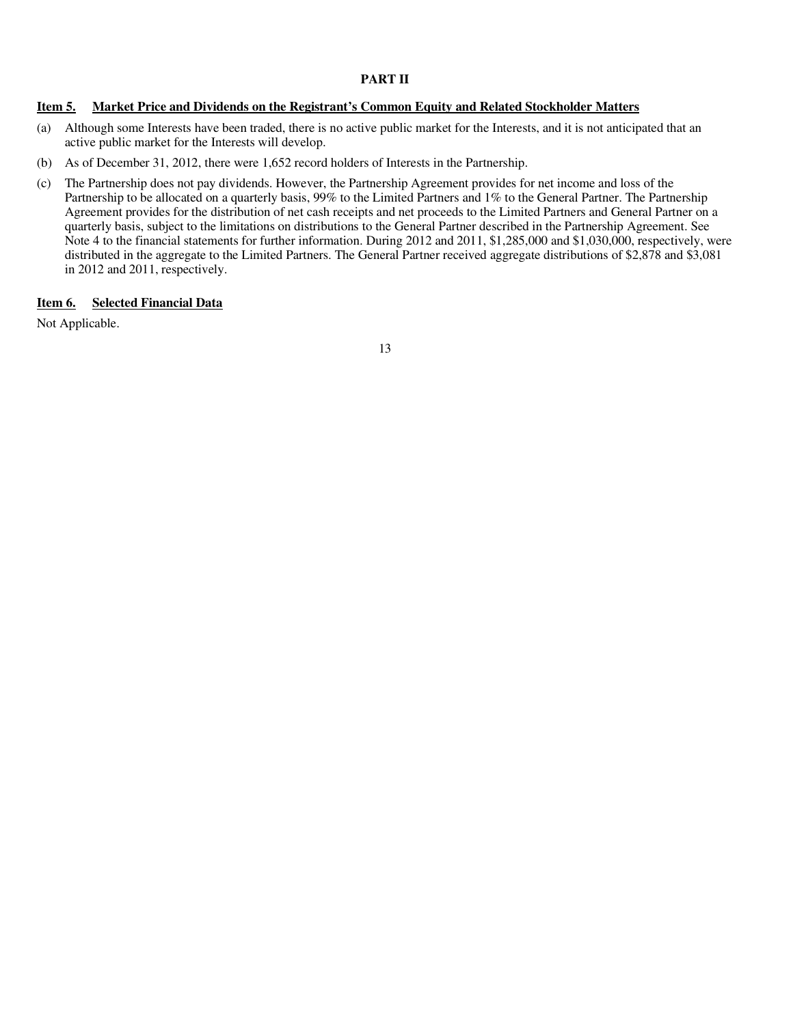#### **PART II**

#### **Item 5. Market Price and Dividends on the Registrant's Common Equity and Related Stockholder Matters**

- (a) Although some Interests have been traded, there is no active public market for the Interests, and it is not anticipated that an active public market for the Interests will develop.
- (b) As of December 31, 2012, there were 1,652 record holders of Interests in the Partnership.
- (c) The Partnership does not pay dividends. However, the Partnership Agreement provides for net income and loss of the Partnership to be allocated on a quarterly basis, 99% to the Limited Partners and 1% to the General Partner. The Partnership Agreement provides for the distribution of net cash receipts and net proceeds to the Limited Partners and General Partner on a quarterly basis, subject to the limitations on distributions to the General Partner described in the Partnership Agreement. See Note 4 to the financial statements for further information. During 2012 and 2011, \$1,285,000 and \$1,030,000, respectively, were distributed in the aggregate to the Limited Partners. The General Partner received aggregate distributions of \$2,878 and \$3,081 in 2012 and 2011, respectively.

#### **Item 6. Selected Financial Data**

Not Applicable.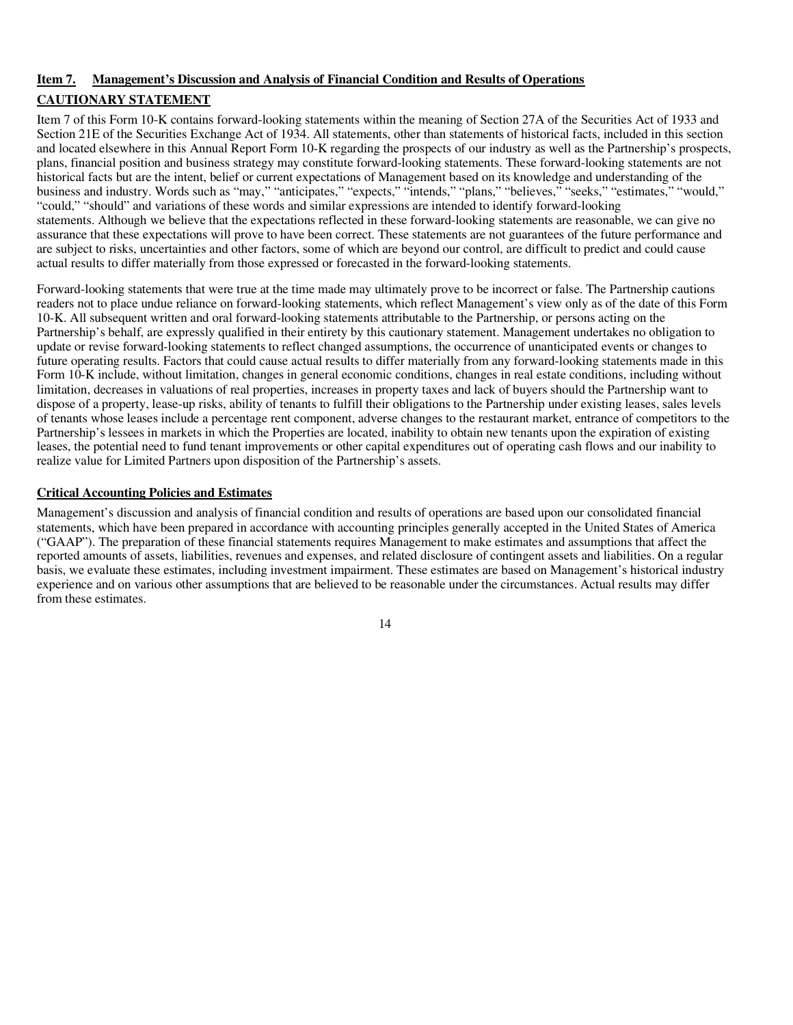# **CAUTIONARY STATEMENT Item 7. Management's Discussion and Analysis of Financial Condition and Results of Operations**

Item 7 of this Form 10-K contains forward-looking statements within the meaning of Section 27A of the Securities Act of 1933 and Section 21E of the Securities Exchange Act of 1934. All statements, other than statements of historical facts, included in this section and located elsewhere in this Annual Report Form 10-K regarding the prospects of our industry as well as the Partnership's prospects, plans, financial position and business strategy may constitute forward-looking statements. These forward-looking statements are not historical facts but are the intent, belief or current expectations of Management based on its knowledge and understanding of the business and industry. Words such as "may," "anticipates," "expects," "intends," "plans," "believes," "seeks," "estimates," "would," "could," "should" and variations of these words and similar expressions are intended to identify forward-looking statements. Although we believe that the expectations reflected in these forward-looking statements are reasonable, we can give no assurance that these expectations will prove to have been correct. These statements are not guarantees of the future performance and are subject to risks, uncertainties and other factors, some of which are beyond our control, are difficult to predict and could cause actual results to differ materially from those expressed or forecasted in the forward-looking statements.

Forward-looking statements that were true at the time made may ultimately prove to be incorrect or false. The Partnership cautions readers not to place undue reliance on forward-looking statements, which reflect Management's view only as of the date of this Form 10-K. All subsequent written and oral forward-looking statements attributable to the Partnership, or persons acting on the Partnership's behalf, are expressly qualified in their entirety by this cautionary statement. Management undertakes no obligation to update or revise forward-looking statements to reflect changed assumptions, the occurrence of unanticipated events or changes to future operating results. Factors that could cause actual results to differ materially from any forward-looking statements made in this Form 10-K include, without limitation, changes in general economic conditions, changes in real estate conditions, including without limitation, decreases in valuations of real properties, increases in property taxes and lack of buyers should the Partnership want to dispose of a property, lease-up risks, ability of tenants to fulfill their obligations to the Partnership under existing leases, sales levels of tenants whose leases include a percentage rent component, adverse changes to the restaurant market, entrance of competitors to the Partnership's lessees in markets in which the Properties are located, inability to obtain new tenants upon the expiration of existing leases, the potential need to fund tenant improvements or other capital expenditures out of operating cash flows and our inability to realize value for Limited Partners upon disposition of the Partnership's assets.

#### **Critical Accounting Policies and Estimates**

Management's discussion and analysis of financial condition and results of operations are based upon our consolidated financial statements, which have been prepared in accordance with accounting principles generally accepted in the United States of America ("GAAP"). The preparation of these financial statements requires Management to make estimates and assumptions that affect the reported amounts of assets, liabilities, revenues and expenses, and related disclosure of contingent assets and liabilities. On a regular basis, we evaluate these estimates, including investment impairment. These estimates are based on Management's historical industry experience and on various other assumptions that are believed to be reasonable under the circumstances. Actual results may differ from these estimates.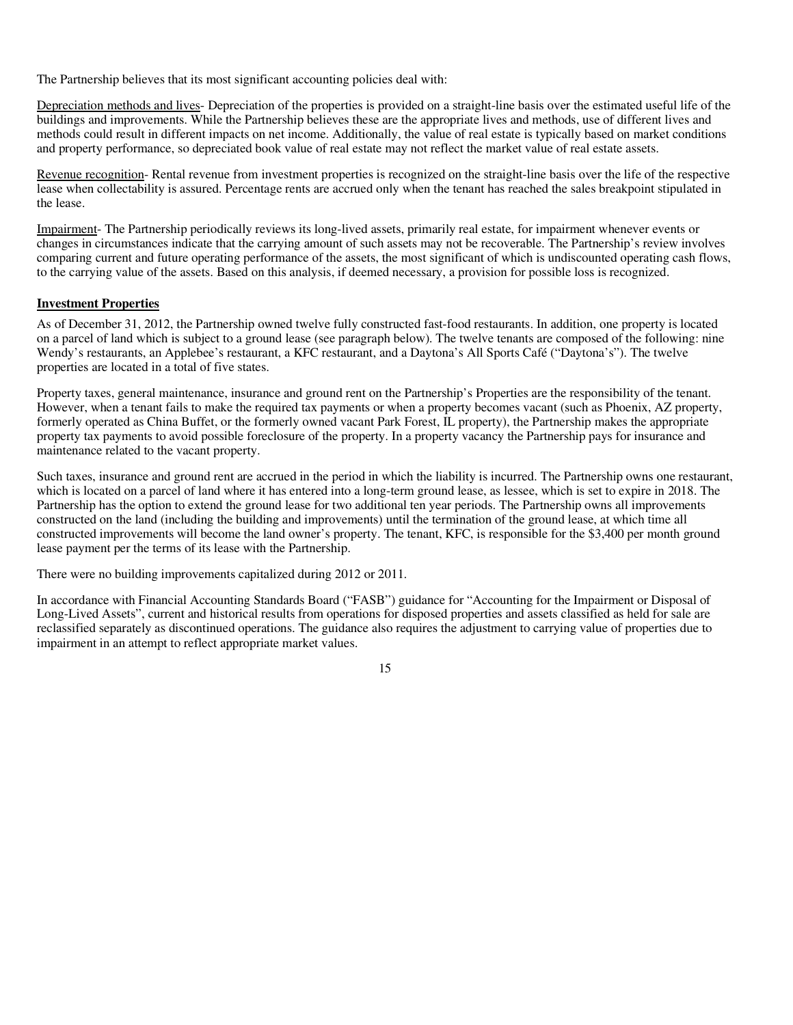The Partnership believes that its most significant accounting policies deal with:

Depreciation methods and lives- Depreciation of the properties is provided on a straight-line basis over the estimated useful life of the buildings and improvements. While the Partnership believes these are the appropriate lives and methods, use of different lives and methods could result in different impacts on net income. Additionally, the value of real estate is typically based on market conditions and property performance, so depreciated book value of real estate may not reflect the market value of real estate assets.

Revenue recognition- Rental revenue from investment properties is recognized on the straight-line basis over the life of the respective lease when collectability is assured. Percentage rents are accrued only when the tenant has reached the sales breakpoint stipulated in the lease.

Impairment- The Partnership periodically reviews its long-lived assets, primarily real estate, for impairment whenever events or changes in circumstances indicate that the carrying amount of such assets may not be recoverable. The Partnership's review involves comparing current and future operating performance of the assets, the most significant of which is undiscounted operating cash flows, to the carrying value of the assets. Based on this analysis, if deemed necessary, a provision for possible loss is recognized.

#### **Investment Properties**

As of December 31, 2012, the Partnership owned twelve fully constructed fast-food restaurants. In addition, one property is located on a parcel of land which is subject to a ground lease (see paragraph below). The twelve tenants are composed of the following: nine Wendy's restaurants, an Applebee's restaurant, a KFC restaurant, and a Daytona's All Sports Café ("Daytona's"). The twelve properties are located in a total of five states.

Property taxes, general maintenance, insurance and ground rent on the Partnership's Properties are the responsibility of the tenant. However, when a tenant fails to make the required tax payments or when a property becomes vacant (such as Phoenix, AZ property, formerly operated as China Buffet, or the formerly owned vacant Park Forest, IL property), the Partnership makes the appropriate property tax payments to avoid possible foreclosure of the property. In a property vacancy the Partnership pays for insurance and maintenance related to the vacant property.

Such taxes, insurance and ground rent are accrued in the period in which the liability is incurred. The Partnership owns one restaurant, which is located on a parcel of land where it has entered into a long-term ground lease, as lessee, which is set to expire in 2018. The Partnership has the option to extend the ground lease for two additional ten year periods. The Partnership owns all improvements constructed on the land (including the building and improvements) until the termination of the ground lease, at which time all constructed improvements will become the land owner's property. The tenant, KFC, is responsible for the \$3,400 per month ground lease payment per the terms of its lease with the Partnership.

There were no building improvements capitalized during 2012 or 2011.

In accordance with Financial Accounting Standards Board ("FASB") guidance for "Accounting for the Impairment or Disposal of Long-Lived Assets", current and historical results from operations for disposed properties and assets classified as held for sale are reclassified separately as discontinued operations. The guidance also requires the adjustment to carrying value of properties due to impairment in an attempt to reflect appropriate market values.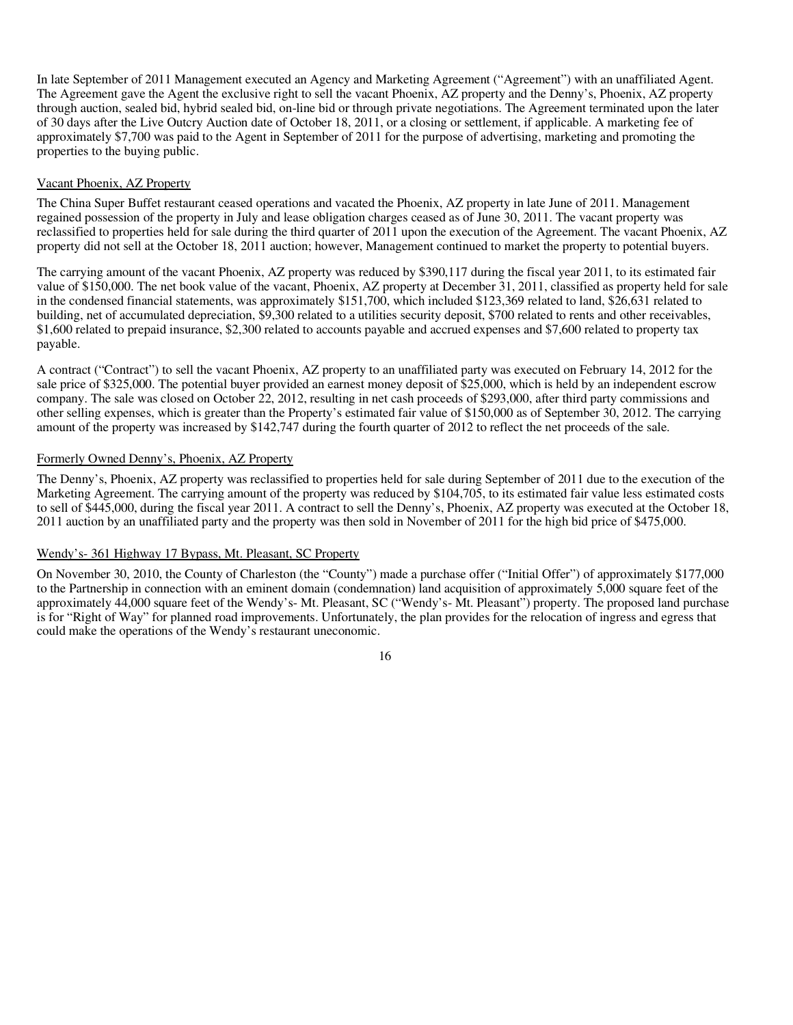In late September of 2011 Management executed an Agency and Marketing Agreement ("Agreement") with an unaffiliated Agent. The Agreement gave the Agent the exclusive right to sell the vacant Phoenix, AZ property and the Denny's, Phoenix, AZ property through auction, sealed bid, hybrid sealed bid, on-line bid or through private negotiations. The Agreement terminated upon the later of 30 days after the Live Outcry Auction date of October 18, 2011, or a closing or settlement, if applicable. A marketing fee of approximately \$7,700 was paid to the Agent in September of 2011 for the purpose of advertising, marketing and promoting the properties to the buying public.

# Vacant Phoenix, AZ Property

The China Super Buffet restaurant ceased operations and vacated the Phoenix, AZ property in late June of 2011. Management regained possession of the property in July and lease obligation charges ceased as of June 30, 2011. The vacant property was reclassified to properties held for sale during the third quarter of 2011 upon the execution of the Agreement. The vacant Phoenix, AZ property did not sell at the October 18, 2011 auction; however, Management continued to market the property to potential buyers.

The carrying amount of the vacant Phoenix, AZ property was reduced by \$390,117 during the fiscal year 2011, to its estimated fair value of \$150,000. The net book value of the vacant, Phoenix, AZ property at December 31, 2011, classified as property held for sale in the condensed financial statements, was approximately \$151,700, which included \$123,369 related to land, \$26,631 related to building, net of accumulated depreciation, \$9,300 related to a utilities security deposit, \$700 related to rents and other receivables, \$1,600 related to prepaid insurance, \$2,300 related to accounts payable and accrued expenses and \$7,600 related to property tax payable.

A contract ("Contract") to sell the vacant Phoenix, AZ property to an unaffiliated party was executed on February 14, 2012 for the sale price of \$325,000. The potential buyer provided an earnest money deposit of \$25,000, which is held by an independent escrow company. The sale was closed on October 22, 2012, resulting in net cash proceeds of \$293,000, after third party commissions and other selling expenses, which is greater than the Property's estimated fair value of \$150,000 as of September 30, 2012. The carrying amount of the property was increased by \$142,747 during the fourth quarter of 2012 to reflect the net proceeds of the sale.

#### Formerly Owned Denny's, Phoenix, AZ Property

The Denny's, Phoenix, AZ property was reclassified to properties held for sale during September of 2011 due to the execution of the Marketing Agreement. The carrying amount of the property was reduced by \$104,705, to its estimated fair value less estimated costs to sell of \$445,000, during the fiscal year 2011. A contract to sell the Denny's, Phoenix, AZ property was executed at the October 18, 2011 auction by an unaffiliated party and the property was then sold in November of 2011 for the high bid price of \$475,000.

#### Wendy's- 361 Highway 17 Bypass, Mt. Pleasant, SC Property

On November 30, 2010, the County of Charleston (the "County") made a purchase offer ("Initial Offer") of approximately \$177,000 to the Partnership in connection with an eminent domain (condemnation) land acquisition of approximately 5,000 square feet of the approximately 44,000 square feet of the Wendy's- Mt. Pleasant, SC ("Wendy's- Mt. Pleasant") property. The proposed land purchase is for "Right of Way" for planned road improvements. Unfortunately, the plan provides for the relocation of ingress and egress that could make the operations of the Wendy's restaurant uneconomic.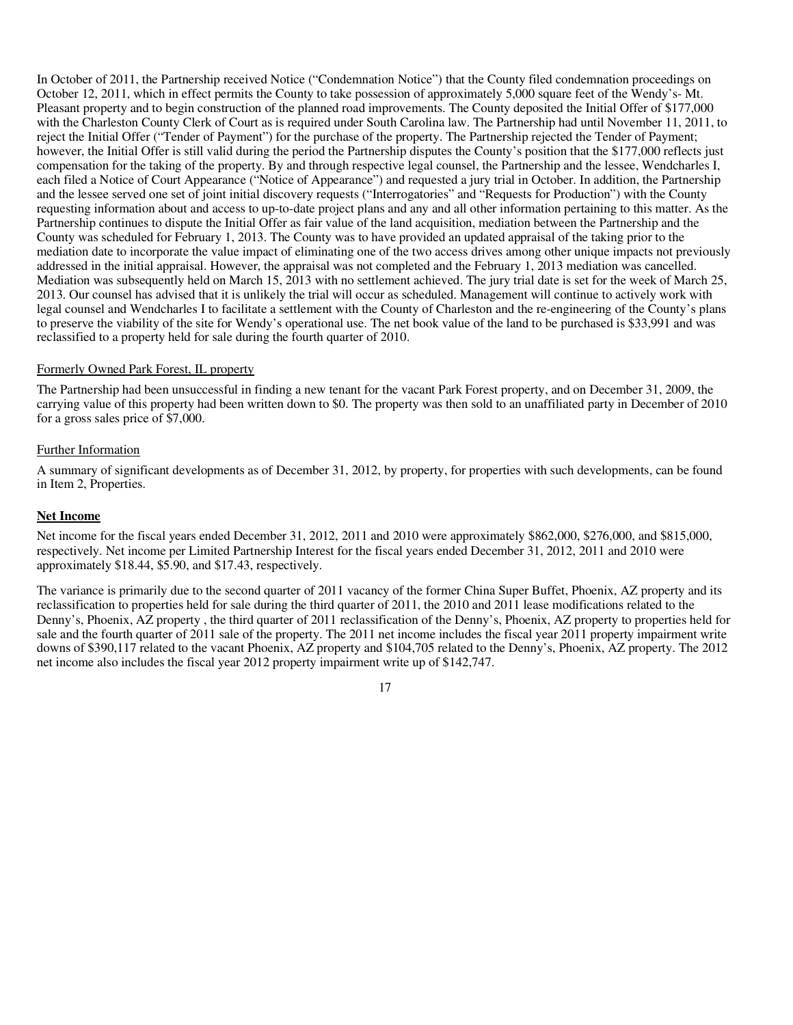In October of 2011, the Partnership received Notice ("Condemnation Notice") that the County filed condemnation proceedings on October 12, 2011, which in effect permits the County to take possession of approximately 5,000 square feet of the Wendy's- Mt. Pleasant property and to begin construction of the planned road improvements. The County deposited the Initial Offer of \$177,000 with the Charleston County Clerk of Court as is required under South Carolina law. The Partnership had until November 11, 2011, to reject the Initial Offer ("Tender of Payment") for the purchase of the property. The Partnership rejected the Tender of Payment; however, the Initial Offer is still valid during the period the Partnership disputes the County's position that the \$177,000 reflects just compensation for the taking of the property. By and through respective legal counsel, the Partnership and the lessee, Wendcharles I, each filed a Notice of Court Appearance ("Notice of Appearance") and requested a jury trial in October. In addition, the Partnership and the lessee served one set of joint initial discovery requests ("Interrogatories" and "Requests for Production") with the County requesting information about and access to up-to-date project plans and any and all other information pertaining to this matter. As the Partnership continues to dispute the Initial Offer as fair value of the land acquisition, mediation between the Partnership and the County was scheduled for February 1, 2013. The County was to have provided an updated appraisal of the taking prior to the mediation date to incorporate the value impact of eliminating one of the two access drives among other unique impacts not previously addressed in the initial appraisal. However, the appraisal was not completed and the February 1, 2013 mediation was cancelled. Mediation was subsequently held on March 15, 2013 with no settlement achieved. The jury trial date is set for the week of March 25, 2013. Our counsel has advised that it is unlikely the trial will occur as scheduled. Management will continue to actively work with legal counsel and Wendcharles I to facilitate a settlement with the County of Charleston and the re-engineering of the County's plans to preserve the viability of the site for Wendy's operational use. The net book value of the land to be purchased is \$33,991 and was reclassified to a property held for sale during the fourth quarter of 2010.

#### Formerly Owned Park Forest, IL property

The Partnership had been unsuccessful in finding a new tenant for the vacant Park Forest property, and on December 31, 2009, the carrying value of this property had been written down to \$0. The property was then sold to an unaffiliated party in December of 2010 for a gross sales price of \$7,000.

#### Further Information

A summary of significant developments as of December 31, 2012, by property, for properties with such developments, can be found in Item 2, Properties.

#### **Net Income**

Net income for the fiscal years ended December 31, 2012, 2011 and 2010 were approximately \$862,000, \$276,000, and \$815,000, respectively. Net income per Limited Partnership Interest for the fiscal years ended December 31, 2012, 2011 and 2010 were approximately \$18.44, \$5.90, and \$17.43, respectively.

The variance is primarily due to the second quarter of 2011 vacancy of the former China Super Buffet, Phoenix, AZ property and its reclassification to properties held for sale during the third quarter of 2011, the 2010 and 2011 lease modifications related to the Denny's, Phoenix, AZ property , the third quarter of 2011 reclassification of the Denny's, Phoenix, AZ property to properties held for sale and the fourth quarter of 2011 sale of the property. The 2011 net income includes the fiscal year 2011 property impairment write downs of \$390,117 related to the vacant Phoenix, AZ property and \$104,705 related to the Denny's, Phoenix, AZ property. The 2012 net income also includes the fiscal year 2012 property impairment write up of \$142,747.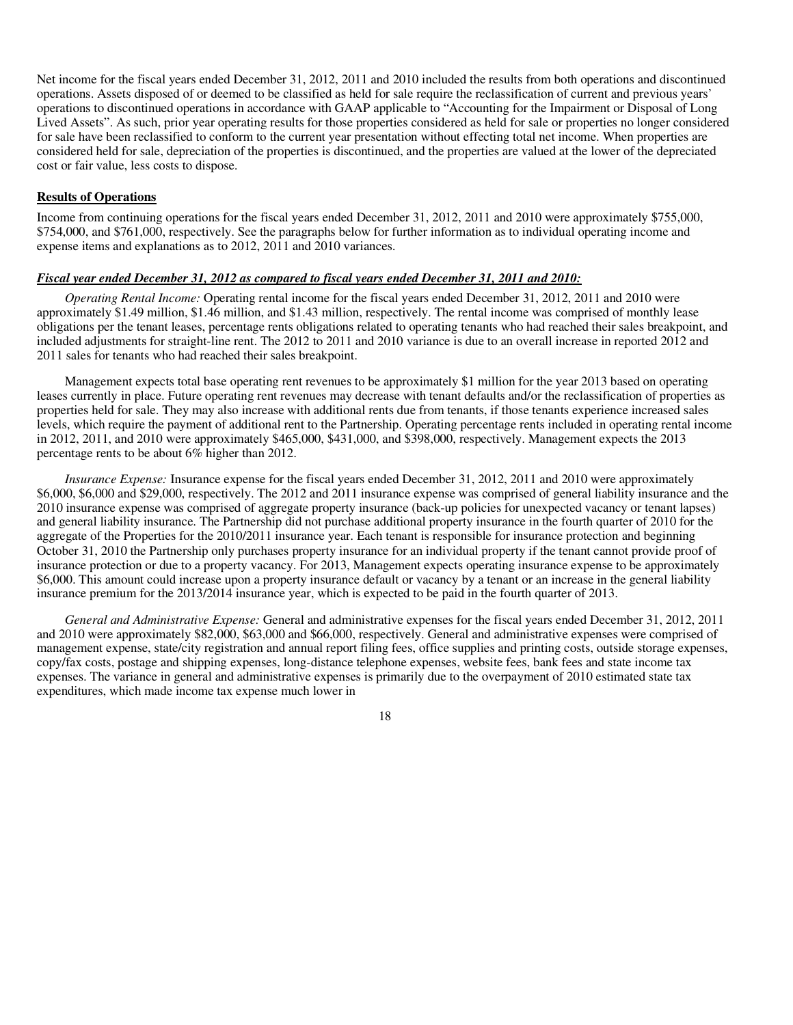Net income for the fiscal years ended December 31, 2012, 2011 and 2010 included the results from both operations and discontinued operations. Assets disposed of or deemed to be classified as held for sale require the reclassification of current and previous years' operations to discontinued operations in accordance with GAAP applicable to "Accounting for the Impairment or Disposal of Long Lived Assets". As such, prior year operating results for those properties considered as held for sale or properties no longer considered for sale have been reclassified to conform to the current year presentation without effecting total net income. When properties are considered held for sale, depreciation of the properties is discontinued, and the properties are valued at the lower of the depreciated cost or fair value, less costs to dispose.

#### **Results of Operations**

Income from continuing operations for the fiscal years ended December 31, 2012, 2011 and 2010 were approximately \$755,000, \$754,000, and \$761,000, respectively. See the paragraphs below for further information as to individual operating income and expense items and explanations as to 2012, 2011 and 2010 variances.

#### *Fiscal year ended December 31, 2012 as compared to fiscal years ended December 31, 2011 and 2010:*

*Operating Rental Income:* Operating rental income for the fiscal years ended December 31, 2012, 2011 and 2010 were approximately \$1.49 million, \$1.46 million, and \$1.43 million, respectively. The rental income was comprised of monthly lease obligations per the tenant leases, percentage rents obligations related to operating tenants who had reached their sales breakpoint, and included adjustments for straight-line rent. The 2012 to 2011 and 2010 variance is due to an overall increase in reported 2012 and 2011 sales for tenants who had reached their sales breakpoint.

Management expects total base operating rent revenues to be approximately \$1 million for the year 2013 based on operating leases currently in place. Future operating rent revenues may decrease with tenant defaults and/or the reclassification of properties as properties held for sale. They may also increase with additional rents due from tenants, if those tenants experience increased sales levels, which require the payment of additional rent to the Partnership. Operating percentage rents included in operating rental income in 2012, 2011, and 2010 were approximately \$465,000, \$431,000, and \$398,000, respectively. Management expects the 2013 percentage rents to be about 6% higher than 2012.

*Insurance Expense:* Insurance expense for the fiscal years ended December 31, 2012, 2011 and 2010 were approximately \$6,000, \$6,000 and \$29,000, respectively. The 2012 and 2011 insurance expense was comprised of general liability insurance and the 2010 insurance expense was comprised of aggregate property insurance (back-up policies for unexpected vacancy or tenant lapses) and general liability insurance. The Partnership did not purchase additional property insurance in the fourth quarter of 2010 for the aggregate of the Properties for the 2010/2011 insurance year. Each tenant is responsible for insurance protection and beginning October 31, 2010 the Partnership only purchases property insurance for an individual property if the tenant cannot provide proof of insurance protection or due to a property vacancy. For 2013, Management expects operating insurance expense to be approximately \$6,000. This amount could increase upon a property insurance default or vacancy by a tenant or an increase in the general liability insurance premium for the 2013/2014 insurance year, which is expected to be paid in the fourth quarter of 2013.

*General and Administrative Expense:* General and administrative expenses for the fiscal years ended December 31, 2012, 2011 and 2010 were approximately \$82,000, \$63,000 and \$66,000, respectively. General and administrative expenses were comprised of management expense, state/city registration and annual report filing fees, office supplies and printing costs, outside storage expenses, copy/fax costs, postage and shipping expenses, long-distance telephone expenses, website fees, bank fees and state income tax expenses. The variance in general and administrative expenses is primarily due to the overpayment of 2010 estimated state tax expenditures, which made income tax expense much lower in

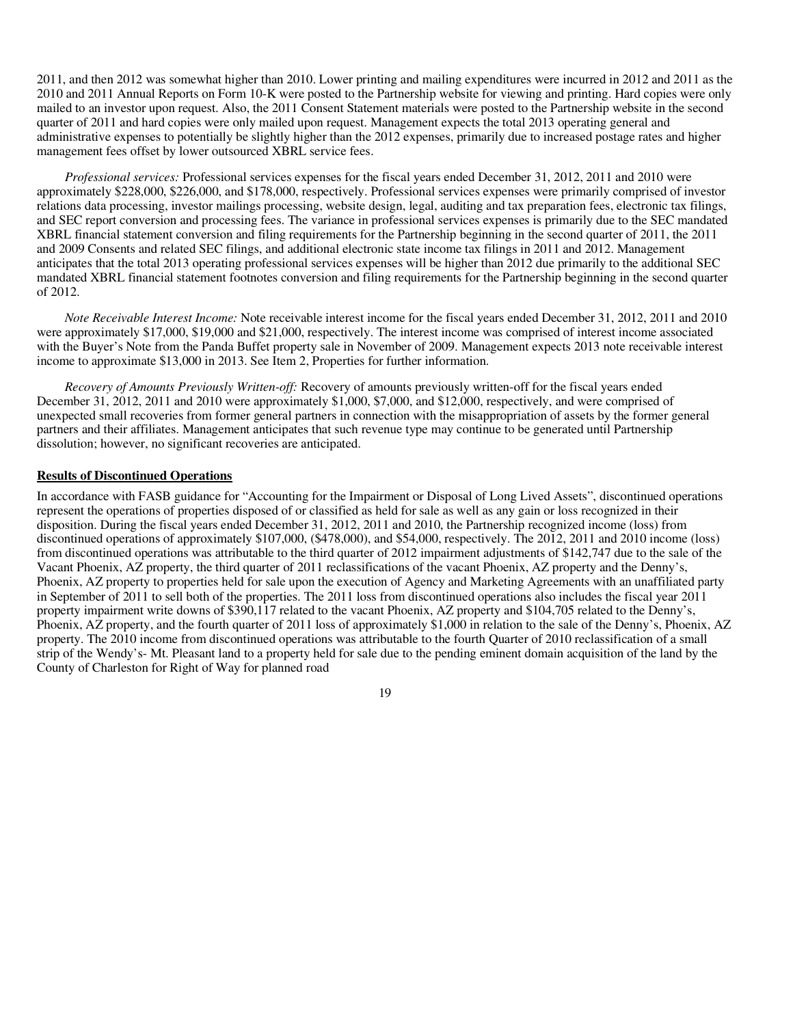2011, and then 2012 was somewhat higher than 2010. Lower printing and mailing expenditures were incurred in 2012 and 2011 as the 2010 and 2011 Annual Reports on Form 10-K were posted to the Partnership website for viewing and printing. Hard copies were only mailed to an investor upon request. Also, the 2011 Consent Statement materials were posted to the Partnership website in the second quarter of 2011 and hard copies were only mailed upon request. Management expects the total 2013 operating general and administrative expenses to potentially be slightly higher than the 2012 expenses, primarily due to increased postage rates and higher management fees offset by lower outsourced XBRL service fees.

*Professional services:* Professional services expenses for the fiscal years ended December 31, 2012, 2011 and 2010 were approximately \$228,000, \$226,000, and \$178,000, respectively. Professional services expenses were primarily comprised of investor relations data processing, investor mailings processing, website design, legal, auditing and tax preparation fees, electronic tax filings, and SEC report conversion and processing fees. The variance in professional services expenses is primarily due to the SEC mandated XBRL financial statement conversion and filing requirements for the Partnership beginning in the second quarter of 2011, the 2011 and 2009 Consents and related SEC filings, and additional electronic state income tax filings in 2011 and 2012. Management anticipates that the total 2013 operating professional services expenses will be higher than 2012 due primarily to the additional SEC mandated XBRL financial statement footnotes conversion and filing requirements for the Partnership beginning in the second quarter of 2012.

*Note Receivable Interest Income:* Note receivable interest income for the fiscal years ended December 31, 2012, 2011 and 2010 were approximately \$17,000, \$19,000 and \$21,000, respectively. The interest income was comprised of interest income associated with the Buyer's Note from the Panda Buffet property sale in November of 2009. Management expects 2013 note receivable interest income to approximate \$13,000 in 2013. See Item 2, Properties for further information.

*Recovery of Amounts Previously Written-off:* Recovery of amounts previously written-off for the fiscal years ended December 31, 2012, 2011 and 2010 were approximately \$1,000, \$7,000, and \$12,000, respectively, and were comprised of unexpected small recoveries from former general partners in connection with the misappropriation of assets by the former general partners and their affiliates. Management anticipates that such revenue type may continue to be generated until Partnership dissolution; however, no significant recoveries are anticipated.

#### **Results of Discontinued Operations**

In accordance with FASB guidance for "Accounting for the Impairment or Disposal of Long Lived Assets", discontinued operations represent the operations of properties disposed of or classified as held for sale as well as any gain or loss recognized in their disposition. During the fiscal years ended December 31, 2012, 2011 and 2010, the Partnership recognized income (loss) from discontinued operations of approximately \$107,000, (\$478,000), and \$54,000, respectively. The 2012, 2011 and 2010 income (loss) from discontinued operations was attributable to the third quarter of 2012 impairment adjustments of \$142,747 due to the sale of the Vacant Phoenix, AZ property, the third quarter of 2011 reclassifications of the vacant Phoenix, AZ property and the Denny's, Phoenix, AZ property to properties held for sale upon the execution of Agency and Marketing Agreements with an unaffiliated party in September of 2011 to sell both of the properties. The 2011 loss from discontinued operations also includes the fiscal year 2011 property impairment write downs of \$390,117 related to the vacant Phoenix, AZ property and \$104,705 related to the Denny's, Phoenix, AZ property, and the fourth quarter of 2011 loss of approximately \$1,000 in relation to the sale of the Denny's, Phoenix, AZ property. The 2010 income from discontinued operations was attributable to the fourth Quarter of 2010 reclassification of a small strip of the Wendy's- Mt. Pleasant land to a property held for sale due to the pending eminent domain acquisition of the land by the County of Charleston for Right of Way for planned road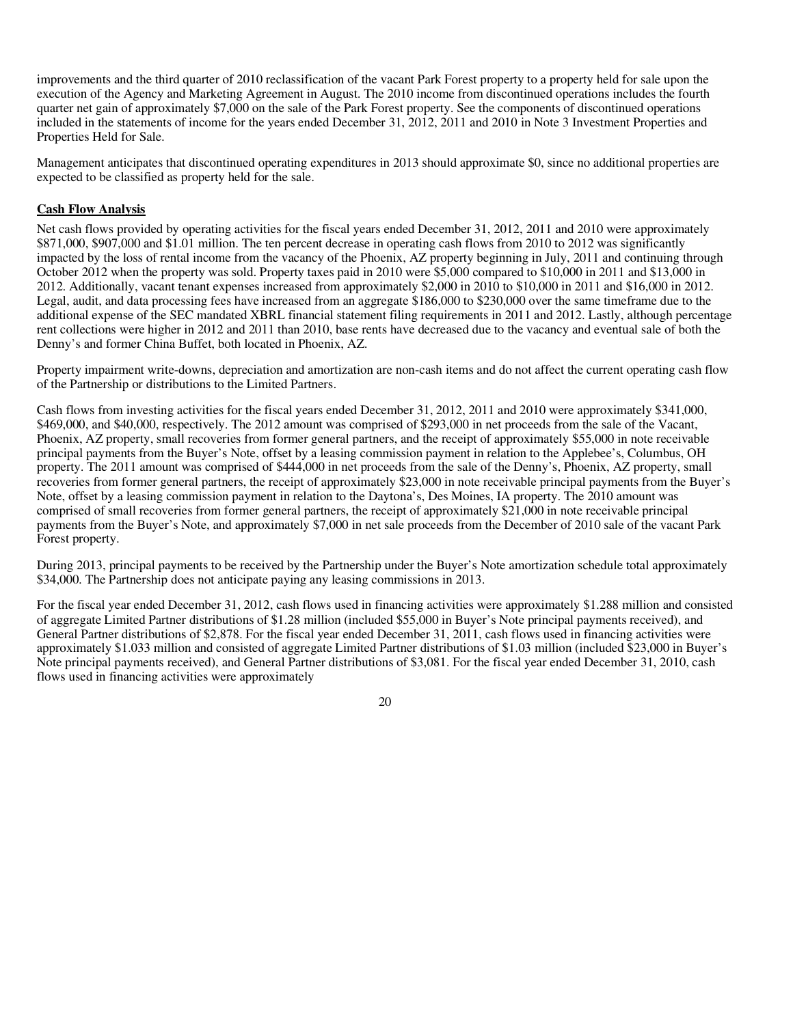improvements and the third quarter of 2010 reclassification of the vacant Park Forest property to a property held for sale upon the execution of the Agency and Marketing Agreement in August. The 2010 income from discontinued operations includes the fourth quarter net gain of approximately \$7,000 on the sale of the Park Forest property. See the components of discontinued operations included in the statements of income for the years ended December 31, 2012, 2011 and 2010 in Note 3 Investment Properties and Properties Held for Sale.

Management anticipates that discontinued operating expenditures in 2013 should approximate \$0, since no additional properties are expected to be classified as property held for the sale.

#### **Cash Flow Analysis**

Net cash flows provided by operating activities for the fiscal years ended December 31, 2012, 2011 and 2010 were approximately \$871,000, \$907,000 and \$1.01 million. The ten percent decrease in operating cash flows from 2010 to 2012 was significantly impacted by the loss of rental income from the vacancy of the Phoenix, AZ property beginning in July, 2011 and continuing through October 2012 when the property was sold. Property taxes paid in 2010 were \$5,000 compared to \$10,000 in 2011 and \$13,000 in 2012. Additionally, vacant tenant expenses increased from approximately \$2,000 in 2010 to \$10,000 in 2011 and \$16,000 in 2012. Legal, audit, and data processing fees have increased from an aggregate \$186,000 to \$230,000 over the same timeframe due to the additional expense of the SEC mandated XBRL financial statement filing requirements in 2011 and 2012. Lastly, although percentage rent collections were higher in 2012 and 2011 than 2010, base rents have decreased due to the vacancy and eventual sale of both the Denny's and former China Buffet, both located in Phoenix, AZ.

Property impairment write-downs, depreciation and amortization are non-cash items and do not affect the current operating cash flow of the Partnership or distributions to the Limited Partners.

Cash flows from investing activities for the fiscal years ended December 31, 2012, 2011 and 2010 were approximately \$341,000, \$469,000, and \$40,000, respectively. The 2012 amount was comprised of \$293,000 in net proceeds from the sale of the Vacant, Phoenix, AZ property, small recoveries from former general partners, and the receipt of approximately \$55,000 in note receivable principal payments from the Buyer's Note, offset by a leasing commission payment in relation to the Applebee's, Columbus, OH property. The 2011 amount was comprised of \$444,000 in net proceeds from the sale of the Denny's, Phoenix, AZ property, small recoveries from former general partners, the receipt of approximately \$23,000 in note receivable principal payments from the Buyer's Note, offset by a leasing commission payment in relation to the Daytona's, Des Moines, IA property. The 2010 amount was comprised of small recoveries from former general partners, the receipt of approximately \$21,000 in note receivable principal payments from the Buyer's Note, and approximately \$7,000 in net sale proceeds from the December of 2010 sale of the vacant Park Forest property.

During 2013, principal payments to be received by the Partnership under the Buyer's Note amortization schedule total approximately \$34,000. The Partnership does not anticipate paying any leasing commissions in 2013.

For the fiscal year ended December 31, 2012, cash flows used in financing activities were approximately \$1.288 million and consisted of aggregate Limited Partner distributions of \$1.28 million (included \$55,000 in Buyer's Note principal payments received), and General Partner distributions of \$2,878. For the fiscal year ended December 31, 2011, cash flows used in financing activities were approximately \$1.033 million and consisted of aggregate Limited Partner distributions of \$1.03 million (included \$23,000 in Buyer's Note principal payments received), and General Partner distributions of \$3,081. For the fiscal year ended December 31, 2010, cash flows used in financing activities were approximately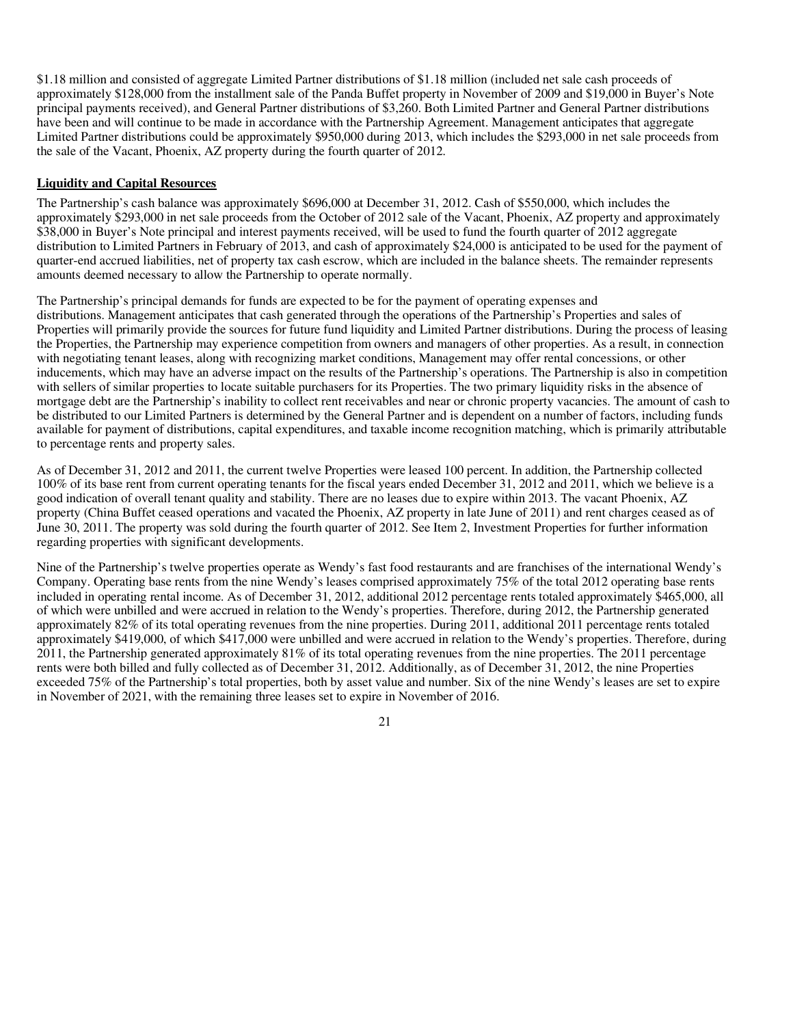\$1.18 million and consisted of aggregate Limited Partner distributions of \$1.18 million (included net sale cash proceeds of approximately \$128,000 from the installment sale of the Panda Buffet property in November of 2009 and \$19,000 in Buyer's Note principal payments received), and General Partner distributions of \$3,260. Both Limited Partner and General Partner distributions have been and will continue to be made in accordance with the Partnership Agreement. Management anticipates that aggregate Limited Partner distributions could be approximately \$950,000 during 2013, which includes the \$293,000 in net sale proceeds from the sale of the Vacant, Phoenix, AZ property during the fourth quarter of 2012.

#### **Liquidity and Capital Resources**

The Partnership's cash balance was approximately \$696,000 at December 31, 2012. Cash of \$550,000, which includes the approximately \$293,000 in net sale proceeds from the October of 2012 sale of the Vacant, Phoenix, AZ property and approximately \$38,000 in Buyer's Note principal and interest payments received, will be used to fund the fourth quarter of 2012 aggregate distribution to Limited Partners in February of 2013, and cash of approximately \$24,000 is anticipated to be used for the payment of quarter-end accrued liabilities, net of property tax cash escrow, which are included in the balance sheets. The remainder represents amounts deemed necessary to allow the Partnership to operate normally.

The Partnership's principal demands for funds are expected to be for the payment of operating expenses and distributions. Management anticipates that cash generated through the operations of the Partnership's Properties and sales of Properties will primarily provide the sources for future fund liquidity and Limited Partner distributions. During the process of leasing the Properties, the Partnership may experience competition from owners and managers of other properties. As a result, in connection with negotiating tenant leases, along with recognizing market conditions, Management may offer rental concessions, or other inducements, which may have an adverse impact on the results of the Partnership's operations. The Partnership is also in competition with sellers of similar properties to locate suitable purchasers for its Properties. The two primary liquidity risks in the absence of mortgage debt are the Partnership's inability to collect rent receivables and near or chronic property vacancies. The amount of cash to be distributed to our Limited Partners is determined by the General Partner and is dependent on a number of factors, including funds available for payment of distributions, capital expenditures, and taxable income recognition matching, which is primarily attributable to percentage rents and property sales.

As of December 31, 2012 and 2011, the current twelve Properties were leased 100 percent. In addition, the Partnership collected 100% of its base rent from current operating tenants for the fiscal years ended December 31, 2012 and 2011, which we believe is a good indication of overall tenant quality and stability. There are no leases due to expire within 2013. The vacant Phoenix, AZ property (China Buffet ceased operations and vacated the Phoenix, AZ property in late June of 2011) and rent charges ceased as of June 30, 2011. The property was sold during the fourth quarter of 2012. See Item 2, Investment Properties for further information regarding properties with significant developments.

Nine of the Partnership's twelve properties operate as Wendy's fast food restaurants and are franchises of the international Wendy's Company. Operating base rents from the nine Wendy's leases comprised approximately 75% of the total 2012 operating base rents included in operating rental income. As of December 31, 2012, additional 2012 percentage rents totaled approximately \$465,000, all of which were unbilled and were accrued in relation to the Wendy's properties. Therefore, during 2012, the Partnership generated approximately 82% of its total operating revenues from the nine properties. During 2011, additional 2011 percentage rents totaled approximately \$419,000, of which \$417,000 were unbilled and were accrued in relation to the Wendy's properties. Therefore, during 2011, the Partnership generated approximately 81% of its total operating revenues from the nine properties. The 2011 percentage rents were both billed and fully collected as of December 31, 2012. Additionally, as of December 31, 2012, the nine Properties exceeded 75% of the Partnership's total properties, both by asset value and number. Six of the nine Wendy's leases are set to expire in November of 2021, with the remaining three leases set to expire in November of 2016.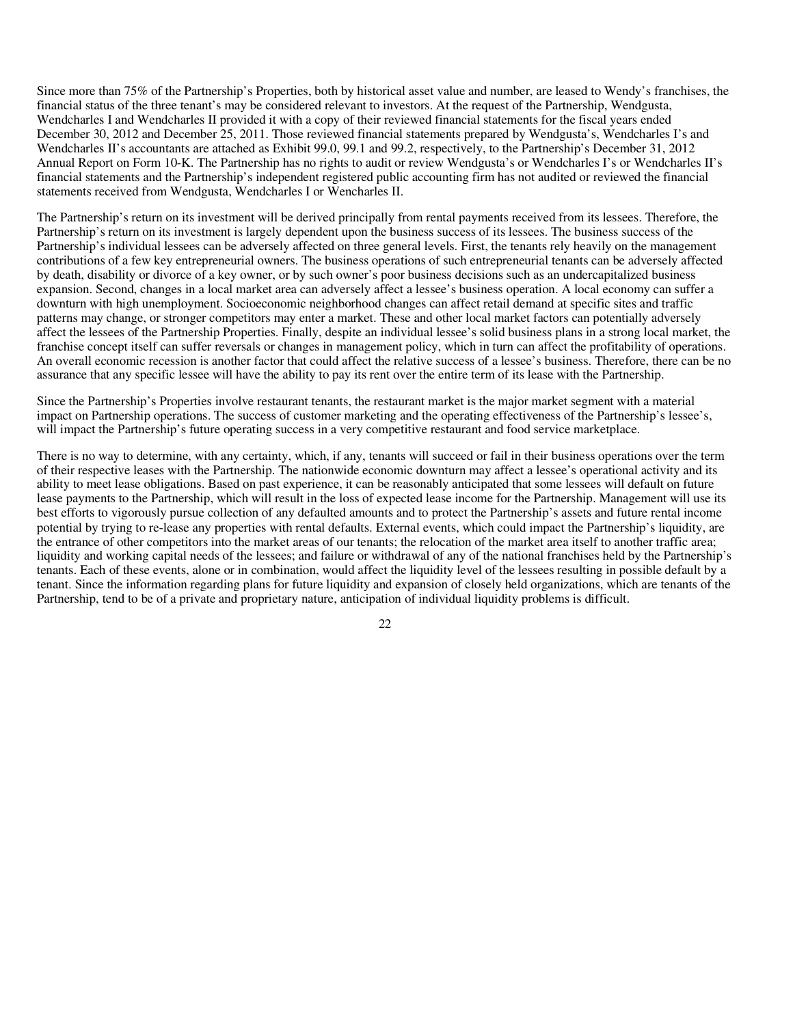Since more than 75% of the Partnership's Properties, both by historical asset value and number, are leased to Wendy's franchises, the financial status of the three tenant's may be considered relevant to investors. At the request of the Partnership, Wendgusta, Wendcharles I and Wendcharles II provided it with a copy of their reviewed financial statements for the fiscal years ended December 30, 2012 and December 25, 2011. Those reviewed financial statements prepared by Wendgusta's, Wendcharles I's and Wendcharles II's accountants are attached as Exhibit 99.0, 99.1 and 99.2, respectively, to the Partnership's December 31, 2012 Annual Report on Form 10-K. The Partnership has no rights to audit or review Wendgusta's or Wendcharles I's or Wendcharles II's financial statements and the Partnership's independent registered public accounting firm has not audited or reviewed the financial statements received from Wendgusta, Wendcharles I or Wencharles II.

The Partnership's return on its investment will be derived principally from rental payments received from its lessees. Therefore, the Partnership's return on its investment is largely dependent upon the business success of its lessees. The business success of the Partnership's individual lessees can be adversely affected on three general levels. First, the tenants rely heavily on the management contributions of a few key entrepreneurial owners. The business operations of such entrepreneurial tenants can be adversely affected by death, disability or divorce of a key owner, or by such owner's poor business decisions such as an undercapitalized business expansion. Second, changes in a local market area can adversely affect a lessee's business operation. A local economy can suffer a downturn with high unemployment. Socioeconomic neighborhood changes can affect retail demand at specific sites and traffic patterns may change, or stronger competitors may enter a market. These and other local market factors can potentially adversely affect the lessees of the Partnership Properties. Finally, despite an individual lessee's solid business plans in a strong local market, the franchise concept itself can suffer reversals or changes in management policy, which in turn can affect the profitability of operations. An overall economic recession is another factor that could affect the relative success of a lessee's business. Therefore, there can be no assurance that any specific lessee will have the ability to pay its rent over the entire term of its lease with the Partnership.

Since the Partnership's Properties involve restaurant tenants, the restaurant market is the major market segment with a material impact on Partnership operations. The success of customer marketing and the operating effectiveness of the Partnership's lessee's, will impact the Partnership's future operating success in a very competitive restaurant and food service marketplace.

There is no way to determine, with any certainty, which, if any, tenants will succeed or fail in their business operations over the term of their respective leases with the Partnership. The nationwide economic downturn may affect a lessee's operational activity and its ability to meet lease obligations. Based on past experience, it can be reasonably anticipated that some lessees will default on future lease payments to the Partnership, which will result in the loss of expected lease income for the Partnership. Management will use its best efforts to vigorously pursue collection of any defaulted amounts and to protect the Partnership's assets and future rental income potential by trying to re-lease any properties with rental defaults. External events, which could impact the Partnership's liquidity, are the entrance of other competitors into the market areas of our tenants; the relocation of the market area itself to another traffic area; liquidity and working capital needs of the lessees; and failure or withdrawal of any of the national franchises held by the Partnership's tenants. Each of these events, alone or in combination, would affect the liquidity level of the lessees resulting in possible default by a tenant. Since the information regarding plans for future liquidity and expansion of closely held organizations, which are tenants of the Partnership, tend to be of a private and proprietary nature, anticipation of individual liquidity problems is difficult.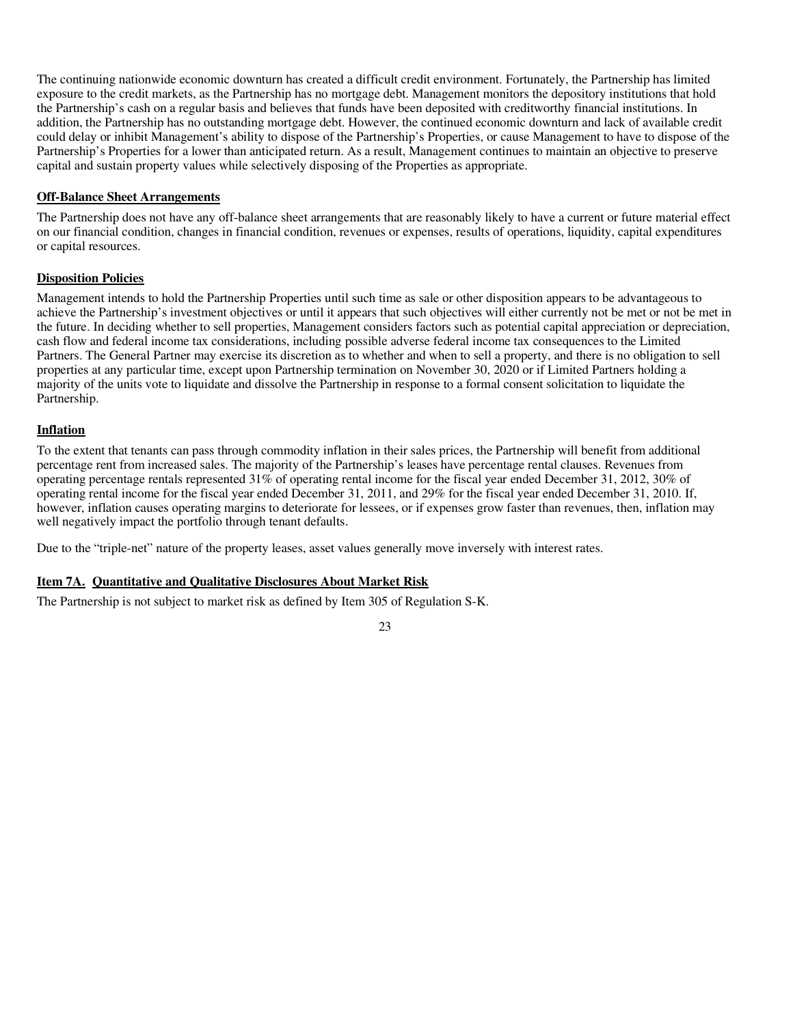The continuing nationwide economic downturn has created a difficult credit environment. Fortunately, the Partnership has limited exposure to the credit markets, as the Partnership has no mortgage debt. Management monitors the depository institutions that hold the Partnership's cash on a regular basis and believes that funds have been deposited with creditworthy financial institutions. In addition, the Partnership has no outstanding mortgage debt. However, the continued economic downturn and lack of available credit could delay or inhibit Management's ability to dispose of the Partnership's Properties, or cause Management to have to dispose of the Partnership's Properties for a lower than anticipated return. As a result, Management continues to maintain an objective to preserve capital and sustain property values while selectively disposing of the Properties as appropriate.

#### **Off-Balance Sheet Arrangements**

The Partnership does not have any off-balance sheet arrangements that are reasonably likely to have a current or future material effect on our financial condition, changes in financial condition, revenues or expenses, results of operations, liquidity, capital expenditures or capital resources.

#### **Disposition Policies**

Management intends to hold the Partnership Properties until such time as sale or other disposition appears to be advantageous to achieve the Partnership's investment objectives or until it appears that such objectives will either currently not be met or not be met in the future. In deciding whether to sell properties, Management considers factors such as potential capital appreciation or depreciation, cash flow and federal income tax considerations, including possible adverse federal income tax consequences to the Limited Partners. The General Partner may exercise its discretion as to whether and when to sell a property, and there is no obligation to sell properties at any particular time, except upon Partnership termination on November 30, 2020 or if Limited Partners holding a majority of the units vote to liquidate and dissolve the Partnership in response to a formal consent solicitation to liquidate the Partnership.

#### **Inflation**

To the extent that tenants can pass through commodity inflation in their sales prices, the Partnership will benefit from additional percentage rent from increased sales. The majority of the Partnership's leases have percentage rental clauses. Revenues from operating percentage rentals represented 31% of operating rental income for the fiscal year ended December 31, 2012, 30% of operating rental income for the fiscal year ended December 31, 2011, and 29% for the fiscal year ended December 31, 2010. If, however, inflation causes operating margins to deteriorate for lessees, or if expenses grow faster than revenues, then, inflation may well negatively impact the portfolio through tenant defaults.

Due to the "triple-net" nature of the property leases, asset values generally move inversely with interest rates.

#### **Item 7A. Quantitative and Qualitative Disclosures About Market Risk**

The Partnership is not subject to market risk as defined by Item 305 of Regulation S-K.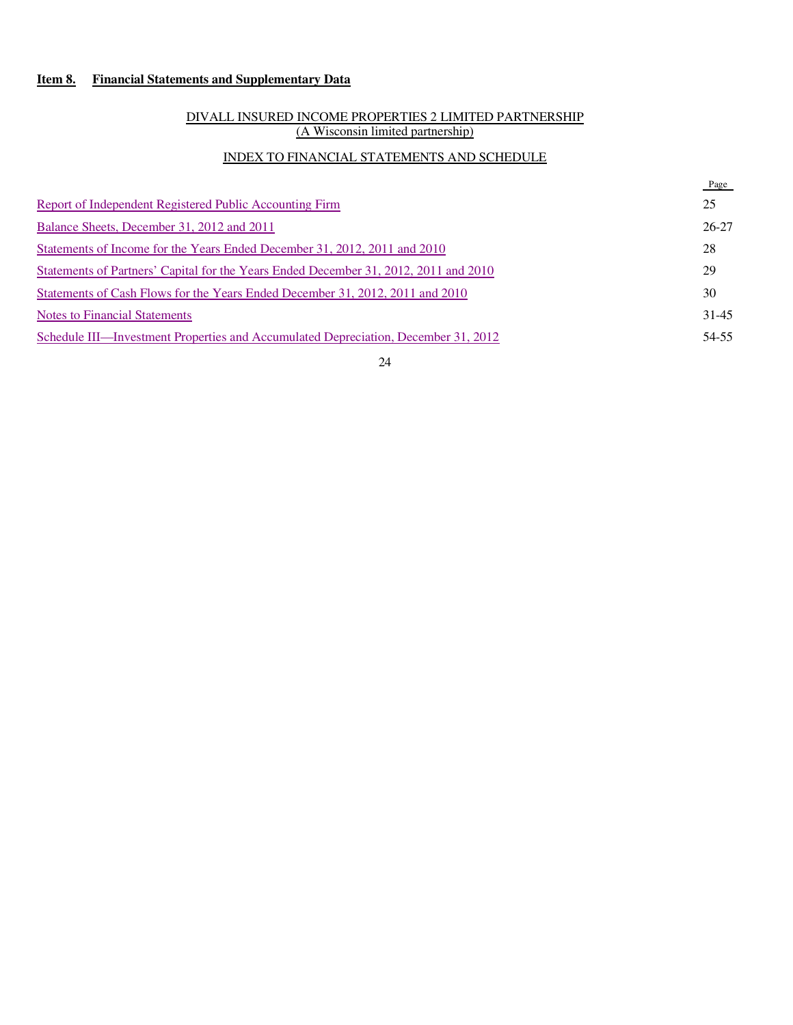# **Item 8. Financial Statements and Supplementary Data**

# DIVALL INSURED INCOME PROPERTIES 2 LIMITED PARTNERSHIP (A Wisconsin limited partnership)

# INDEX TO FINANCIAL STATEMENTS AND SCHEDULE

|                                                                                      | Page      |
|--------------------------------------------------------------------------------------|-----------|
| Report of Independent Registered Public Accounting Firm                              | 25        |
| Balance Sheets, December 31, 2012 and 2011                                           | $26 - 27$ |
| Statements of Income for the Years Ended December 31, 2012, 2011 and 2010            | 28        |
| Statements of Partners' Capital for the Years Ended December 31, 2012, 2011 and 2010 | 29        |
| Statements of Cash Flows for the Years Ended December 31, 2012, 2011 and 2010        | 30        |
| Notes to Financial Statements                                                        | $31 - 45$ |
| Schedule III—Investment Properties and Accumulated Depreciation, December 31, 2012   | 54-55     |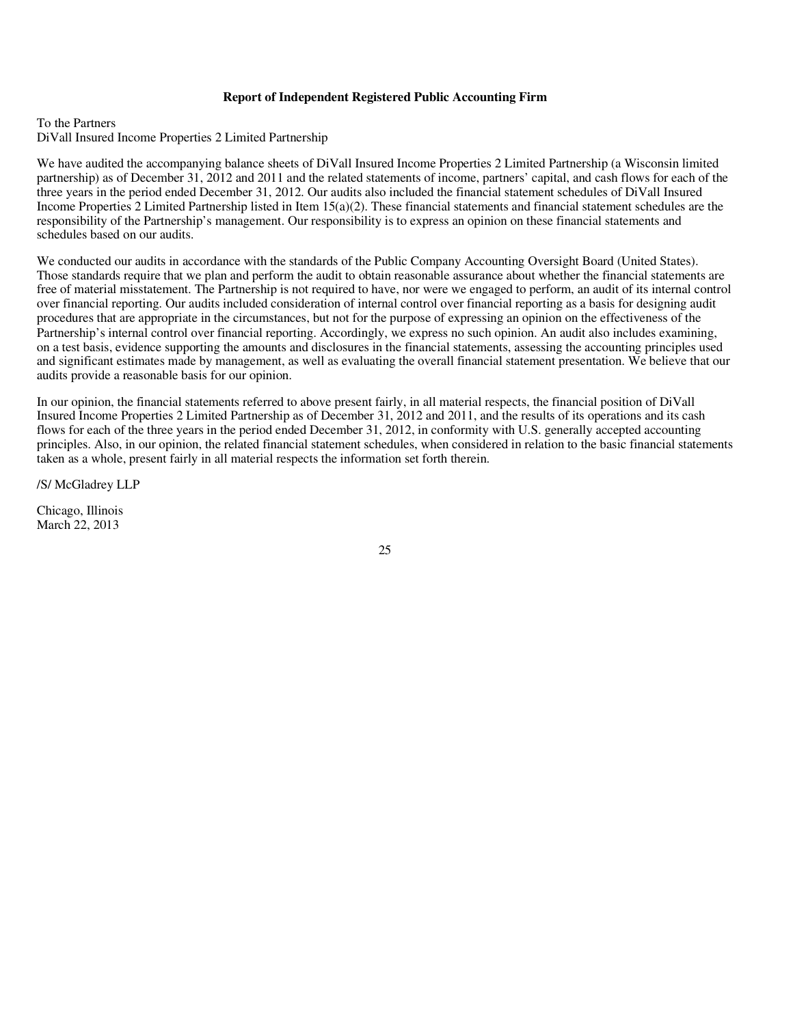#### **Report of Independent Registered Public Accounting Firm**

#### To the Partners DiVall Insured Income Properties 2 Limited Partnership

We have audited the accompanying balance sheets of DiVall Insured Income Properties 2 Limited Partnership (a Wisconsin limited partnership) as of December 31, 2012 and 2011 and the related statements of income, partners' capital, and cash flows for each of the three years in the period ended December 31, 2012. Our audits also included the financial statement schedules of DiVall Insured Income Properties 2 Limited Partnership listed in Item 15(a)(2). These financial statements and financial statement schedules are the responsibility of the Partnership's management. Our responsibility is to express an opinion on these financial statements and schedules based on our audits.

We conducted our audits in accordance with the standards of the Public Company Accounting Oversight Board (United States). Those standards require that we plan and perform the audit to obtain reasonable assurance about whether the financial statements are free of material misstatement. The Partnership is not required to have, nor were we engaged to perform, an audit of its internal control over financial reporting. Our audits included consideration of internal control over financial reporting as a basis for designing audit procedures that are appropriate in the circumstances, but not for the purpose of expressing an opinion on the effectiveness of the Partnership's internal control over financial reporting. Accordingly, we express no such opinion. An audit also includes examining, on a test basis, evidence supporting the amounts and disclosures in the financial statements, assessing the accounting principles used and significant estimates made by management, as well as evaluating the overall financial statement presentation. We believe that our audits provide a reasonable basis for our opinion.

In our opinion, the financial statements referred to above present fairly, in all material respects, the financial position of DiVall Insured Income Properties 2 Limited Partnership as of December 31, 2012 and 2011, and the results of its operations and its cash flows for each of the three years in the period ended December 31, 2012, in conformity with U.S. generally accepted accounting principles. Also, in our opinion, the related financial statement schedules, when considered in relation to the basic financial statements taken as a whole, present fairly in all material respects the information set forth therein.

/S/ McGladrey LLP

Chicago, Illinois March 22, 2013

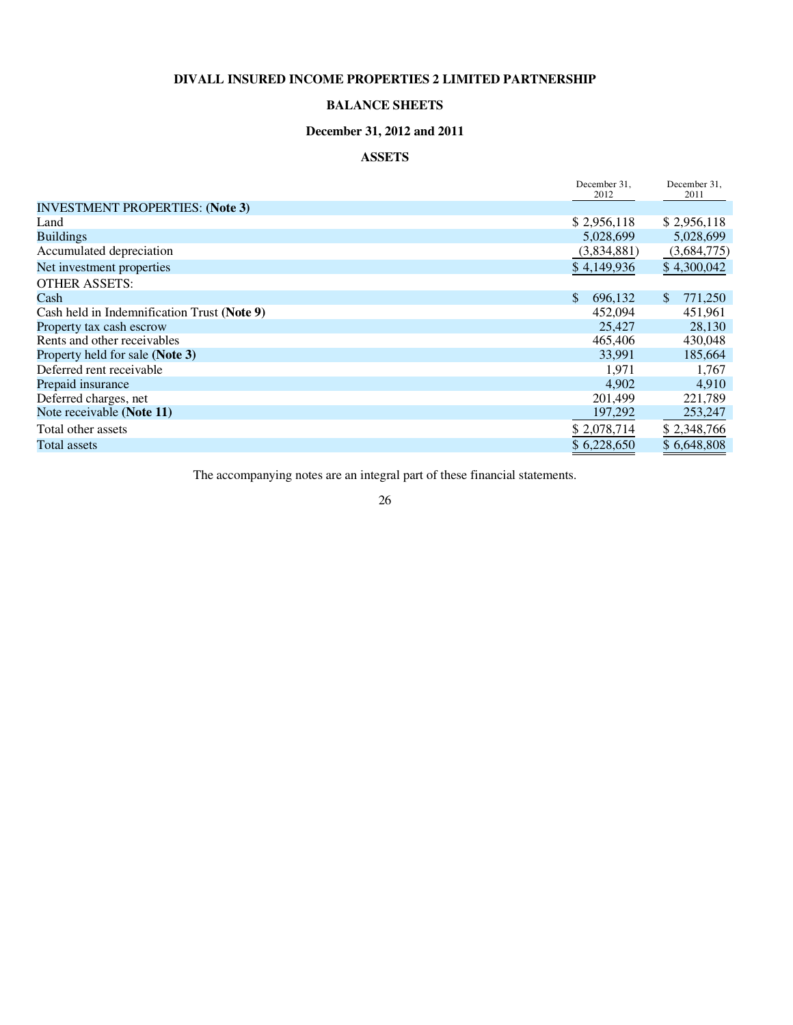# **BALANCE SHEETS**

# **December 31, 2012 and 2011**

# **ASSETS**

|                                             | December 31,<br>2012 | December 31,<br>2011 |
|---------------------------------------------|----------------------|----------------------|
| <b>INVESTMENT PROPERTIES: (Note 3)</b>      |                      |                      |
| Land                                        | \$2,956,118          | \$2,956,118          |
| <b>Buildings</b>                            | 5,028,699            | 5,028,699            |
| Accumulated depreciation                    | (3,834,881)          | (3,684,775)          |
| Net investment properties                   | \$4,149,936          | \$4,300,042          |
| <b>OTHER ASSETS:</b>                        |                      |                      |
| Cash                                        | \$<br>696,132        | \$<br>771,250        |
| Cash held in Indemnification Trust (Note 9) | 452,094              | 451,961              |
| Property tax cash escrow                    | 25,427               | 28,130               |
| Rents and other receivables                 | 465,406              | 430,048              |
| Property held for sale (Note 3)             | 33,991               | 185,664              |
| Deferred rent receivable                    | 1,971                | 1,767                |
| Prepaid insurance                           | 4,902                | 4,910                |
| Deferred charges, net                       | 201,499              | 221,789              |
| Note receivable (Note 11)                   | 197,292              | 253,247              |
| Total other assets                          | \$2,078,714          | \$2,348,766          |
| <b>Total assets</b>                         | \$6,228,650          | \$6,648,808          |

The accompanying notes are an integral part of these financial statements.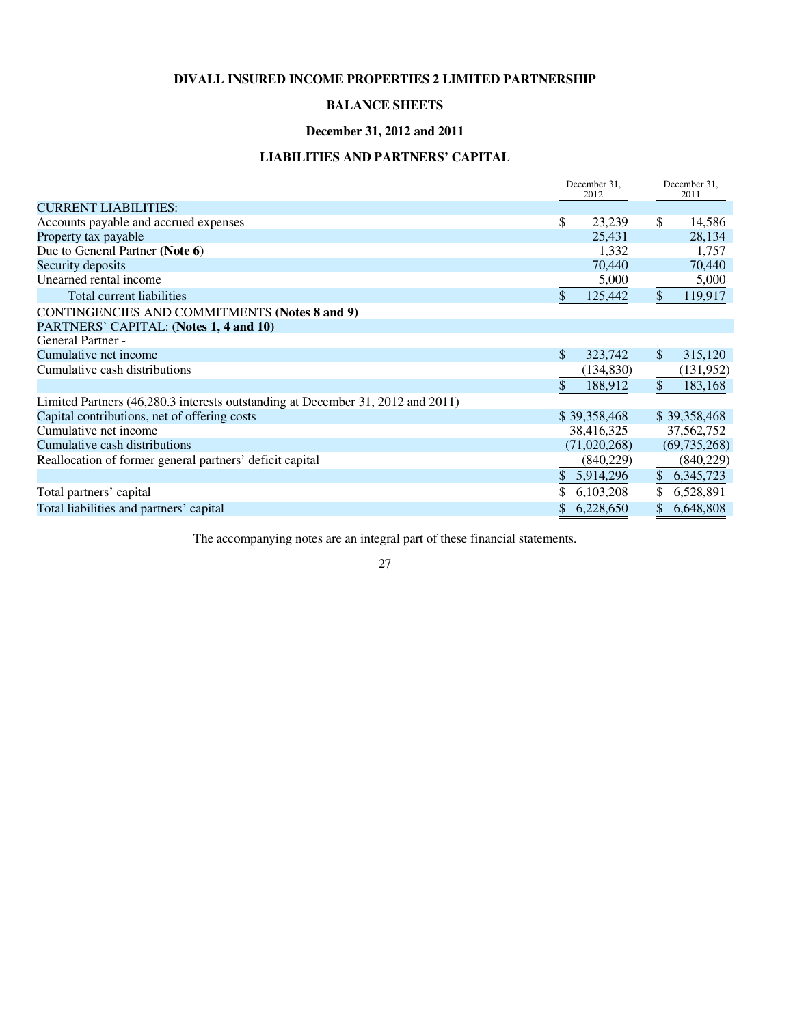# **BALANCE SHEETS**

## **December 31, 2012 and 2011**

# **LIABILITIES AND PARTNERS' CAPITAL**

|                                                                                 | December 31.<br>2012 |              |               | December 31.<br>2011 |
|---------------------------------------------------------------------------------|----------------------|--------------|---------------|----------------------|
| <b>CURRENT LIABILITIES:</b>                                                     |                      |              |               |                      |
| Accounts payable and accrued expenses                                           | \$                   | 23,239       | \$            | 14,586               |
| Property tax payable                                                            |                      | 25,431       |               | 28,134               |
| Due to General Partner (Note 6)                                                 |                      | 1,332        |               | 1,757                |
| Security deposits                                                               |                      | 70,440       |               | 70,440               |
| Unearned rental income                                                          |                      | 5,000        |               | 5,000                |
| Total current liabilities                                                       | \$                   | 125,442      | \$            | 119,917              |
| <b>CONTINGENCIES AND COMMITMENTS (Notes 8 and 9)</b>                            |                      |              |               |                      |
| PARTNERS' CAPITAL: (Notes 1, 4 and 10)                                          |                      |              |               |                      |
| General Partner -                                                               |                      |              |               |                      |
| Cumulative net income                                                           | \$                   | 323,742      | \$            | 315,120              |
| Cumulative cash distributions                                                   |                      | (134, 830)   |               | (131, 952)           |
|                                                                                 | \$                   | 188,912      | $\mathcal{S}$ | 183,168              |
| Limited Partners (46,280.3 interests outstanding at December 31, 2012 and 2011) |                      |              |               |                      |
| Capital contributions, net of offering costs                                    |                      | \$39,358,468 |               | \$39,358,468         |
| Cumulative net income                                                           |                      | 38,416,325   |               | 37,562,752           |
| Cumulative cash distributions                                                   |                      | (71,020,268) |               | (69, 735, 268)       |
| Reallocation of former general partners' deficit capital                        |                      | (840, 229)   |               | (840, 229)           |
|                                                                                 | \$                   | 5,914,296    | $\mathcal{S}$ | 6, 345, 723          |
| Total partners' capital                                                         |                      | 6,103,208    | \$            | 6,528,891            |
| Total liabilities and partners' capital                                         | \$                   | 6,228,650    | \$            | 6,648,808            |

The accompanying notes are an integral part of these financial statements.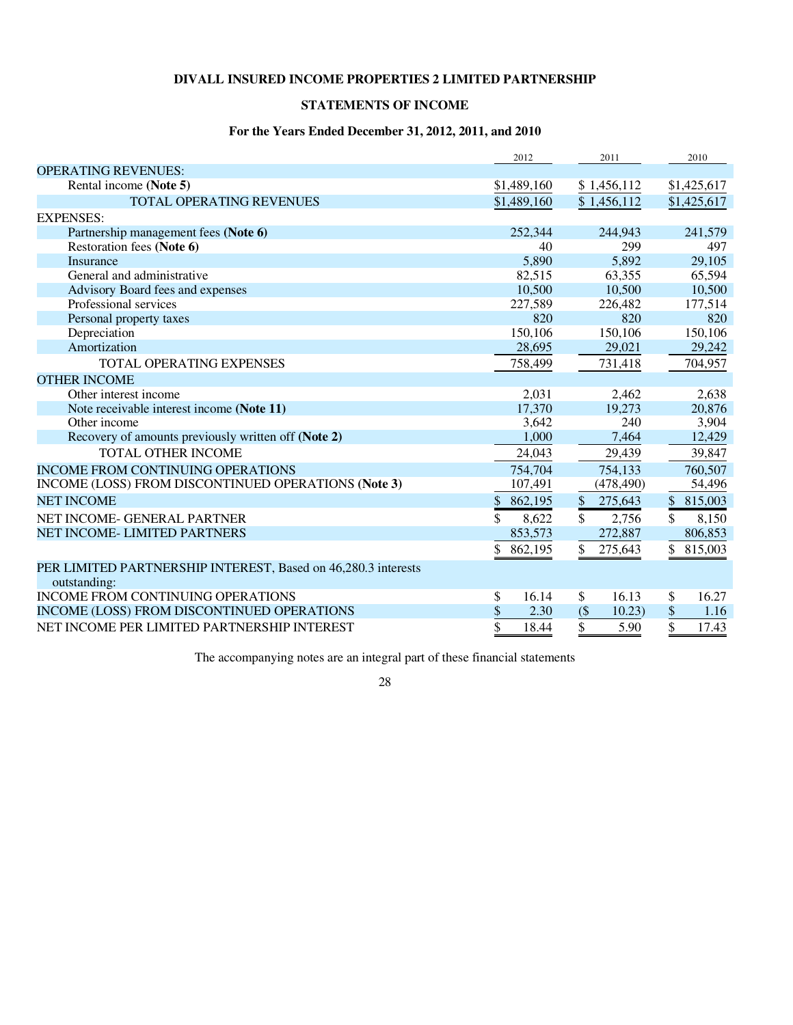# **STATEMENTS OF INCOME**

# **For the Years Ended December 31, 2012, 2011, and 2010**

|                                                               | 2012                     | 2011                                 | 2010                     |
|---------------------------------------------------------------|--------------------------|--------------------------------------|--------------------------|
| <b>OPERATING REVENUES:</b>                                    |                          |                                      |                          |
| Rental income (Note 5)                                        | \$1,489,160              | \$1,456,112                          | \$1,425,617              |
| <b>TOTAL OPERATING REVENUES</b>                               | \$1,489,160              | \$1,456,112                          | \$1,425,617              |
| <b>EXPENSES:</b>                                              |                          |                                      |                          |
| Partnership management fees (Note 6)                          | 252,344                  | 244,943                              | 241,579                  |
| Restoration fees (Note 6)                                     | 40                       | 299                                  | 497                      |
| <b>Insurance</b>                                              | 5,890                    | 5,892                                | 29,105                   |
| General and administrative                                    | 82,515                   | 63,355                               | 65,594                   |
| Advisory Board fees and expenses                              | 10,500                   | 10,500                               | 10,500                   |
| Professional services                                         | 227,589                  | 226,482                              | 177,514                  |
| Personal property taxes                                       | 820                      | 820                                  | 820                      |
| Depreciation                                                  | 150,106                  | 150,106                              | 150,106                  |
| Amortization                                                  | 28,695                   | 29,021                               | 29,242                   |
| <b>TOTAL OPERATING EXPENSES</b>                               | 758,499                  | 731,418                              | 704,957                  |
| <b>OTHER INCOME</b>                                           |                          |                                      |                          |
| Other interest income                                         | 2,031                    | 2,462                                | 2,638                    |
| Note receivable interest income (Note 11)                     | 17,370                   | 19,273                               | 20,876                   |
| Other income                                                  | 3,642                    | 240                                  | 3,904                    |
| Recovery of amounts previously written off (Note 2)           | 1,000                    | 7,464                                | 12,429                   |
| <b>TOTAL OTHER INCOME</b>                                     | 24,043                   | 29,439                               | 39,847                   |
| <b>INCOME FROM CONTINUING OPERATIONS</b>                      | 754,704                  | 754,133                              | 760,507                  |
| INCOME (LOSS) FROM DISCONTINUED OPERATIONS (Note 3)           | 107,491                  | (478, 490)                           | 54,496                   |
| <b>NET INCOME</b>                                             | \$<br>862,195            | $\boldsymbol{\mathsf{S}}$<br>275,643 | 815,003<br>$\mathcal{S}$ |
| NET INCOME- GENERAL PARTNER                                   | \$<br>8,622              | $\mathbb{S}$<br>2,756                | \$<br>8,150              |
| NET INCOME-LIMITED PARTNERS                                   | 853,573                  | 272,887                              | 806,853                  |
|                                                               | \$<br>862,195            | \$<br>275,643                        | $\mathbb{S}$<br>815,003  |
| PER LIMITED PARTNERSHIP INTEREST, Based on 46,280.3 interests |                          |                                      |                          |
| outstanding:<br><b>INCOME FROM CONTINUING OPERATIONS</b>      |                          |                                      |                          |
|                                                               | \$<br>16.14              | \$<br>16.13                          | \$<br>16.27              |
| INCOME (LOSS) FROM DISCONTINUED OPERATIONS                    | \$<br>2.30               | $($ \$<br>10.23)                     | \$<br>1.16               |
| NET INCOME PER LIMITED PARTNERSHIP INTEREST                   | $\overline{\$}$<br>18.44 | $\overline{\$}$<br>5.90              | $\overline{\$}$<br>17.43 |

The accompanying notes are an integral part of these financial statements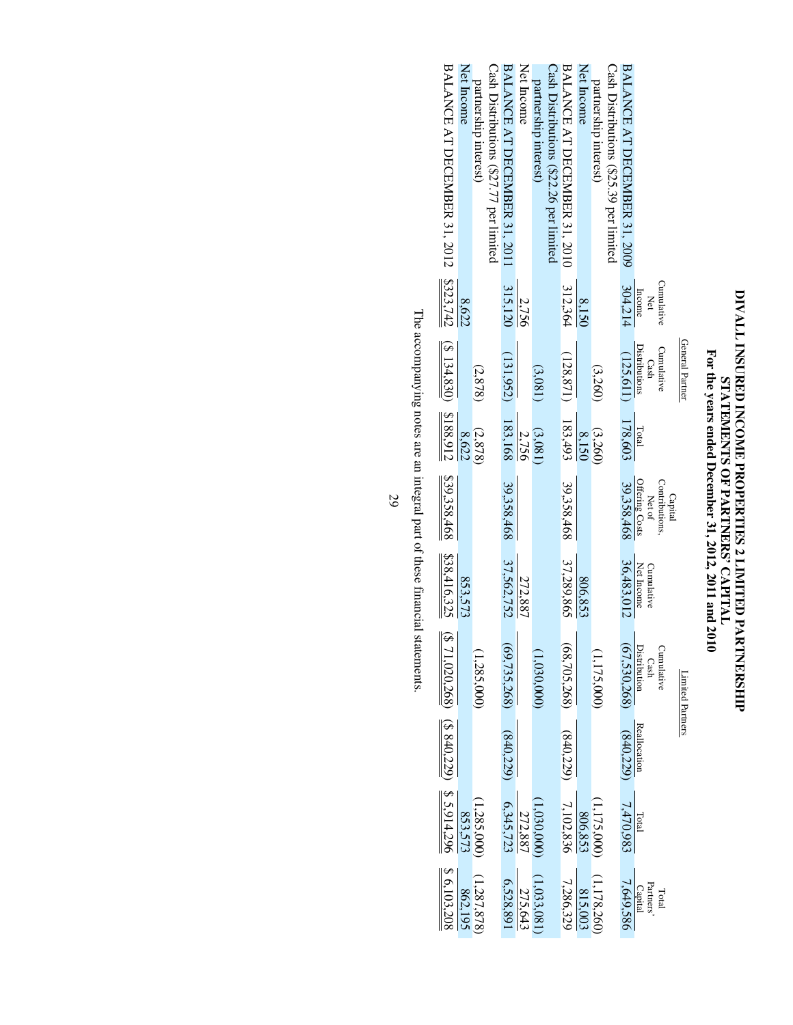# DIVALL INSURED INCOME PROPERTIES 2 LIMITED PARTNERSHIP<br>STATEMENTS OF PARTNERS' CAPITAL<br>For the years ended December 31, 2012, 2011 and 2010 **DIVALL INSURED INCOME PROPERTIES 2 LIMITED PARTNERSHIP For the years ended December 31, 2012, 2011 and 2010 STATEMENTS OF PARTNERS' CAPITAL**

| BALANCE AT DECEMBER 31, 2012 \$323,742<br>Net Income                                         | Cash Distributions (\$27.77 per limited<br>partnership interest) | BALANCE AT DECEMBER 31, 2011 | Net Income | Cash Distributions (\$22.26 per limited<br>partnership interest) | BALANCE AT DECEMBER 31, 2010           | Net Income                  | partnership interest) | Cash Distributions (\$25.39 per limited | BALANCE AT DECEMBER 31, 2009 |                                 |                           |                  |
|----------------------------------------------------------------------------------------------|------------------------------------------------------------------|------------------------------|------------|------------------------------------------------------------------|----------------------------------------|-----------------------------|-----------------------|-----------------------------------------|------------------------------|---------------------------------|---------------------------|------------------|
| 8,622                                                                                        |                                                                  | 315,120                      | 2,756      |                                                                  | 312,364                                | 8,150                       |                       |                                         | 304,214                      | Income<br>Net                   | Cumulative                |                  |
|                                                                                              | (2,878)                                                          | (131,952)                    |            | (3.081)                                                          |                                        |                             | (3,260)               |                                         | (125, 611)                   | Distributions<br>Cash           | Cumulative                | General Partner  |
| 8,622                                                                                        | (2, 878)                                                         | 183,168                      | 2,756      | (3,081)                                                          |                                        | 8.150                       | (3,260)               |                                         | 178,603                      | Total                           |                           |                  |
| $( $134,830)$ \$188,912 \$39,358,468                                                         |                                                                  | 39,358,468                   |            |                                                                  | $(128, 871)$ $183, 493$ $39, 358, 468$ |                             |                       |                                         | 39,358,468                   | <b>Offering Costs</b><br>Net of | Contributions,<br>Capital |                  |
| \$38,416,325<br>853,573                                                                      |                                                                  | 37,562,752                   | 272,887    |                                                                  | 37,289,865                             | 806,853                     |                       |                                         | 36,483,012                   | Net Income<br>Cumulative        |                           |                  |
| $\frac{853,573}{(1,020,268)}$ $\frac{8840,229}{(8840,229)}$ $\frac{85,914,296}{(5,103,208)}$ | (1,285,000)                                                      | (69, 735, 268)               |            | (1,030,000)                                                      | (68,705,268)                           |                             | (1, 175, 000)         |                                         | (67,530,268)                 | Distribution<br>Cash            | Cumulative                | Limited Partners |
|                                                                                              |                                                                  | (840,229)                    |            |                                                                  |                                        |                             |                       |                                         | (840,229)                    | <b>Reallocation</b>             |                           |                  |
|                                                                                              | (1, 285, 000)                                                    | 6,345,723                    | 272,887    | (1,030,000)                                                      |                                        | $\frac{806,853}{(840,229)}$ | (1,175,000)           |                                         | 7,470,983                    | Total                           |                           |                  |
|                                                                                              | (1,287,878)                                                      | 6,528,891                    | 275,643    | (1,033,081)                                                      | 7,286,329                              | 815,003                     | (1,178,260)           |                                         | 7,649,586                    | Partners'<br>Capital            | Total                     |                  |

The accompanying notes are an integral part of these financial statements. The accompanying notes are an integral part of these financial statements.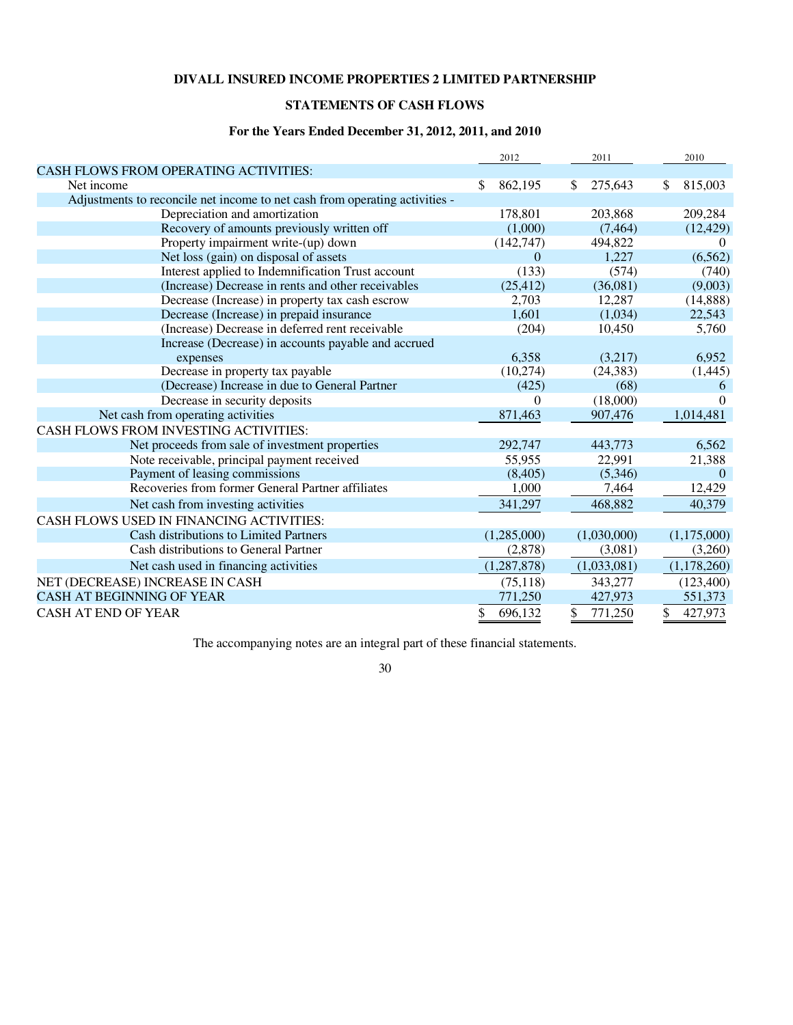# **STATEMENTS OF CASH FLOWS**

# **For the Years Ended December 31, 2012, 2011, and 2010**

|                                                                             | 2012           | 2011          | 2010           |
|-----------------------------------------------------------------------------|----------------|---------------|----------------|
| <b>CASH FLOWS FROM OPERATING ACTIVITIES:</b>                                |                |               |                |
| Net income                                                                  | 862,195<br>\$. | 275,643<br>\$ | 815,003<br>\$. |
| Adjustments to reconcile net income to net cash from operating activities - |                |               |                |
| Depreciation and amortization                                               | 178,801        | 203,868       | 209,284        |
| Recovery of amounts previously written off                                  | (1,000)        | (7, 464)      | (12, 429)      |
| Property impairment write-(up) down                                         | (142,747)      | 494,822       | $\theta$       |
| Net loss (gain) on disposal of assets                                       | $\Omega$       | 1,227         | (6, 562)       |
| Interest applied to Indemnification Trust account                           | (133)          | (574)         | (740)          |
| (Increase) Decrease in rents and other receivables                          | (25, 412)      | (36,081)      | (9,003)        |
| Decrease (Increase) in property tax cash escrow                             | 2,703          | 12,287        | (14,888)       |
| Decrease (Increase) in prepaid insurance                                    | 1,601          | (1,034)       | 22,543         |
| (Increase) Decrease in deferred rent receivable                             | (204)          | 10,450        | 5,760          |
| Increase (Decrease) in accounts payable and accrued                         |                |               |                |
| expenses                                                                    | 6,358          | (3,217)       | 6,952          |
| Decrease in property tax payable                                            | (10,274)       | (24, 383)     | (1,445)        |
| (Decrease) Increase in due to General Partner                               | (425)          | (68)          | 6              |
| Decrease in security deposits                                               | 0              | (18,000)      | $\Omega$       |
| Net cash from operating activities                                          | 871,463        | 907,476       | 1,014,481      |
| CASH FLOWS FROM INVESTING ACTIVITIES:                                       |                |               |                |
| Net proceeds from sale of investment properties                             | 292,747        | 443,773       | 6,562          |
| Note receivable, principal payment received                                 | 55,955         | 22,991        | 21,388         |
| Payment of leasing commissions                                              | (8,405)        | (5,346)       | $\Omega$       |
| Recoveries from former General Partner affiliates                           | 1,000          | 7,464         | 12,429         |
| Net cash from investing activities                                          | 341,297        | 468,882       | 40,379         |
| CASH FLOWS USED IN FINANCING ACTIVITIES:                                    |                |               |                |
| Cash distributions to Limited Partners                                      | (1,285,000)    | (1,030,000)   | (1,175,000)    |
| Cash distributions to General Partner                                       | (2,878)        | (3,081)       | (3,260)        |
| Net cash used in financing activities                                       | (1, 287, 878)  | (1,033,081)   | (1,178,260)    |
| NET (DECREASE) INCREASE IN CASH                                             | (75, 118)      | 343,277       | (123,400)      |
| <b>CASH AT BEGINNING OF YEAR</b>                                            | 771,250        | 427,973       | 551,373        |
| <b>CASH AT END OF YEAR</b>                                                  | 696,132<br>\$  | \$<br>771,250 | \$<br>427,973  |
|                                                                             |                |               |                |

The accompanying notes are an integral part of these financial statements.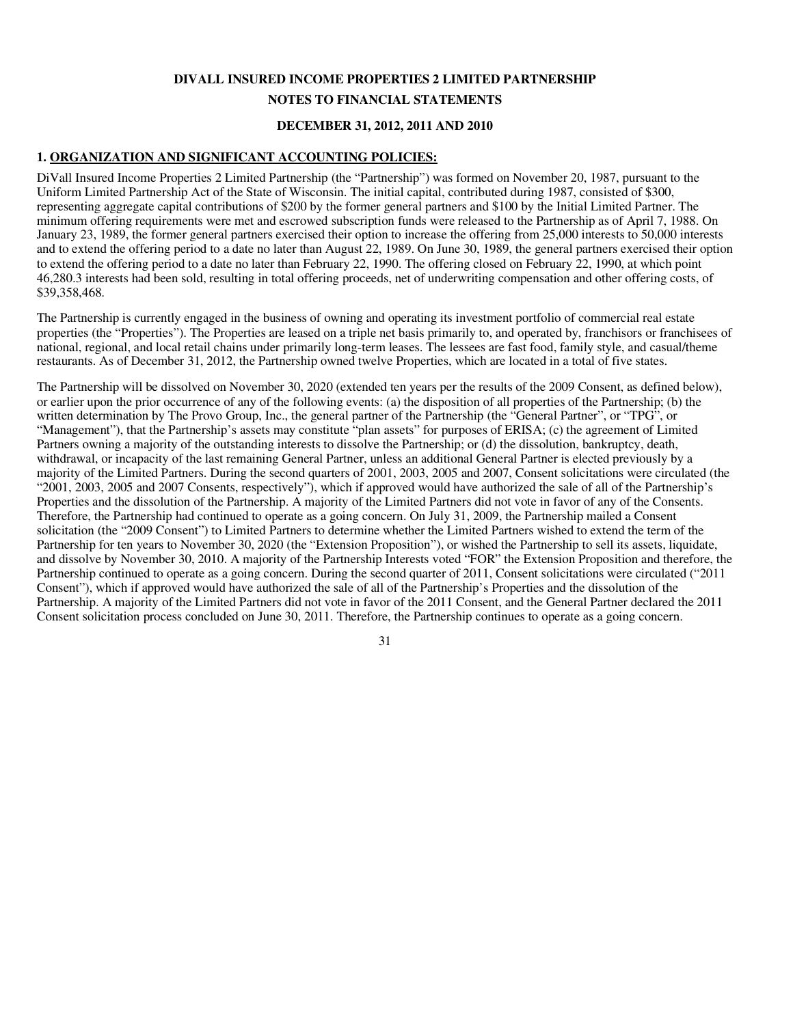# **DIVALL INSURED INCOME PROPERTIES 2 LIMITED PARTNERSHIP NOTES TO FINANCIAL STATEMENTS**

#### **DECEMBER 31, 2012, 2011 AND 2010**

#### **1. ORGANIZATION AND SIGNIFICANT ACCOUNTING POLICIES:**

DiVall Insured Income Properties 2 Limited Partnership (the "Partnership") was formed on November 20, 1987, pursuant to the Uniform Limited Partnership Act of the State of Wisconsin. The initial capital, contributed during 1987, consisted of \$300, representing aggregate capital contributions of \$200 by the former general partners and \$100 by the Initial Limited Partner. The minimum offering requirements were met and escrowed subscription funds were released to the Partnership as of April 7, 1988. On January 23, 1989, the former general partners exercised their option to increase the offering from 25,000 interests to 50,000 interests and to extend the offering period to a date no later than August 22, 1989. On June 30, 1989, the general partners exercised their option to extend the offering period to a date no later than February 22, 1990. The offering closed on February 22, 1990, at which point 46,280.3 interests had been sold, resulting in total offering proceeds, net of underwriting compensation and other offering costs, of \$39,358,468.

The Partnership is currently engaged in the business of owning and operating its investment portfolio of commercial real estate properties (the "Properties"). The Properties are leased on a triple net basis primarily to, and operated by, franchisors or franchisees of national, regional, and local retail chains under primarily long-term leases. The lessees are fast food, family style, and casual/theme restaurants. As of December 31, 2012, the Partnership owned twelve Properties, which are located in a total of five states.

The Partnership will be dissolved on November 30, 2020 (extended ten years per the results of the 2009 Consent, as defined below), or earlier upon the prior occurrence of any of the following events: (a) the disposition of all properties of the Partnership; (b) the written determination by The Provo Group, Inc., the general partner of the Partnership (the "General Partner", or "TPG", or "Management"), that the Partnership's assets may constitute "plan assets" for purposes of ERISA; (c) the agreement of Limited Partners owning a majority of the outstanding interests to dissolve the Partnership; or (d) the dissolution, bankruptcy, death, withdrawal, or incapacity of the last remaining General Partner, unless an additional General Partner is elected previously by a majority of the Limited Partners. During the second quarters of 2001, 2003, 2005 and 2007, Consent solicitations were circulated (the "2001, 2003, 2005 and 2007 Consents, respectively"), which if approved would have authorized the sale of all of the Partnership's Properties and the dissolution of the Partnership. A majority of the Limited Partners did not vote in favor of any of the Consents. Therefore, the Partnership had continued to operate as a going concern. On July 31, 2009, the Partnership mailed a Consent solicitation (the "2009 Consent") to Limited Partners to determine whether the Limited Partners wished to extend the term of the Partnership for ten years to November 30, 2020 (the "Extension Proposition"), or wished the Partnership to sell its assets, liquidate, and dissolve by November 30, 2010. A majority of the Partnership Interests voted "FOR" the Extension Proposition and therefore, the Partnership continued to operate as a going concern. During the second quarter of 2011, Consent solicitations were circulated ("2011 Consent"), which if approved would have authorized the sale of all of the Partnership's Properties and the dissolution of the Partnership. A majority of the Limited Partners did not vote in favor of the 2011 Consent, and the General Partner declared the 2011 Consent solicitation process concluded on June 30, 2011. Therefore, the Partnership continues to operate as a going concern.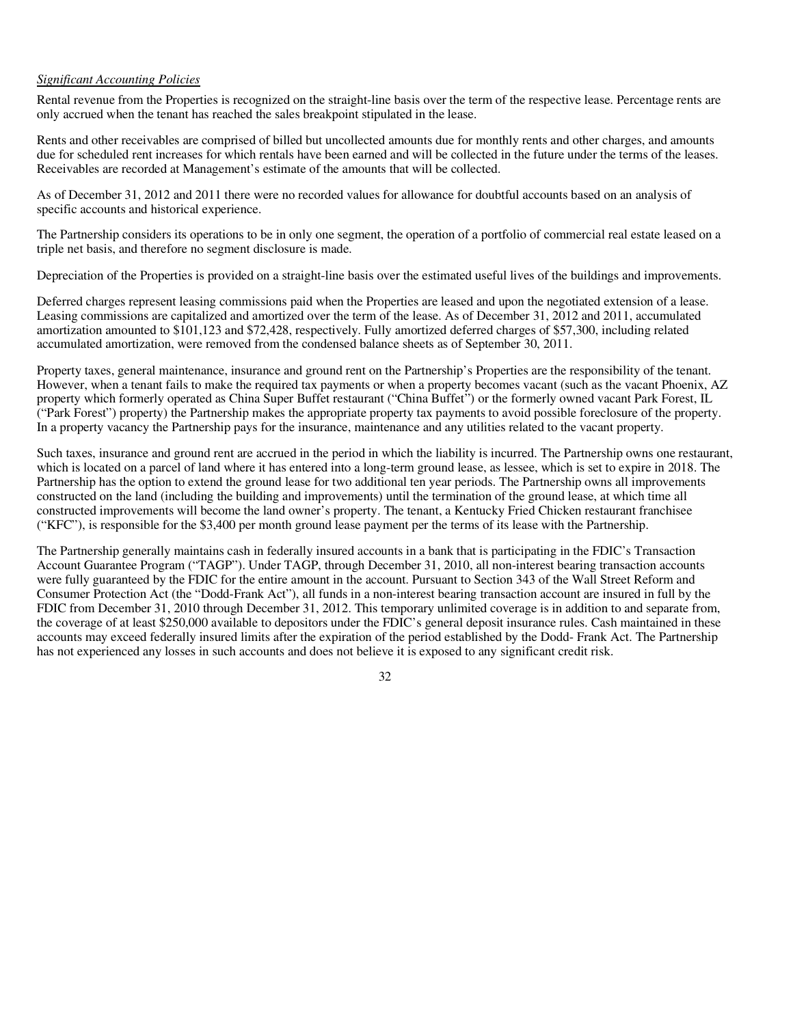#### *Significant Accounting Policies*

Rental revenue from the Properties is recognized on the straight-line basis over the term of the respective lease. Percentage rents are only accrued when the tenant has reached the sales breakpoint stipulated in the lease.

Rents and other receivables are comprised of billed but uncollected amounts due for monthly rents and other charges, and amounts due for scheduled rent increases for which rentals have been earned and will be collected in the future under the terms of the leases. Receivables are recorded at Management's estimate of the amounts that will be collected.

As of December 31, 2012 and 2011 there were no recorded values for allowance for doubtful accounts based on an analysis of specific accounts and historical experience.

The Partnership considers its operations to be in only one segment, the operation of a portfolio of commercial real estate leased on a triple net basis, and therefore no segment disclosure is made.

Depreciation of the Properties is provided on a straight-line basis over the estimated useful lives of the buildings and improvements.

Deferred charges represent leasing commissions paid when the Properties are leased and upon the negotiated extension of a lease. Leasing commissions are capitalized and amortized over the term of the lease. As of December 31, 2012 and 2011, accumulated amortization amounted to \$101,123 and \$72,428, respectively. Fully amortized deferred charges of \$57,300, including related accumulated amortization, were removed from the condensed balance sheets as of September 30, 2011.

Property taxes, general maintenance, insurance and ground rent on the Partnership's Properties are the responsibility of the tenant. However, when a tenant fails to make the required tax payments or when a property becomes vacant (such as the vacant Phoenix, AZ property which formerly operated as China Super Buffet restaurant ("China Buffet") or the formerly owned vacant Park Forest, IL ("Park Forest") property) the Partnership makes the appropriate property tax payments to avoid possible foreclosure of the property. In a property vacancy the Partnership pays for the insurance, maintenance and any utilities related to the vacant property.

Such taxes, insurance and ground rent are accrued in the period in which the liability is incurred. The Partnership owns one restaurant, which is located on a parcel of land where it has entered into a long-term ground lease, as lessee, which is set to expire in 2018. The Partnership has the option to extend the ground lease for two additional ten year periods. The Partnership owns all improvements constructed on the land (including the building and improvements) until the termination of the ground lease, at which time all constructed improvements will become the land owner's property. The tenant, a Kentucky Fried Chicken restaurant franchisee ("KFC"), is responsible for the \$3,400 per month ground lease payment per the terms of its lease with the Partnership.

The Partnership generally maintains cash in federally insured accounts in a bank that is participating in the FDIC's Transaction Account Guarantee Program ("TAGP"). Under TAGP, through December 31, 2010, all non-interest bearing transaction accounts were fully guaranteed by the FDIC for the entire amount in the account. Pursuant to Section 343 of the Wall Street Reform and Consumer Protection Act (the "Dodd-Frank Act"), all funds in a non-interest bearing transaction account are insured in full by the FDIC from December 31, 2010 through December 31, 2012. This temporary unlimited coverage is in addition to and separate from, the coverage of at least \$250,000 available to depositors under the FDIC's general deposit insurance rules. Cash maintained in these accounts may exceed federally insured limits after the expiration of the period established by the Dodd- Frank Act. The Partnership has not experienced any losses in such accounts and does not believe it is exposed to any significant credit risk.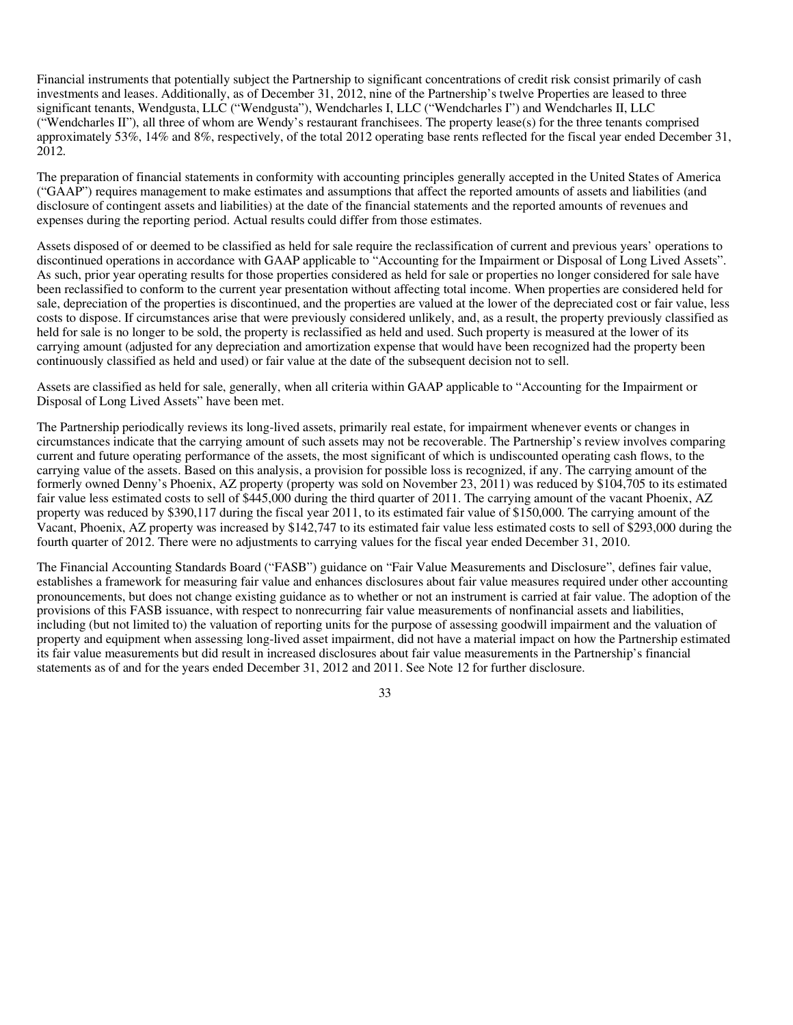Financial instruments that potentially subject the Partnership to significant concentrations of credit risk consist primarily of cash investments and leases. Additionally, as of December 31, 2012, nine of the Partnership's twelve Properties are leased to three significant tenants, Wendgusta, LLC ("Wendgusta"), Wendcharles I, LLC ("Wendcharles I") and Wendcharles II, LLC ("Wendcharles II"), all three of whom are Wendy's restaurant franchisees. The property lease(s) for the three tenants comprised approximately 53%, 14% and 8%, respectively, of the total 2012 operating base rents reflected for the fiscal year ended December 31, 2012.

The preparation of financial statements in conformity with accounting principles generally accepted in the United States of America ("GAAP") requires management to make estimates and assumptions that affect the reported amounts of assets and liabilities (and disclosure of contingent assets and liabilities) at the date of the financial statements and the reported amounts of revenues and expenses during the reporting period. Actual results could differ from those estimates.

Assets disposed of or deemed to be classified as held for sale require the reclassification of current and previous years' operations to discontinued operations in accordance with GAAP applicable to "Accounting for the Impairment or Disposal of Long Lived Assets". As such, prior year operating results for those properties considered as held for sale or properties no longer considered for sale have been reclassified to conform to the current year presentation without affecting total income. When properties are considered held for sale, depreciation of the properties is discontinued, and the properties are valued at the lower of the depreciated cost or fair value, less costs to dispose. If circumstances arise that were previously considered unlikely, and, as a result, the property previously classified as held for sale is no longer to be sold, the property is reclassified as held and used. Such property is measured at the lower of its carrying amount (adjusted for any depreciation and amortization expense that would have been recognized had the property been continuously classified as held and used) or fair value at the date of the subsequent decision not to sell.

Assets are classified as held for sale, generally, when all criteria within GAAP applicable to "Accounting for the Impairment or Disposal of Long Lived Assets" have been met.

The Partnership periodically reviews its long-lived assets, primarily real estate, for impairment whenever events or changes in circumstances indicate that the carrying amount of such assets may not be recoverable. The Partnership's review involves comparing current and future operating performance of the assets, the most significant of which is undiscounted operating cash flows, to the carrying value of the assets. Based on this analysis, a provision for possible loss is recognized, if any. The carrying amount of the formerly owned Denny's Phoenix, AZ property (property was sold on November 23, 2011) was reduced by \$104,705 to its estimated fair value less estimated costs to sell of \$445,000 during the third quarter of 2011. The carrying amount of the vacant Phoenix, AZ property was reduced by \$390,117 during the fiscal year 2011, to its estimated fair value of \$150,000. The carrying amount of the Vacant, Phoenix, AZ property was increased by \$142,747 to its estimated fair value less estimated costs to sell of \$293,000 during the fourth quarter of 2012. There were no adjustments to carrying values for the fiscal year ended December 31, 2010.

The Financial Accounting Standards Board ("FASB") guidance on "Fair Value Measurements and Disclosure", defines fair value, establishes a framework for measuring fair value and enhances disclosures about fair value measures required under other accounting pronouncements, but does not change existing guidance as to whether or not an instrument is carried at fair value. The adoption of the provisions of this FASB issuance, with respect to nonrecurring fair value measurements of nonfinancial assets and liabilities, including (but not limited to) the valuation of reporting units for the purpose of assessing goodwill impairment and the valuation of property and equipment when assessing long-lived asset impairment, did not have a material impact on how the Partnership estimated its fair value measurements but did result in increased disclosures about fair value measurements in the Partnership's financial statements as of and for the years ended December 31, 2012 and 2011. See Note 12 for further disclosure.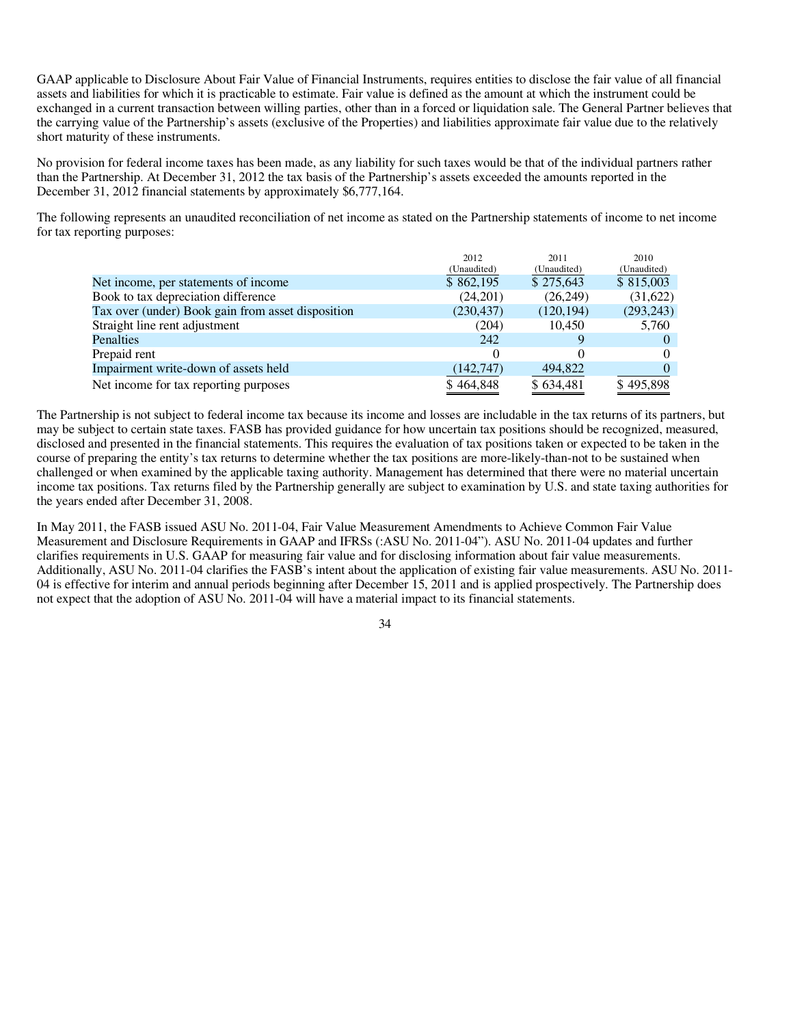GAAP applicable to Disclosure About Fair Value of Financial Instruments, requires entities to disclose the fair value of all financial assets and liabilities for which it is practicable to estimate. Fair value is defined as the amount at which the instrument could be exchanged in a current transaction between willing parties, other than in a forced or liquidation sale. The General Partner believes that the carrying value of the Partnership's assets (exclusive of the Properties) and liabilities approximate fair value due to the relatively short maturity of these instruments.

No provision for federal income taxes has been made, as any liability for such taxes would be that of the individual partners rather than the Partnership. At December 31, 2012 the tax basis of the Partnership's assets exceeded the amounts reported in the December 31, 2012 financial statements by approximately \$6,777,164.

The following represents an unaudited reconciliation of net income as stated on the Partnership statements of income to net income for tax reporting purposes:

|                                                   | 2012<br>(Unaudited) | 2011<br>(Unaudited) | 2010<br>(Unaudited) |
|---------------------------------------------------|---------------------|---------------------|---------------------|
| Net income, per statements of income              | \$862,195           | \$275,643           | \$815,003           |
| Book to tax depreciation difference               | (24,201)            | (26, 249)           | (31,622)            |
| Tax over (under) Book gain from asset disposition | (230, 437)          | (120, 194)          | (293, 243)          |
| Straight line rent adjustment                     | (204)               | 10.450              | 5,760               |
| Penalties                                         | 242                 | 9                   |                     |
| Prepaid rent                                      |                     |                     |                     |
| Impairment write-down of assets held              | (142, 747)          | 494,822             |                     |
| Net income for tax reporting purposes             | \$464,848           | \$634,481           | \$495,898           |

The Partnership is not subject to federal income tax because its income and losses are includable in the tax returns of its partners, but may be subject to certain state taxes. FASB has provided guidance for how uncertain tax positions should be recognized, measured, disclosed and presented in the financial statements. This requires the evaluation of tax positions taken or expected to be taken in the course of preparing the entity's tax returns to determine whether the tax positions are more-likely-than-not to be sustained when challenged or when examined by the applicable taxing authority. Management has determined that there were no material uncertain income tax positions. Tax returns filed by the Partnership generally are subject to examination by U.S. and state taxing authorities for the years ended after December 31, 2008.

In May 2011, the FASB issued ASU No. 2011-04, Fair Value Measurement Amendments to Achieve Common Fair Value Measurement and Disclosure Requirements in GAAP and IFRSs (:ASU No. 2011-04"). ASU No. 2011-04 updates and further clarifies requirements in U.S. GAAP for measuring fair value and for disclosing information about fair value measurements. Additionally, ASU No. 2011-04 clarifies the FASB's intent about the application of existing fair value measurements. ASU No. 2011- 04 is effective for interim and annual periods beginning after December 15, 2011 and is applied prospectively. The Partnership does not expect that the adoption of ASU No. 2011-04 will have a material impact to its financial statements.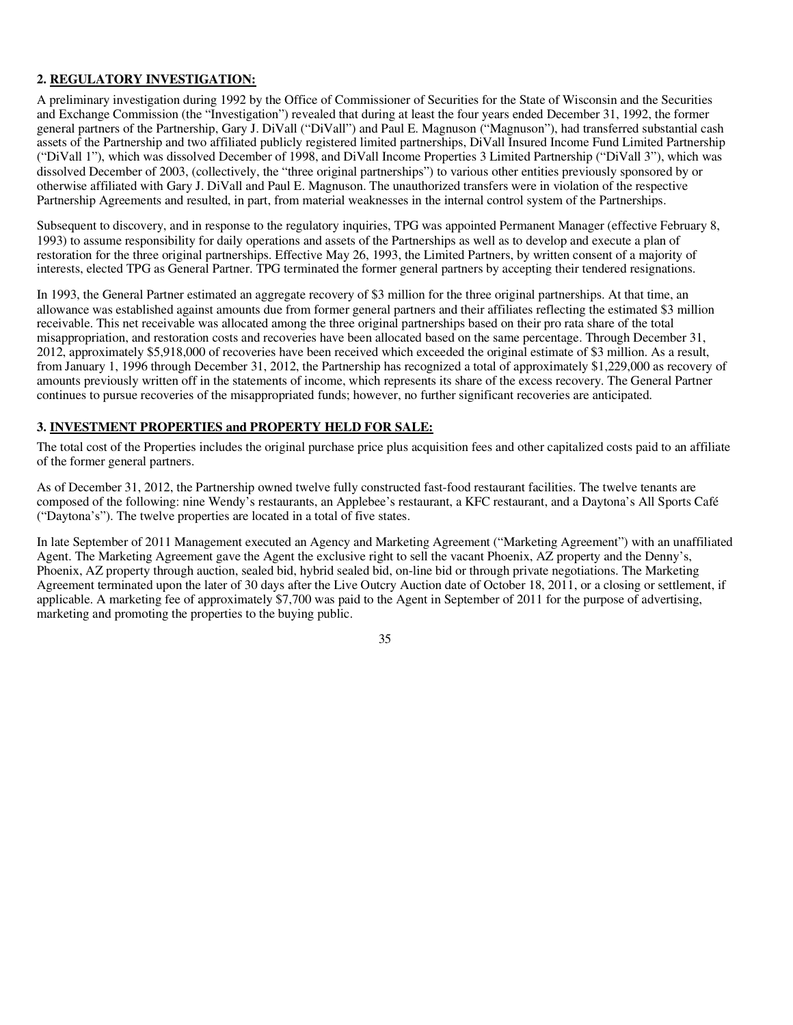# **2. REGULATORY INVESTIGATION:**

A preliminary investigation during 1992 by the Office of Commissioner of Securities for the State of Wisconsin and the Securities and Exchange Commission (the "Investigation") revealed that during at least the four years ended December 31, 1992, the former general partners of the Partnership, Gary J. DiVall ("DiVall") and Paul E. Magnuson ("Magnuson"), had transferred substantial cash assets of the Partnership and two affiliated publicly registered limited partnerships, DiVall Insured Income Fund Limited Partnership ("DiVall 1"), which was dissolved December of 1998, and DiVall Income Properties 3 Limited Partnership ("DiVall 3"), which was dissolved December of 2003, (collectively, the "three original partnerships") to various other entities previously sponsored by or otherwise affiliated with Gary J. DiVall and Paul E. Magnuson. The unauthorized transfers were in violation of the respective Partnership Agreements and resulted, in part, from material weaknesses in the internal control system of the Partnerships.

Subsequent to discovery, and in response to the regulatory inquiries, TPG was appointed Permanent Manager (effective February 8, 1993) to assume responsibility for daily operations and assets of the Partnerships as well as to develop and execute a plan of restoration for the three original partnerships. Effective May 26, 1993, the Limited Partners, by written consent of a majority of interests, elected TPG as General Partner. TPG terminated the former general partners by accepting their tendered resignations.

In 1993, the General Partner estimated an aggregate recovery of \$3 million for the three original partnerships. At that time, an allowance was established against amounts due from former general partners and their affiliates reflecting the estimated \$3 million receivable. This net receivable was allocated among the three original partnerships based on their pro rata share of the total misappropriation, and restoration costs and recoveries have been allocated based on the same percentage. Through December 31, 2012, approximately \$5,918,000 of recoveries have been received which exceeded the original estimate of \$3 million. As a result, from January 1, 1996 through December 31, 2012, the Partnership has recognized a total of approximately \$1,229,000 as recovery of amounts previously written off in the statements of income, which represents its share of the excess recovery. The General Partner continues to pursue recoveries of the misappropriated funds; however, no further significant recoveries are anticipated.

# **3. INVESTMENT PROPERTIES and PROPERTY HELD FOR SALE:**

The total cost of the Properties includes the original purchase price plus acquisition fees and other capitalized costs paid to an affiliate of the former general partners.

As of December 31, 2012, the Partnership owned twelve fully constructed fast-food restaurant facilities. The twelve tenants are composed of the following: nine Wendy's restaurants, an Applebee's restaurant, a KFC restaurant, and a Daytona's All Sports Café ("Daytona's"). The twelve properties are located in a total of five states.

In late September of 2011 Management executed an Agency and Marketing Agreement ("Marketing Agreement") with an unaffiliated Agent. The Marketing Agreement gave the Agent the exclusive right to sell the vacant Phoenix, AZ property and the Denny's, Phoenix, AZ property through auction, sealed bid, hybrid sealed bid, on-line bid or through private negotiations. The Marketing Agreement terminated upon the later of 30 days after the Live Outcry Auction date of October 18, 2011, or a closing or settlement, if applicable. A marketing fee of approximately \$7,700 was paid to the Agent in September of 2011 for the purpose of advertising, marketing and promoting the properties to the buying public.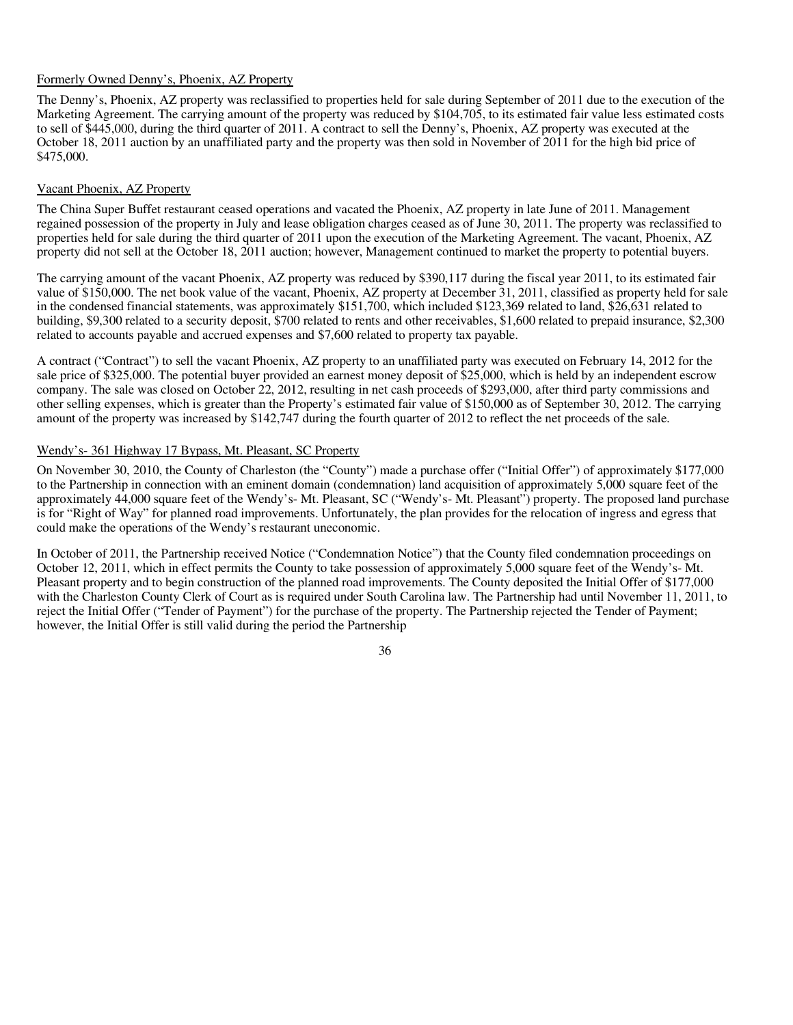# Formerly Owned Denny's, Phoenix, AZ Property

The Denny's, Phoenix, AZ property was reclassified to properties held for sale during September of 2011 due to the execution of the Marketing Agreement. The carrying amount of the property was reduced by \$104,705, to its estimated fair value less estimated costs to sell of \$445,000, during the third quarter of 2011. A contract to sell the Denny's, Phoenix, AZ property was executed at the October 18, 2011 auction by an unaffiliated party and the property was then sold in November of 2011 for the high bid price of \$475,000.

# Vacant Phoenix, AZ Property

The China Super Buffet restaurant ceased operations and vacated the Phoenix, AZ property in late June of 2011. Management regained possession of the property in July and lease obligation charges ceased as of June 30, 2011. The property was reclassified to properties held for sale during the third quarter of 2011 upon the execution of the Marketing Agreement. The vacant, Phoenix, AZ property did not sell at the October 18, 2011 auction; however, Management continued to market the property to potential buyers.

The carrying amount of the vacant Phoenix, AZ property was reduced by \$390,117 during the fiscal year 2011, to its estimated fair value of \$150,000. The net book value of the vacant, Phoenix, AZ property at December 31, 2011, classified as property held for sale in the condensed financial statements, was approximately \$151,700, which included \$123,369 related to land, \$26,631 related to building, \$9,300 related to a security deposit, \$700 related to rents and other receivables, \$1,600 related to prepaid insurance, \$2,300 related to accounts payable and accrued expenses and \$7,600 related to property tax payable.

A contract ("Contract") to sell the vacant Phoenix, AZ property to an unaffiliated party was executed on February 14, 2012 for the sale price of \$325,000. The potential buyer provided an earnest money deposit of \$25,000, which is held by an independent escrow company. The sale was closed on October 22, 2012, resulting in net cash proceeds of \$293,000, after third party commissions and other selling expenses, which is greater than the Property's estimated fair value of \$150,000 as of September 30, 2012. The carrying amount of the property was increased by \$142,747 during the fourth quarter of 2012 to reflect the net proceeds of the sale.

#### Wendy's- 361 Highway 17 Bypass, Mt. Pleasant, SC Property

On November 30, 2010, the County of Charleston (the "County") made a purchase offer ("Initial Offer") of approximately \$177,000 to the Partnership in connection with an eminent domain (condemnation) land acquisition of approximately 5,000 square feet of the approximately 44,000 square feet of the Wendy's- Mt. Pleasant, SC ("Wendy's- Mt. Pleasant") property. The proposed land purchase is for "Right of Way" for planned road improvements. Unfortunately, the plan provides for the relocation of ingress and egress that could make the operations of the Wendy's restaurant uneconomic.

In October of 2011, the Partnership received Notice ("Condemnation Notice") that the County filed condemnation proceedings on October 12, 2011, which in effect permits the County to take possession of approximately 5,000 square feet of the Wendy's- Mt. Pleasant property and to begin construction of the planned road improvements. The County deposited the Initial Offer of \$177,000 with the Charleston County Clerk of Court as is required under South Carolina law. The Partnership had until November 11, 2011, to reject the Initial Offer ("Tender of Payment") for the purchase of the property. The Partnership rejected the Tender of Payment; however, the Initial Offer is still valid during the period the Partnership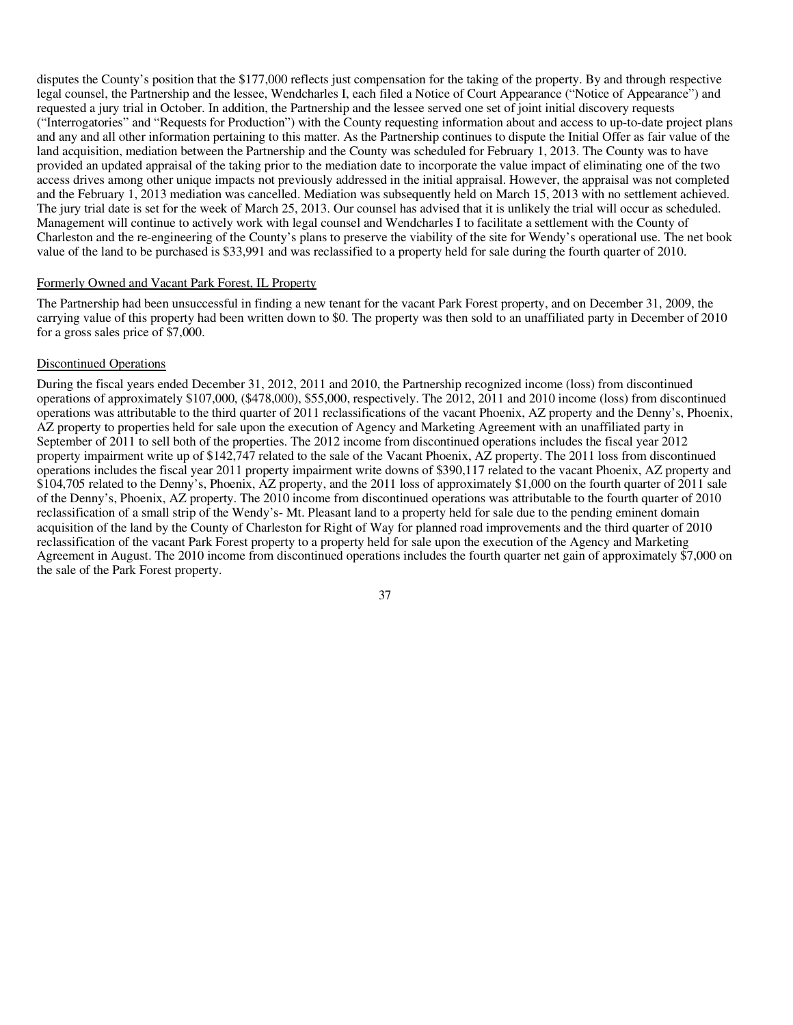disputes the County's position that the \$177,000 reflects just compensation for the taking of the property. By and through respective legal counsel, the Partnership and the lessee, Wendcharles I, each filed a Notice of Court Appearance ("Notice of Appearance") and requested a jury trial in October. In addition, the Partnership and the lessee served one set of joint initial discovery requests ("Interrogatories" and "Requests for Production") with the County requesting information about and access to up-to-date project plans and any and all other information pertaining to this matter. As the Partnership continues to dispute the Initial Offer as fair value of the land acquisition, mediation between the Partnership and the County was scheduled for February 1, 2013. The County was to have provided an updated appraisal of the taking prior to the mediation date to incorporate the value impact of eliminating one of the two access drives among other unique impacts not previously addressed in the initial appraisal. However, the appraisal was not completed and the February 1, 2013 mediation was cancelled. Mediation was subsequently held on March 15, 2013 with no settlement achieved. The jury trial date is set for the week of March 25, 2013. Our counsel has advised that it is unlikely the trial will occur as scheduled. Management will continue to actively work with legal counsel and Wendcharles I to facilitate a settlement with the County of Charleston and the re-engineering of the County's plans to preserve the viability of the site for Wendy's operational use. The net book value of the land to be purchased is \$33,991 and was reclassified to a property held for sale during the fourth quarter of 2010.

#### Formerly Owned and Vacant Park Forest, IL Property

The Partnership had been unsuccessful in finding a new tenant for the vacant Park Forest property, and on December 31, 2009, the carrying value of this property had been written down to \$0. The property was then sold to an unaffiliated party in December of 2010 for a gross sales price of \$7,000.

#### Discontinued Operations

During the fiscal years ended December 31, 2012, 2011 and 2010, the Partnership recognized income (loss) from discontinued operations of approximately \$107,000, (\$478,000), \$55,000, respectively. The 2012, 2011 and 2010 income (loss) from discontinued operations was attributable to the third quarter of 2011 reclassifications of the vacant Phoenix, AZ property and the Denny's, Phoenix, AZ property to properties held for sale upon the execution of Agency and Marketing Agreement with an unaffiliated party in September of 2011 to sell both of the properties. The 2012 income from discontinued operations includes the fiscal year 2012 property impairment write up of \$142,747 related to the sale of the Vacant Phoenix, AZ property. The 2011 loss from discontinued operations includes the fiscal year 2011 property impairment write downs of \$390,117 related to the vacant Phoenix, AZ property and \$104,705 related to the Denny's, Phoenix, AZ property, and the 2011 loss of approximately \$1,000 on the fourth quarter of 2011 sale of the Denny's, Phoenix, AZ property. The 2010 income from discontinued operations was attributable to the fourth quarter of 2010 reclassification of a small strip of the Wendy's- Mt. Pleasant land to a property held for sale due to the pending eminent domain acquisition of the land by the County of Charleston for Right of Way for planned road improvements and the third quarter of 2010 reclassification of the vacant Park Forest property to a property held for sale upon the execution of the Agency and Marketing Agreement in August. The 2010 income from discontinued operations includes the fourth quarter net gain of approximately \$7,000 on the sale of the Park Forest property.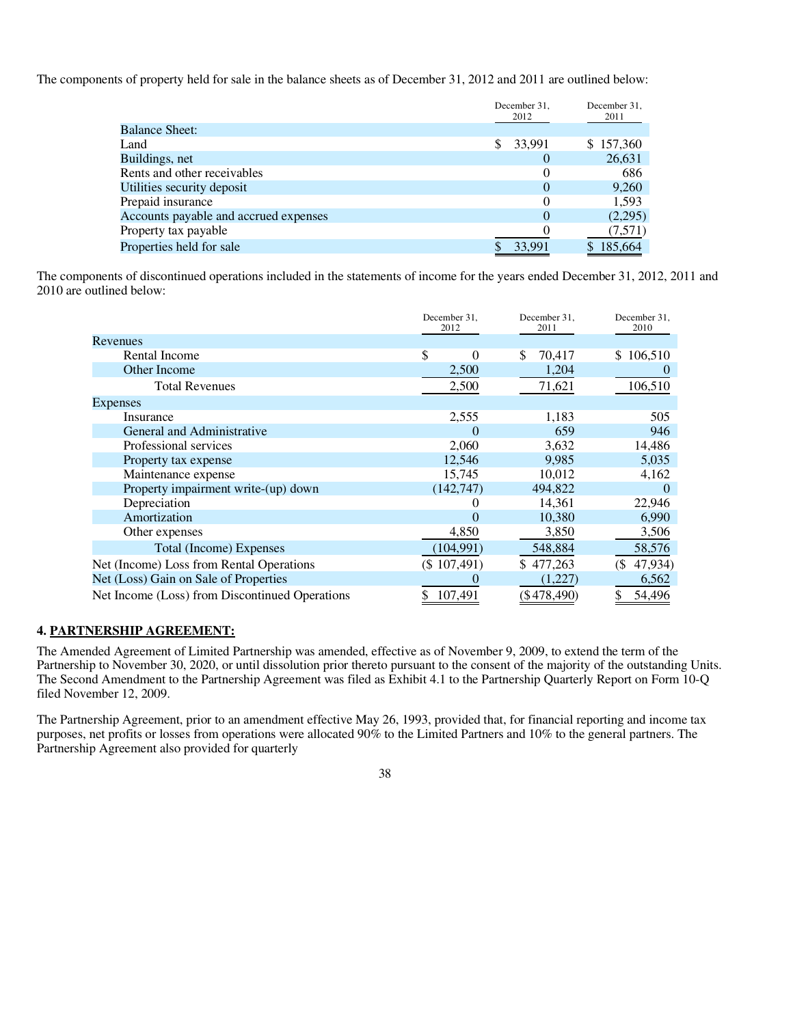The components of property held for sale in the balance sheets as of December 31, 2012 and 2011 are outlined below:

|                                       | December 31,<br>2012 | December 31.<br>2011 |
|---------------------------------------|----------------------|----------------------|
| <b>Balance Sheet:</b>                 |                      |                      |
| Land                                  | \$<br>33,991         | \$157,360            |
| Buildings, net                        |                      | 26,631               |
| Rents and other receivables           |                      | 686                  |
| Utilities security deposit            | $\theta$             | 9,260                |
| Prepaid insurance                     | 0                    | 1,593                |
| Accounts payable and accrued expenses | 0                    | (2,295)              |
| Property tax payable                  |                      | (7,571)              |
| Properties held for sale              | 33.991               | 185,664              |

The components of discontinued operations included in the statements of income for the years ended December 31, 2012, 2011 and 2010 are outlined below:

|                                                | December 31,<br>2012 | December 31.<br>2011 | December 31,<br>2010 |
|------------------------------------------------|----------------------|----------------------|----------------------|
| Revenues                                       |                      |                      |                      |
| Rental Income                                  | \$<br>0              | \$<br>70,417         | 106,510<br>\$        |
| Other Income                                   | 2,500                | 1,204                |                      |
| <b>Total Revenues</b>                          | 2,500                | 71,621               | 106,510              |
| <b>Expenses</b>                                |                      |                      |                      |
| Insurance                                      | 2,555                | 1,183                | 505                  |
| General and Administrative                     |                      | 659                  | 946                  |
| Professional services                          | 2,060                | 3,632                | 14,486               |
| Property tax expense                           | 12,546               | 9,985                | 5,035                |
| Maintenance expense                            | 15,745               | 10,012               | 4,162                |
| Property impairment write-(up) down            | (142, 747)           | 494,822              | $\theta$             |
| Depreciation                                   |                      | 14,361               | 22,946               |
| Amortization                                   | $\mathcal{O}$        | 10,380               | 6,990                |
| Other expenses                                 | 4,850                | 3,850                | 3,506                |
| Total (Income) Expenses                        | (104, 991)           | 548,884              | 58,576               |
| Net (Income) Loss from Rental Operations       | (\$107,491)          | \$477,263            | 47,934)<br>(\$       |
| Net (Loss) Gain on Sale of Properties          |                      | (1,227)              | 6,562                |
| Net Income (Loss) from Discontinued Operations | 107,491              | (\$478,490)          | 54,496               |

#### **4. PARTNERSHIP AGREEMENT:**

The Amended Agreement of Limited Partnership was amended, effective as of November 9, 2009, to extend the term of the Partnership to November 30, 2020, or until dissolution prior thereto pursuant to the consent of the majority of the outstanding Units. The Second Amendment to the Partnership Agreement was filed as Exhibit 4.1 to the Partnership Quarterly Report on Form 10-Q filed November 12, 2009.

The Partnership Agreement, prior to an amendment effective May 26, 1993, provided that, for financial reporting and income tax purposes, net profits or losses from operations were allocated 90% to the Limited Partners and 10% to the general partners. The Partnership Agreement also provided for quarterly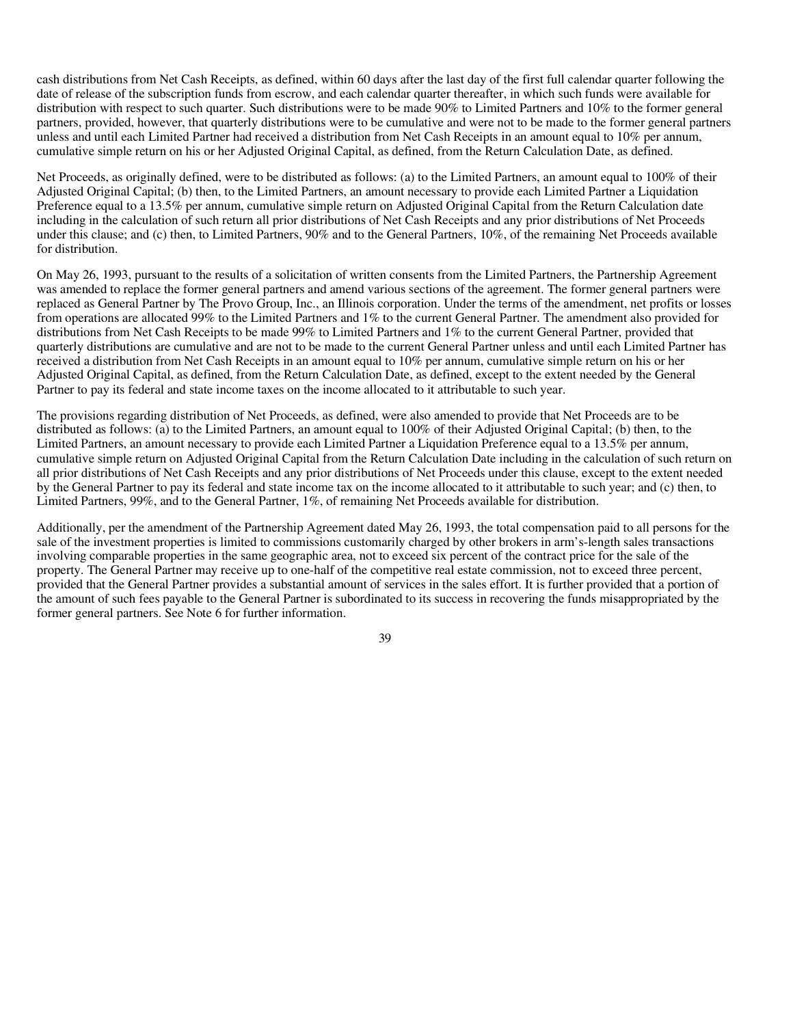cash distributions from Net Cash Receipts, as defined, within 60 days after the last day of the first full calendar quarter following the date of release of the subscription funds from escrow, and each calendar quarter thereafter, in which such funds were available for distribution with respect to such quarter. Such distributions were to be made 90% to Limited Partners and 10% to the former general partners, provided, however, that quarterly distributions were to be cumulative and were not to be made to the former general partners unless and until each Limited Partner had received a distribution from Net Cash Receipts in an amount equal to 10% per annum, cumulative simple return on his or her Adjusted Original Capital, as defined, from the Return Calculation Date, as defined.

Net Proceeds, as originally defined, were to be distributed as follows: (a) to the Limited Partners, an amount equal to 100% of their Adjusted Original Capital; (b) then, to the Limited Partners, an amount necessary to provide each Limited Partner a Liquidation Preference equal to a 13.5% per annum, cumulative simple return on Adjusted Original Capital from the Return Calculation date including in the calculation of such return all prior distributions of Net Cash Receipts and any prior distributions of Net Proceeds under this clause; and (c) then, to Limited Partners, 90% and to the General Partners, 10%, of the remaining Net Proceeds available for distribution.

On May 26, 1993, pursuant to the results of a solicitation of written consents from the Limited Partners, the Partnership Agreement was amended to replace the former general partners and amend various sections of the agreement. The former general partners were replaced as General Partner by The Provo Group, Inc., an Illinois corporation. Under the terms of the amendment, net profits or losses from operations are allocated 99% to the Limited Partners and 1% to the current General Partner. The amendment also provided for distributions from Net Cash Receipts to be made 99% to Limited Partners and 1% to the current General Partner, provided that quarterly distributions are cumulative and are not to be made to the current General Partner unless and until each Limited Partner has received a distribution from Net Cash Receipts in an amount equal to 10% per annum, cumulative simple return on his or her Adjusted Original Capital, as defined, from the Return Calculation Date, as defined, except to the extent needed by the General Partner to pay its federal and state income taxes on the income allocated to it attributable to such year.

The provisions regarding distribution of Net Proceeds, as defined, were also amended to provide that Net Proceeds are to be distributed as follows: (a) to the Limited Partners, an amount equal to 100% of their Adjusted Original Capital; (b) then, to the Limited Partners, an amount necessary to provide each Limited Partner a Liquidation Preference equal to a 13.5% per annum, cumulative simple return on Adjusted Original Capital from the Return Calculation Date including in the calculation of such return on all prior distributions of Net Cash Receipts and any prior distributions of Net Proceeds under this clause, except to the extent needed by the General Partner to pay its federal and state income tax on the income allocated to it attributable to such year; and (c) then, to Limited Partners, 99%, and to the General Partner, 1%, of remaining Net Proceeds available for distribution.

Additionally, per the amendment of the Partnership Agreement dated May 26, 1993, the total compensation paid to all persons for the sale of the investment properties is limited to commissions customarily charged by other brokers in arm's-length sales transactions involving comparable properties in the same geographic area, not to exceed six percent of the contract price for the sale of the property. The General Partner may receive up to one-half of the competitive real estate commission, not to exceed three percent, provided that the General Partner provides a substantial amount of services in the sales effort. It is further provided that a portion of the amount of such fees payable to the General Partner is subordinated to its success in recovering the funds misappropriated by the former general partners. See Note 6 for further information.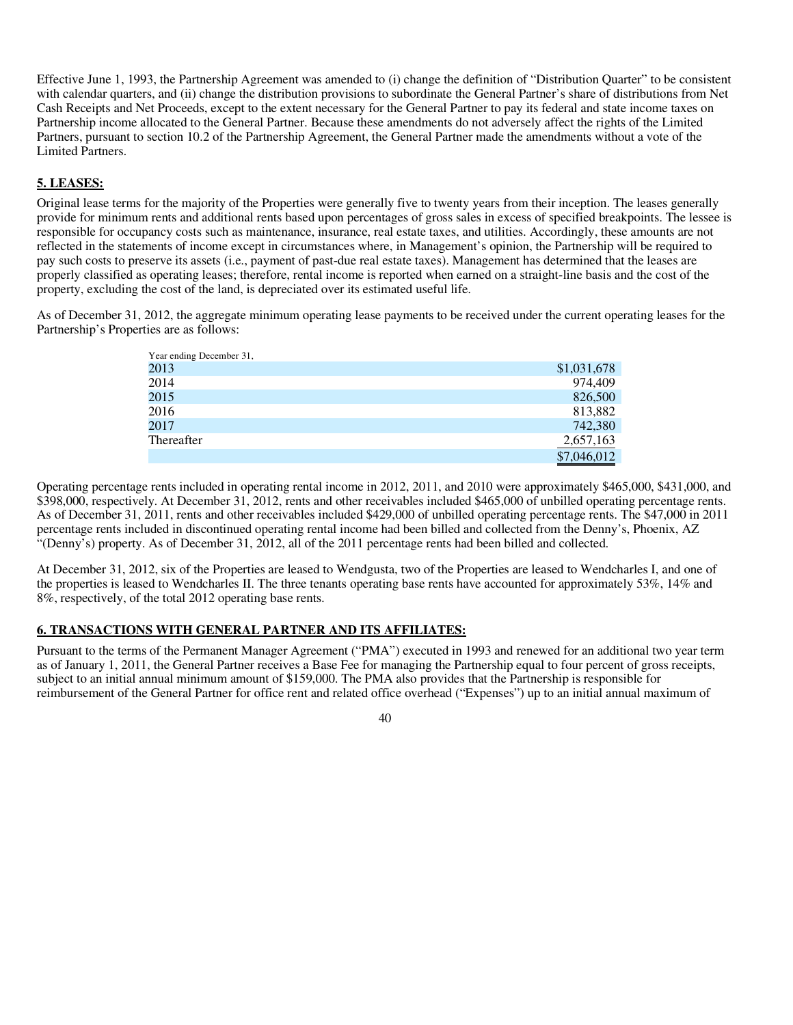Effective June 1, 1993, the Partnership Agreement was amended to (i) change the definition of "Distribution Quarter" to be consistent with calendar quarters, and (ii) change the distribution provisions to subordinate the General Partner's share of distributions from Net Cash Receipts and Net Proceeds, except to the extent necessary for the General Partner to pay its federal and state income taxes on Partnership income allocated to the General Partner. Because these amendments do not adversely affect the rights of the Limited Partners, pursuant to section 10.2 of the Partnership Agreement, the General Partner made the amendments without a vote of the Limited Partners.

# **5. LEASES:**

Original lease terms for the majority of the Properties were generally five to twenty years from their inception. The leases generally provide for minimum rents and additional rents based upon percentages of gross sales in excess of specified breakpoints. The lessee is responsible for occupancy costs such as maintenance, insurance, real estate taxes, and utilities. Accordingly, these amounts are not reflected in the statements of income except in circumstances where, in Management's opinion, the Partnership will be required to pay such costs to preserve its assets (i.e., payment of past-due real estate taxes). Management has determined that the leases are properly classified as operating leases; therefore, rental income is reported when earned on a straight-line basis and the cost of the property, excluding the cost of the land, is depreciated over its estimated useful life.

As of December 31, 2012, the aggregate minimum operating lease payments to be received under the current operating leases for the Partnership's Properties are as follows:

| Year ending December 31, |             |
|--------------------------|-------------|
| 2013                     | \$1,031,678 |
| 2014                     | 974,409     |
| 2015                     | 826,500     |
| 2016                     | 813,882     |
| 2017                     | 742,380     |
| Thereafter               | 2,657,163   |
|                          | \$7,046,012 |

Operating percentage rents included in operating rental income in 2012, 2011, and 2010 were approximately \$465,000, \$431,000, and \$398,000, respectively. At December 31, 2012, rents and other receivables included \$465,000 of unbilled operating percentage rents. As of December 31, 2011, rents and other receivables included \$429,000 of unbilled operating percentage rents. The \$47,000 in 2011 percentage rents included in discontinued operating rental income had been billed and collected from the Denny's, Phoenix, AZ "(Denny's) property. As of December 31, 2012, all of the 2011 percentage rents had been billed and collected.

At December 31, 2012, six of the Properties are leased to Wendgusta, two of the Properties are leased to Wendcharles I, and one of the properties is leased to Wendcharles II. The three tenants operating base rents have accounted for approximately 53%, 14% and 8%, respectively, of the total 2012 operating base rents.

#### **6. TRANSACTIONS WITH GENERAL PARTNER AND ITS AFFILIATES:**

Pursuant to the terms of the Permanent Manager Agreement ("PMA") executed in 1993 and renewed for an additional two year term as of January 1, 2011, the General Partner receives a Base Fee for managing the Partnership equal to four percent of gross receipts, subject to an initial annual minimum amount of \$159,000. The PMA also provides that the Partnership is responsible for reimbursement of the General Partner for office rent and related office overhead ("Expenses") up to an initial annual maximum of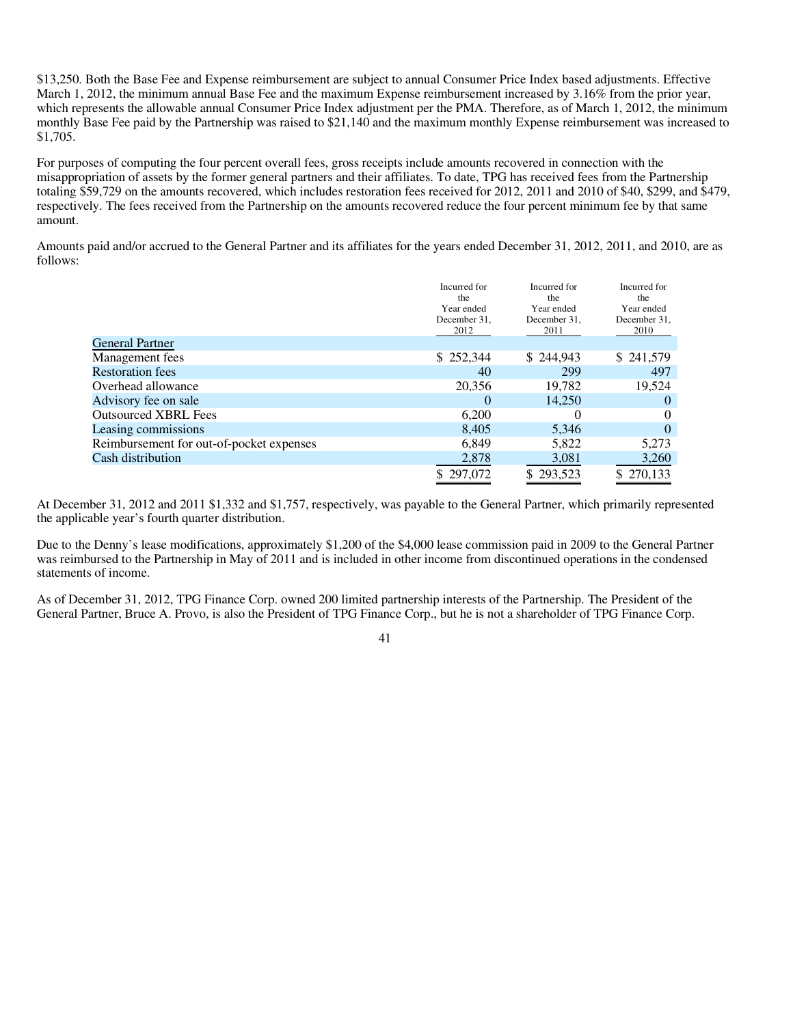\$13,250. Both the Base Fee and Expense reimbursement are subject to annual Consumer Price Index based adjustments. Effective March 1, 2012, the minimum annual Base Fee and the maximum Expense reimbursement increased by 3.16% from the prior year, which represents the allowable annual Consumer Price Index adjustment per the PMA. Therefore, as of March 1, 2012, the minimum monthly Base Fee paid by the Partnership was raised to \$21,140 and the maximum monthly Expense reimbursement was increased to \$1,705.

For purposes of computing the four percent overall fees, gross receipts include amounts recovered in connection with the misappropriation of assets by the former general partners and their affiliates. To date, TPG has received fees from the Partnership totaling \$59,729 on the amounts recovered, which includes restoration fees received for 2012, 2011 and 2010 of \$40, \$299, and \$479, respectively. The fees received from the Partnership on the amounts recovered reduce the four percent minimum fee by that same amount.

Amounts paid and/or accrued to the General Partner and its affiliates for the years ended December 31, 2012, 2011, and 2010, are as follows:

|                                          | Incurred for<br>the<br>Year ended<br>December 31,<br>2012 | Incurred for<br>the<br>Year ended<br>December 31,<br>2011 | Incurred for<br>the<br>Year ended<br>December 31,<br>2010 |
|------------------------------------------|-----------------------------------------------------------|-----------------------------------------------------------|-----------------------------------------------------------|
| <b>General Partner</b>                   |                                                           |                                                           |                                                           |
| Management fees                          | \$252,344                                                 | \$244,943                                                 | \$241,579                                                 |
| <b>Restoration fees</b>                  | 40                                                        | 299                                                       | 497                                                       |
| Overhead allowance                       | 20,356                                                    | 19,782                                                    | 19,524                                                    |
| Advisory fee on sale                     | $\Omega$                                                  | 14.250                                                    |                                                           |
| <b>Outsourced XBRL Fees</b>              | 6.200                                                     |                                                           | $\Omega$                                                  |
| Leasing commissions                      | 8,405                                                     | 5,346                                                     | $\theta$                                                  |
| Reimbursement for out-of-pocket expenses | 6,849                                                     | 5,822                                                     | 5,273                                                     |
| Cash distribution                        | 2,878                                                     | 3,081                                                     | 3,260                                                     |
|                                          | 297,072                                                   | \$293,523                                                 | 270.133                                                   |

At December 31, 2012 and 2011 \$1,332 and \$1,757, respectively, was payable to the General Partner, which primarily represented the applicable year's fourth quarter distribution.

Due to the Denny's lease modifications, approximately \$1,200 of the \$4,000 lease commission paid in 2009 to the General Partner was reimbursed to the Partnership in May of 2011 and is included in other income from discontinued operations in the condensed statements of income.

As of December 31, 2012, TPG Finance Corp. owned 200 limited partnership interests of the Partnership. The President of the General Partner, Bruce A. Provo, is also the President of TPG Finance Corp., but he is not a shareholder of TPG Finance Corp.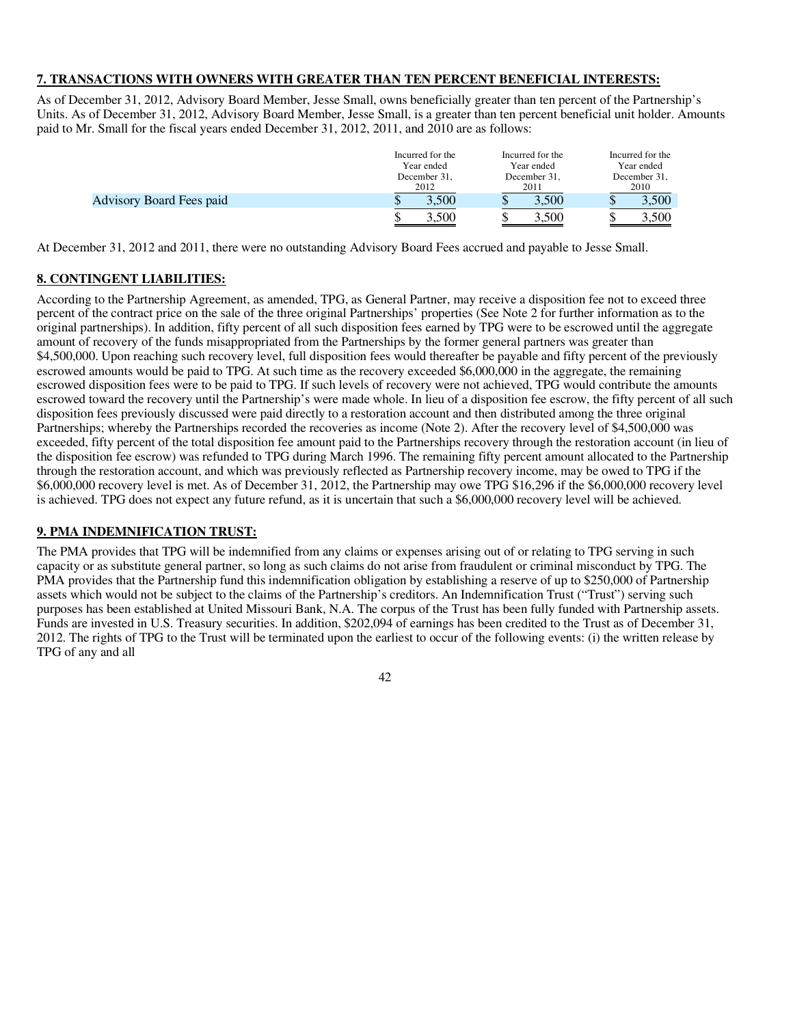# **7. TRANSACTIONS WITH OWNERS WITH GREATER THAN TEN PERCENT BENEFICIAL INTERESTS:**

As of December 31, 2012, Advisory Board Member, Jesse Small, owns beneficially greater than ten percent of the Partnership's Units. As of December 31, 2012, Advisory Board Member, Jesse Small, is a greater than ten percent beneficial unit holder. Amounts paid to Mr. Small for the fiscal years ended December 31, 2012, 2011, and 2010 are as follows:

|                                 | Incurred for the | Incurred for the | Incurred for the |
|---------------------------------|------------------|------------------|------------------|
|                                 | Year ended       | Year ended       | Year ended       |
|                                 | December 31,     | December 31,     | December 31,     |
|                                 | 2012             | 2011             | 2010             |
| <b>Advisory Board Fees paid</b> | 3.500            | 3.500            | 3.500<br>w       |
|                                 | 3,500            | 3.500            | 3.500            |

At December 31, 2012 and 2011, there were no outstanding Advisory Board Fees accrued and payable to Jesse Small.

# **8. CONTINGENT LIABILITIES:**

According to the Partnership Agreement, as amended, TPG, as General Partner, may receive a disposition fee not to exceed three percent of the contract price on the sale of the three original Partnerships' properties (See Note 2 for further information as to the original partnerships). In addition, fifty percent of all such disposition fees earned by TPG were to be escrowed until the aggregate amount of recovery of the funds misappropriated from the Partnerships by the former general partners was greater than \$4,500,000. Upon reaching such recovery level, full disposition fees would thereafter be payable and fifty percent of the previously escrowed amounts would be paid to TPG. At such time as the recovery exceeded \$6,000,000 in the aggregate, the remaining escrowed disposition fees were to be paid to TPG. If such levels of recovery were not achieved, TPG would contribute the amounts escrowed toward the recovery until the Partnership's were made whole. In lieu of a disposition fee escrow, the fifty percent of all such disposition fees previously discussed were paid directly to a restoration account and then distributed among the three original Partnerships; whereby the Partnerships recorded the recoveries as income (Note 2). After the recovery level of \$4,500,000 was exceeded, fifty percent of the total disposition fee amount paid to the Partnerships recovery through the restoration account (in lieu of the disposition fee escrow) was refunded to TPG during March 1996. The remaining fifty percent amount allocated to the Partnership through the restoration account, and which was previously reflected as Partnership recovery income, may be owed to TPG if the \$6,000,000 recovery level is met. As of December 31, 2012, the Partnership may owe TPG \$16,296 if the \$6,000,000 recovery level is achieved. TPG does not expect any future refund, as it is uncertain that such a \$6,000,000 recovery level will be achieved.

#### **9. PMA INDEMNIFICATION TRUST:**

The PMA provides that TPG will be indemnified from any claims or expenses arising out of or relating to TPG serving in such capacity or as substitute general partner, so long as such claims do not arise from fraudulent or criminal misconduct by TPG. The PMA provides that the Partnership fund this indemnification obligation by establishing a reserve of up to \$250,000 of Partnership assets which would not be subject to the claims of the Partnership's creditors. An Indemnification Trust ("Trust") serving such purposes has been established at United Missouri Bank, N.A. The corpus of the Trust has been fully funded with Partnership assets. Funds are invested in U.S. Treasury securities. In addition, \$202,094 of earnings has been credited to the Trust as of December 31, 2012. The rights of TPG to the Trust will be terminated upon the earliest to occur of the following events: (i) the written release by TPG of any and all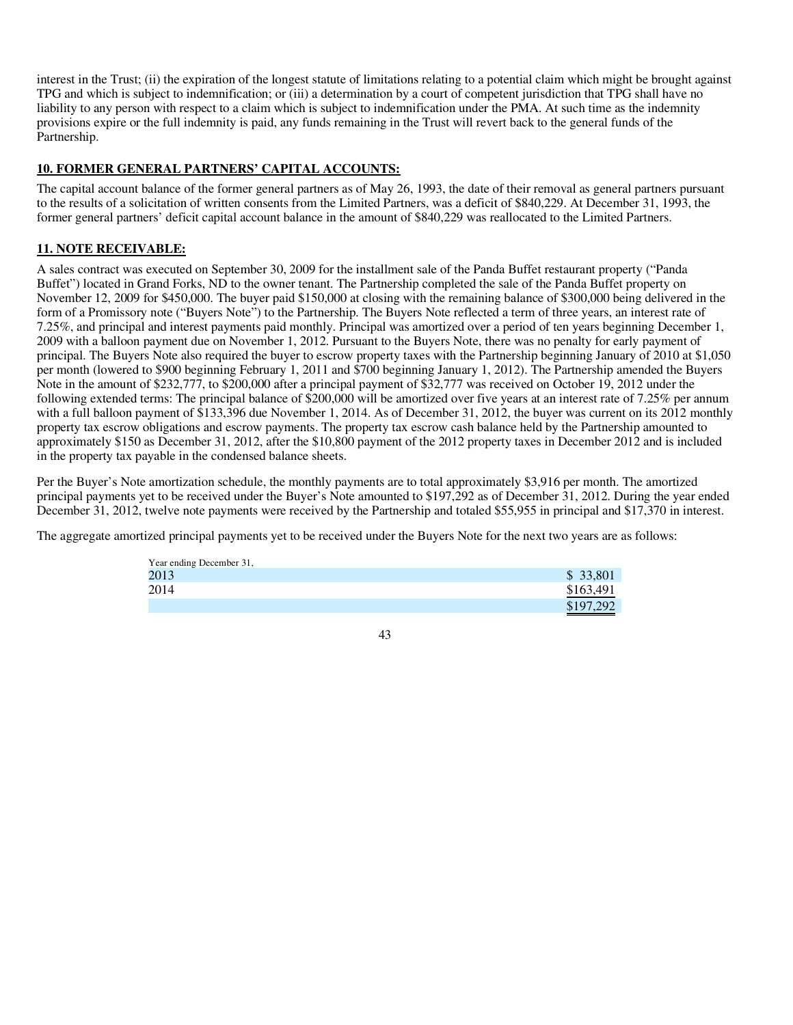interest in the Trust; (ii) the expiration of the longest statute of limitations relating to a potential claim which might be brought against TPG and which is subject to indemnification; or (iii) a determination by a court of competent jurisdiction that TPG shall have no liability to any person with respect to a claim which is subject to indemnification under the PMA. At such time as the indemnity provisions expire or the full indemnity is paid, any funds remaining in the Trust will revert back to the general funds of the Partnership.

# **10. FORMER GENERAL PARTNERS' CAPITAL ACCOUNTS:**

The capital account balance of the former general partners as of May 26, 1993, the date of their removal as general partners pursuant to the results of a solicitation of written consents from the Limited Partners, was a deficit of \$840,229. At December 31, 1993, the former general partners' deficit capital account balance in the amount of \$840,229 was reallocated to the Limited Partners.

# **11. NOTE RECEIVABLE:**

A sales contract was executed on September 30, 2009 for the installment sale of the Panda Buffet restaurant property ("Panda Buffet") located in Grand Forks, ND to the owner tenant. The Partnership completed the sale of the Panda Buffet property on November 12, 2009 for \$450,000. The buyer paid \$150,000 at closing with the remaining balance of \$300,000 being delivered in the form of a Promissory note ("Buyers Note") to the Partnership. The Buyers Note reflected a term of three years, an interest rate of 7.25%, and principal and interest payments paid monthly. Principal was amortized over a period of ten years beginning December 1, 2009 with a balloon payment due on November 1, 2012. Pursuant to the Buyers Note, there was no penalty for early payment of principal. The Buyers Note also required the buyer to escrow property taxes with the Partnership beginning January of 2010 at \$1,050 per month (lowered to \$900 beginning February 1, 2011 and \$700 beginning January 1, 2012). The Partnership amended the Buyers Note in the amount of \$232,777, to \$200,000 after a principal payment of \$32,777 was received on October 19, 2012 under the following extended terms: The principal balance of \$200,000 will be amortized over five years at an interest rate of 7.25% per annum with a full balloon payment of \$133,396 due November 1, 2014. As of December 31, 2012, the buyer was current on its 2012 monthly property tax escrow obligations and escrow payments. The property tax escrow cash balance held by the Partnership amounted to approximately \$150 as December 31, 2012, after the \$10,800 payment of the 2012 property taxes in December 2012 and is included in the property tax payable in the condensed balance sheets.

Per the Buyer's Note amortization schedule, the monthly payments are to total approximately \$3,916 per month. The amortized principal payments yet to be received under the Buyer's Note amounted to \$197,292 as of December 31, 2012. During the year ended December 31, 2012, twelve note payments were received by the Partnership and totaled \$55,955 in principal and \$17,370 in interest.

The aggregate amortized principal payments yet to be received under the Buyers Note for the next two years are as follows:

| Year ending December 31, |           |
|--------------------------|-----------|
| 2013                     | \$ 33,801 |
| 2014                     | \$163,491 |
|                          | \$197,292 |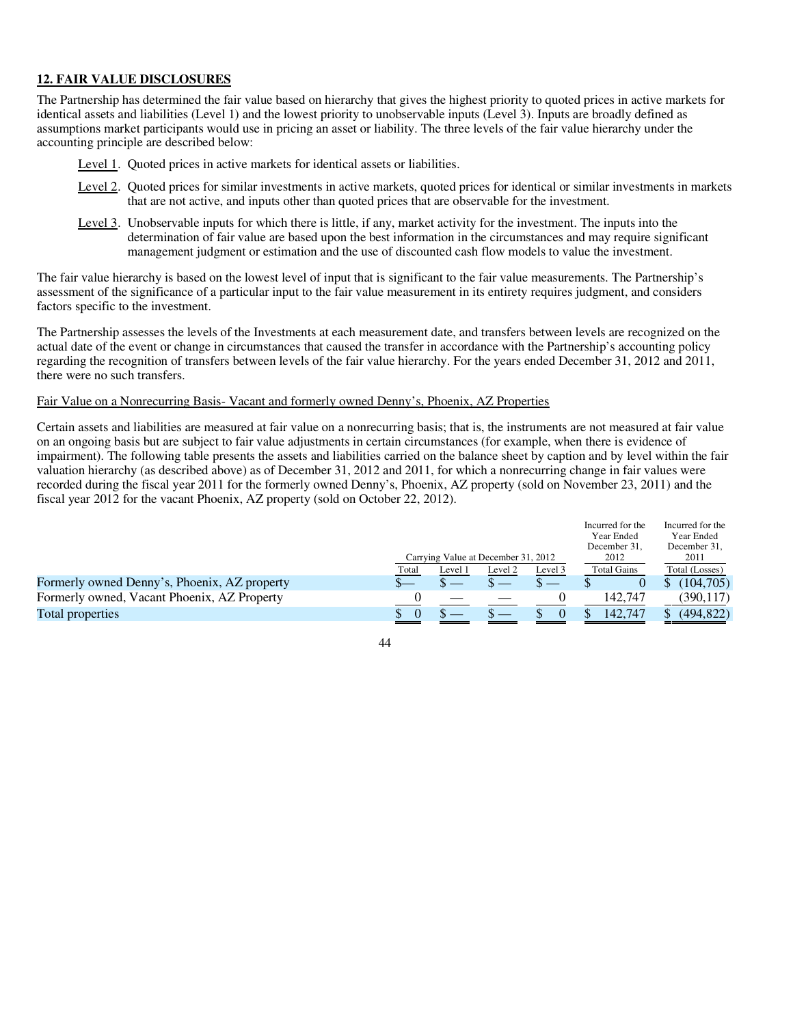# **12. FAIR VALUE DISCLOSURES**

The Partnership has determined the fair value based on hierarchy that gives the highest priority to quoted prices in active markets for identical assets and liabilities (Level 1) and the lowest priority to unobservable inputs (Level 3). Inputs are broadly defined as assumptions market participants would use in pricing an asset or liability. The three levels of the fair value hierarchy under the accounting principle are described below:

- Level 1. Quoted prices in active markets for identical assets or liabilities.
- Level 2. Quoted prices for similar investments in active markets, quoted prices for identical or similar investments in markets that are not active, and inputs other than quoted prices that are observable for the investment.
- Level 3. Unobservable inputs for which there is little, if any, market activity for the investment. The inputs into the determination of fair value are based upon the best information in the circumstances and may require significant management judgment or estimation and the use of discounted cash flow models to value the investment.

The fair value hierarchy is based on the lowest level of input that is significant to the fair value measurements. The Partnership's assessment of the significance of a particular input to the fair value measurement in its entirety requires judgment, and considers factors specific to the investment.

The Partnership assesses the levels of the Investments at each measurement date, and transfers between levels are recognized on the actual date of the event or change in circumstances that caused the transfer in accordance with the Partnership's accounting policy regarding the recognition of transfers between levels of the fair value hierarchy. For the years ended December 31, 2012 and 2011, there were no such transfers.

#### Fair Value on a Nonrecurring Basis- Vacant and formerly owned Denny's, Phoenix, AZ Properties

Certain assets and liabilities are measured at fair value on a nonrecurring basis; that is, the instruments are not measured at fair value on an ongoing basis but are subject to fair value adjustments in certain circumstances (for example, when there is evidence of impairment). The following table presents the assets and liabilities carried on the balance sheet by caption and by level within the fair valuation hierarchy (as described above) as of December 31, 2012 and 2011, for which a nonrecurring change in fair values were recorded during the fiscal year 2011 for the formerly owned Denny's, Phoenix, AZ property (sold on November 23, 2011) and the fiscal year 2012 for the vacant Phoenix, AZ property (sold on October 22, 2012).

|          |       |         |         |                                     | Incurred for the                                                                                   |
|----------|-------|---------|---------|-------------------------------------|----------------------------------------------------------------------------------------------------|
|          |       |         |         |                                     | Year Ended                                                                                         |
|          |       |         |         |                                     | December 31,                                                                                       |
|          |       |         |         |                                     | 2011                                                                                               |
| Total    | Level | Level 2 | Level 3 |                                     | Total (Losses)                                                                                     |
|          |       |         |         |                                     | (104, 705)                                                                                         |
|          |       |         |         |                                     | (390, 117)                                                                                         |
| $\Omega$ |       |         | U       |                                     | (494.822)                                                                                          |
|          |       |         |         | Carrying Value at December 31, 2012 | Incurred for the<br>Year Ended<br>December 31,<br>2012<br><b>Total Gains</b><br>142,747<br>142.747 |

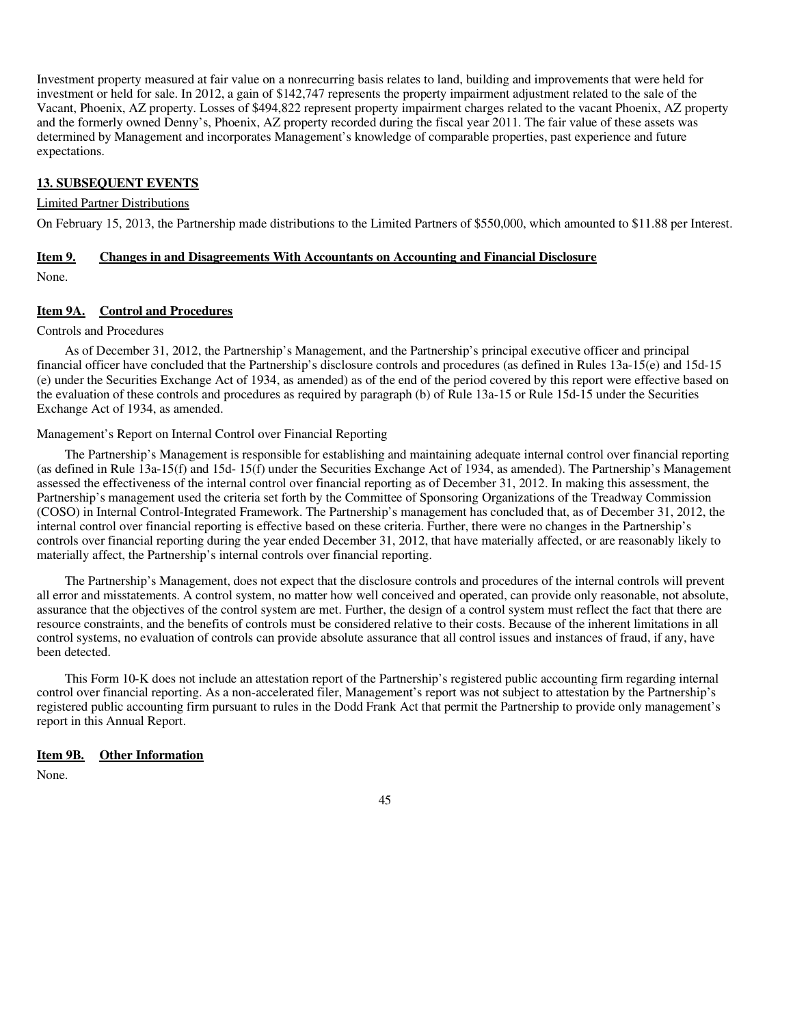Investment property measured at fair value on a nonrecurring basis relates to land, building and improvements that were held for investment or held for sale. In 2012, a gain of \$142,747 represents the property impairment adjustment related to the sale of the Vacant, Phoenix, AZ property. Losses of \$494,822 represent property impairment charges related to the vacant Phoenix, AZ property and the formerly owned Denny's, Phoenix, AZ property recorded during the fiscal year 2011. The fair value of these assets was determined by Management and incorporates Management's knowledge of comparable properties, past experience and future expectations.

#### **13. SUBSEQUENT EVENTS**

#### Limited Partner Distributions

On February 15, 2013, the Partnership made distributions to the Limited Partners of \$550,000, which amounted to \$11.88 per Interest.

#### **Item 9. Changes in and Disagreements With Accountants on Accounting and Financial Disclosure**

None.

#### **Item 9A. Control and Procedures**

#### Controls and Procedures

As of December 31, 2012, the Partnership's Management, and the Partnership's principal executive officer and principal financial officer have concluded that the Partnership's disclosure controls and procedures (as defined in Rules 13a-15(e) and 15d-15 (e) under the Securities Exchange Act of 1934, as amended) as of the end of the period covered by this report were effective based on the evaluation of these controls and procedures as required by paragraph (b) of Rule 13a-15 or Rule 15d-15 under the Securities Exchange Act of 1934, as amended.

#### Management's Report on Internal Control over Financial Reporting

The Partnership's Management is responsible for establishing and maintaining adequate internal control over financial reporting (as defined in Rule 13a-15(f) and 15d- 15(f) under the Securities Exchange Act of 1934, as amended). The Partnership's Management assessed the effectiveness of the internal control over financial reporting as of December 31, 2012. In making this assessment, the Partnership's management used the criteria set forth by the Committee of Sponsoring Organizations of the Treadway Commission (COSO) in Internal Control-Integrated Framework. The Partnership's management has concluded that, as of December 31, 2012, the internal control over financial reporting is effective based on these criteria. Further, there were no changes in the Partnership's controls over financial reporting during the year ended December 31, 2012, that have materially affected, or are reasonably likely to materially affect, the Partnership's internal controls over financial reporting.

The Partnership's Management, does not expect that the disclosure controls and procedures of the internal controls will prevent all error and misstatements. A control system, no matter how well conceived and operated, can provide only reasonable, not absolute, assurance that the objectives of the control system are met. Further, the design of a control system must reflect the fact that there are resource constraints, and the benefits of controls must be considered relative to their costs. Because of the inherent limitations in all control systems, no evaluation of controls can provide absolute assurance that all control issues and instances of fraud, if any, have been detected.

This Form 10-K does not include an attestation report of the Partnership's registered public accounting firm regarding internal control over financial reporting. As a non-accelerated filer, Management's report was not subject to attestation by the Partnership's registered public accounting firm pursuant to rules in the Dodd Frank Act that permit the Partnership to provide only management's report in this Annual Report.

#### **Item 9B. Other Information**

None.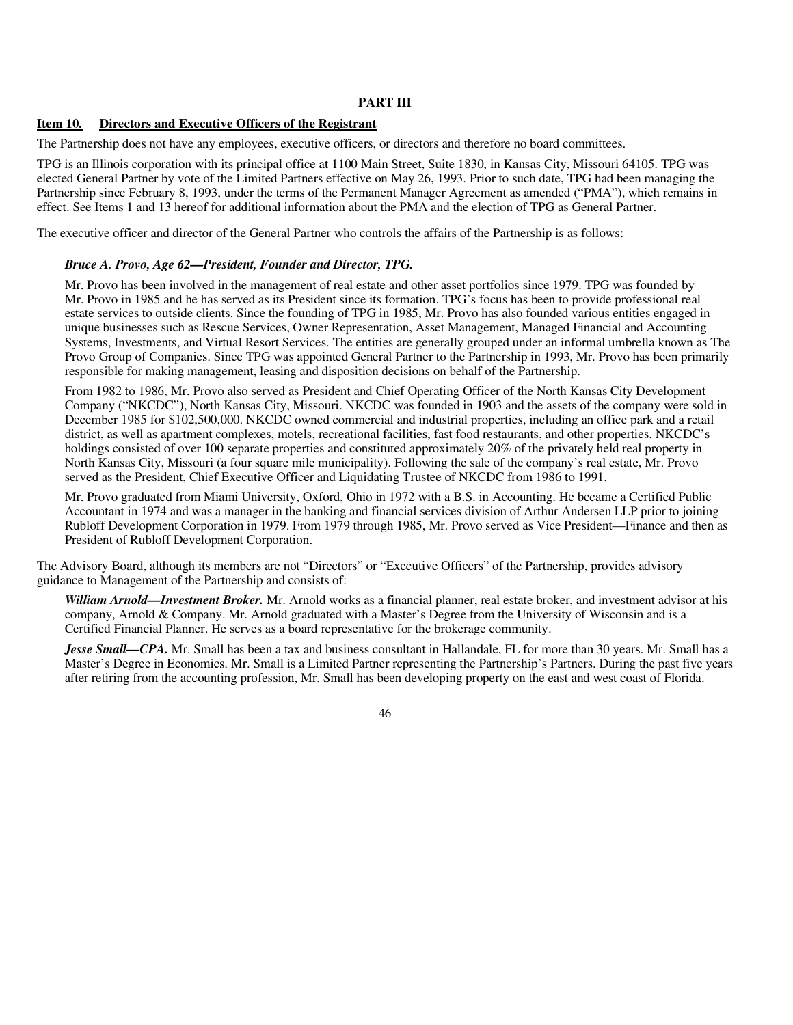#### **PART III**

#### **Item 10. Directors and Executive Officers of the Registrant**

The Partnership does not have any employees, executive officers, or directors and therefore no board committees.

TPG is an Illinois corporation with its principal office at 1100 Main Street, Suite 1830, in Kansas City, Missouri 64105. TPG was elected General Partner by vote of the Limited Partners effective on May 26, 1993. Prior to such date, TPG had been managing the Partnership since February 8, 1993, under the terms of the Permanent Manager Agreement as amended ("PMA"), which remains in effect. See Items 1 and 13 hereof for additional information about the PMA and the election of TPG as General Partner.

The executive officer and director of the General Partner who controls the affairs of the Partnership is as follows:

#### *Bruce A. Provo, Age 62—President, Founder and Director, TPG.*

Mr. Provo has been involved in the management of real estate and other asset portfolios since 1979. TPG was founded by Mr. Provo in 1985 and he has served as its President since its formation. TPG's focus has been to provide professional real estate services to outside clients. Since the founding of TPG in 1985, Mr. Provo has also founded various entities engaged in unique businesses such as Rescue Services, Owner Representation, Asset Management, Managed Financial and Accounting Systems, Investments, and Virtual Resort Services. The entities are generally grouped under an informal umbrella known as The Provo Group of Companies. Since TPG was appointed General Partner to the Partnership in 1993, Mr. Provo has been primarily responsible for making management, leasing and disposition decisions on behalf of the Partnership.

From 1982 to 1986, Mr. Provo also served as President and Chief Operating Officer of the North Kansas City Development Company ("NKCDC"), North Kansas City, Missouri. NKCDC was founded in 1903 and the assets of the company were sold in December 1985 for \$102,500,000. NKCDC owned commercial and industrial properties, including an office park and a retail district, as well as apartment complexes, motels, recreational facilities, fast food restaurants, and other properties. NKCDC's holdings consisted of over 100 separate properties and constituted approximately 20% of the privately held real property in North Kansas City, Missouri (a four square mile municipality). Following the sale of the company's real estate, Mr. Provo served as the President, Chief Executive Officer and Liquidating Trustee of NKCDC from 1986 to 1991.

Mr. Provo graduated from Miami University, Oxford, Ohio in 1972 with a B.S. in Accounting. He became a Certified Public Accountant in 1974 and was a manager in the banking and financial services division of Arthur Andersen LLP prior to joining Rubloff Development Corporation in 1979. From 1979 through 1985, Mr. Provo served as Vice President—Finance and then as President of Rubloff Development Corporation.

The Advisory Board, although its members are not "Directors" or "Executive Officers" of the Partnership, provides advisory guidance to Management of the Partnership and consists of:

*William Arnold—Investment Broker.* Mr. Arnold works as a financial planner, real estate broker, and investment advisor at his company, Arnold & Company. Mr. Arnold graduated with a Master's Degree from the University of Wisconsin and is a Certified Financial Planner. He serves as a board representative for the brokerage community.

*Jesse Small—CPA*. Mr. Small has been a tax and business consultant in Hallandale, FL for more than 30 years. Mr. Small has a Master's Degree in Economics. Mr. Small is a Limited Partner representing the Partnership's Partners. During the past five years after retiring from the accounting profession, Mr. Small has been developing property on the east and west coast of Florida.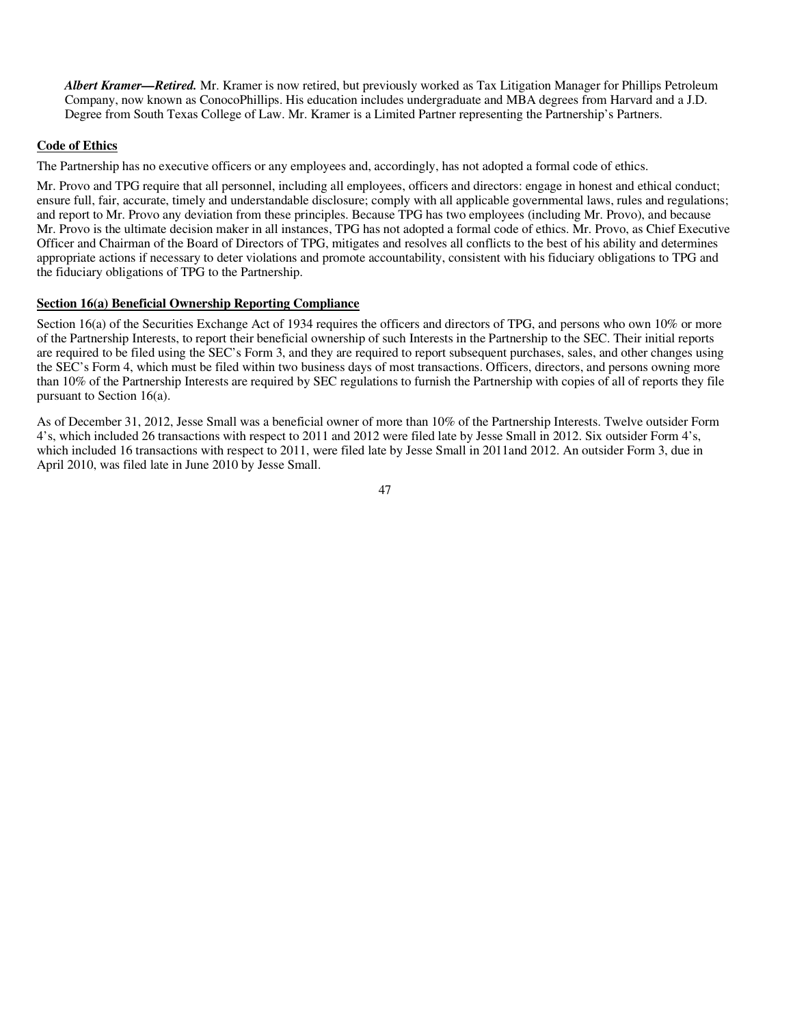*Albert Kramer—Retired.* Mr. Kramer is now retired, but previously worked as Tax Litigation Manager for Phillips Petroleum Company, now known as ConocoPhillips. His education includes undergraduate and MBA degrees from Harvard and a J.D. Degree from South Texas College of Law. Mr. Kramer is a Limited Partner representing the Partnership's Partners.

# **Code of Ethics**

The Partnership has no executive officers or any employees and, accordingly, has not adopted a formal code of ethics.

Mr. Provo and TPG require that all personnel, including all employees, officers and directors: engage in honest and ethical conduct; ensure full, fair, accurate, timely and understandable disclosure; comply with all applicable governmental laws, rules and regulations; and report to Mr. Provo any deviation from these principles. Because TPG has two employees (including Mr. Provo), and because Mr. Provo is the ultimate decision maker in all instances, TPG has not adopted a formal code of ethics. Mr. Provo, as Chief Executive Officer and Chairman of the Board of Directors of TPG, mitigates and resolves all conflicts to the best of his ability and determines appropriate actions if necessary to deter violations and promote accountability, consistent with his fiduciary obligations to TPG and the fiduciary obligations of TPG to the Partnership.

#### **Section 16(a) Beneficial Ownership Reporting Compliance**

Section 16(a) of the Securities Exchange Act of 1934 requires the officers and directors of TPG, and persons who own 10% or more of the Partnership Interests, to report their beneficial ownership of such Interests in the Partnership to the SEC. Their initial reports are required to be filed using the SEC's Form 3, and they are required to report subsequent purchases, sales, and other changes using the SEC's Form 4, which must be filed within two business days of most transactions. Officers, directors, and persons owning more than 10% of the Partnership Interests are required by SEC regulations to furnish the Partnership with copies of all of reports they file pursuant to Section 16(a).

As of December 31, 2012, Jesse Small was a beneficial owner of more than 10% of the Partnership Interests. Twelve outsider Form 4's, which included 26 transactions with respect to 2011 and 2012 were filed late by Jesse Small in 2012. Six outsider Form 4's, which included 16 transactions with respect to 2011, were filed late by Jesse Small in 2011and 2012. An outsider Form 3, due in April 2010, was filed late in June 2010 by Jesse Small.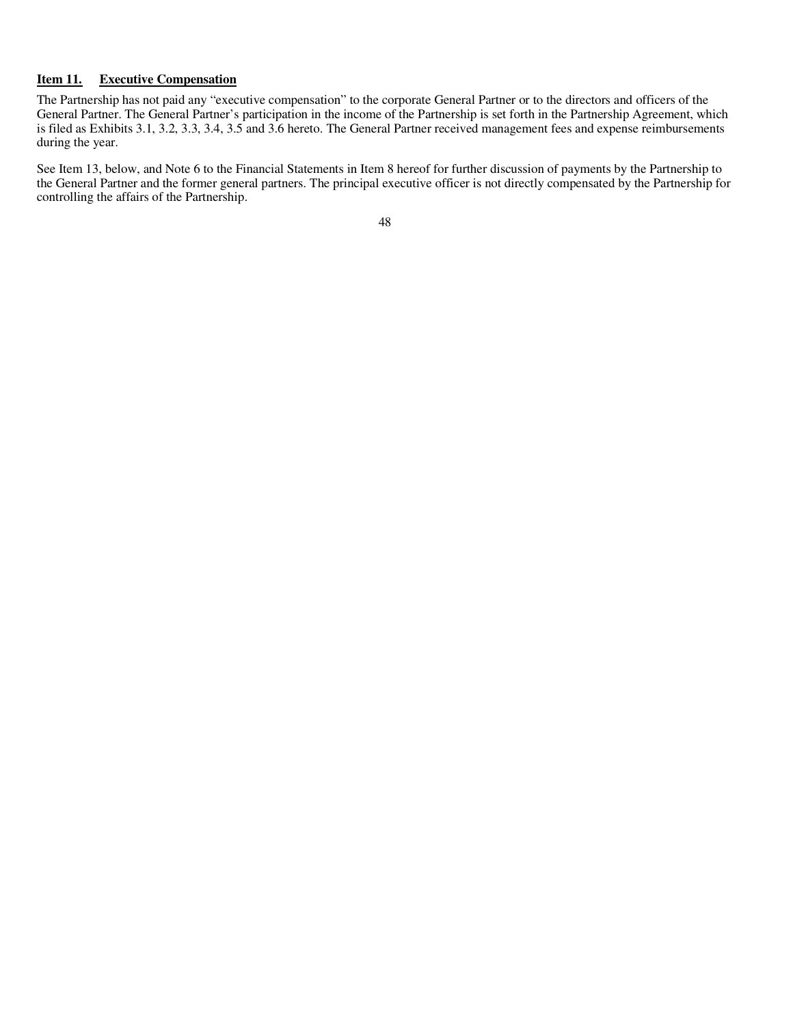#### **Item 11. Executive Compensation**

The Partnership has not paid any "executive compensation" to the corporate General Partner or to the directors and officers of the General Partner. The General Partner's participation in the income of the Partnership is set forth in the Partnership Agreement, which is filed as Exhibits 3.1, 3.2, 3.3, 3.4, 3.5 and 3.6 hereto. The General Partner received management fees and expense reimbursements during the year.

See Item 13, below, and Note 6 to the Financial Statements in Item 8 hereof for further discussion of payments by the Partnership to the General Partner and the former general partners. The principal executive officer is not directly compensated by the Partnership for controlling the affairs of the Partnership.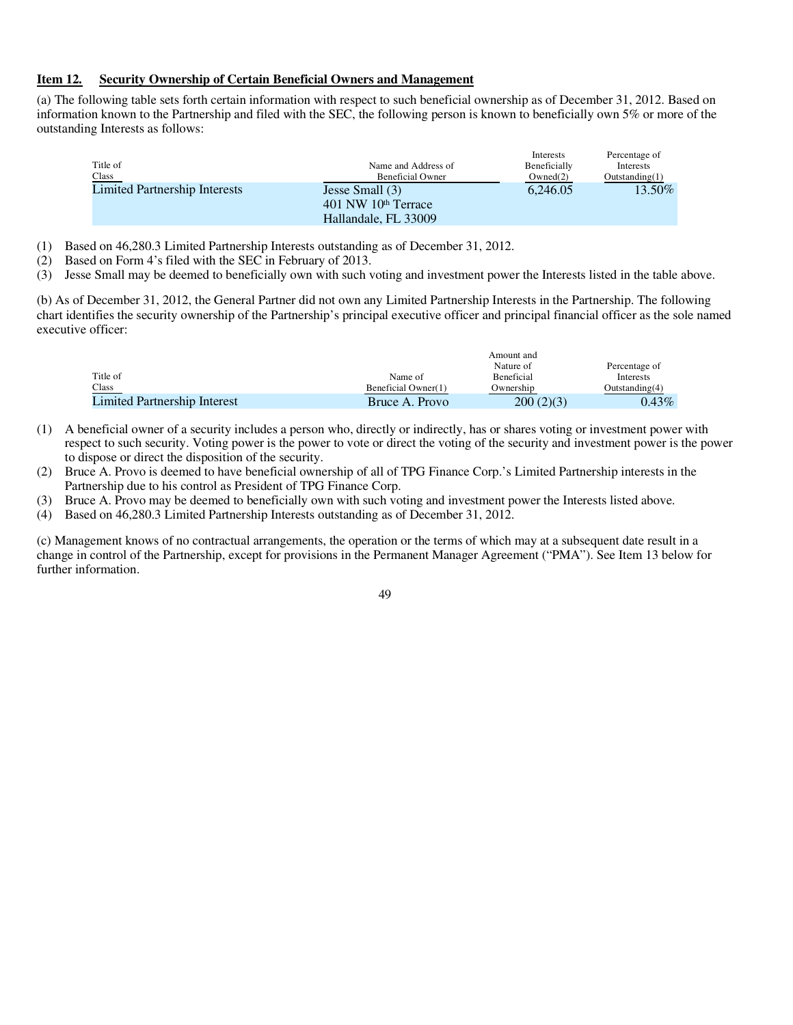#### **Item 12. Security Ownership of Certain Beneficial Owners and Management**

(a) The following table sets forth certain information with respect to such beneficial ownership as of December 31, 2012. Based on information known to the Partnership and filed with the SEC, the following person is known to beneficially own 5% or more of the outstanding Interests as follows:

|                               |                         | Interests    | Percentage of  |
|-------------------------------|-------------------------|--------------|----------------|
| Title of                      | Name and Address of     | Beneficially | Interests      |
| Class                         | Beneficial Owner        | Owned(2)     | Outstanding(1) |
| Limited Partnership Interests | Jesse Small (3)         | 6.246.05     | $13.50\%$      |
|                               | $401$ NW $10th$ Terrace |              |                |
|                               | Hallandale, FL 33009    |              |                |

- (1) Based on 46,280.3 Limited Partnership Interests outstanding as of December 31, 2012.
- (2) Based on Form 4's filed with the SEC in February of 2013.
- (3) Jesse Small may be deemed to beneficially own with such voting and investment power the Interests listed in the table above.

(b) As of December 31, 2012, the General Partner did not own any Limited Partnership Interests in the Partnership. The following chart identifies the security ownership of the Partnership's principal executive officer and principal financial officer as the sole named executive officer:

|                              |                     | Amount and        |                   |
|------------------------------|---------------------|-------------------|-------------------|
|                              |                     | Nature of         | Percentage of     |
| Title of                     | Name of             | <b>Beneficial</b> | Interests         |
| Class                        | Beneficial Owner(1) | Ownership         | Outstanding $(4)$ |
| Limited Partnership Interest | Bruce A. Provo      | 200(2)(3)         | $0.43\%$          |

- (1) A beneficial owner of a security includes a person who, directly or indirectly, has or shares voting or investment power with respect to such security. Voting power is the power to vote or direct the voting of the security and investment power is the power to dispose or direct the disposition of the security.
- (2) Bruce A. Provo is deemed to have beneficial ownership of all of TPG Finance Corp.'s Limited Partnership interests in the Partnership due to his control as President of TPG Finance Corp.
- (3) Bruce A. Provo may be deemed to beneficially own with such voting and investment power the Interests listed above.
- (4) Based on 46,280.3 Limited Partnership Interests outstanding as of December 31, 2012.

(c) Management knows of no contractual arrangements, the operation or the terms of which may at a subsequent date result in a change in control of the Partnership, except for provisions in the Permanent Manager Agreement ("PMA"). See Item 13 below for further information.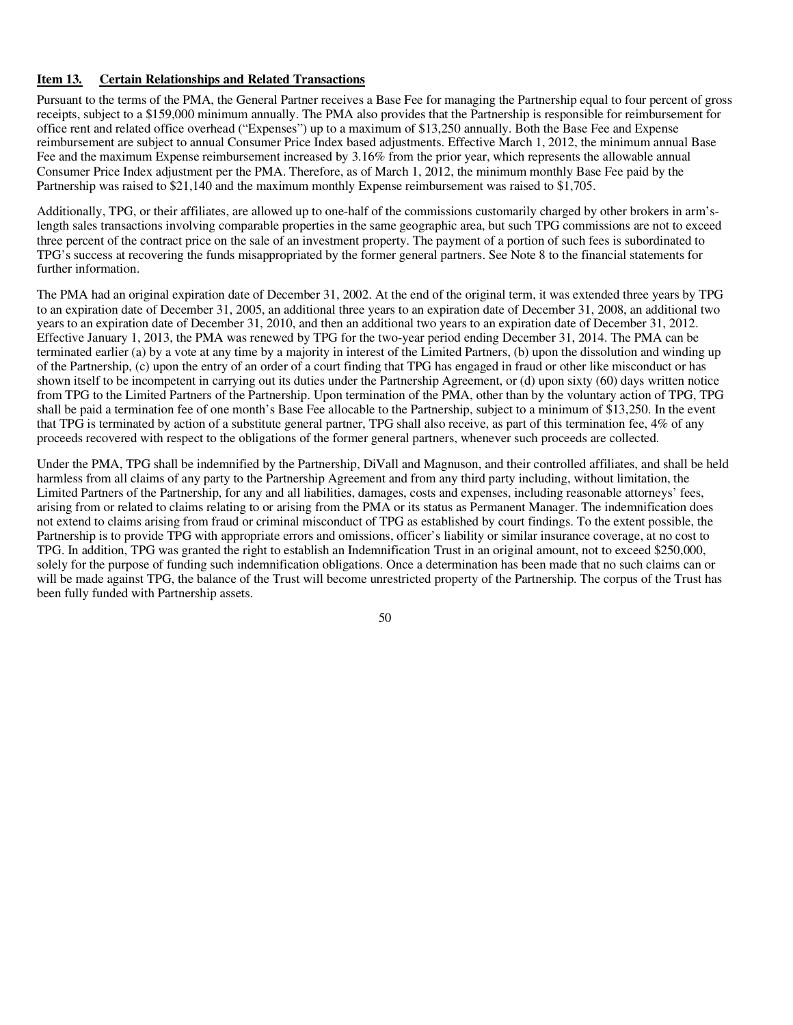### **Item 13. Certain Relationships and Related Transactions**

Pursuant to the terms of the PMA, the General Partner receives a Base Fee for managing the Partnership equal to four percent of gross receipts, subject to a \$159,000 minimum annually. The PMA also provides that the Partnership is responsible for reimbursement for office rent and related office overhead ("Expenses") up to a maximum of \$13,250 annually. Both the Base Fee and Expense reimbursement are subject to annual Consumer Price Index based adjustments. Effective March 1, 2012, the minimum annual Base Fee and the maximum Expense reimbursement increased by 3.16% from the prior year, which represents the allowable annual Consumer Price Index adjustment per the PMA. Therefore, as of March 1, 2012, the minimum monthly Base Fee paid by the Partnership was raised to \$21,140 and the maximum monthly Expense reimbursement was raised to \$1,705.

Additionally, TPG, or their affiliates, are allowed up to one-half of the commissions customarily charged by other brokers in arm'slength sales transactions involving comparable properties in the same geographic area, but such TPG commissions are not to exceed three percent of the contract price on the sale of an investment property. The payment of a portion of such fees is subordinated to TPG's success at recovering the funds misappropriated by the former general partners. See Note 8 to the financial statements for further information.

The PMA had an original expiration date of December 31, 2002. At the end of the original term, it was extended three years by TPG to an expiration date of December 31, 2005, an additional three years to an expiration date of December 31, 2008, an additional two years to an expiration date of December 31, 2010, and then an additional two years to an expiration date of December 31, 2012. Effective January 1, 2013, the PMA was renewed by TPG for the two-year period ending December 31, 2014. The PMA can be terminated earlier (a) by a vote at any time by a majority in interest of the Limited Partners, (b) upon the dissolution and winding up of the Partnership, (c) upon the entry of an order of a court finding that TPG has engaged in fraud or other like misconduct or has shown itself to be incompetent in carrying out its duties under the Partnership Agreement, or (d) upon sixty (60) days written notice from TPG to the Limited Partners of the Partnership. Upon termination of the PMA, other than by the voluntary action of TPG, TPG shall be paid a termination fee of one month's Base Fee allocable to the Partnership, subject to a minimum of \$13,250. In the event that TPG is terminated by action of a substitute general partner, TPG shall also receive, as part of this termination fee, 4% of any proceeds recovered with respect to the obligations of the former general partners, whenever such proceeds are collected.

Under the PMA, TPG shall be indemnified by the Partnership, DiVall and Magnuson, and their controlled affiliates, and shall be held harmless from all claims of any party to the Partnership Agreement and from any third party including, without limitation, the Limited Partners of the Partnership, for any and all liabilities, damages, costs and expenses, including reasonable attorneys' fees, arising from or related to claims relating to or arising from the PMA or its status as Permanent Manager. The indemnification does not extend to claims arising from fraud or criminal misconduct of TPG as established by court findings. To the extent possible, the Partnership is to provide TPG with appropriate errors and omissions, officer's liability or similar insurance coverage, at no cost to TPG. In addition, TPG was granted the right to establish an Indemnification Trust in an original amount, not to exceed \$250,000, solely for the purpose of funding such indemnification obligations. Once a determination has been made that no such claims can or will be made against TPG, the balance of the Trust will become unrestricted property of the Partnership. The corpus of the Trust has been fully funded with Partnership assets.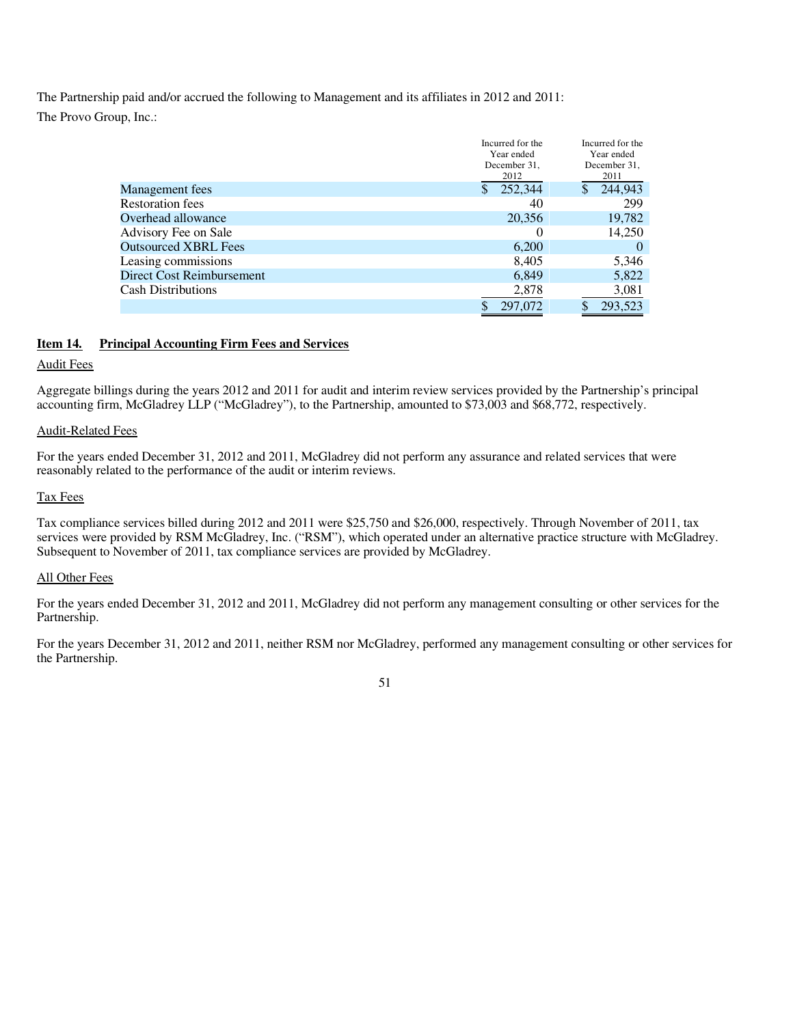The Partnership paid and/or accrued the following to Management and its affiliates in 2012 and 2011: The Provo Group, Inc.:

|                             | Incurred for the<br>Year ended | Incurred for the<br>Year ended |
|-----------------------------|--------------------------------|--------------------------------|
|                             | December 31.<br>2012           | December 31,<br>2011           |
| Management fees             | 252,344                        | 244,943<br><sup>S</sup>        |
| <b>Restoration fees</b>     | 40                             | 299                            |
| Overhead allowance          | 20,356                         | 19,782                         |
| Advisory Fee on Sale        | 0                              | 14,250                         |
| <b>Outsourced XBRL Fees</b> | 6,200                          | $\theta$                       |
| Leasing commissions         | 8,405                          | 5,346                          |
| Direct Cost Reimbursement   | 6,849                          | 5,822                          |
| Cash Distributions          | 2,878                          | 3,081                          |
|                             | 297,072                        | 293,523                        |

#### **Item 14. Principal Accounting Firm Fees and Services**

# Audit Fees

Aggregate billings during the years 2012 and 2011 for audit and interim review services provided by the Partnership's principal accounting firm, McGladrey LLP ("McGladrey"), to the Partnership, amounted to \$73,003 and \$68,772, respectively.

#### Audit-Related Fees

For the years ended December 31, 2012 and 2011, McGladrey did not perform any assurance and related services that were reasonably related to the performance of the audit or interim reviews.

#### Tax Fees

Tax compliance services billed during 2012 and 2011 were \$25,750 and \$26,000, respectively. Through November of 2011, tax services were provided by RSM McGladrey, Inc. ("RSM"), which operated under an alternative practice structure with McGladrey. Subsequent to November of 2011, tax compliance services are provided by McGladrey.

#### All Other Fees

For the years ended December 31, 2012 and 2011, McGladrey did not perform any management consulting or other services for the Partnership.

For the years December 31, 2012 and 2011, neither RSM nor McGladrey, performed any management consulting or other services for the Partnership.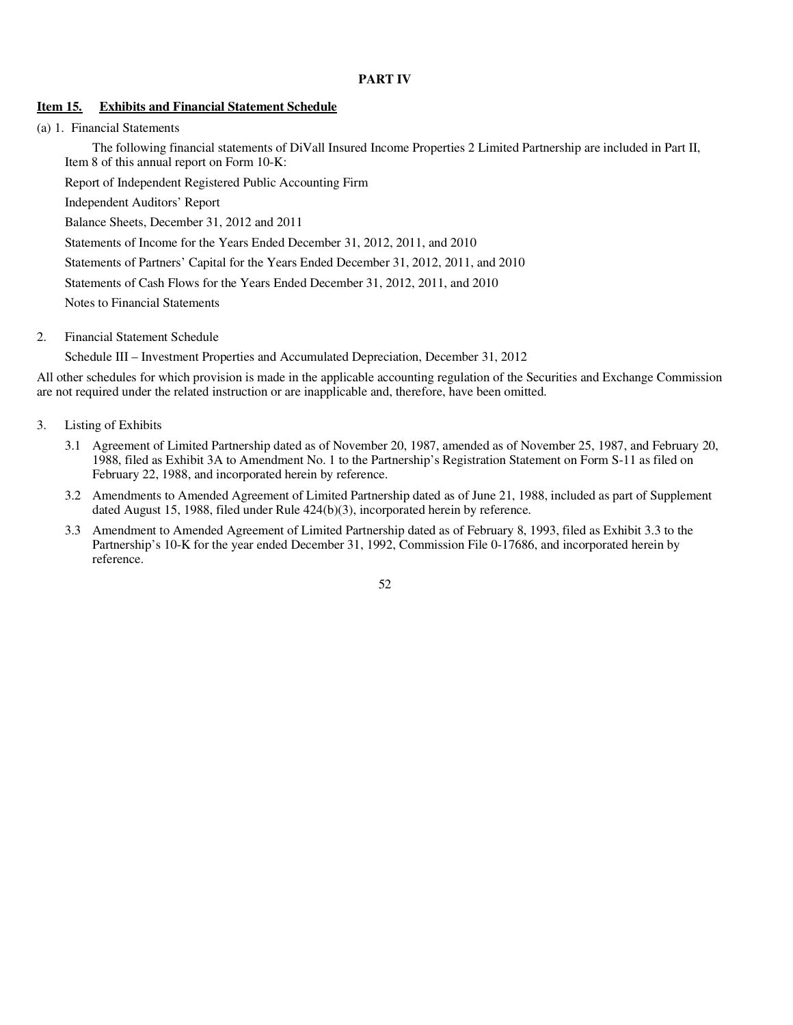#### **PART IV**

#### **Item 15. Exhibits and Financial Statement Schedule**

(a) 1. Financial Statements

The following financial statements of DiVall Insured Income Properties 2 Limited Partnership are included in Part II, Item 8 of this annual report on Form 10-K:

Report of Independent Registered Public Accounting Firm

Independent Auditors' Report

Balance Sheets, December 31, 2012 and 2011

Statements of Income for the Years Ended December 31, 2012, 2011, and 2010

Statements of Partners' Capital for the Years Ended December 31, 2012, 2011, and 2010

Statements of Cash Flows for the Years Ended December 31, 2012, 2011, and 2010

Notes to Financial Statements

2. Financial Statement Schedule

Schedule III – Investment Properties and Accumulated Depreciation, December 31, 2012

All other schedules for which provision is made in the applicable accounting regulation of the Securities and Exchange Commission are not required under the related instruction or are inapplicable and, therefore, have been omitted.

- 3. Listing of Exhibits
	- 3.1 Agreement of Limited Partnership dated as of November 20, 1987, amended as of November 25, 1987, and February 20, 1988, filed as Exhibit 3A to Amendment No. 1 to the Partnership's Registration Statement on Form S-11 as filed on February 22, 1988, and incorporated herein by reference.
	- 3.2 Amendments to Amended Agreement of Limited Partnership dated as of June 21, 1988, included as part of Supplement dated August 15, 1988, filed under Rule 424(b)(3), incorporated herein by reference.
	- 3.3 Amendment to Amended Agreement of Limited Partnership dated as of February 8, 1993, filed as Exhibit 3.3 to the Partnership's 10-K for the year ended December 31, 1992, Commission File 0-17686, and incorporated herein by reference.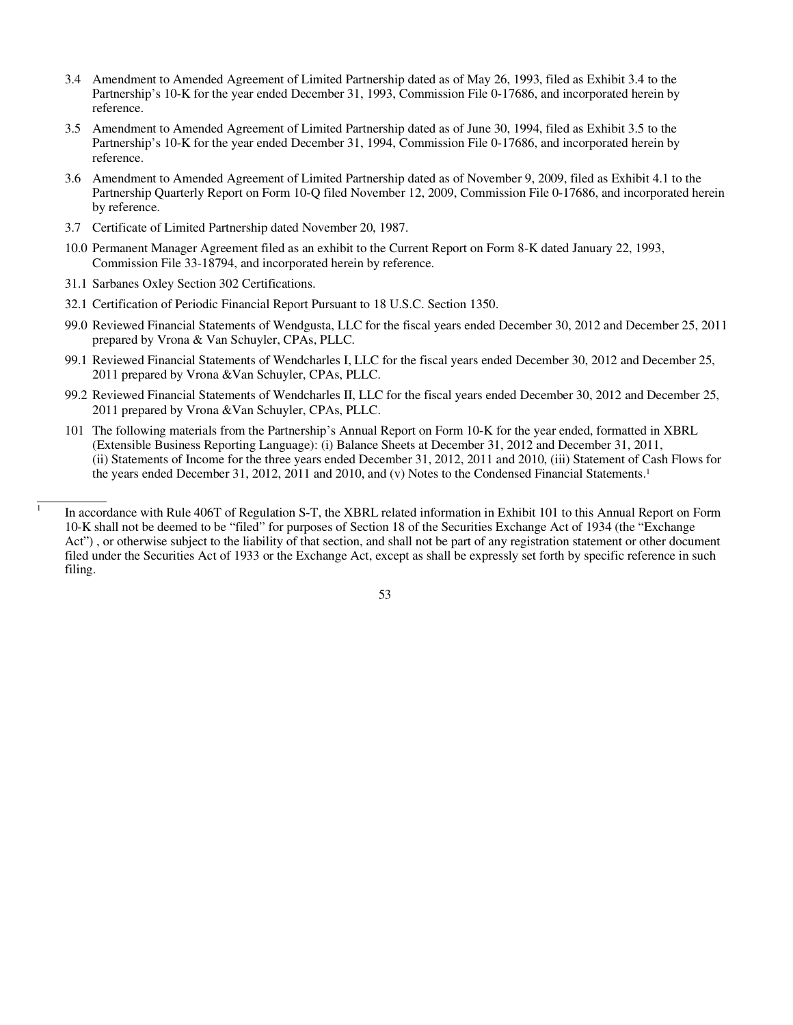- 3.4 Amendment to Amended Agreement of Limited Partnership dated as of May 26, 1993, filed as Exhibit 3.4 to the Partnership's 10-K for the year ended December 31, 1993, Commission File 0-17686, and incorporated herein by reference.
- 3.5 Amendment to Amended Agreement of Limited Partnership dated as of June 30, 1994, filed as Exhibit 3.5 to the Partnership's 10-K for the year ended December 31, 1994, Commission File 0-17686, and incorporated herein by reference.
- 3.6 Amendment to Amended Agreement of Limited Partnership dated as of November 9, 2009, filed as Exhibit 4.1 to the Partnership Quarterly Report on Form 10-Q filed November 12, 2009, Commission File 0-17686, and incorporated herein by reference.
- 3.7 Certificate of Limited Partnership dated November 20, 1987.
- 10.0 Permanent Manager Agreement filed as an exhibit to the Current Report on Form 8-K dated January 22, 1993, Commission File 33-18794, and incorporated herein by reference.
- 31.1 Sarbanes Oxley Section 302 Certifications.

- 32.1 Certification of Periodic Financial Report Pursuant to 18 U.S.C. Section 1350.
- 99.0 Reviewed Financial Statements of Wendgusta, LLC for the fiscal years ended December 30, 2012 and December 25, 2011 prepared by Vrona & Van Schuyler, CPAs, PLLC.
- 99.1 Reviewed Financial Statements of Wendcharles I, LLC for the fiscal years ended December 30, 2012 and December 25, 2011 prepared by Vrona &Van Schuyler, CPAs, PLLC.
- 99.2 Reviewed Financial Statements of Wendcharles II, LLC for the fiscal years ended December 30, 2012 and December 25, 2011 prepared by Vrona &Van Schuyler, CPAs, PLLC.
- 101 The following materials from the Partnership's Annual Report on Form 10-K for the year ended, formatted in XBRL (Extensible Business Reporting Language): (i) Balance Sheets at December 31, 2012 and December 31, 2011, (ii) Statements of Income for the three years ended December 31, 2012, 2011 and 2010, (iii) Statement of Cash Flows for the years ended December 31, 2012, 2011 and 2010, and (v) Notes to the Condensed Financial Statements. 1

In accordance with Rule 406T of Regulation S-T, the XBRL related information in Exhibit 101 to this Annual Report on Form 10-K shall not be deemed to be "filed" for purposes of Section 18 of the Securities Exchange Act of 1934 (the "Exchange Act") , or otherwise subject to the liability of that section, and shall not be part of any registration statement or other document filed under the Securities Act of 1933 or the Exchange Act, except as shall be expressly set forth by specific reference in such filing.

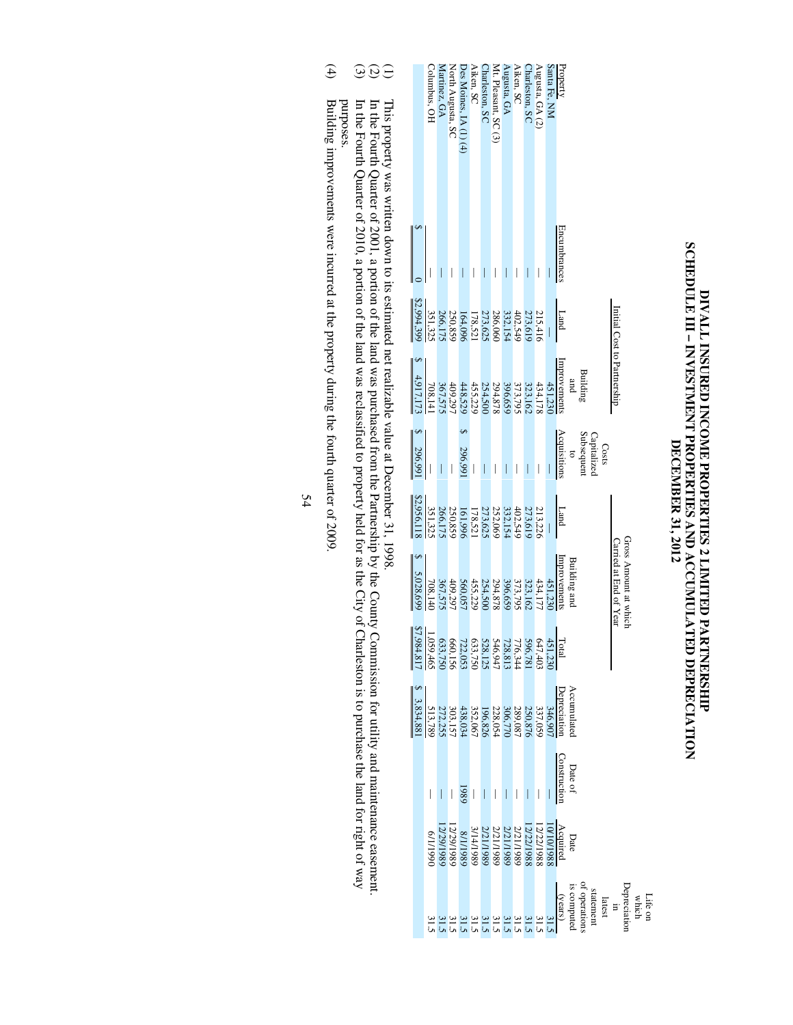# DIVALL INSURD INCOME PROPERTIES 2 LIMITED PARTNERSHIP<br>SCHEDULE III – INVESTMENT PROPERTIES 2 LIMITED PARTNERSHIP **SCHEDULE III – INVESTMENT PROPERTIES AND ACCUMULATED DEPRECIATION DIVALL INSURED INCOME PROPERTIES 2 LIMITED PARTNERSHIP DECEMBER 31, 2012 DECEMBER 31, 2012**

|                                                                                                                                                                                                                                                                                                                                                                                         |                         | \$3,834,881 | 5,028,69                                                      | \$2,956,118                                                                | \$296,991                 | \$4,917,17.                                                    | \$2,994,399                                                               |              |                         |
|-----------------------------------------------------------------------------------------------------------------------------------------------------------------------------------------------------------------------------------------------------------------------------------------------------------------------------------------------------------------------------------------|-------------------------|-------------|---------------------------------------------------------------|----------------------------------------------------------------------------|---------------------------|----------------------------------------------------------------|---------------------------------------------------------------------------|--------------|-------------------------|
|                                                                                                                                                                                                                                                                                                                                                                                         |                         |             | 708,14                                                        |                                                                            |                           | 708,14                                                         |                                                                           |              | Columbus, OH            |
|                                                                                                                                                                                                                                                                                                                                                                                         |                         |             |                                                               |                                                                            |                           | 367,575                                                        |                                                                           |              | Martinez, GA            |
|                                                                                                                                                                                                                                                                                                                                                                                         |                         |             |                                                               |                                                                            |                           |                                                                |                                                                           |              | North Augusta, SC       |
|                                                                                                                                                                                                                                                                                                                                                                                         |                         |             |                                                               |                                                                            | 296,99                    |                                                                |                                                                           |              | Des Moines, IA $(1)(4)$ |
|                                                                                                                                                                                                                                                                                                                                                                                         |                         |             | 323,162<br>373,795<br>294,878<br>26,529<br>409,297<br>367,575 | 213,519<br>273,512,769<br>273,773,625<br>273,773,525<br>26,172<br>26,1,325 |                           | 434,178<br>373,162<br>373,795<br>294,878<br>409,297<br>409,297 | 215,419<br>273,519<br>286,060<br>273,625<br>27,525<br>26,1,225<br>251,225 |              | Aiken, SC               |
|                                                                                                                                                                                                                                                                                                                                                                                         |                         |             |                                                               |                                                                            |                           |                                                                |                                                                           |              | Charleston, SC          |
|                                                                                                                                                                                                                                                                                                                                                                                         |                         |             |                                                               |                                                                            |                           |                                                                |                                                                           |              | Mt. Pleasant, SC (3)    |
|                                                                                                                                                                                                                                                                                                                                                                                         |                         |             |                                                               |                                                                            |                           |                                                                |                                                                           |              | Augusta, GA             |
|                                                                                                                                                                                                                                                                                                                                                                                         |                         |             |                                                               |                                                                            | $\bigg $                  |                                                                |                                                                           |              | Aiken, SC               |
|                                                                                                                                                                                                                                                                                                                                                                                         |                         |             |                                                               |                                                                            |                           |                                                                |                                                                           |              | Charleston, SC          |
|                                                                                                                                                                                                                                                                                                                                                                                         |                         |             | 434,17                                                        |                                                                            |                           |                                                                |                                                                           |              | Augusta, GA (2)         |
| $\begin{array}{l} \text{Dec} \\ \text{100011} \\ \text{1011} \\ \text{1011} \\ \text{1011} \\ \text{1011} \\ \text{1011} \\ \text{1011} \\ \text{1011} \\ \text{1011} \\ \text{1011} \\ \text{1011} \\ \text{1011} \\ \text{1011} \\ \text{1011} \\ \text{1011} \\ \text{1011} \\ \text{1011} \\ \text{1011} \\ \text{1011} \\ \text{1011} \\ \text{1011} \\ \text{1011} \\ \text{1011$ |                         |             | 451,23                                                        |                                                                            |                           | 451,23                                                         |                                                                           |              | Santa Fe, NM            |
|                                                                                                                                                                                                                                                                                                                                                                                         | Date of<br>Construction |             | Building and<br>Improvements                                  | Land                                                                       | Acquisition               | Improvement                                                    | Land                                                                      | Encumbrances | Property                |
|                                                                                                                                                                                                                                                                                                                                                                                         |                         |             |                                                               |                                                                            | $\overline{c}$            |                                                                |                                                                           |              |                         |
|                                                                                                                                                                                                                                                                                                                                                                                         |                         |             |                                                               |                                                                            | Capitalized<br>Subsequent | Building<br>and                                                |                                                                           |              |                         |
|                                                                                                                                                                                                                                                                                                                                                                                         |                         |             |                                                               |                                                                            |                           |                                                                |                                                                           |              |                         |
|                                                                                                                                                                                                                                                                                                                                                                                         |                         |             |                                                               |                                                                            | Costs                     |                                                                |                                                                           |              |                         |
|                                                                                                                                                                                                                                                                                                                                                                                         |                         |             | Gross Amount at which<br>Carried at End of Year               |                                                                            |                           | Initial Cost to Partnership                                    |                                                                           |              |                         |
|                                                                                                                                                                                                                                                                                                                                                                                         |                         |             |                                                               |                                                                            |                           |                                                                |                                                                           |              |                         |
|                                                                                                                                                                                                                                                                                                                                                                                         |                         |             |                                                               |                                                                            |                           |                                                                |                                                                           |              |                         |

This property was written down to its estimated net realizable value at December 31, 1998.

- $\ominus$   $\ominus$ This property was writen down to its estimated net realizable value at December 31, 1998.<br>In the Fourth Quarter of 2001, a portion of the land was purchased from the Partnership by the County Commission for utility and mai In the Fourth Quarter of 2010, a portion of the land was reclassified to property held for as the City of Charleston is to purchase the land for right of way In the Fourth Quarter of 2001, a portion of the land was purchased from the Partnership by the County Commission for utility and maintenance easement.
- purposes. purposes.

Building improvements were incurred at the property during the fourth quarter of 2009.

Building improvements were incurred at the property during the fourth quarter of 2009.

(4)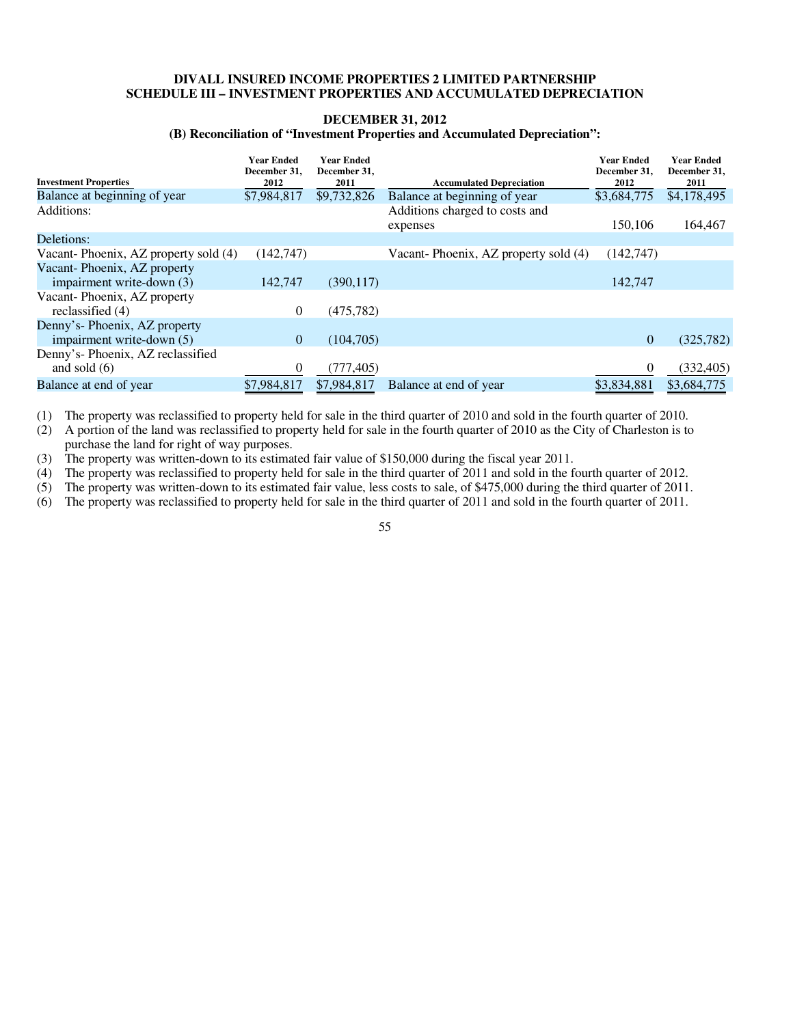#### **DIVALL INSURED INCOME PROPERTIES 2 LIMITED PARTNERSHIP SCHEDULE III – INVESTMENT PROPERTIES AND ACCUMULATED DEPRECIATION**

#### **DECEMBER 31, 2012**

#### **(B) Reconciliation of "Investment Properties and Accumulated Depreciation":**

|                                      | <b>Year Ended</b><br>December 31, | <b>Year Ended</b><br>December 31, |                                      | <b>Year Ended</b><br>December 31, | <b>Year Ended</b><br>December 31, |
|--------------------------------------|-----------------------------------|-----------------------------------|--------------------------------------|-----------------------------------|-----------------------------------|
| <b>Investment Properties</b>         | 2012                              | 2011                              | <b>Accumulated Depreciation</b>      | 2012                              | 2011                              |
| Balance at beginning of year         | \$7,984,817                       | \$9,732,826                       | Balance at beginning of year         | \$3,684,775                       | \$4,178,495                       |
| Additions:                           |                                   |                                   | Additions charged to costs and       |                                   |                                   |
|                                      |                                   |                                   | expenses                             | 150.106                           | 164,467                           |
| Deletions:                           |                                   |                                   |                                      |                                   |                                   |
| Vacant-Phoenix, AZ property sold (4) | (142, 747)                        |                                   | Vacant-Phoenix, AZ property sold (4) | (142,747)                         |                                   |
| Vacant-Phoenix, AZ property          |                                   |                                   |                                      |                                   |                                   |
| impairment write-down (3)            | 142,747                           | (390, 117)                        |                                      | 142,747                           |                                   |
| Vacant-Phoenix, AZ property          |                                   |                                   |                                      |                                   |                                   |
| reclassified (4)                     | $\mathbf{0}$                      | (475, 782)                        |                                      |                                   |                                   |
| Denny's- Phoenix, AZ property        |                                   |                                   |                                      |                                   |                                   |
| impairment write-down (5)            | $\overline{0}$                    | (104,705)                         |                                      | $\theta$                          | (325, 782)                        |
| Denny's-Phoenix, AZ reclassified     |                                   |                                   |                                      |                                   |                                   |
| and sold $(6)$                       | $\theta$                          | (777,405)                         |                                      | $\Omega$                          | (332,405)                         |
| Balance at end of year               | \$7,984,817                       | \$7,984,817                       | Balance at end of year               | \$3,834,881                       | \$3,684,775                       |

(1) The property was reclassified to property held for sale in the third quarter of 2010 and sold in the fourth quarter of 2010.

(2) A portion of the land was reclassified to property held for sale in the fourth quarter of 2010 as the City of Charleston is to purchase the land for right of way purposes.

(3) The property was written-down to its estimated fair value of \$150,000 during the fiscal year 2011.

(4) The property was reclassified to property held for sale in the third quarter of 2011 and sold in the fourth quarter of 2012.

(5) The property was written-down to its estimated fair value, less costs to sale, of \$475,000 during the third quarter of 2011.

(6) The property was reclassified to property held for sale in the third quarter of 2011 and sold in the fourth quarter of 2011.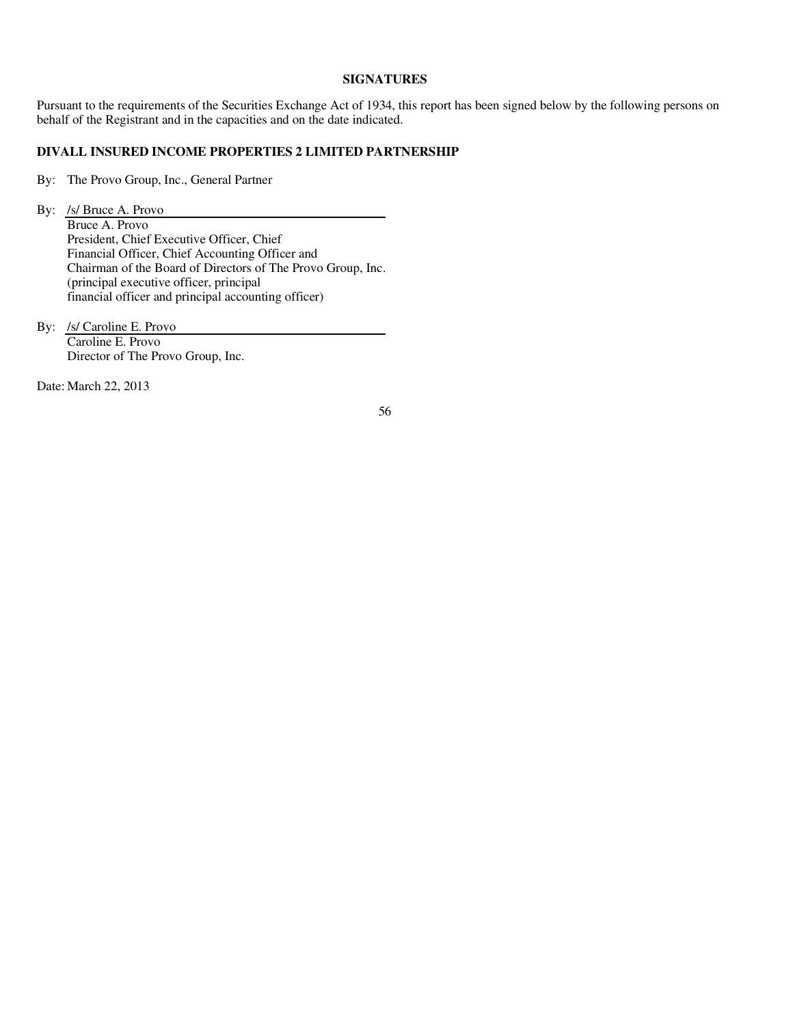#### **SIGNATURES**

Pursuant to the requirements of the Securities Exchange Act of 1934, this report has been signed below by the following persons on behalf of the Registrant and in the capacities and on the date indicated.

#### **DIVALL INSURED INCOME PROPERTIES 2 LIMITED PARTNERSHIP**

By: The Provo Group, Inc., General Partner

By: /s/ Bruce A. Provo

Bruce A. Provo President, Chief Executive Officer, Chief Financial Officer, Chief Accounting Officer and Chairman of the Board of Directors of The Provo Group, Inc. (principal executive officer, principal financial officer and principal accounting officer)

By: /s/ Caroline E. Provo Caroline E. Provo Director of The Provo Group, Inc.

Date: March 22, 2013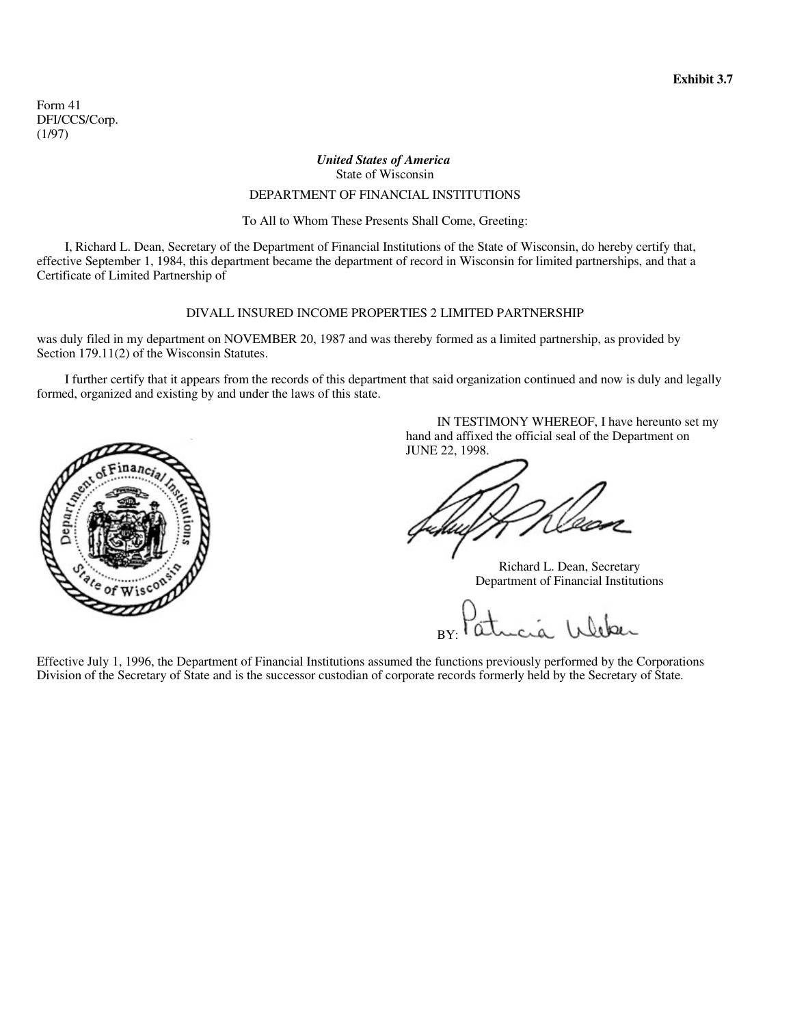Form 41 DFI/CCS/Corp. (1/97)

# *United States of America*  State of Wisconsin

# DEPARTMENT OF FINANCIAL INSTITUTIONS

#### To All to Whom These Presents Shall Come, Greeting:

I, Richard L. Dean, Secretary of the Department of Financial Institutions of the State of Wisconsin, do hereby certify that, effective September 1, 1984, this department became the department of record in Wisconsin for limited partnerships, and that a Certificate of Limited Partnership of

### DIVALL INSURED INCOME PROPERTIES 2 LIMITED PARTNERSHIP

was duly filed in my department on NOVEMBER 20, 1987 and was thereby formed as a limited partnership, as provided by Section 179.11(2) of the Wisconsin Statutes.

I further certify that it appears from the records of this department that said organization continued and now is duly and legally formed, organized and existing by and under the laws of this state.



IN TESTIMONY WHEREOF, I have hereunto set my hand and affixed the official seal of the Department on JUNE 22, 1998.

Richard L. Dean, Secretary Department of Financial Institutions

BY:

Effective July 1, 1996, the Department of Financial Institutions assumed the functions previously performed by the Corporations Division of the Secretary of State and is the successor custodian of corporate records formerly held by the Secretary of State.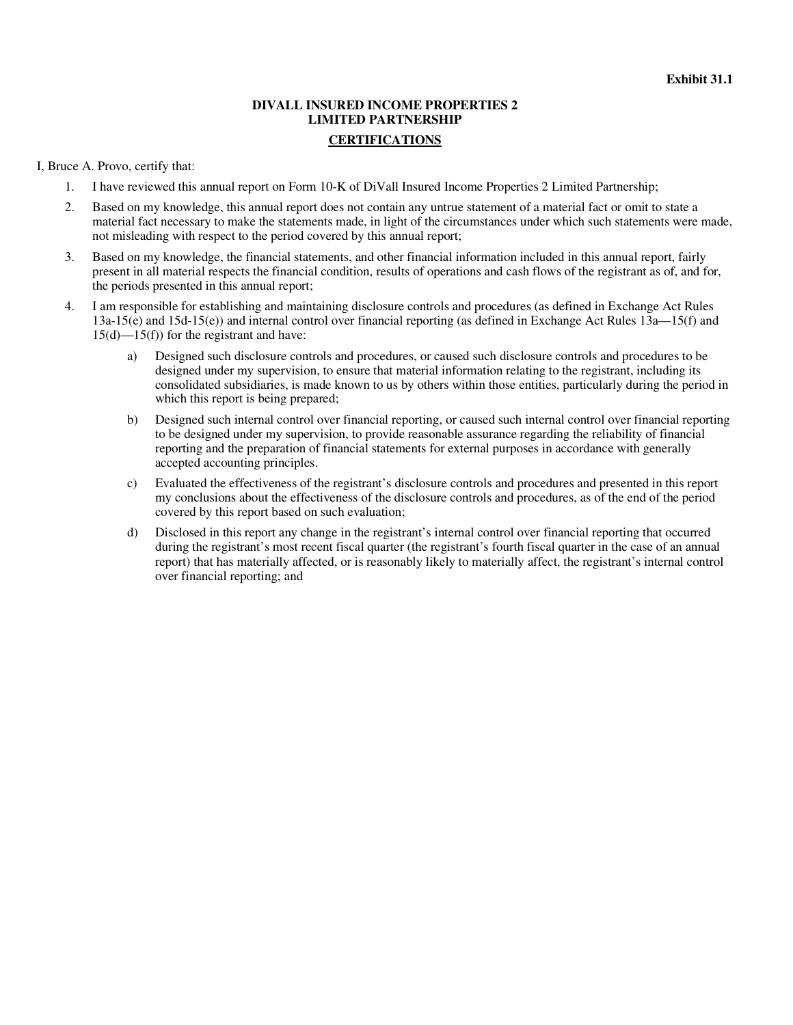# **DIVALL INSURED INCOME PROPERTIES 2 LIMITED PARTNERSHIP CERTIFICATIONS**

#### I, Bruce A. Provo, certify that:

- 1. I have reviewed this annual report on Form 10-K of DiVall Insured Income Properties 2 Limited Partnership;
- 2. Based on my knowledge, this annual report does not contain any untrue statement of a material fact or omit to state a material fact necessary to make the statements made, in light of the circumstances under which such statements were made, not misleading with respect to the period covered by this annual report;
- 3. Based on my knowledge, the financial statements, and other financial information included in this annual report, fairly present in all material respects the financial condition, results of operations and cash flows of the registrant as of, and for, the periods presented in this annual report;
- 4. I am responsible for establishing and maintaining disclosure controls and procedures (as defined in Exchange Act Rules 13a-15(e) and 15d-15(e)) and internal control over financial reporting (as defined in Exchange Act Rules 13a—15(f) and  $15(d)$ — $15(f)$ ) for the registrant and have:
	- a) Designed such disclosure controls and procedures, or caused such disclosure controls and procedures to be designed under my supervision, to ensure that material information relating to the registrant, including its consolidated subsidiaries, is made known to us by others within those entities, particularly during the period in which this report is being prepared;
	- b) Designed such internal control over financial reporting, or caused such internal control over financial reporting to be designed under my supervision, to provide reasonable assurance regarding the reliability of financial reporting and the preparation of financial statements for external purposes in accordance with generally accepted accounting principles.
	- c) Evaluated the effectiveness of the registrant's disclosure controls and procedures and presented in this report my conclusions about the effectiveness of the disclosure controls and procedures, as of the end of the period covered by this report based on such evaluation;
	- d) Disclosed in this report any change in the registrant's internal control over financial reporting that occurred during the registrant's most recent fiscal quarter (the registrant's fourth fiscal quarter in the case of an annual report) that has materially affected, or is reasonably likely to materially affect, the registrant's internal control over financial reporting; and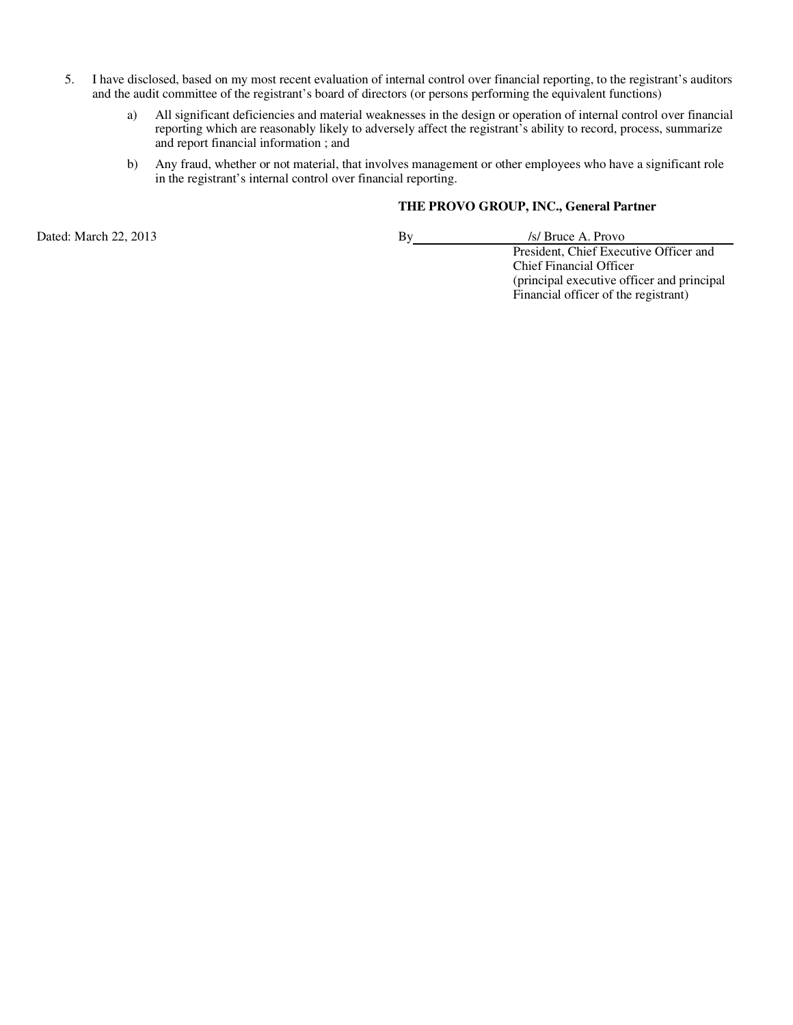- 5. I have disclosed, based on my most recent evaluation of internal control over financial reporting, to the registrant's auditors and the audit committee of the registrant's board of directors (or persons performing the equivalent functions)
	- a) All significant deficiencies and material weaknesses in the design or operation of internal control over financial reporting which are reasonably likely to adversely affect the registrant's ability to record, process, summarize and report financial information ; and
	- b) Any fraud, whether or not material, that involves management or other employees who have a significant role in the registrant's internal control over financial reporting.

# **THE PROVO GROUP, INC., General Partner**

Dated: March 22, 2013 By /s/ Bruce A. Provo

President, Chief Executive Officer and Chief Financial Officer (principal executive officer and principal Financial officer of the registrant)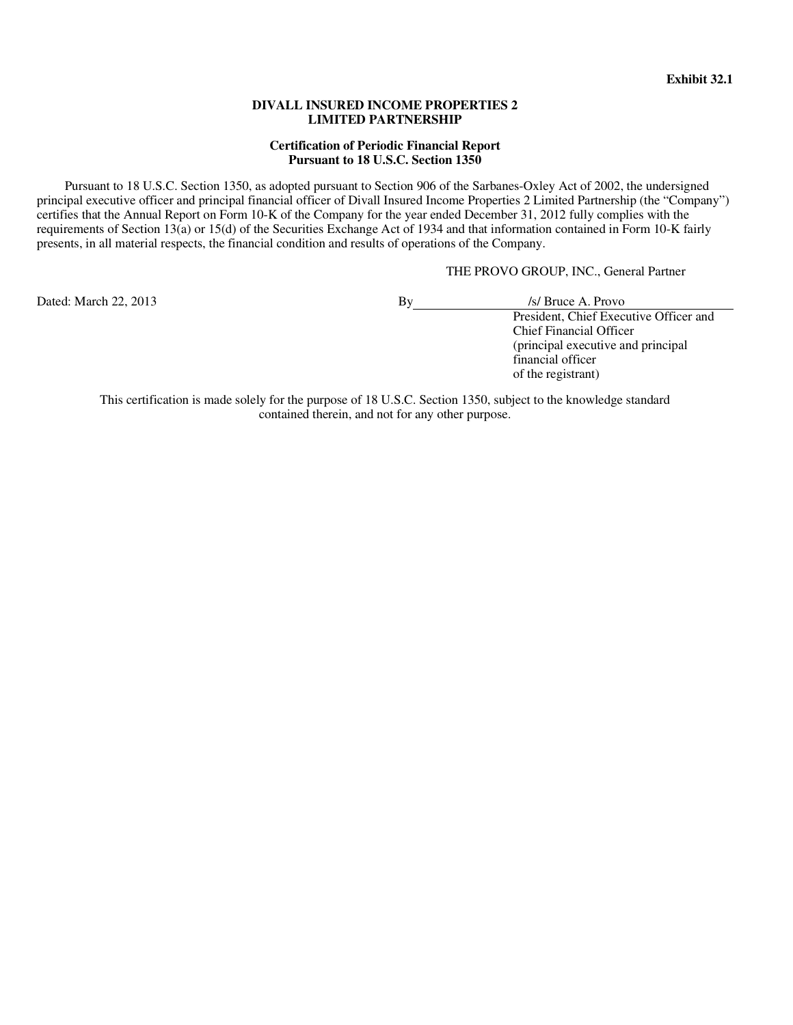#### **DIVALL INSURED INCOME PROPERTIES 2 LIMITED PARTNERSHIP**

#### **Certification of Periodic Financial Report Pursuant to 18 U.S.C. Section 1350**

Pursuant to 18 U.S.C. Section 1350, as adopted pursuant to Section 906 of the Sarbanes-Oxley Act of 2002, the undersigned principal executive officer and principal financial officer of Divall Insured Income Properties 2 Limited Partnership (the "Company") certifies that the Annual Report on Form 10-K of the Company for the year ended December 31, 2012 fully complies with the requirements of Section 13(a) or 15(d) of the Securities Exchange Act of 1934 and that information contained in Form 10-K fairly presents, in all material respects, the financial condition and results of operations of the Company.

THE PROVO GROUP, INC., General Partner

Dated: March 22, 2013 By /s/ Bruce A. Provo

President, Chief Executive Officer and Chief Financial Officer (principal executive and principal financial officer of the registrant)

This certification is made solely for the purpose of 18 U.S.C. Section 1350, subject to the knowledge standard contained therein, and not for any other purpose.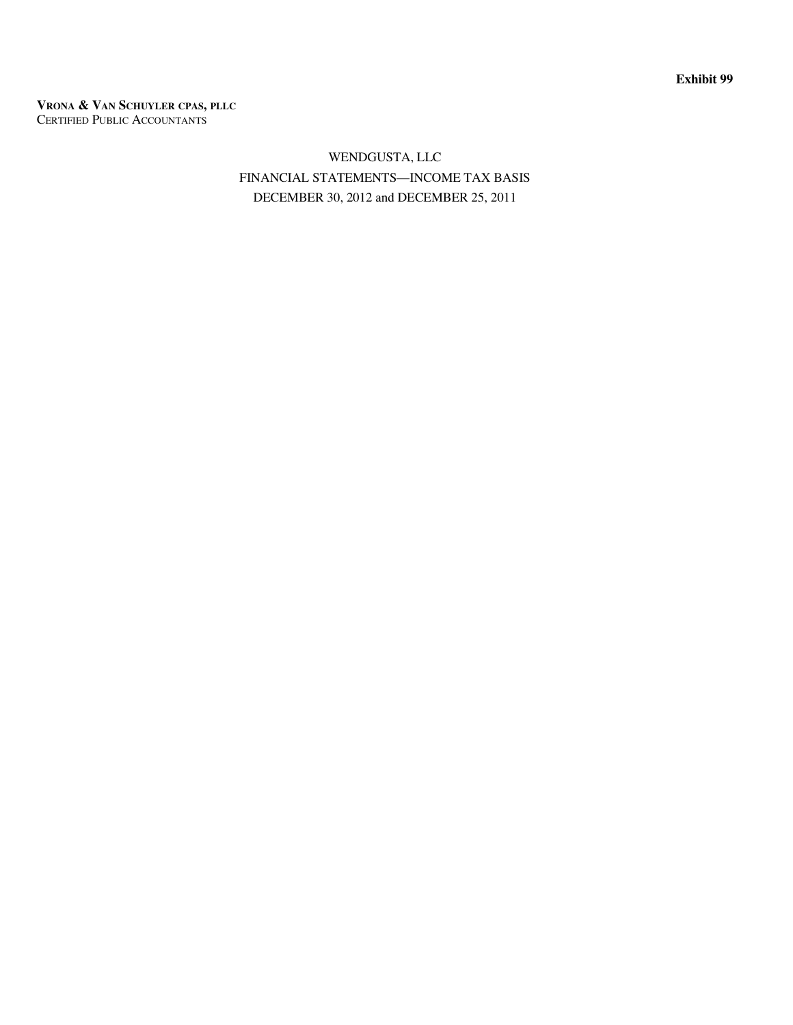**VRONA & VAN SCHUYLER CPAS, PLLC** CERTIFIED PUBLIC ACCOUNTANTS

# WENDGUSTA, LLC FINANCIAL STATEMENTS—INCOME TAX BASIS DECEMBER 30, 2012 and DECEMBER 25, 2011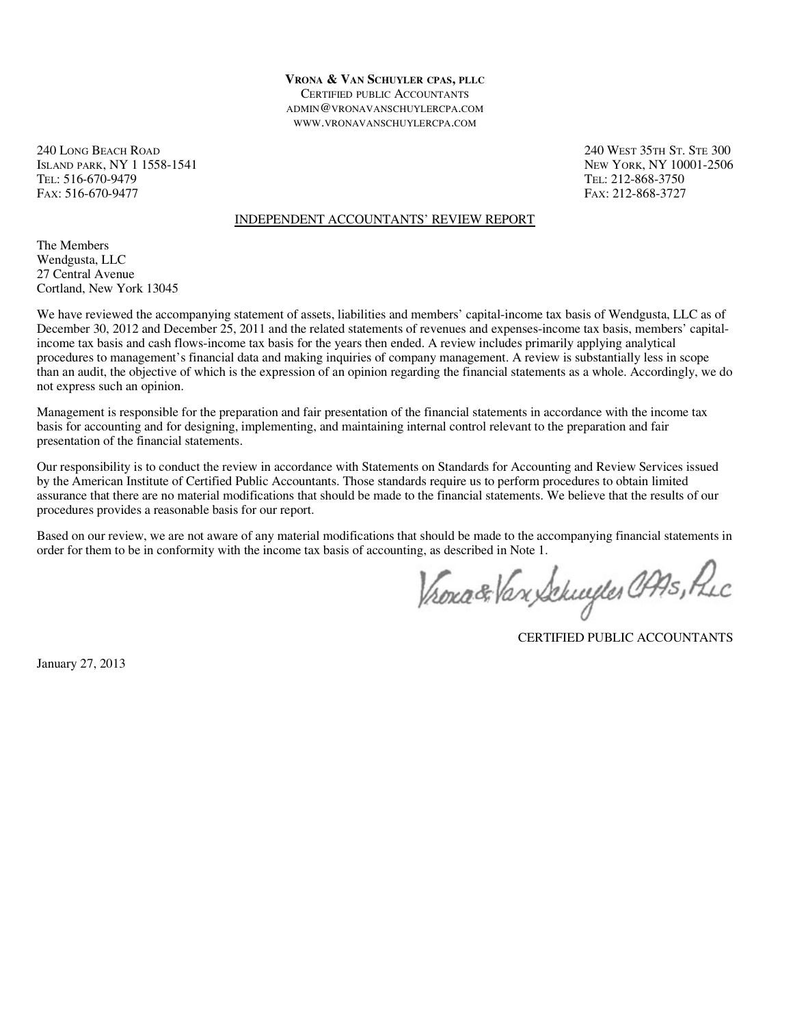#### **VRONA & VAN SCHUYLER CPAS, PLLC** CERTIFIED PUBLIC ACCOUNTANTS ADMIN@VRONAVANSCHUYLERCPA.COM WWW.VRONAVANSCHUYLERCPA.COM

240 LONG BEACH ROAD 2506 2000 25 240 WEST 35TH ST. STE 300<br>1990 120001-2506 240 WEST 35TH ST. STE 3000 2506 ISLAND PARK, NY 1 1558-1541 NEW YORK, NY 10001-2506 TEL: 516-670-9479<br>Fax: 516-670-9477

FAX: 212-868-3727

### INDEPENDENT ACCOUNTANTS' REVIEW REPORT

The Members Wendgusta, LLC 27 Central Avenue Cortland, New York 13045

We have reviewed the accompanying statement of assets, liabilities and members' capital-income tax basis of Wendgusta, LLC as of December 30, 2012 and December 25, 2011 and the related statements of revenues and expenses-income tax basis, members' capitalincome tax basis and cash flows-income tax basis for the years then ended. A review includes primarily applying analytical procedures to management's financial data and making inquiries of company management. A review is substantially less in scope than an audit, the objective of which is the expression of an opinion regarding the financial statements as a whole. Accordingly, we do not express such an opinion.

Management is responsible for the preparation and fair presentation of the financial statements in accordance with the income tax basis for accounting and for designing, implementing, and maintaining internal control relevant to the preparation and fair presentation of the financial statements.

Our responsibility is to conduct the review in accordance with Statements on Standards for Accounting and Review Services issued by the American Institute of Certified Public Accountants. Those standards require us to perform procedures to obtain limited assurance that there are no material modifications that should be made to the financial statements. We believe that the results of our procedures provides a reasonable basis for our report.

Based on our review, we are not aware of any material modifications that should be made to the accompanying financial statements in order for them to be in conformity with the income tax basis of accounting, as described in Note 1.

Vroxa&Vax Schuyles CAAs, Puc

CERTIFIED PUBLIC ACCOUNTANTS

January 27, 2013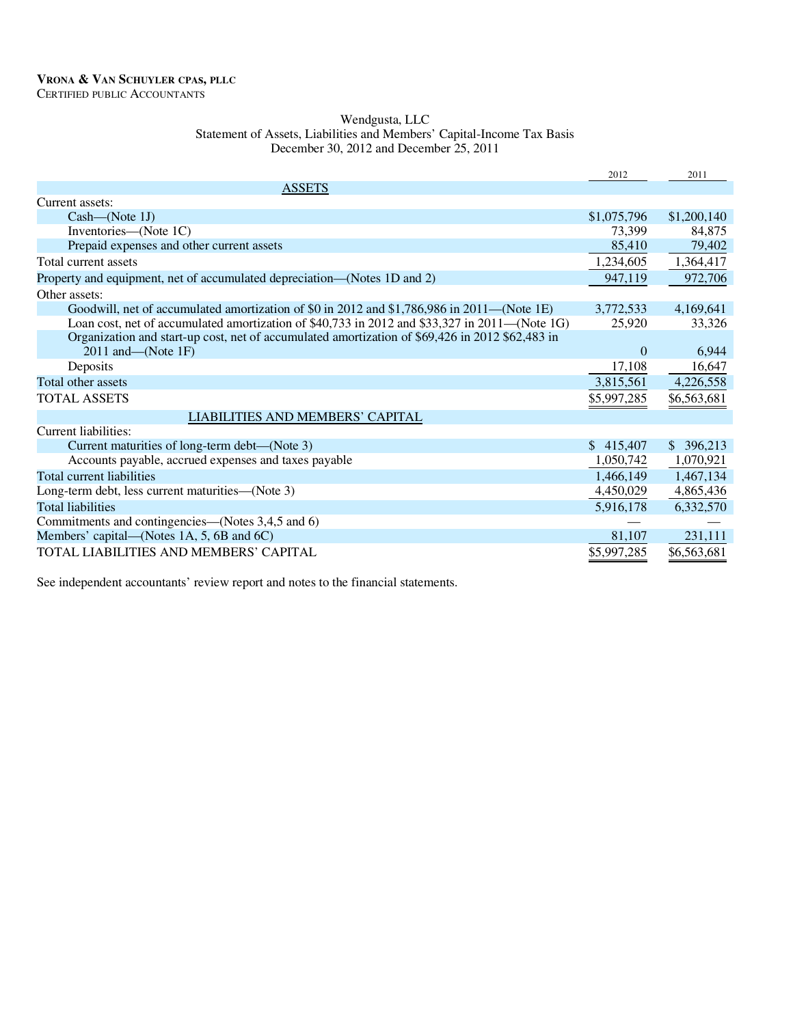#### Wendgusta, LLC Statement of Assets, Liabilities and Members' Capital-Income Tax Basis December 30, 2012 and December 25, 2011

|                                                                                                 | 2012           | 2011        |
|-------------------------------------------------------------------------------------------------|----------------|-------------|
| <b>ASSETS</b>                                                                                   |                |             |
| Current assets:                                                                                 |                |             |
| $Cash$ $(Note 1J)$                                                                              | \$1,075,796    | \$1,200,140 |
| Inventories—(Note 1C)                                                                           | 73,399         | 84,875      |
| Prepaid expenses and other current assets                                                       | 85,410         | 79,402      |
| Total current assets                                                                            | 1,234,605      | 1,364,417   |
| Property and equipment, net of accumulated depreciation—(Notes 1D and 2)                        | 947,119        | 972,706     |
| Other assets:                                                                                   |                |             |
| Goodwill, net of accumulated amortization of \$0 in 2012 and \$1,786,986 in 2011—(Note 1E)      | 3,772,533      | 4,169,641   |
| Loan cost, net of accumulated amortization of \$40,733 in 2012 and \$33,327 in 2011—(Note 1G)   | 25,920         | 33,326      |
| Organization and start-up cost, net of accumulated amortization of \$69,426 in 2012 \$62,483 in |                |             |
| $2011$ and $-Mote 1F$ )                                                                         | $\overline{0}$ | 6,944       |
| Deposits                                                                                        | 17,108         | 16,647      |
| Total other assets                                                                              | 3,815,561      | 4,226,558   |
| <b>TOTAL ASSETS</b>                                                                             | \$5,997,285    | \$6,563,681 |
| LIABILITIES AND MEMBERS' CAPITAL                                                                |                |             |
| Current liabilities:                                                                            |                |             |
| Current maturities of long-term debt—(Note 3)                                                   | \$415,407      | \$396,213   |
| Accounts payable, accrued expenses and taxes payable                                            | 1,050,742      | 1,070,921   |
| Total current liabilities                                                                       | 1,466,149      | 1,467,134   |
| Long-term debt, less current maturities-(Note 3)                                                | 4,450,029      | 4,865,436   |
| <b>Total liabilities</b>                                                                        | 5,916,178      | 6,332,570   |
| Commitments and contingencies—(Notes 3,4,5 and 6)                                               |                |             |
| Members' capital—(Notes 1A, 5, 6B and 6C)                                                       | 81,107         | 231,111     |
| TOTAL LIABILITIES AND MEMBERS' CAPITAL                                                          | \$5,997,285    | \$6,563,681 |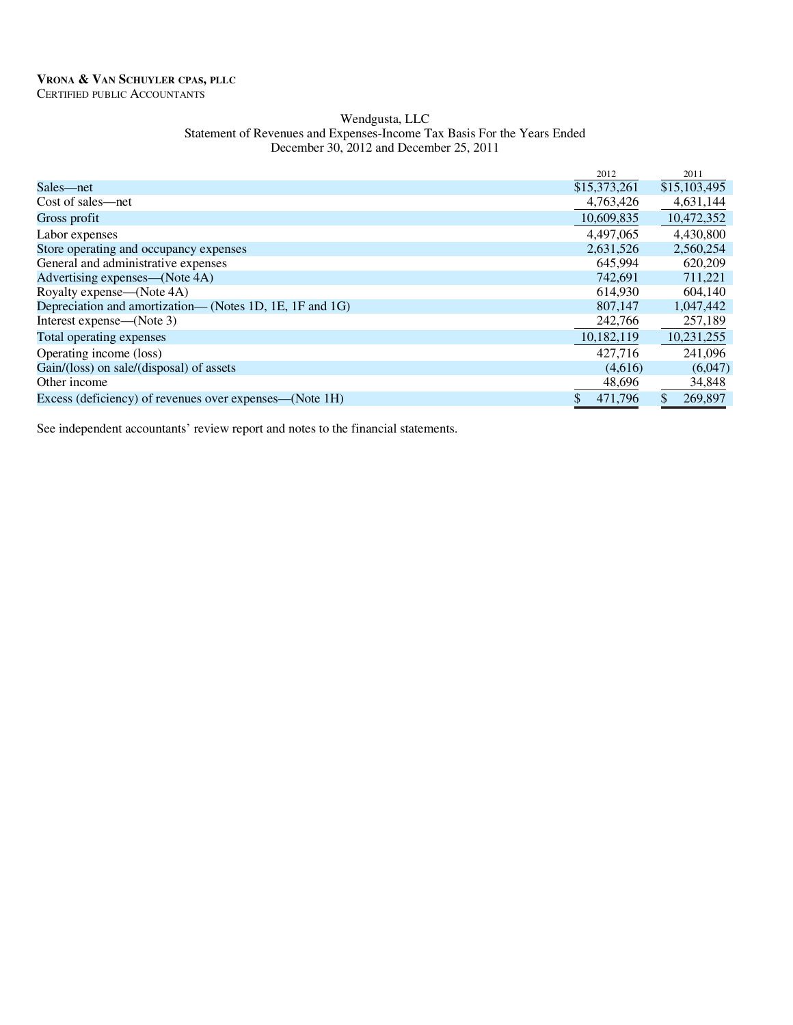#### Wendgusta, LLC Statement of Revenues and Expenses-Income Tax Basis For the Years Ended December 30, 2012 and December 25, 2011

|                                                          | 2012         | 2011         |
|----------------------------------------------------------|--------------|--------------|
| Sales—net                                                | \$15,373,261 | \$15,103,495 |
| Cost of sales—net                                        | 4,763,426    | 4,631,144    |
| Gross profit                                             | 10,609,835   | 10,472,352   |
| Labor expenses                                           | 4,497,065    | 4,430,800    |
| Store operating and occupancy expenses                   | 2,631,526    | 2,560,254    |
| General and administrative expenses                      | 645.994      | 620,209      |
| Advertising expenses—(Note 4A)                           | 742.691      | 711,221      |
| Royalty expense—(Note 4A)                                | 614,930      | 604,140      |
| Depreciation and amortization— (Notes 1D, 1E, 1F and 1G) | 807,147      | 1,047,442    |
| Interest expense—(Note 3)                                | 242,766      | 257,189      |
| Total operating expenses                                 | 10,182,119   | 10,231,255   |
| Operating income (loss)                                  | 427,716      | 241,096      |
| Gain/(loss) on sale/(disposal) of assets                 | (4,616)      | (6,047)      |
| Other income                                             | 48,696       | 34,848       |
| Excess (deficiency) of revenues over expenses—(Note 1H)  | 471,796      | 269,897      |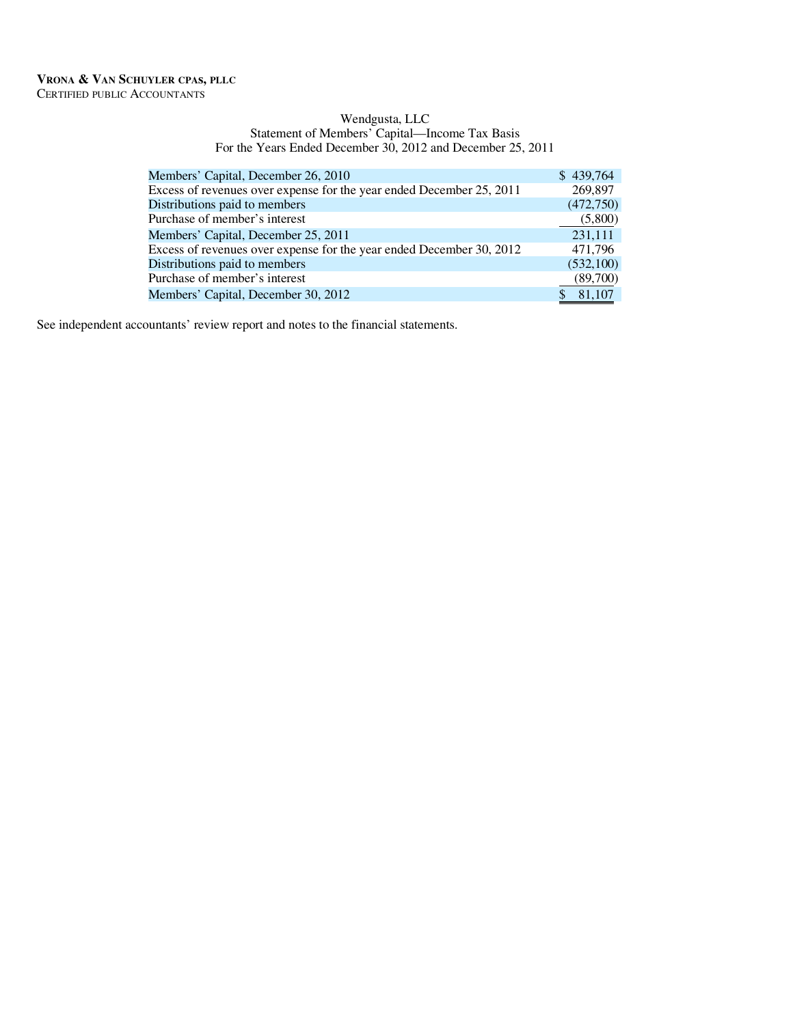#### Wendgusta, LLC Statement of Members' Capital—Income Tax Basis For the Years Ended December 30, 2012 and December 25, 2011

| Members' Capital, December 26, 2010                                  | \$439,764  |
|----------------------------------------------------------------------|------------|
| Excess of revenues over expense for the year ended December 25, 2011 | 269,897    |
| Distributions paid to members                                        | (472,750)  |
| Purchase of member's interest                                        | (5,800)    |
| Members' Capital, December 25, 2011                                  | 231,111    |
| Excess of revenues over expense for the year ended December 30, 2012 | 471,796    |
| Distributions paid to members                                        | (532, 100) |
| Purchase of member's interest                                        | (89,700)   |
| Members' Capital, December 30, 2012                                  | 81,107     |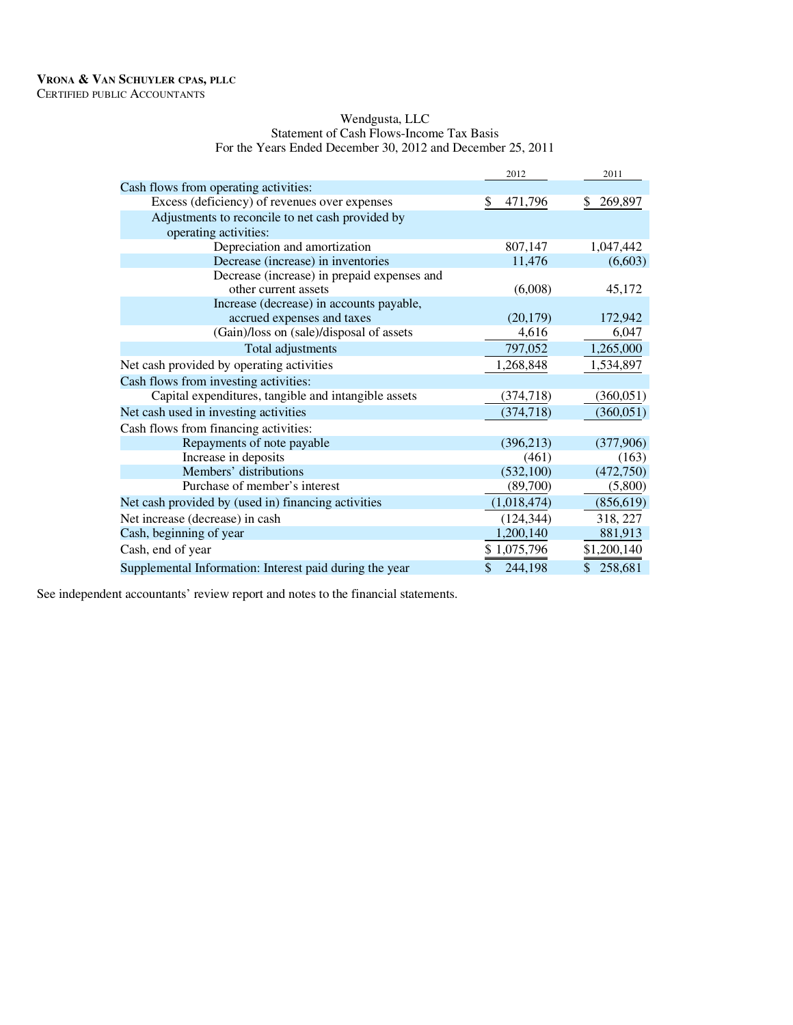#### Wendgusta, LLC Statement of Cash Flows-Income Tax Basis For the Years Ended December 30, 2012 and December 25, 2011

|                                                         | 2012          | 2011        |
|---------------------------------------------------------|---------------|-------------|
| Cash flows from operating activities:                   |               |             |
| Excess (deficiency) of revenues over expenses           | 471,796<br>\$ | 269,897     |
| Adjustments to reconcile to net cash provided by        |               |             |
| operating activities:                                   |               |             |
| Depreciation and amortization                           | 807,147       | 1,047,442   |
| Decrease (increase) in inventories                      | 11,476        | (6,603)     |
| Decrease (increase) in prepaid expenses and             |               |             |
| other current assets                                    | (6,008)       | 45,172      |
| Increase (decrease) in accounts payable,                |               |             |
| accrued expenses and taxes                              | (20, 179)     | 172,942     |
| (Gain)/loss on (sale)/disposal of assets                | 4,616         | 6,047       |
| Total adjustments                                       | 797,052       | 1,265,000   |
| Net cash provided by operating activities               | 1,268,848     | 1,534,897   |
| Cash flows from investing activities:                   |               |             |
| Capital expenditures, tangible and intangible assets    | (374, 718)    | (360, 051)  |
| Net cash used in investing activities                   | (374, 718)    | (360,051)   |
| Cash flows from financing activities:                   |               |             |
| Repayments of note payable                              | (396, 213)    | (377,906)   |
| Increase in deposits                                    | (461)         | (163)       |
| Members' distributions                                  | (532, 100)    | (472,750)   |
| Purchase of member's interest                           | (89,700)      | (5,800)     |
| Net cash provided by (used in) financing activities     | (1,018,474)   | (856, 619)  |
| Net increase (decrease) in cash                         | (124, 344)    | 318, 227    |
| Cash, beginning of year                                 | 1,200,140     | 881,913     |
| Cash, end of year                                       | 1,075,796     | \$1,200,140 |
| Supplemental Information: Interest paid during the year | \$<br>244,198 | \$258,681   |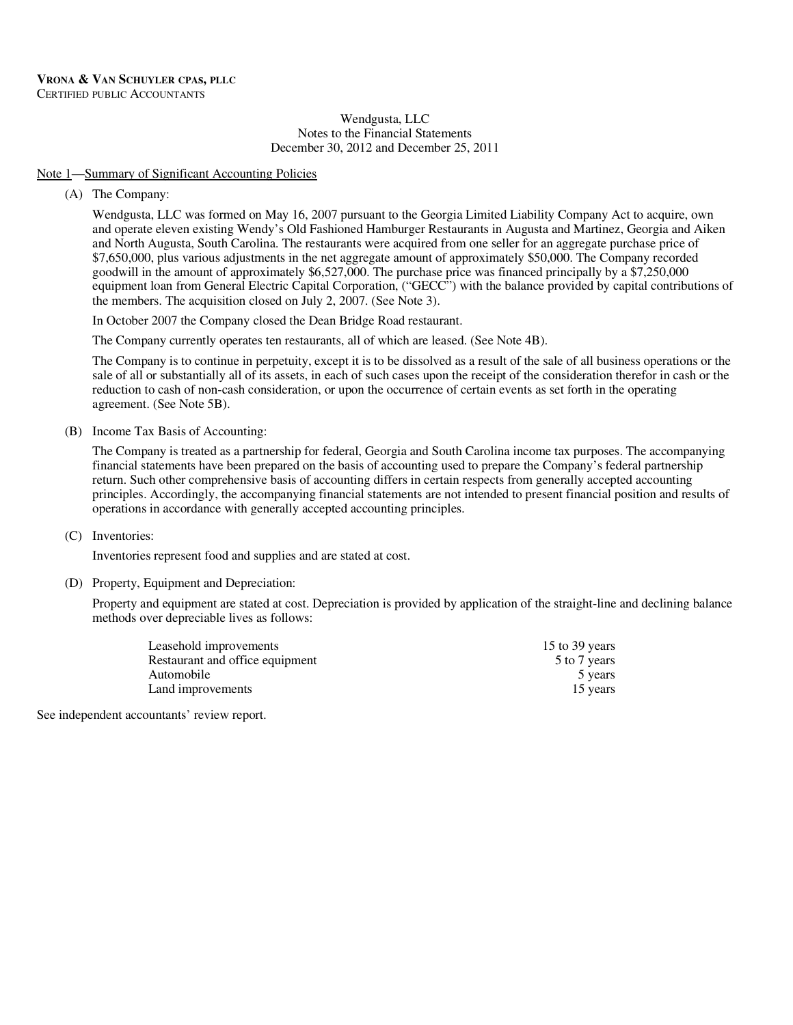### Note 1—Summary of Significant Accounting Policies

(A) The Company:

Wendgusta, LLC was formed on May 16, 2007 pursuant to the Georgia Limited Liability Company Act to acquire, own and operate eleven existing Wendy's Old Fashioned Hamburger Restaurants in Augusta and Martinez, Georgia and Aiken and North Augusta, South Carolina. The restaurants were acquired from one seller for an aggregate purchase price of \$7,650,000, plus various adjustments in the net aggregate amount of approximately \$50,000. The Company recorded goodwill in the amount of approximately \$6,527,000. The purchase price was financed principally by a \$7,250,000 equipment loan from General Electric Capital Corporation, ("GECC") with the balance provided by capital contributions of the members. The acquisition closed on July 2, 2007. (See Note 3).

In October 2007 the Company closed the Dean Bridge Road restaurant.

The Company currently operates ten restaurants, all of which are leased. (See Note 4B).

The Company is to continue in perpetuity, except it is to be dissolved as a result of the sale of all business operations or the sale of all or substantially all of its assets, in each of such cases upon the receipt of the consideration therefor in cash or the reduction to cash of non-cash consideration, or upon the occurrence of certain events as set forth in the operating agreement. (See Note 5B).

(B) Income Tax Basis of Accounting:

The Company is treated as a partnership for federal, Georgia and South Carolina income tax purposes. The accompanying financial statements have been prepared on the basis of accounting used to prepare the Company's federal partnership return. Such other comprehensive basis of accounting differs in certain respects from generally accepted accounting principles. Accordingly, the accompanying financial statements are not intended to present financial position and results of operations in accordance with generally accepted accounting principles.

(C) Inventories:

Inventories represent food and supplies and are stated at cost.

(D) Property, Equipment and Depreciation:

Property and equipment are stated at cost. Depreciation is provided by application of the straight-line and declining balance methods over depreciable lives as follows:

| Leasehold improvements          | 15 to 39 years |
|---------------------------------|----------------|
| Restaurant and office equipment | 5 to 7 years   |
| Automobile                      | 5 years        |
| Land improvements               | 15 years       |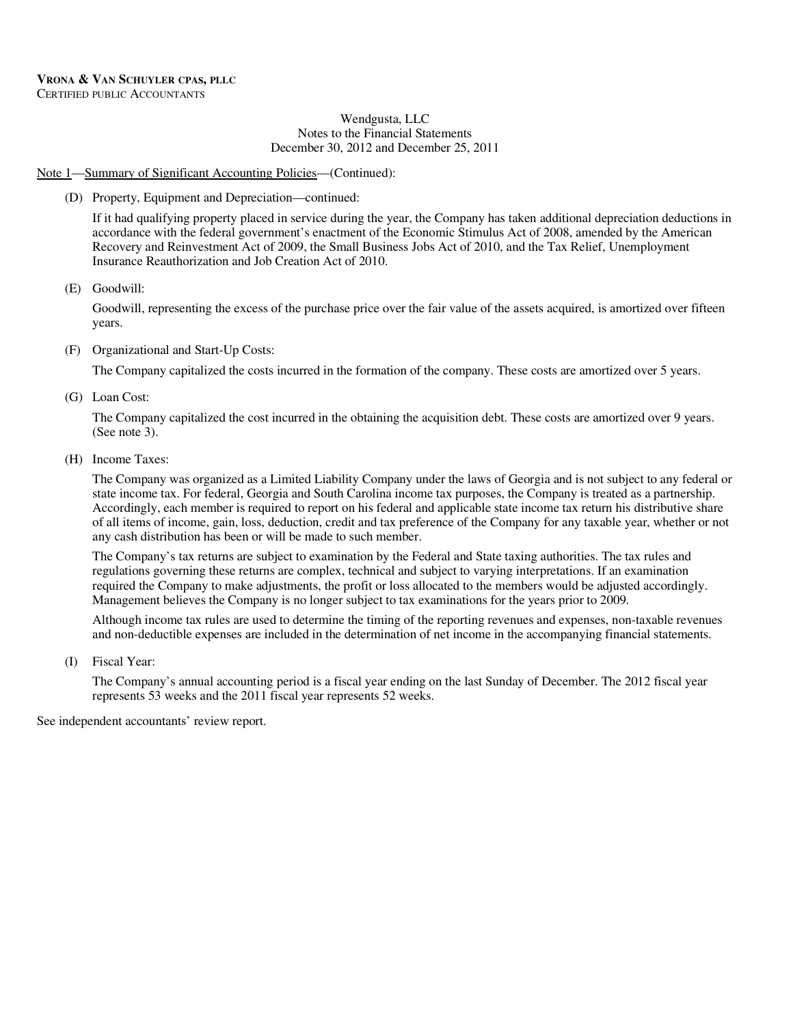#### Note 1—Summary of Significant Accounting Policies—(Continued):

(D) Property, Equipment and Depreciation—continued:

If it had qualifying property placed in service during the year, the Company has taken additional depreciation deductions in accordance with the federal government's enactment of the Economic Stimulus Act of 2008, amended by the American Recovery and Reinvestment Act of 2009, the Small Business Jobs Act of 2010, and the Tax Relief, Unemployment Insurance Reauthorization and Job Creation Act of 2010.

(E) Goodwill:

Goodwill, representing the excess of the purchase price over the fair value of the assets acquired, is amortized over fifteen years.

(F) Organizational and Start-Up Costs:

The Company capitalized the costs incurred in the formation of the company. These costs are amortized over 5 years.

(G) Loan Cost:

The Company capitalized the cost incurred in the obtaining the acquisition debt. These costs are amortized over 9 years. (See note 3).

(H) Income Taxes:

The Company was organized as a Limited Liability Company under the laws of Georgia and is not subject to any federal or state income tax. For federal, Georgia and South Carolina income tax purposes, the Company is treated as a partnership. Accordingly, each member is required to report on his federal and applicable state income tax return his distributive share of all items of income, gain, loss, deduction, credit and tax preference of the Company for any taxable year, whether or not any cash distribution has been or will be made to such member.

The Company's tax returns are subject to examination by the Federal and State taxing authorities. The tax rules and regulations governing these returns are complex, technical and subject to varying interpretations. If an examination required the Company to make adjustments, the profit or loss allocated to the members would be adjusted accordingly. Management believes the Company is no longer subject to tax examinations for the years prior to 2009.

Although income tax rules are used to determine the timing of the reporting revenues and expenses, non-taxable revenues and non-deductible expenses are included in the determination of net income in the accompanying financial statements.

(I) Fiscal Year:

The Company's annual accounting period is a fiscal year ending on the last Sunday of December. The 2012 fiscal year represents 53 weeks and the 2011 fiscal year represents 52 weeks.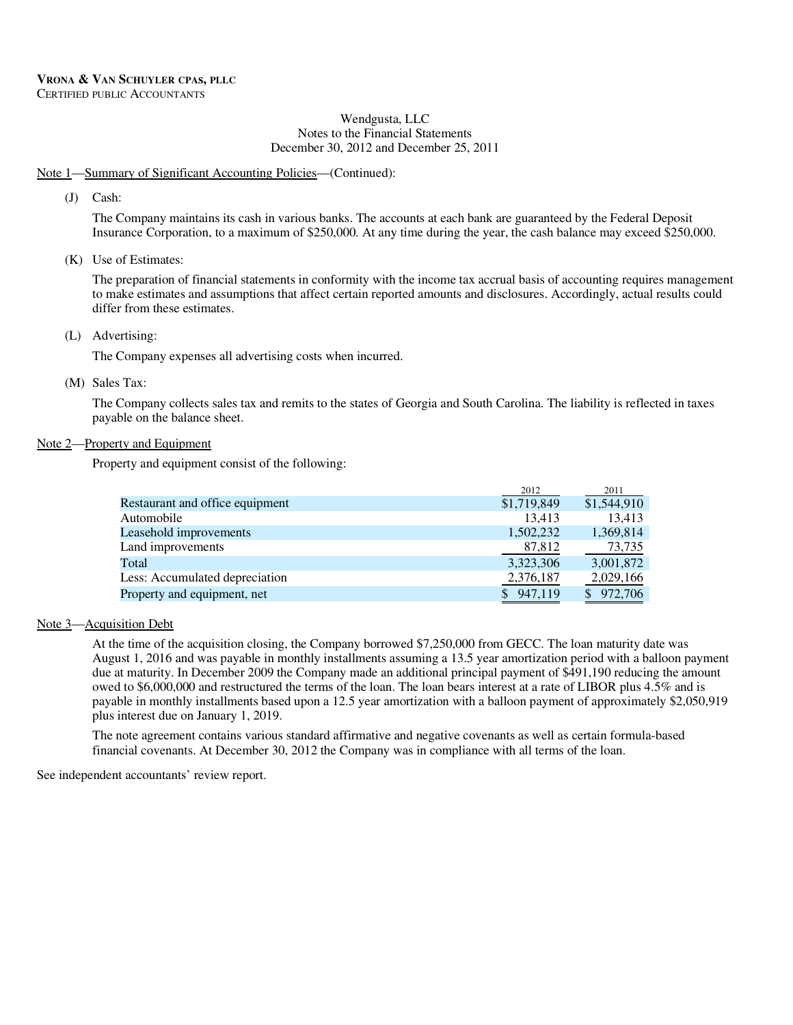#### Note 1—Summary of Significant Accounting Policies—(Continued):

(J) Cash:

The Company maintains its cash in various banks. The accounts at each bank are guaranteed by the Federal Deposit Insurance Corporation, to a maximum of \$250,000. At any time during the year, the cash balance may exceed \$250,000.

(K) Use of Estimates:

The preparation of financial statements in conformity with the income tax accrual basis of accounting requires management to make estimates and assumptions that affect certain reported amounts and disclosures. Accordingly, actual results could differ from these estimates.

(L) Advertising:

The Company expenses all advertising costs when incurred.

(M) Sales Tax:

The Company collects sales tax and remits to the states of Georgia and South Carolina. The liability is reflected in taxes payable on the balance sheet.

#### Note 2—Property and Equipment

Property and equipment consist of the following:

|                                 | 2012        | 2011        |
|---------------------------------|-------------|-------------|
| Restaurant and office equipment | \$1,719,849 | \$1,544,910 |
| Automobile                      | 13.413      | 13,413      |
| Leasehold improvements          | 1,502,232   | 1,369,814   |
| Land improvements               | 87,812      | 73,735      |
| Total                           | 3,323,306   | 3,001,872   |
| Less: Accumulated depreciation  | 2,376,187   | 2,029,166   |
| Property and equipment, net     | 947,119     | 972,706     |

#### Note 3—Acquisition Debt

At the time of the acquisition closing, the Company borrowed \$7,250,000 from GECC. The loan maturity date was August 1, 2016 and was payable in monthly installments assuming a 13.5 year amortization period with a balloon payment due at maturity. In December 2009 the Company made an additional principal payment of \$491,190 reducing the amount owed to \$6,000,000 and restructured the terms of the loan. The loan bears interest at a rate of LIBOR plus 4.5% and is payable in monthly installments based upon a 12.5 year amortization with a balloon payment of approximately \$2,050,919 plus interest due on January 1, 2019.

The note agreement contains various standard affirmative and negative covenants as well as certain formula-based financial covenants. At December 30, 2012 the Company was in compliance with all terms of the loan.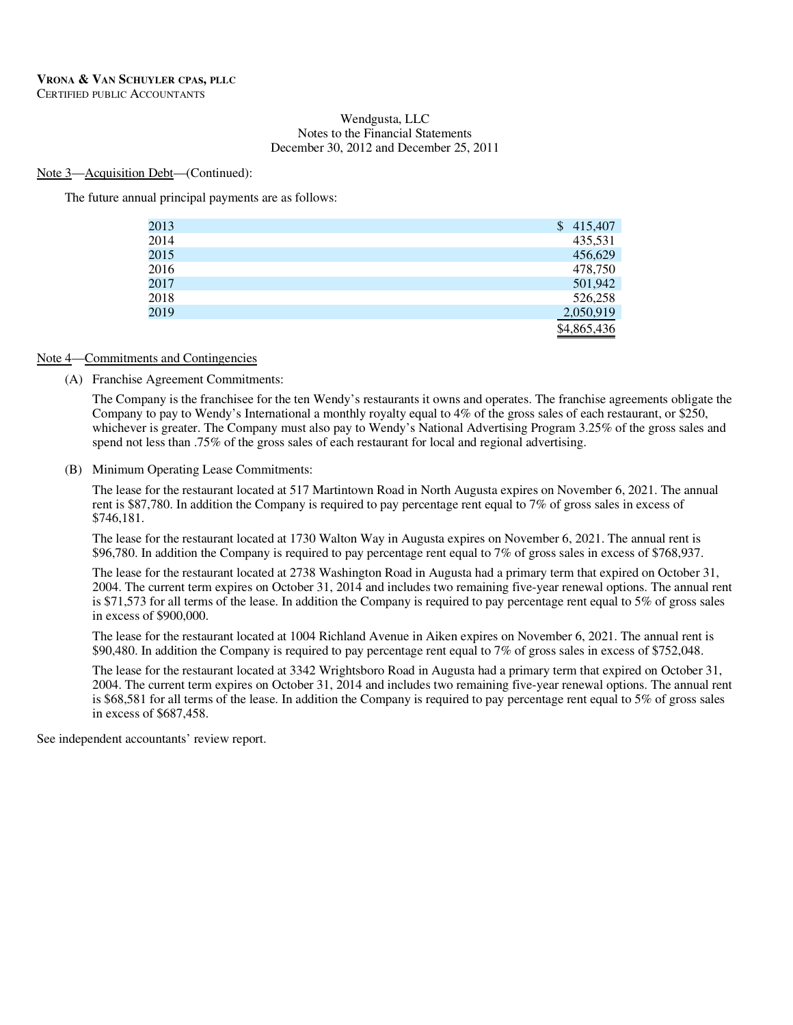#### Note 3—Acquisition Debt—(Continued):

The future annual principal payments are as follows:

| 2013 | \$415,407   |
|------|-------------|
| 2014 | 435,531     |
| 2015 | 456,629     |
| 2016 | 478,750     |
| 2017 | 501,942     |
| 2018 | 526,258     |
| 2019 | 2,050,919   |
|      | \$4,865,436 |

#### Note 4—Commitments and Contingencies

(A) Franchise Agreement Commitments:

The Company is the franchisee for the ten Wendy's restaurants it owns and operates. The franchise agreements obligate the Company to pay to Wendy's International a monthly royalty equal to 4% of the gross sales of each restaurant, or \$250, whichever is greater. The Company must also pay to Wendy's National Advertising Program 3.25% of the gross sales and spend not less than .75% of the gross sales of each restaurant for local and regional advertising.

(B) Minimum Operating Lease Commitments:

The lease for the restaurant located at 517 Martintown Road in North Augusta expires on November 6, 2021. The annual rent is \$87,780. In addition the Company is required to pay percentage rent equal to 7% of gross sales in excess of \$746,181.

The lease for the restaurant located at 1730 Walton Way in Augusta expires on November 6, 2021. The annual rent is \$96,780. In addition the Company is required to pay percentage rent equal to 7% of gross sales in excess of \$768,937.

The lease for the restaurant located at 2738 Washington Road in Augusta had a primary term that expired on October 31, 2004. The current term expires on October 31, 2014 and includes two remaining five-year renewal options. The annual rent is \$71,573 for all terms of the lease. In addition the Company is required to pay percentage rent equal to 5% of gross sales in excess of \$900,000.

The lease for the restaurant located at 1004 Richland Avenue in Aiken expires on November 6, 2021. The annual rent is \$90,480. In addition the Company is required to pay percentage rent equal to 7% of gross sales in excess of \$752,048.

The lease for the restaurant located at 3342 Wrightsboro Road in Augusta had a primary term that expired on October 31, 2004. The current term expires on October 31, 2014 and includes two remaining five-year renewal options. The annual rent is \$68,581 for all terms of the lease. In addition the Company is required to pay percentage rent equal to 5% of gross sales in excess of \$687,458.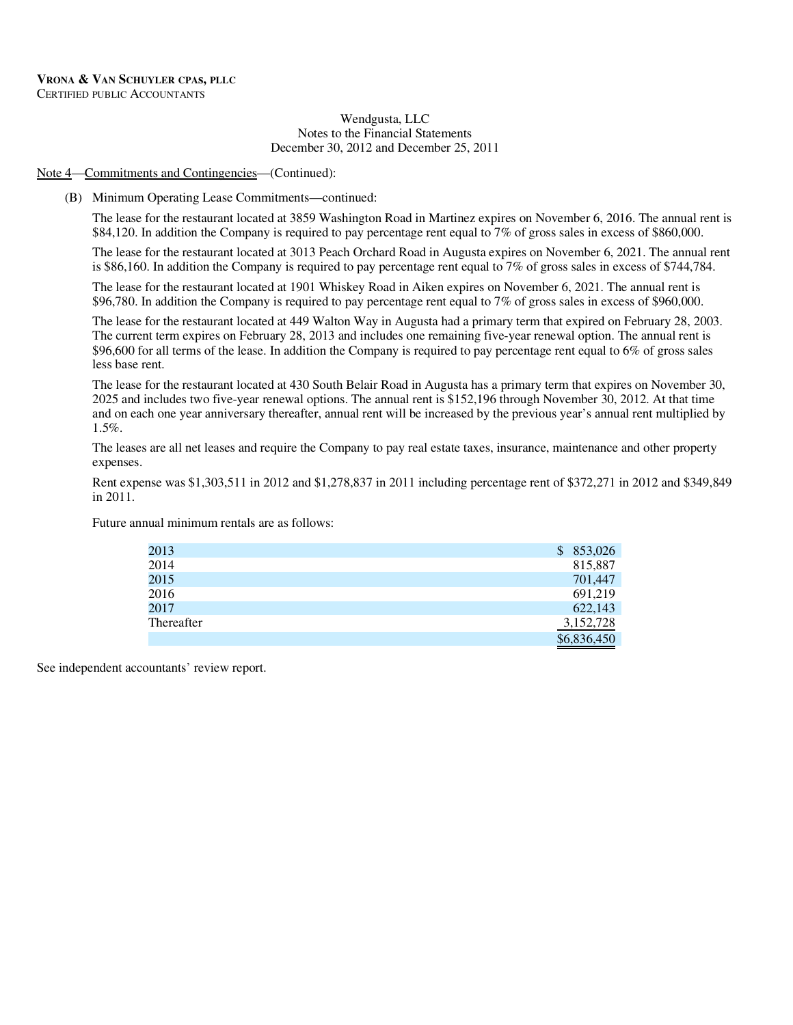#### Note 4—Commitments and Contingencies—(Continued):

#### (B) Minimum Operating Lease Commitments—continued:

The lease for the restaurant located at 3859 Washington Road in Martinez expires on November 6, 2016. The annual rent is \$84,120. In addition the Company is required to pay percentage rent equal to 7% of gross sales in excess of \$860,000.

The lease for the restaurant located at 3013 Peach Orchard Road in Augusta expires on November 6, 2021. The annual rent is \$86,160. In addition the Company is required to pay percentage rent equal to 7% of gross sales in excess of \$744,784.

The lease for the restaurant located at 1901 Whiskey Road in Aiken expires on November 6, 2021. The annual rent is \$96,780. In addition the Company is required to pay percentage rent equal to 7% of gross sales in excess of \$960,000.

The lease for the restaurant located at 449 Walton Way in Augusta had a primary term that expired on February 28, 2003. The current term expires on February 28, 2013 and includes one remaining five-year renewal option. The annual rent is \$96,600 for all terms of the lease. In addition the Company is required to pay percentage rent equal to 6% of gross sales less base rent.

The lease for the restaurant located at 430 South Belair Road in Augusta has a primary term that expires on November 30, 2025 and includes two five-year renewal options. The annual rent is \$152,196 through November 30, 2012. At that time and on each one year anniversary thereafter, annual rent will be increased by the previous year's annual rent multiplied by 1.5%.

The leases are all net leases and require the Company to pay real estate taxes, insurance, maintenance and other property expenses.

Rent expense was \$1,303,511 in 2012 and \$1,278,837 in 2011 including percentage rent of \$372,271 in 2012 and \$349,849 in 2011.

Future annual minimum rentals are as follows:

| 2013       | \$853,026   |
|------------|-------------|
| 2014       | 815,887     |
| 2015       | 701,447     |
| 2016       | 691,219     |
| 2017       | 622,143     |
| Thereafter | 3,152,728   |
|            | \$6,836,450 |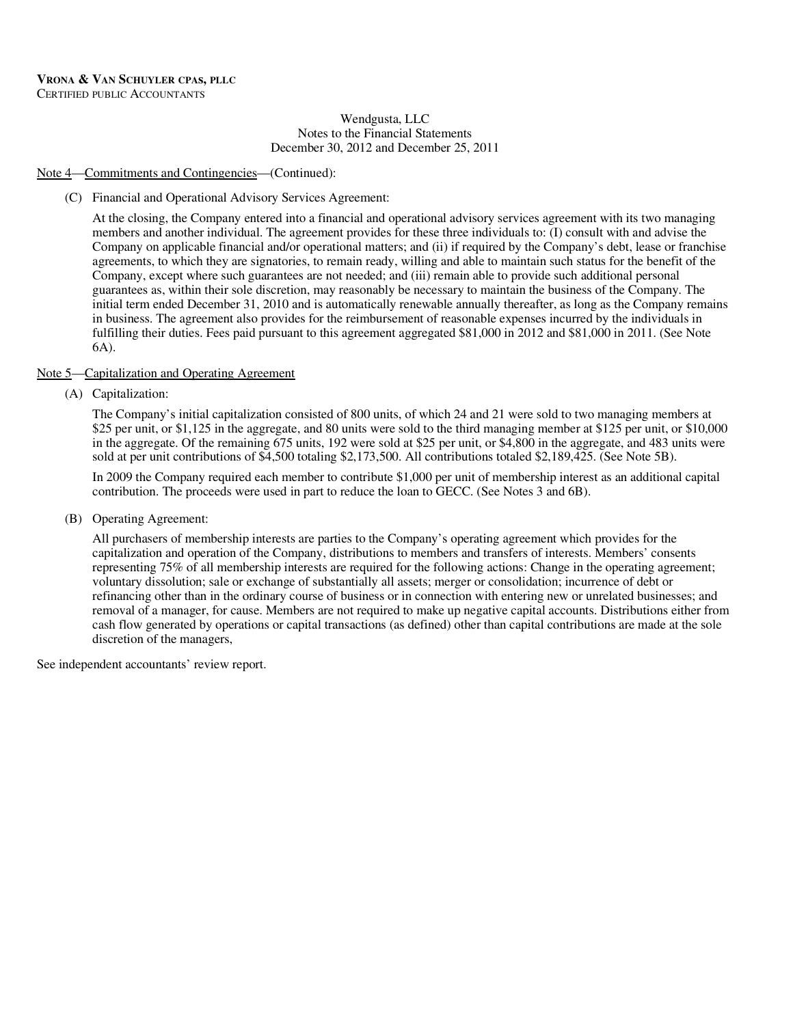### Note 4—Commitments and Contingencies—(Continued):

(C) Financial and Operational Advisory Services Agreement:

At the closing, the Company entered into a financial and operational advisory services agreement with its two managing members and another individual. The agreement provides for these three individuals to: (I) consult with and advise the Company on applicable financial and/or operational matters; and (ii) if required by the Company's debt, lease or franchise agreements, to which they are signatories, to remain ready, willing and able to maintain such status for the benefit of the Company, except where such guarantees are not needed; and (iii) remain able to provide such additional personal guarantees as, within their sole discretion, may reasonably be necessary to maintain the business of the Company. The initial term ended December 31, 2010 and is automatically renewable annually thereafter, as long as the Company remains in business. The agreement also provides for the reimbursement of reasonable expenses incurred by the individuals in fulfilling their duties. Fees paid pursuant to this agreement aggregated \$81,000 in 2012 and \$81,000 in 2011. (See Note 6A).

#### Note 5—Capitalization and Operating Agreement

(A) Capitalization:

The Company's initial capitalization consisted of 800 units, of which 24 and 21 were sold to two managing members at \$25 per unit, or \$1,125 in the aggregate, and 80 units were sold to the third managing member at \$125 per unit, or \$10,000 in the aggregate. Of the remaining 675 units, 192 were sold at \$25 per unit, or \$4,800 in the aggregate, and 483 units were sold at per unit contributions of \$4,500 totaling \$2,173,500. All contributions totaled \$2,189,425. (See Note 5B).

In 2009 the Company required each member to contribute \$1,000 per unit of membership interest as an additional capital contribution. The proceeds were used in part to reduce the loan to GECC. (See Notes 3 and 6B).

(B) Operating Agreement:

All purchasers of membership interests are parties to the Company's operating agreement which provides for the capitalization and operation of the Company, distributions to members and transfers of interests. Members' consents representing 75% of all membership interests are required for the following actions: Change in the operating agreement; voluntary dissolution; sale or exchange of substantially all assets; merger or consolidation; incurrence of debt or refinancing other than in the ordinary course of business or in connection with entering new or unrelated businesses; and removal of a manager, for cause. Members are not required to make up negative capital accounts. Distributions either from cash flow generated by operations or capital transactions (as defined) other than capital contributions are made at the sole discretion of the managers,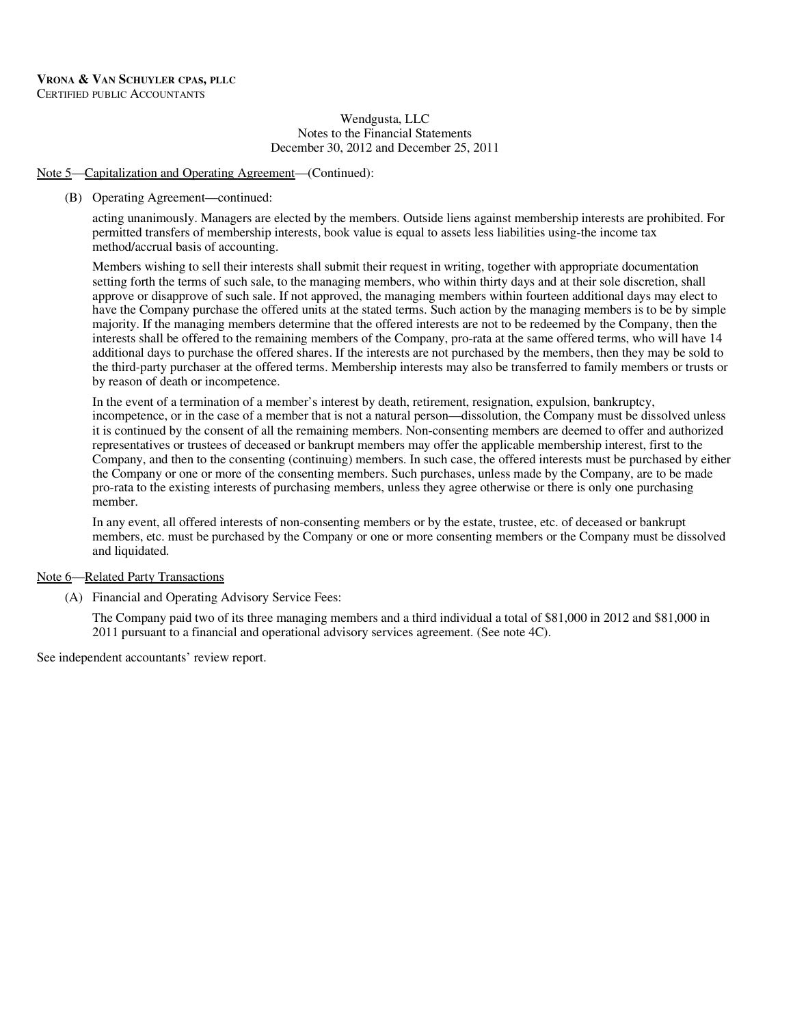#### Note 5—Capitalization and Operating Agreement—(Continued):

#### (B) Operating Agreement—continued:

acting unanimously. Managers are elected by the members. Outside liens against membership interests are prohibited. For permitted transfers of membership interests, book value is equal to assets less liabilities using-the income tax method/accrual basis of accounting.

Members wishing to sell their interests shall submit their request in writing, together with appropriate documentation setting forth the terms of such sale, to the managing members, who within thirty days and at their sole discretion, shall approve or disapprove of such sale. If not approved, the managing members within fourteen additional days may elect to have the Company purchase the offered units at the stated terms. Such action by the managing members is to be by simple majority. If the managing members determine that the offered interests are not to be redeemed by the Company, then the interests shall be offered to the remaining members of the Company, pro-rata at the same offered terms, who will have 14 additional days to purchase the offered shares. If the interests are not purchased by the members, then they may be sold to the third-party purchaser at the offered terms. Membership interests may also be transferred to family members or trusts or by reason of death or incompetence.

In the event of a termination of a member's interest by death, retirement, resignation, expulsion, bankruptcy, incompetence, or in the case of a member that is not a natural person—dissolution, the Company must be dissolved unless it is continued by the consent of all the remaining members. Non-consenting members are deemed to offer and authorized representatives or trustees of deceased or bankrupt members may offer the applicable membership interest, first to the Company, and then to the consenting (continuing) members. In such case, the offered interests must be purchased by either the Company or one or more of the consenting members. Such purchases, unless made by the Company, are to be made pro-rata to the existing interests of purchasing members, unless they agree otherwise or there is only one purchasing member.

In any event, all offered interests of non-consenting members or by the estate, trustee, etc. of deceased or bankrupt members, etc. must be purchased by the Company or one or more consenting members or the Company must be dissolved and liquidated.

### Note 6—Related Party Transactions

(A) Financial and Operating Advisory Service Fees:

The Company paid two of its three managing members and a third individual a total of \$81,000 in 2012 and \$81,000 in 2011 pursuant to a financial and operational advisory services agreement. (See note 4C).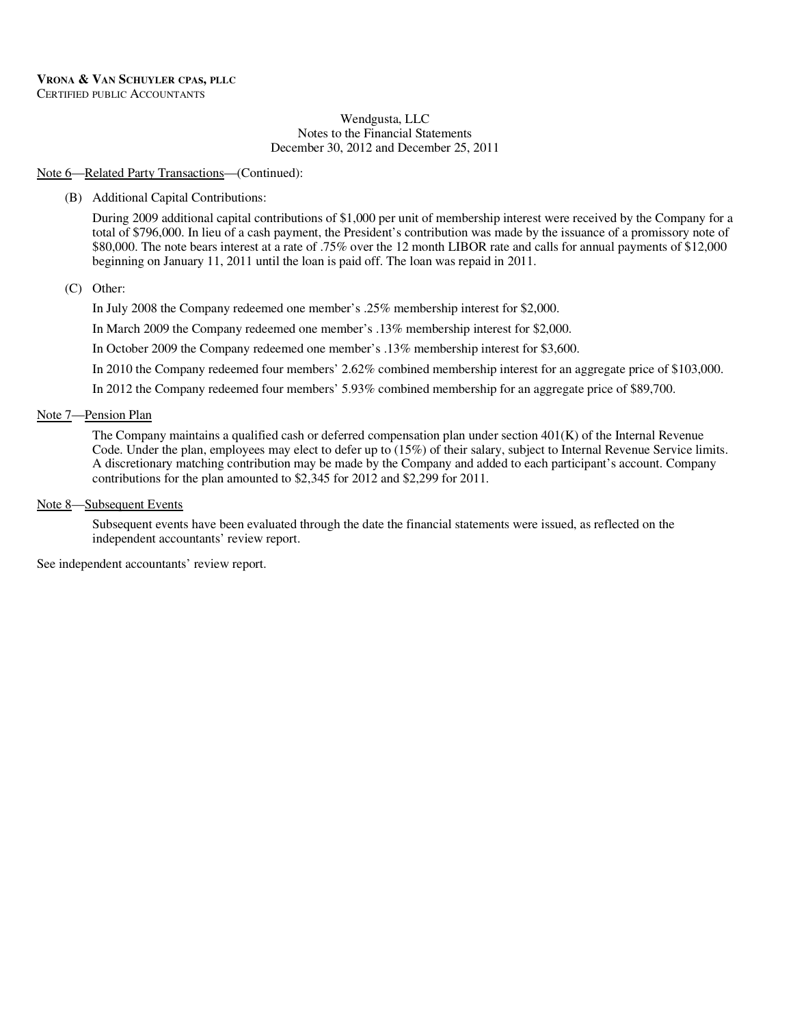### Note 6—Related Party Transactions—(Continued):

### (B) Additional Capital Contributions:

During 2009 additional capital contributions of \$1,000 per unit of membership interest were received by the Company for a total of \$796,000. In lieu of a cash payment, the President's contribution was made by the issuance of a promissory note of \$80,000. The note bears interest at a rate of .75% over the 12 month LIBOR rate and calls for annual payments of \$12,000 beginning on January 11, 2011 until the loan is paid off. The loan was repaid in 2011.

### (C) Other:

In July 2008 the Company redeemed one member's .25% membership interest for \$2,000.

In March 2009 the Company redeemed one member's .13% membership interest for \$2,000.

In October 2009 the Company redeemed one member's .13% membership interest for \$3,600.

In 2010 the Company redeemed four members' 2.62% combined membership interest for an aggregate price of \$103,000.

In 2012 the Company redeemed four members' 5.93% combined membership for an aggregate price of \$89,700.

### Note 7—Pension Plan

The Company maintains a qualified cash or deferred compensation plan under section 401(K) of the Internal Revenue Code. Under the plan, employees may elect to defer up to (15%) of their salary, subject to Internal Revenue Service limits. A discretionary matching contribution may be made by the Company and added to each participant's account. Company contributions for the plan amounted to \$2,345 for 2012 and \$2,299 for 2011.

#### Note 8—Subsequent Events

Subsequent events have been evaluated through the date the financial statements were issued, as reflected on the independent accountants' review report.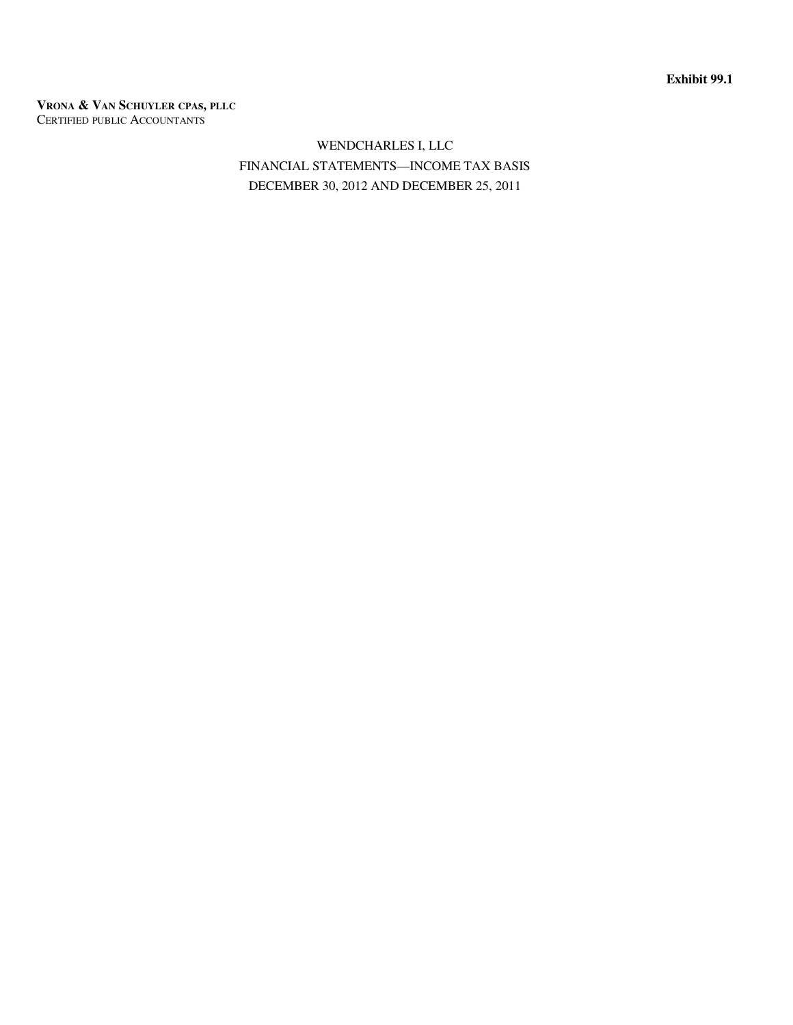**Exhibit 99.1** 

**VRONA & VAN SCHUYLER CPAs, PLLC** CERTIFIED PUBLIC ACCOUNTANTS

# WENDCHARLES I, LLC FINANCIAL STATEMENTS—INCOME TAX BASIS DECEMBER 30, 2012 AND DECEMBER 25, 2011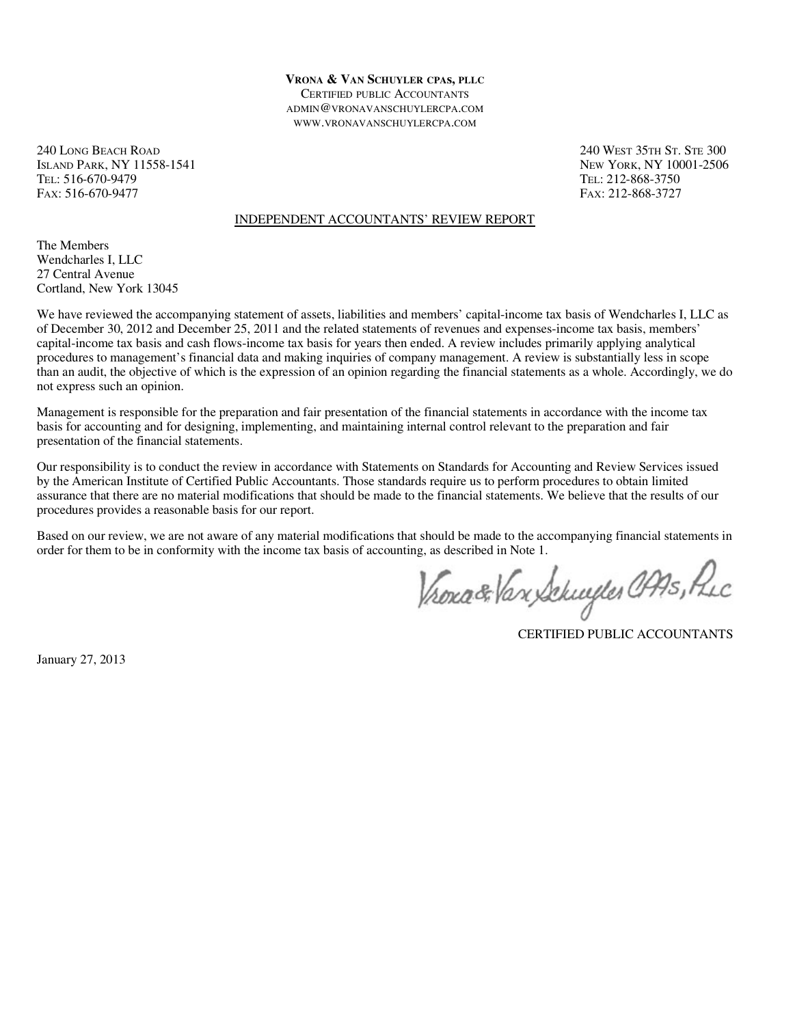### **VRONA & VAN SCHUYLER CPAs, PLLC** CERTIFIED PUBLIC ACCOUNTANTS ADMIN@VRONAVANSCHUYLERCPA.COM WWW.VRONAVANSCHUYLERCPA.COM

240 LONG BEACH ROAD 25 200 VEST 35TH ST. STE 300<br>
240 LONG BEACH ROAD 2506 ISLAND PARK, NY 11558-1541<br>Tel: 516-670-9479 TEL: 516-670-9479 TEL: 212-868-3750

FAX: 212-868-3727

## INDEPENDENT ACCOUNTANTS' REVIEW REPORT

The Members Wendcharles I, LLC 27 Central Avenue Cortland, New York 13045

We have reviewed the accompanying statement of assets, liabilities and members' capital-income tax basis of Wendcharles I, LLC as of December 30, 2012 and December 25, 2011 and the related statements of revenues and expenses-income tax basis, members' capital-income tax basis and cash flows-income tax basis for years then ended. A review includes primarily applying analytical procedures to management's financial data and making inquiries of company management. A review is substantially less in scope than an audit, the objective of which is the expression of an opinion regarding the financial statements as a whole. Accordingly, we do not express such an opinion.

Management is responsible for the preparation and fair presentation of the financial statements in accordance with the income tax basis for accounting and for designing, implementing, and maintaining internal control relevant to the preparation and fair presentation of the financial statements.

Our responsibility is to conduct the review in accordance with Statements on Standards for Accounting and Review Services issued by the American Institute of Certified Public Accountants. Those standards require us to perform procedures to obtain limited assurance that there are no material modifications that should be made to the financial statements. We believe that the results of our procedures provides a reasonable basis for our report.

Based on our review, we are not aware of any material modifications that should be made to the accompanying financial statements in order for them to be in conformity with the income tax basis of accounting, as described in Note 1.

Vroxa&Vax Schuyles CAAs, Puc

CERTIFIED PUBLIC ACCOUNTANTS

January 27, 2013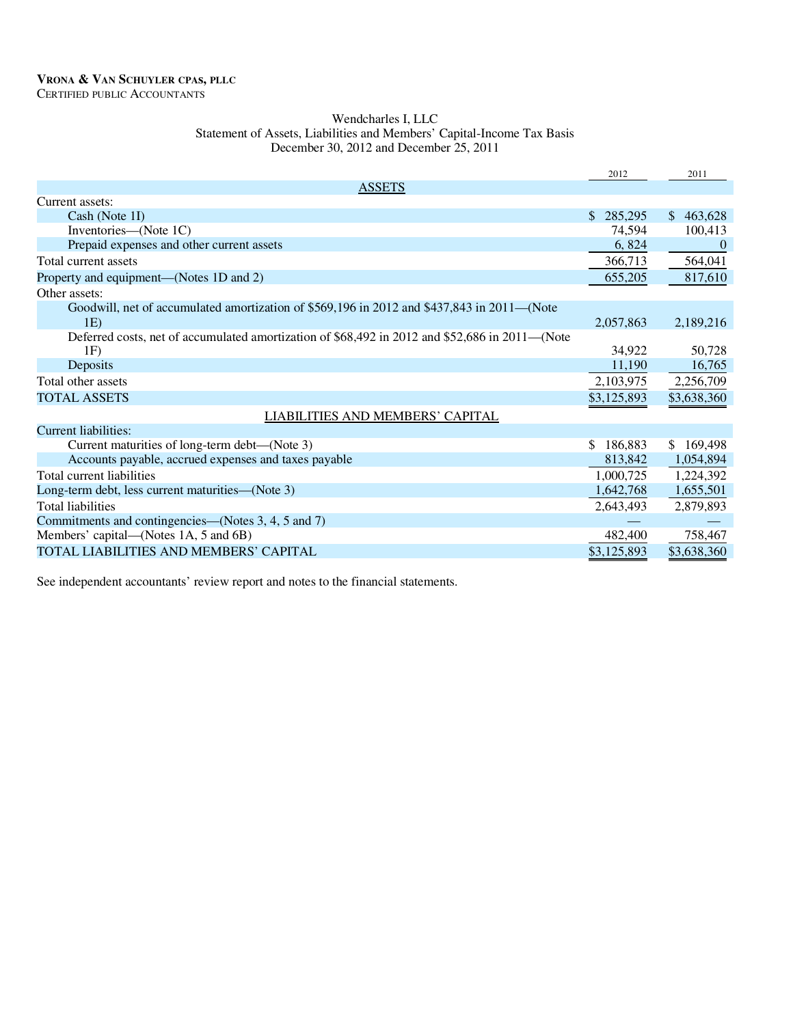### Wendcharles I, LLC Statement of Assets, Liabilities and Members' Capital-Income Tax Basis December 30, 2012 and December 25, 2011

|                                                                                                | 2012        | 2011                      |
|------------------------------------------------------------------------------------------------|-------------|---------------------------|
| <b>ASSETS</b>                                                                                  |             |                           |
| Current assets:                                                                                |             |                           |
| Cash (Note 1I)                                                                                 | \$ 285,295  | 463,628<br>$\mathbb{S}^-$ |
| Inventories—(Note 1C)                                                                          | 74,594      | 100,413                   |
| Prepaid expenses and other current assets                                                      | 6,824       | $\theta$                  |
| Total current assets                                                                           | 366,713     | 564,041                   |
| Property and equipment—(Notes 1D and 2)                                                        | 655,205     | 817,610                   |
| Other assets:                                                                                  |             |                           |
| Goodwill, net of accumulated amortization of \$569,196 in 2012 and \$437,843 in 2011—(Note     |             |                           |
| 1E)                                                                                            | 2,057,863   | 2,189,216                 |
| Deferred costs, net of accumulated amortization of \$68,492 in 2012 and \$52,686 in 2011—(Note |             |                           |
| 1F)                                                                                            | 34,922      | 50,728                    |
| Deposits                                                                                       | 11,190      | 16,765                    |
| Total other assets                                                                             | 2,103,975   | 2,256,709                 |
| <b>TOTAL ASSETS</b>                                                                            | \$3,125,893 | \$3,638,360               |
| LIABILITIES AND MEMBERS' CAPITAL                                                               |             |                           |
| Current liabilities:                                                                           |             |                           |
| Current maturities of long-term debt—(Note 3)                                                  | \$186,883   | \$169,498                 |
| Accounts payable, accrued expenses and taxes payable                                           | 813,842     | 1,054,894                 |
| Total current liabilities                                                                      | 1,000,725   | 1,224,392                 |
| Long-term debt, less current maturities—(Note 3)                                               | 1,642,768   | 1,655,501                 |
| <b>Total liabilities</b>                                                                       | 2,643,493   | 2,879,893                 |
| Commitments and contingencies—(Notes 3, 4, 5 and 7)                                            |             |                           |
| Members' capital—(Notes 1A, 5 and 6B)                                                          | 482,400     | 758,467                   |
| TOTAL LIABILITIES AND MEMBERS' CAPITAL                                                         | \$3,125,893 | \$3,638,360               |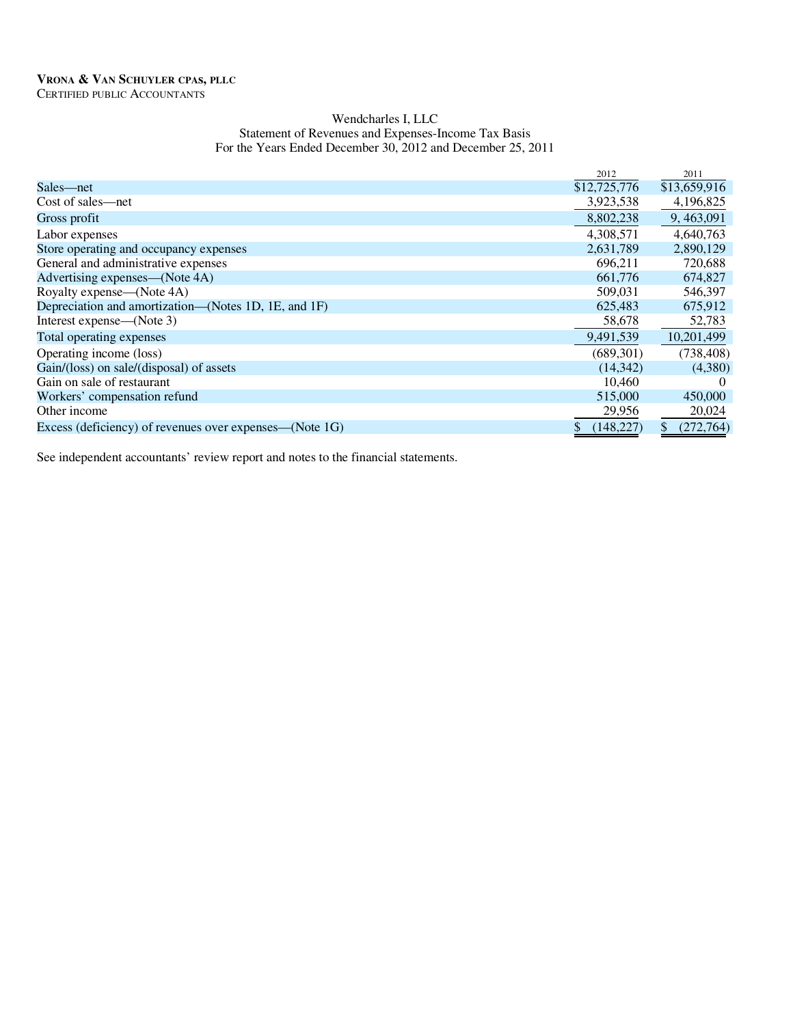### Wendcharles I, LLC Statement of Revenues and Expenses-Income Tax Basis For the Years Ended December 30, 2012 and December 25, 2011

|                                                         | 2012         | 2011             |
|---------------------------------------------------------|--------------|------------------|
| Sales—net                                               | \$12,725,776 | \$13,659,916     |
| Cost of sales—net                                       | 3,923,538    | 4,196,825        |
| Gross profit                                            | 8,802,238    | 9, 463, 091      |
| Labor expenses                                          | 4,308,571    | 4,640,763        |
| Store operating and occupancy expenses                  | 2,631,789    | 2,890,129        |
| General and administrative expenses                     | 696,211      | 720,688          |
| Advertising expenses—(Note 4A)                          | 661,776      | 674,827          |
| Royalty expense—(Note 4A)                               | 509,031      | 546,397          |
| Depreciation and amortization—(Notes 1D, 1E, and 1F)    | 625,483      | 675,912          |
| Interest expense—(Note 3)                               | 58,678       | 52,783           |
| Total operating expenses                                | 9,491,539    | 10,201,499       |
| Operating income (loss)                                 | (689, 301)   | (738, 408)       |
| Gain/(loss) on sale/(disposal) of assets                | (14, 342)    | (4,380)          |
| Gain on sale of restaurant                              | 10,460       | $\left($         |
| Workers' compensation refund                            | 515,000      | 450,000          |
| Other income                                            | 29,956       | 20,024           |
| Excess (deficiency) of revenues over expenses—(Note 1G) | (148, 227)   | (272,764)<br>\$. |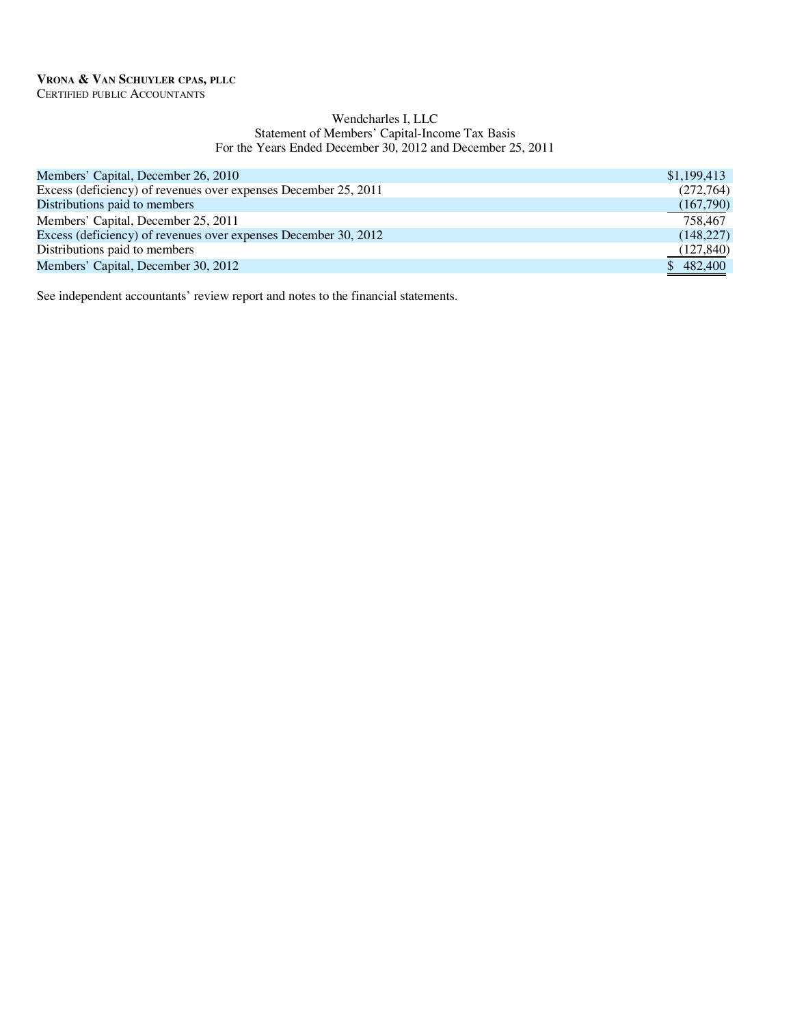### Wendcharles I, LLC Statement of Members' Capital-Income Tax Basis For the Years Ended December 30, 2012 and December 25, 2011

| Members' Capital, December 26, 2010                             | \$1,199,413 |
|-----------------------------------------------------------------|-------------|
| Excess (deficiency) of revenues over expenses December 25, 2011 | (272,764)   |
| Distributions paid to members                                   | (167,790)   |
| Members' Capital, December 25, 2011                             | 758.467     |
| Excess (deficiency) of revenues over expenses December 30, 2012 | (148,227)   |
| Distributions paid to members                                   | (127, 840)  |
| Members' Capital, December 30, 2012                             | \$482,400   |
|                                                                 |             |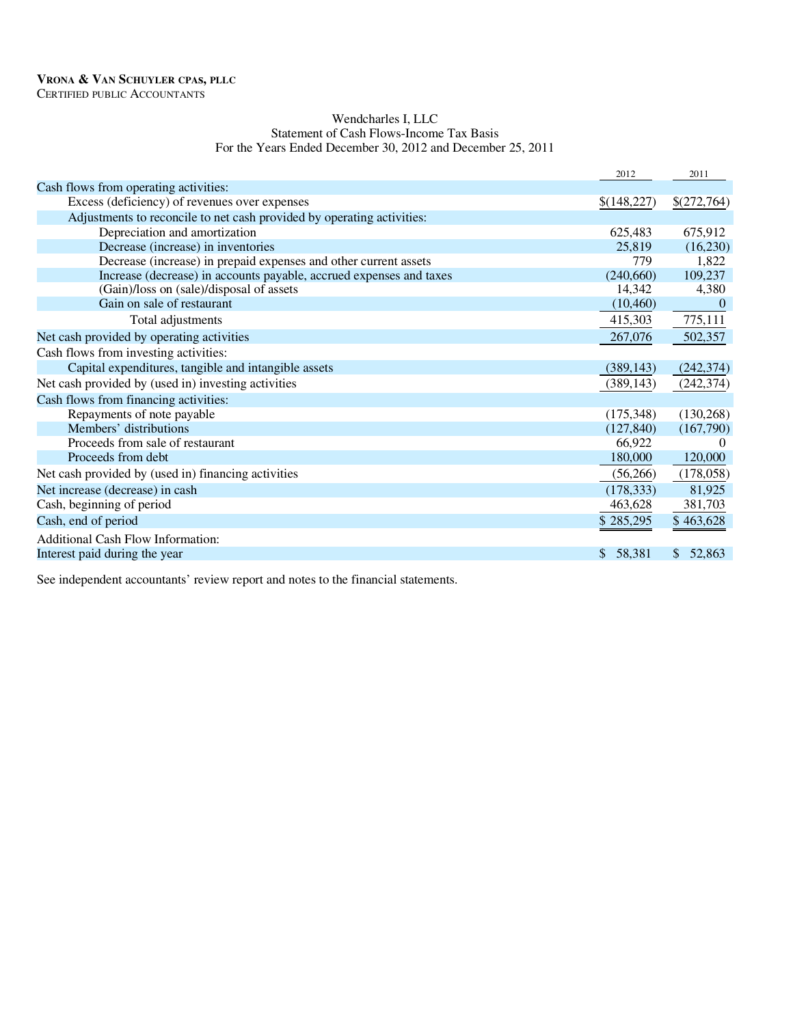### Wendcharles I, LLC Statement of Cash Flows-Income Tax Basis For the Years Ended December 30, 2012 and December 25, 2011

|                                                                        | 2012         | 2011                   |
|------------------------------------------------------------------------|--------------|------------------------|
| Cash flows from operating activities:                                  |              |                        |
| Excess (deficiency) of revenues over expenses                          | \$(148,227)  | \$(272,764)            |
| Adjustments to reconcile to net cash provided by operating activities: |              |                        |
| Depreciation and amortization                                          | 625,483      | 675,912                |
| Decrease (increase) in inventories                                     | 25,819       | (16,230)               |
| Decrease (increase) in prepaid expenses and other current assets       | 779          | 1,822                  |
| Increase (decrease) in accounts payable, accrued expenses and taxes    | (240,660)    | 109,237                |
| (Gain)/loss on (sale)/disposal of assets                               | 14,342       | 4,380                  |
| Gain on sale of restaurant                                             | (10, 460)    | $\theta$               |
| Total adjustments                                                      | 415,303      | 775,111                |
| Net cash provided by operating activities                              | 267,076      | 502,357                |
| Cash flows from investing activities:                                  |              |                        |
| Capital expenditures, tangible and intangible assets                   | (389, 143)   | (242, 374)             |
| Net cash provided by (used in) investing activities                    | (389, 143)   | (242, 374)             |
| Cash flows from financing activities:                                  |              |                        |
| Repayments of note payable                                             | (175, 348)   | (130, 268)             |
| Members' distributions                                                 | (127, 840)   | (167,790)              |
| Proceeds from sale of restaurant                                       | 66,922       | $\Omega$               |
| Proceeds from debt                                                     | 180,000      | 120,000                |
| Net cash provided by (used in) financing activities                    | (56,266)     | (178,058)              |
| Net increase (decrease) in cash                                        | (178, 333)   | 81,925                 |
| Cash, beginning of period                                              | 463,628      | 381,703                |
| Cash, end of period                                                    | \$285,295    | \$463,628              |
| <b>Additional Cash Flow Information:</b>                               |              |                        |
| Interest paid during the year                                          | 58,381<br>S. | 52,863<br>$\mathbb{S}$ |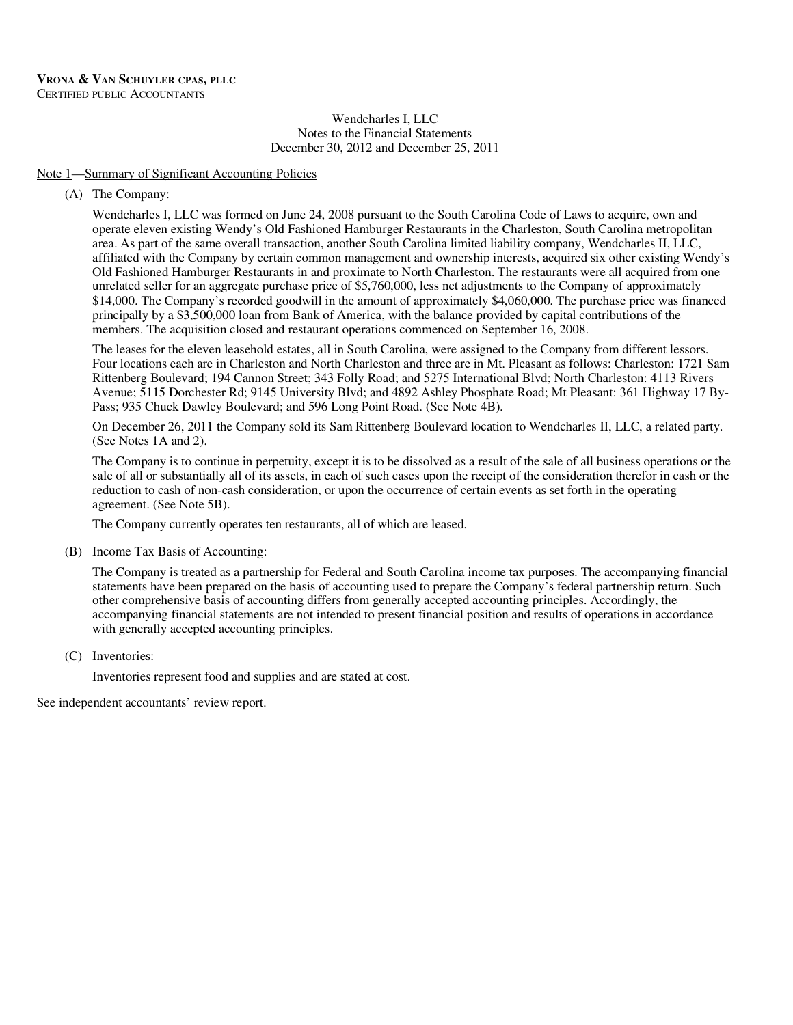## Note 1—Summary of Significant Accounting Policies

(A) The Company:

Wendcharles I, LLC was formed on June 24, 2008 pursuant to the South Carolina Code of Laws to acquire, own and operate eleven existing Wendy's Old Fashioned Hamburger Restaurants in the Charleston, South Carolina metropolitan area. As part of the same overall transaction, another South Carolina limited liability company, Wendcharles II, LLC, affiliated with the Company by certain common management and ownership interests, acquired six other existing Wendy's Old Fashioned Hamburger Restaurants in and proximate to North Charleston. The restaurants were all acquired from one unrelated seller for an aggregate purchase price of \$5,760,000, less net adjustments to the Company of approximately \$14,000. The Company's recorded goodwill in the amount of approximately \$4,060,000. The purchase price was financed principally by a \$3,500,000 loan from Bank of America, with the balance provided by capital contributions of the members. The acquisition closed and restaurant operations commenced on September 16, 2008.

The leases for the eleven leasehold estates, all in South Carolina, were assigned to the Company from different lessors. Four locations each are in Charleston and North Charleston and three are in Mt. Pleasant as follows: Charleston: 1721 Sam Rittenberg Boulevard; 194 Cannon Street; 343 Folly Road; and 5275 International Blvd; North Charleston: 4113 Rivers Avenue; 5115 Dorchester Rd; 9145 University Blvd; and 4892 Ashley Phosphate Road; Mt Pleasant: 361 Highway 17 By-Pass; 935 Chuck Dawley Boulevard; and 596 Long Point Road. (See Note 4B).

On December 26, 2011 the Company sold its Sam Rittenberg Boulevard location to Wendcharles II, LLC, a related party. (See Notes 1A and 2).

The Company is to continue in perpetuity, except it is to be dissolved as a result of the sale of all business operations or the sale of all or substantially all of its assets, in each of such cases upon the receipt of the consideration therefor in cash or the reduction to cash of non-cash consideration, or upon the occurrence of certain events as set forth in the operating agreement. (See Note 5B).

The Company currently operates ten restaurants, all of which are leased.

(B) Income Tax Basis of Accounting:

The Company is treated as a partnership for Federal and South Carolina income tax purposes. The accompanying financial statements have been prepared on the basis of accounting used to prepare the Company's federal partnership return. Such other comprehensive basis of accounting differs from generally accepted accounting principles. Accordingly, the accompanying financial statements are not intended to present financial position and results of operations in accordance with generally accepted accounting principles.

(C) Inventories:

Inventories represent food and supplies and are stated at cost.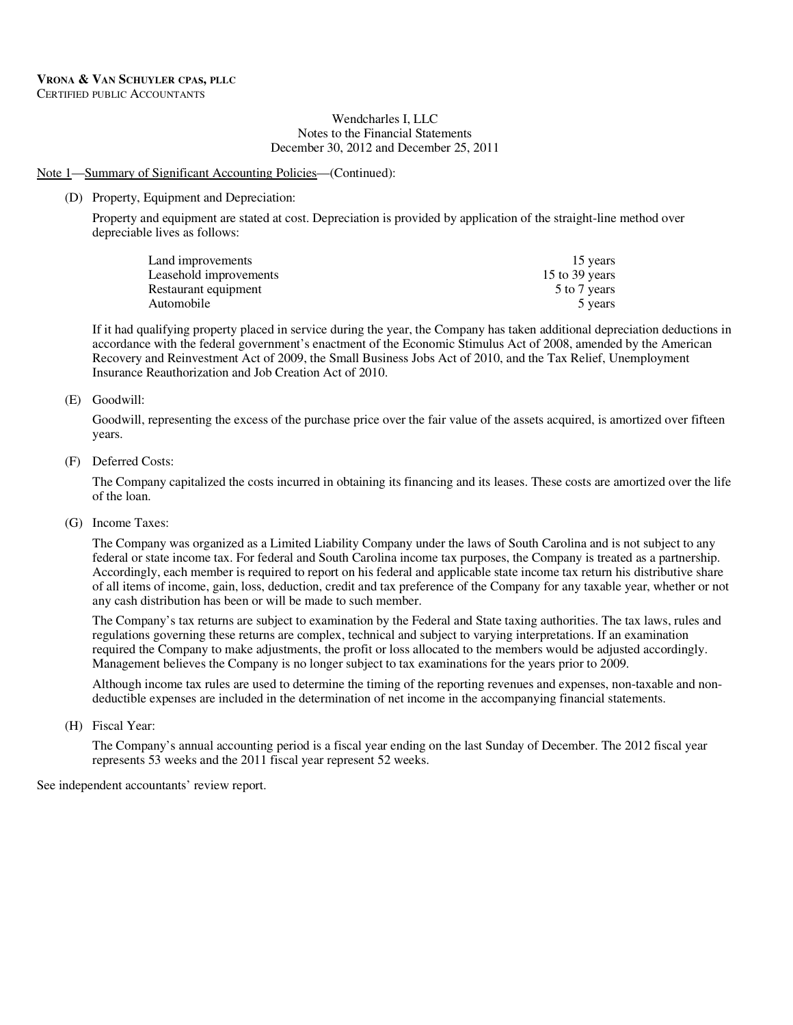#### Note 1—Summary of Significant Accounting Policies—(Continued):

#### (D) Property, Equipment and Depreciation:

Property and equipment are stated at cost. Depreciation is provided by application of the straight-line method over depreciable lives as follows:

| Land improvements      | 15 years       |
|------------------------|----------------|
| Leasehold improvements | 15 to 39 years |
| Restaurant equipment   | 5 to 7 years   |
| Automobile             | 5 years        |

If it had qualifying property placed in service during the year, the Company has taken additional depreciation deductions in accordance with the federal government's enactment of the Economic Stimulus Act of 2008, amended by the American Recovery and Reinvestment Act of 2009, the Small Business Jobs Act of 2010, and the Tax Relief, Unemployment Insurance Reauthorization and Job Creation Act of 2010.

#### (E) Goodwill:

Goodwill, representing the excess of the purchase price over the fair value of the assets acquired, is amortized over fifteen years.

(F) Deferred Costs:

The Company capitalized the costs incurred in obtaining its financing and its leases. These costs are amortized over the life of the loan.

(G) Income Taxes:

The Company was organized as a Limited Liability Company under the laws of South Carolina and is not subject to any federal or state income tax. For federal and South Carolina income tax purposes, the Company is treated as a partnership. Accordingly, each member is required to report on his federal and applicable state income tax return his distributive share of all items of income, gain, loss, deduction, credit and tax preference of the Company for any taxable year, whether or not any cash distribution has been or will be made to such member.

The Company's tax returns are subject to examination by the Federal and State taxing authorities. The tax laws, rules and regulations governing these returns are complex, technical and subject to varying interpretations. If an examination required the Company to make adjustments, the profit or loss allocated to the members would be adjusted accordingly. Management believes the Company is no longer subject to tax examinations for the years prior to 2009.

Although income tax rules are used to determine the timing of the reporting revenues and expenses, non-taxable and nondeductible expenses are included in the determination of net income in the accompanying financial statements.

(H) Fiscal Year:

The Company's annual accounting period is a fiscal year ending on the last Sunday of December. The 2012 fiscal year represents 53 weeks and the 2011 fiscal year represent 52 weeks.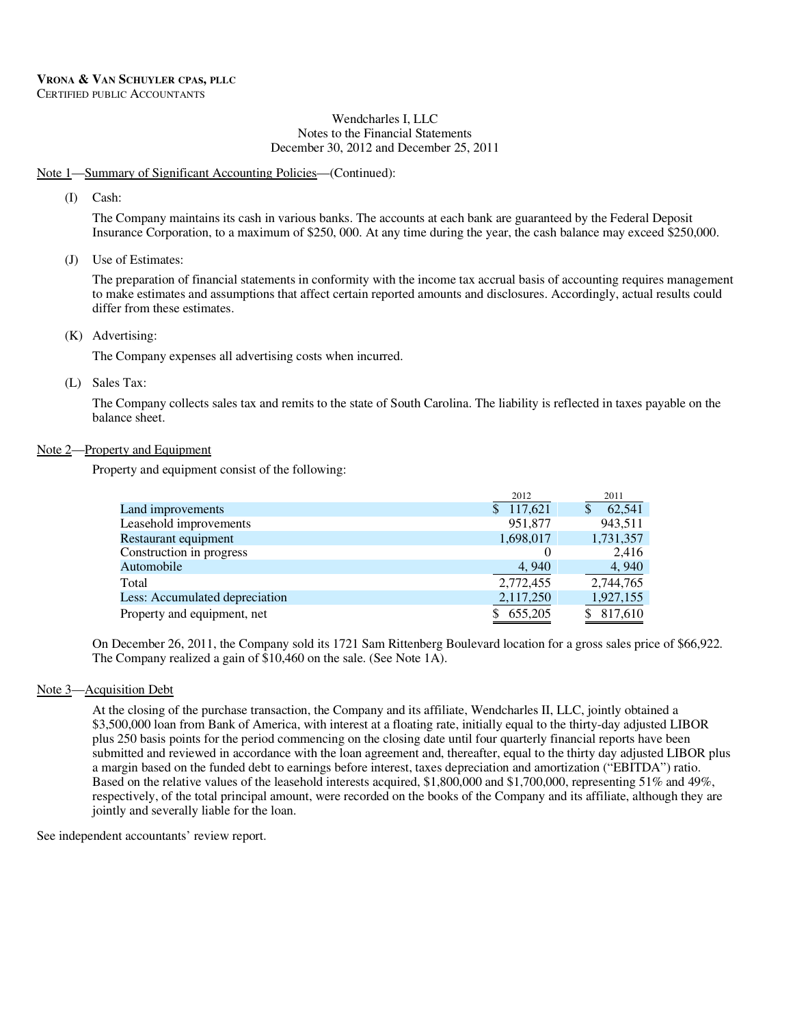### Note 1—Summary of Significant Accounting Policies—(Continued):

(I) Cash:

The Company maintains its cash in various banks. The accounts at each bank are guaranteed by the Federal Deposit Insurance Corporation, to a maximum of \$250, 000. At any time during the year, the cash balance may exceed \$250,000.

(J) Use of Estimates:

The preparation of financial statements in conformity with the income tax accrual basis of accounting requires management to make estimates and assumptions that affect certain reported amounts and disclosures. Accordingly, actual results could differ from these estimates.

(K) Advertising:

The Company expenses all advertising costs when incurred.

(L) Sales Tax:

The Company collects sales tax and remits to the state of South Carolina. The liability is reflected in taxes payable on the balance sheet.

#### Note 2—Property and Equipment

Property and equipment consist of the following:

|                                | 2012      | 2011      |
|--------------------------------|-----------|-----------|
| Land improvements              | 117,621   | 62.541    |
| Leasehold improvements         | 951,877   | 943,511   |
| Restaurant equipment           | 1,698,017 | 1,731,357 |
| Construction in progress       |           | 2,416     |
| Automobile                     | 4,940     | 4,940     |
| Total                          | 2,772,455 | 2,744,765 |
| Less: Accumulated depreciation | 2,117,250 | 1,927,155 |
| Property and equipment, net    | \$655,205 | 817,610   |

On December 26, 2011, the Company sold its 1721 Sam Rittenberg Boulevard location for a gross sales price of \$66,922. The Company realized a gain of \$10,460 on the sale. (See Note 1A).

### Note 3—Acquisition Debt

At the closing of the purchase transaction, the Company and its affiliate, Wendcharles II, LLC, jointly obtained a \$3,500,000 loan from Bank of America, with interest at a floating rate, initially equal to the thirty-day adjusted LIBOR plus 250 basis points for the period commencing on the closing date until four quarterly financial reports have been submitted and reviewed in accordance with the loan agreement and, thereafter, equal to the thirty day adjusted LIBOR plus a margin based on the funded debt to earnings before interest, taxes depreciation and amortization ("EBITDA") ratio. Based on the relative values of the leasehold interests acquired, \$1,800,000 and \$1,700,000, representing 51% and 49%, respectively, of the total principal amount, were recorded on the books of the Company and its affiliate, although they are jointly and severally liable for the loan.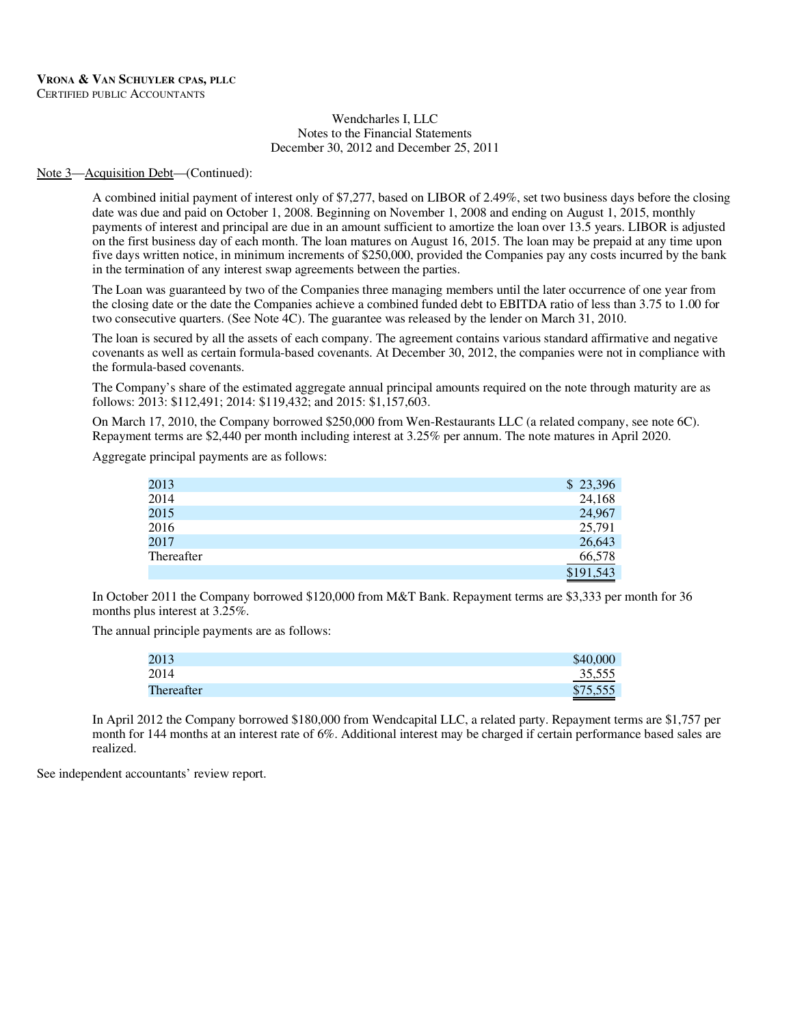#### Note 3—Acquisition Debt—(Continued):

A combined initial payment of interest only of \$7,277, based on LIBOR of 2.49%, set two business days before the closing date was due and paid on October 1, 2008. Beginning on November 1, 2008 and ending on August 1, 2015, monthly payments of interest and principal are due in an amount sufficient to amortize the loan over 13.5 years. LIBOR is adjusted on the first business day of each month. The loan matures on August 16, 2015. The loan may be prepaid at any time upon five days written notice, in minimum increments of \$250,000, provided the Companies pay any costs incurred by the bank in the termination of any interest swap agreements between the parties.

The Loan was guaranteed by two of the Companies three managing members until the later occurrence of one year from the closing date or the date the Companies achieve a combined funded debt to EBITDA ratio of less than 3.75 to 1.00 for two consecutive quarters. (See Note 4C). The guarantee was released by the lender on March 31, 2010.

The loan is secured by all the assets of each company. The agreement contains various standard affirmative and negative covenants as well as certain formula-based covenants. At December 30, 2012, the companies were not in compliance with the formula-based covenants.

The Company's share of the estimated aggregate annual principal amounts required on the note through maturity are as follows: 2013: \$112,491; 2014: \$119,432; and 2015: \$1,157,603.

On March 17, 2010, the Company borrowed \$250,000 from Wen-Restaurants LLC (a related company, see note 6C). Repayment terms are \$2,440 per month including interest at 3.25% per annum. The note matures in April 2020.

Aggregate principal payments are as follows:

| 2013       | \$23,396  |
|------------|-----------|
| 2014       | 24,168    |
| 2015       | 24,967    |
| 2016       | 25,791    |
| 2017       | 26,643    |
| Thereafter | 66,578    |
|            | \$191,543 |

In October 2011 the Company borrowed \$120,000 from M&T Bank. Repayment terms are \$3,333 per month for 36 months plus interest at 3.25%.

The annual principle payments are as follows:

| 2013       | \$40,000 |
|------------|----------|
| 2014       | 35,555   |
| Thereafter | \$75,555 |

In April 2012 the Company borrowed \$180,000 from Wendcapital LLC, a related party. Repayment terms are \$1,757 per month for 144 months at an interest rate of 6%. Additional interest may be charged if certain performance based sales are realized.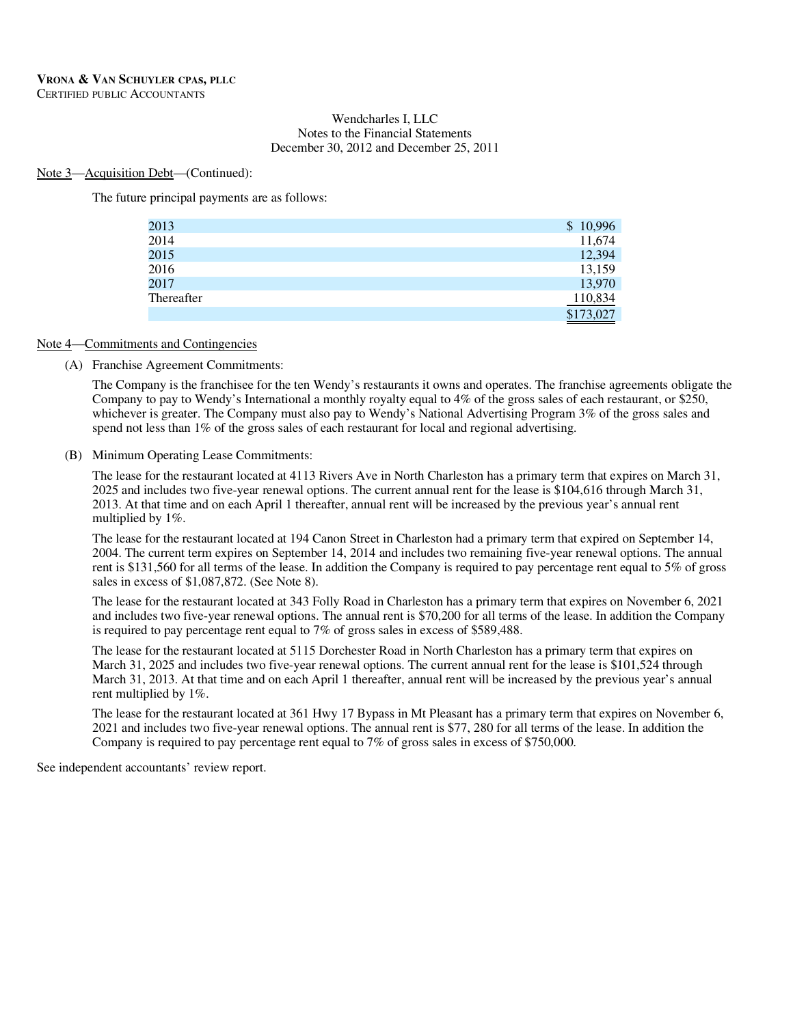#### Note 3—Acquisition Debt—(Continued):

The future principal payments are as follows:

| 2013       | \$10,996  |
|------------|-----------|
| 2014       | 11,674    |
| 2015       | 12,394    |
| 2016       | 13,159    |
| 2017       | 13,970    |
| Thereafter | 110,834   |
|            | \$173,027 |

#### Note 4—Commitments and Contingencies

(A) Franchise Agreement Commitments:

The Company is the franchisee for the ten Wendy's restaurants it owns and operates. The franchise agreements obligate the Company to pay to Wendy's International a monthly royalty equal to 4% of the gross sales of each restaurant, or \$250, whichever is greater. The Company must also pay to Wendy's National Advertising Program 3% of the gross sales and spend not less than 1% of the gross sales of each restaurant for local and regional advertising.

#### (B) Minimum Operating Lease Commitments:

The lease for the restaurant located at 4113 Rivers Ave in North Charleston has a primary term that expires on March 31, 2025 and includes two five-year renewal options. The current annual rent for the lease is \$104,616 through March 31, 2013. At that time and on each April 1 thereafter, annual rent will be increased by the previous year's annual rent multiplied by 1%.

The lease for the restaurant located at 194 Canon Street in Charleston had a primary term that expired on September 14, 2004. The current term expires on September 14, 2014 and includes two remaining five-year renewal options. The annual rent is \$131,560 for all terms of the lease. In addition the Company is required to pay percentage rent equal to 5% of gross sales in excess of \$1,087,872. (See Note 8).

The lease for the restaurant located at 343 Folly Road in Charleston has a primary term that expires on November 6, 2021 and includes two five-year renewal options. The annual rent is \$70,200 for all terms of the lease. In addition the Company is required to pay percentage rent equal to 7% of gross sales in excess of \$589,488.

The lease for the restaurant located at 5115 Dorchester Road in North Charleston has a primary term that expires on March 31, 2025 and includes two five-year renewal options. The current annual rent for the lease is \$101,524 through March 31, 2013. At that time and on each April 1 thereafter, annual rent will be increased by the previous year's annual rent multiplied by 1%.

The lease for the restaurant located at 361 Hwy 17 Bypass in Mt Pleasant has a primary term that expires on November 6, 2021 and includes two five-year renewal options. The annual rent is \$77, 280 for all terms of the lease. In addition the Company is required to pay percentage rent equal to 7% of gross sales in excess of \$750,000.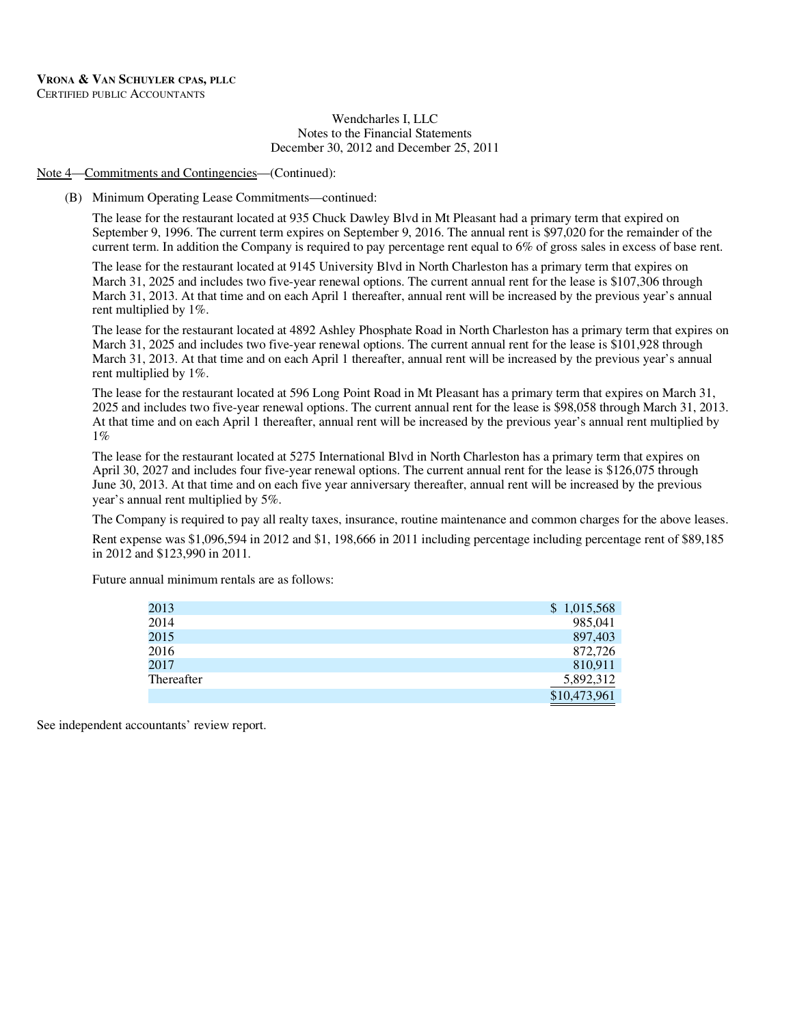#### Note 4—Commitments and Contingencies—(Continued):

#### (B) Minimum Operating Lease Commitments—continued:

The lease for the restaurant located at 935 Chuck Dawley Blvd in Mt Pleasant had a primary term that expired on September 9, 1996. The current term expires on September 9, 2016. The annual rent is \$97,020 for the remainder of the current term. In addition the Company is required to pay percentage rent equal to 6% of gross sales in excess of base rent.

The lease for the restaurant located at 9145 University Blvd in North Charleston has a primary term that expires on March 31, 2025 and includes two five-year renewal options. The current annual rent for the lease is \$107,306 through March 31, 2013. At that time and on each April 1 thereafter, annual rent will be increased by the previous year's annual rent multiplied by 1%.

The lease for the restaurant located at 4892 Ashley Phosphate Road in North Charleston has a primary term that expires on March 31, 2025 and includes two five-year renewal options. The current annual rent for the lease is \$101,928 through March 31, 2013. At that time and on each April 1 thereafter, annual rent will be increased by the previous year's annual rent multiplied by 1%.

The lease for the restaurant located at 596 Long Point Road in Mt Pleasant has a primary term that expires on March 31, 2025 and includes two five-year renewal options. The current annual rent for the lease is \$98,058 through March 31, 2013. At that time and on each April 1 thereafter, annual rent will be increased by the previous year's annual rent multiplied by 1%

The lease for the restaurant located at 5275 International Blvd in North Charleston has a primary term that expires on April 30, 2027 and includes four five-year renewal options. The current annual rent for the lease is \$126,075 through June 30, 2013. At that time and on each five year anniversary thereafter, annual rent will be increased by the previous year's annual rent multiplied by 5%.

The Company is required to pay all realty taxes, insurance, routine maintenance and common charges for the above leases. Rent expense was \$1,096,594 in 2012 and \$1, 198,666 in 2011 including percentage including percentage rent of \$89,185 in 2012 and \$123,990 in 2011.

Future annual minimum rentals are as follows:

| 2013       | \$1,015,568  |
|------------|--------------|
| 2014       | 985,041      |
| 2015       | 897,403      |
| 2016       | 872,726      |
| 2017       | 810,911      |
| Thereafter | 5,892,312    |
|            | \$10,473,961 |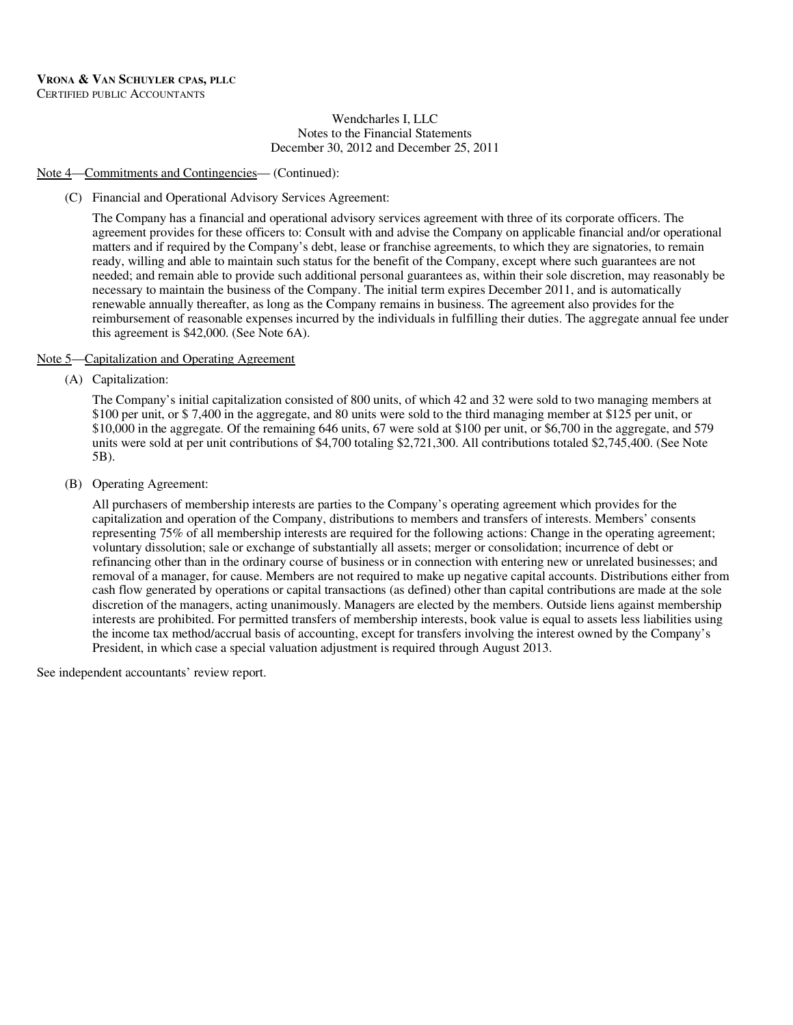### Note 4—Commitments and Contingencies— (Continued):

#### (C) Financial and Operational Advisory Services Agreement:

The Company has a financial and operational advisory services agreement with three of its corporate officers. The agreement provides for these officers to: Consult with and advise the Company on applicable financial and/or operational matters and if required by the Company's debt, lease or franchise agreements, to which they are signatories, to remain ready, willing and able to maintain such status for the benefit of the Company, except where such guarantees are not needed; and remain able to provide such additional personal guarantees as, within their sole discretion, may reasonably be necessary to maintain the business of the Company. The initial term expires December 2011, and is automatically renewable annually thereafter, as long as the Company remains in business. The agreement also provides for the reimbursement of reasonable expenses incurred by the individuals in fulfilling their duties. The aggregate annual fee under this agreement is \$42,000. (See Note 6A).

#### Note 5—Capitalization and Operating Agreement

(A) Capitalization:

The Company's initial capitalization consisted of 800 units, of which 42 and 32 were sold to two managing members at \$100 per unit, or \$ 7,400 in the aggregate, and 80 units were sold to the third managing member at \$125 per unit, or \$10,000 in the aggregate. Of the remaining 646 units, 67 were sold at \$100 per unit, or \$6,700 in the aggregate, and 579 units were sold at per unit contributions of \$4,700 totaling \$2,721,300. All contributions totaled \$2,745,400. (See Note 5B).

(B) Operating Agreement:

All purchasers of membership interests are parties to the Company's operating agreement which provides for the capitalization and operation of the Company, distributions to members and transfers of interests. Members' consents representing 75% of all membership interests are required for the following actions: Change in the operating agreement; voluntary dissolution; sale or exchange of substantially all assets; merger or consolidation; incurrence of debt or refinancing other than in the ordinary course of business or in connection with entering new or unrelated businesses; and removal of a manager, for cause. Members are not required to make up negative capital accounts. Distributions either from cash flow generated by operations or capital transactions (as defined) other than capital contributions are made at the sole discretion of the managers, acting unanimously. Managers are elected by the members. Outside liens against membership interests are prohibited. For permitted transfers of membership interests, book value is equal to assets less liabilities using the income tax method/accrual basis of accounting, except for transfers involving the interest owned by the Company's President, in which case a special valuation adjustment is required through August 2013.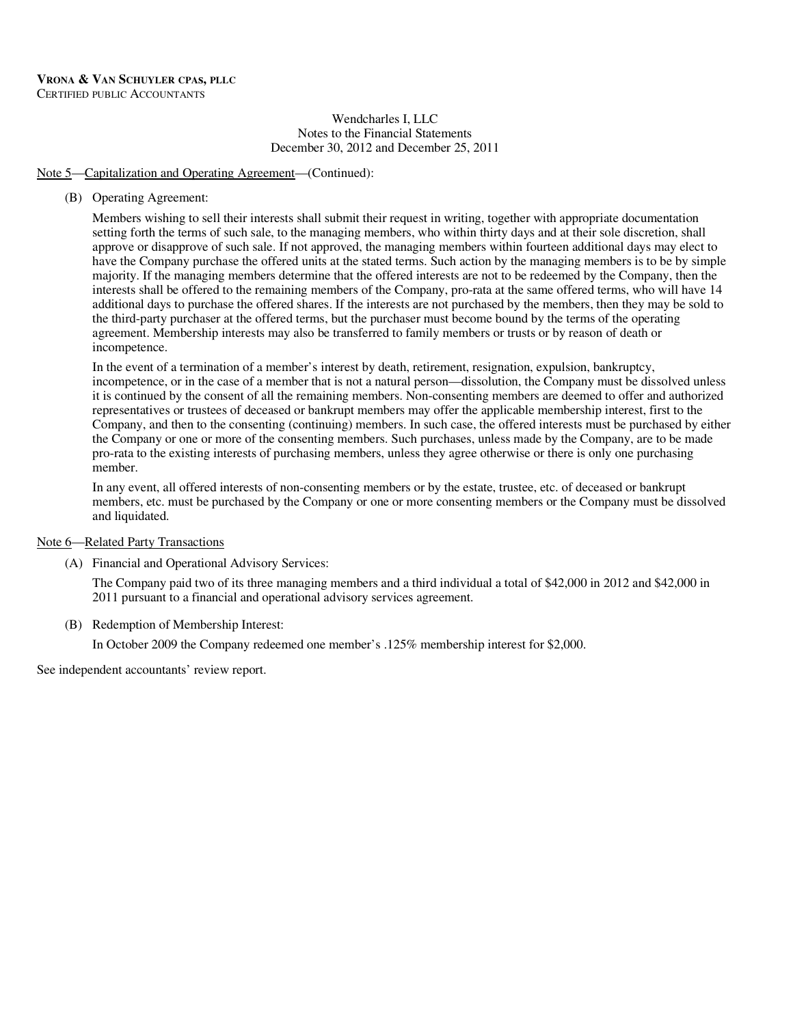### Note 5—Capitalization and Operating Agreement—(Continued):

(B) Operating Agreement:

Members wishing to sell their interests shall submit their request in writing, together with appropriate documentation setting forth the terms of such sale, to the managing members, who within thirty days and at their sole discretion, shall approve or disapprove of such sale. If not approved, the managing members within fourteen additional days may elect to have the Company purchase the offered units at the stated terms. Such action by the managing members is to be by simple majority. If the managing members determine that the offered interests are not to be redeemed by the Company, then the interests shall be offered to the remaining members of the Company, pro-rata at the same offered terms, who will have 14 additional days to purchase the offered shares. If the interests are not purchased by the members, then they may be sold to the third-party purchaser at the offered terms, but the purchaser must become bound by the terms of the operating agreement. Membership interests may also be transferred to family members or trusts or by reason of death or incompetence.

In the event of a termination of a member's interest by death, retirement, resignation, expulsion, bankruptcy, incompetence, or in the case of a member that is not a natural person—dissolution, the Company must be dissolved unless it is continued by the consent of all the remaining members. Non-consenting members are deemed to offer and authorized representatives or trustees of deceased or bankrupt members may offer the applicable membership interest, first to the Company, and then to the consenting (continuing) members. In such case, the offered interests must be purchased by either the Company or one or more of the consenting members. Such purchases, unless made by the Company, are to be made pro-rata to the existing interests of purchasing members, unless they agree otherwise or there is only one purchasing member.

In any event, all offered interests of non-consenting members or by the estate, trustee, etc. of deceased or bankrupt members, etc. must be purchased by the Company or one or more consenting members or the Company must be dissolved and liquidated.

#### Note 6—Related Party Transactions

(A) Financial and Operational Advisory Services:

The Company paid two of its three managing members and a third individual a total of \$42,000 in 2012 and \$42,000 in 2011 pursuant to a financial and operational advisory services agreement.

(B) Redemption of Membership Interest:

In October 2009 the Company redeemed one member's .125% membership interest for \$2,000.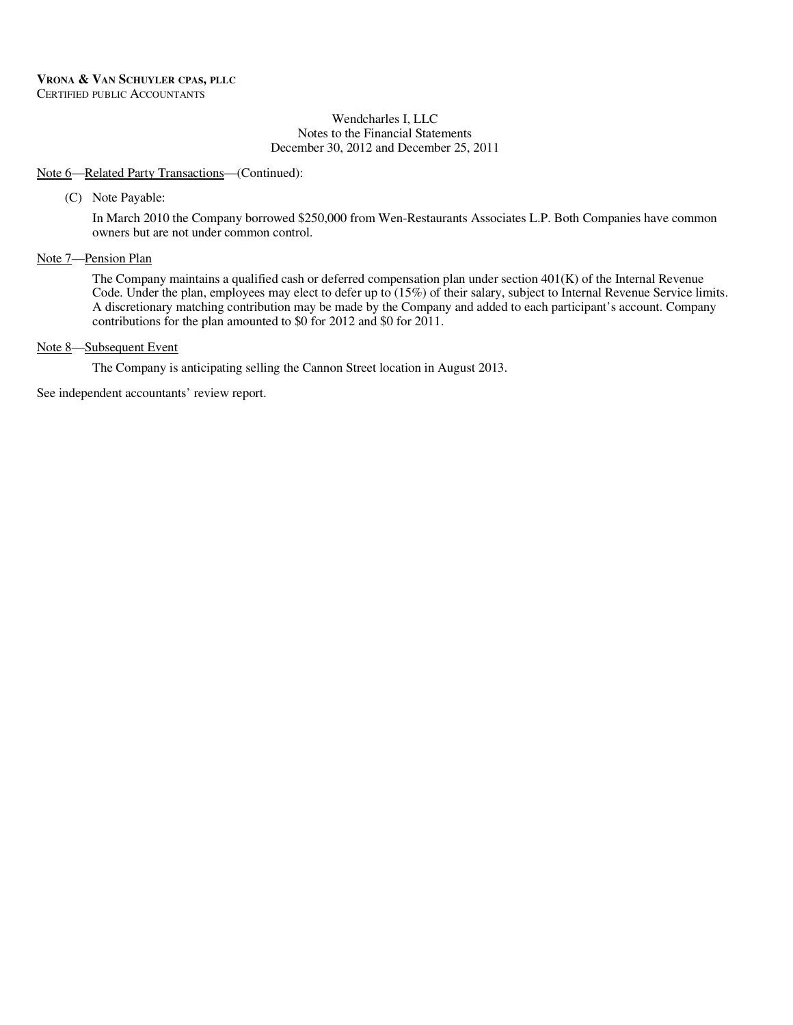### Note 6—Related Party Transactions—(Continued):

(C) Note Payable:

In March 2010 the Company borrowed \$250,000 from Wen-Restaurants Associates L.P. Both Companies have common owners but are not under common control.

# Note 7-Pension Plan

The Company maintains a qualified cash or deferred compensation plan under section 401(K) of the Internal Revenue Code. Under the plan, employees may elect to defer up to (15%) of their salary, subject to Internal Revenue Service limits. A discretionary matching contribution may be made by the Company and added to each participant's account. Company contributions for the plan amounted to \$0 for 2012 and \$0 for 2011.

### Note 8—Subsequent Event

The Company is anticipating selling the Cannon Street location in August 2013.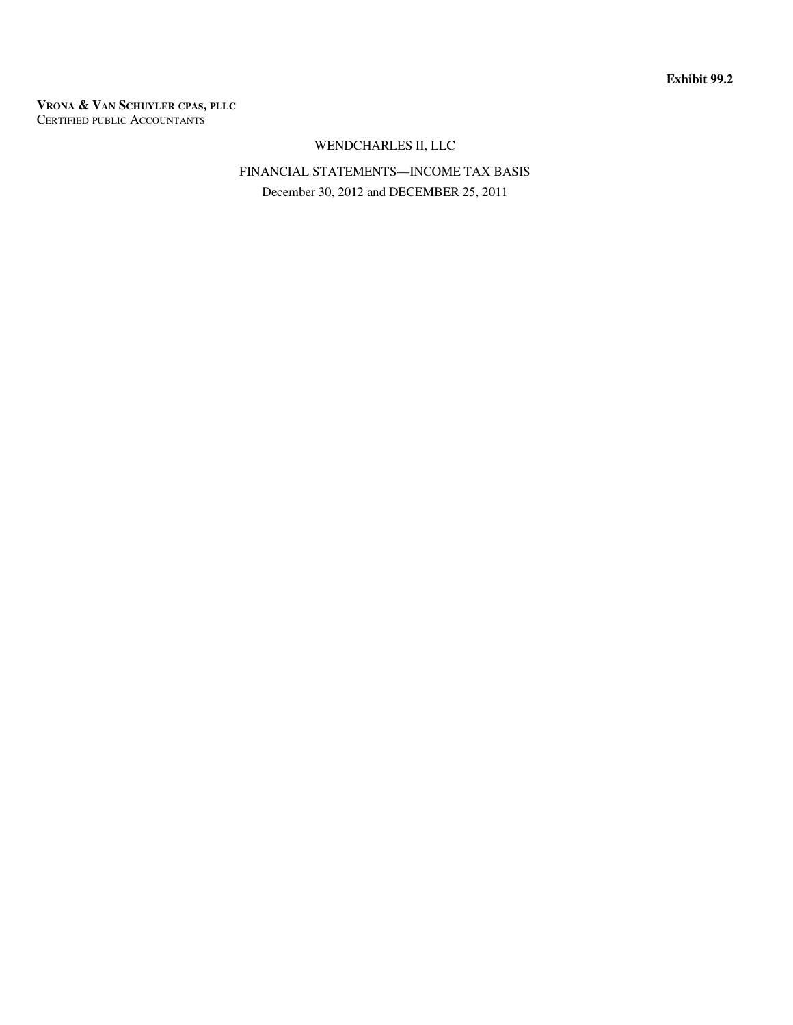**Exhibit 99.2** 

### **VRONA & VAN SCHUYLER CPAs, PLLC** CERTIFIED PUBLIC ACCOUNTANTS

# WENDCHARLES II, LLC

FINANCIAL STATEMENTS—INCOME TAX BASIS December 30, 2012 and DECEMBER 25, 2011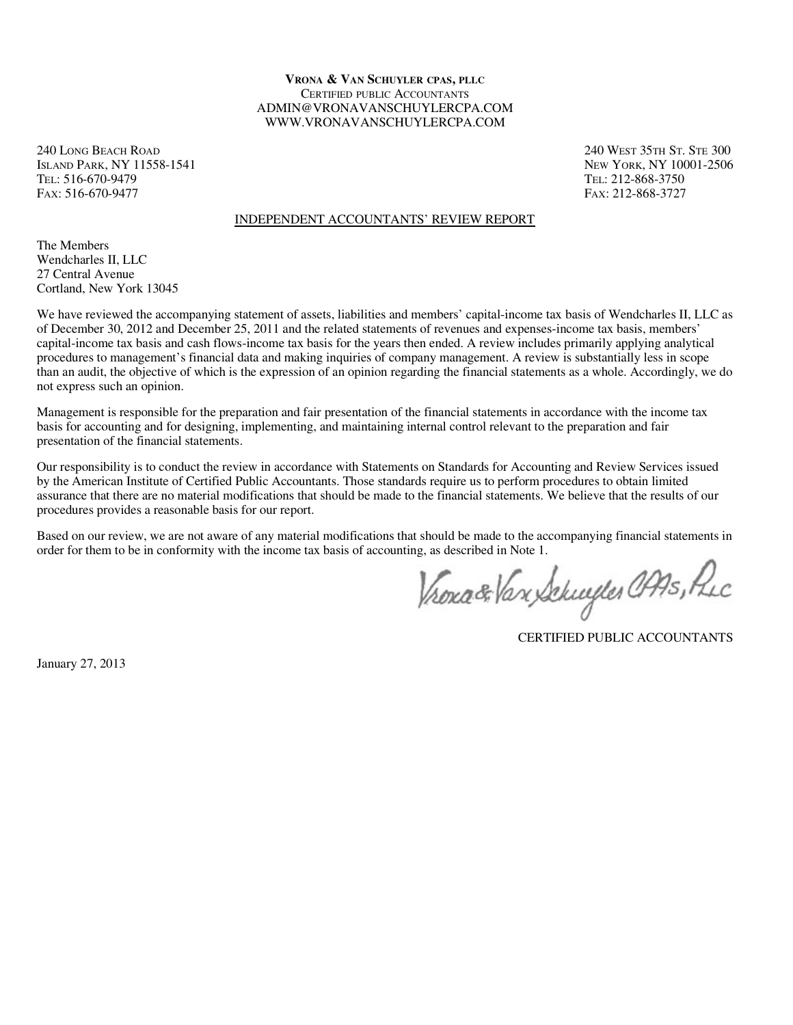#### **VRONA & VAN SCHUYLER CPAS, PLLC** CERTIFIED PUBLIC ACCOUNTANTS ADMIN@VRONAVANSCHUYLERCPA.COM WWW.VRONAVANSCHUYLERCPA.COM

240 Long Beach Road (2008) 240 West 35th St. Ste 300<br>240 West 35th St. Ste 300<br>2506 New York, NY 11558-1541 ISLAND PARK, NY 11558-1541<br>
TEL: 516-670-9479 TEL: 212-868-3750 TEL: 516-670-9479<br>Fax: 516-670-9477

FAX: 212-868-3727

## INDEPENDENT ACCOUNTANTS' REVIEW REPORT

The Members Wendcharles II, LLC 27 Central Avenue Cortland, New York 13045

We have reviewed the accompanying statement of assets, liabilities and members' capital-income tax basis of Wendcharles II, LLC as of December 30, 2012 and December 25, 2011 and the related statements of revenues and expenses-income tax basis, members' capital-income tax basis and cash flows-income tax basis for the years then ended. A review includes primarily applying analytical procedures to management's financial data and making inquiries of company management. A review is substantially less in scope than an audit, the objective of which is the expression of an opinion regarding the financial statements as a whole. Accordingly, we do not express such an opinion.

Management is responsible for the preparation and fair presentation of the financial statements in accordance with the income tax basis for accounting and for designing, implementing, and maintaining internal control relevant to the preparation and fair presentation of the financial statements.

Our responsibility is to conduct the review in accordance with Statements on Standards for Accounting and Review Services issued by the American Institute of Certified Public Accountants. Those standards require us to perform procedures to obtain limited assurance that there are no material modifications that should be made to the financial statements. We believe that the results of our procedures provides a reasonable basis for our report.

Based on our review, we are not aware of any material modifications that should be made to the accompanying financial statements in order for them to be in conformity with the income tax basis of accounting, as described in Note 1.

Vroxa&Vax Schuyles CAAs, Puc

CERTIFIED PUBLIC ACCOUNTANTS

January 27, 2013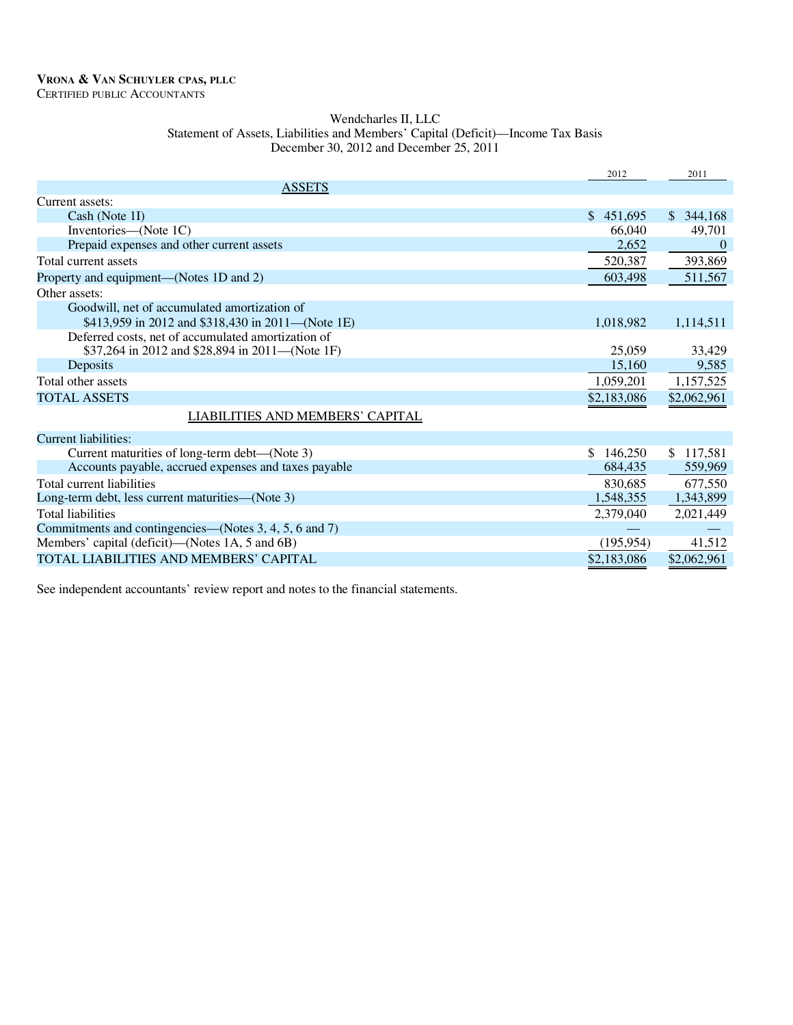### Wendcharles II, LLC Statement of Assets, Liabilities and Members' Capital (Deficit)—Income Tax Basis December 30, 2012 and December 25, 2011

|                                                        | 2012                    | 2011           |
|--------------------------------------------------------|-------------------------|----------------|
| <b>ASSETS</b>                                          |                         |                |
| Current assets:                                        |                         |                |
| Cash (Note 1I)                                         | $\mathbb{S}$<br>451.695 | \$344,168      |
| Inventories—(Note 1C)                                  | 66,040                  | 49,701         |
| Prepaid expenses and other current assets              | 2,652                   | $\overline{0}$ |
| Total current assets                                   | 520,387                 | 393,869        |
| Property and equipment—(Notes 1D and 2)                | 603,498                 | 511,567        |
| Other assets:                                          |                         |                |
| Goodwill, net of accumulated amortization of           |                         |                |
| \$413,959 in 2012 and \$318,430 in 2011—(Note 1E)      | 1,018,982               | 1,114,511      |
| Deferred costs, net of accumulated amortization of     |                         |                |
| \$37,264 in 2012 and \$28,894 in 2011—(Note 1F)        | 25,059                  | 33,429         |
| Deposits                                               | 15,160                  | 9,585          |
| Total other assets                                     | 1,059,201               | 1,157,525      |
| <b>TOTAL ASSETS</b>                                    | \$2,183,086             | \$2,062,961    |
| <b>LIABILITIES AND MEMBERS' CAPITAL</b>                |                         |                |
| Current liabilities:                                   |                         |                |
| Current maturities of long-term debt—(Note 3)          | \$<br>146,250           | \$117,581      |
| Accounts payable, accrued expenses and taxes payable   | 684,435                 | 559,969        |
| Total current liabilities                              | 830,685                 | 677,550        |
| Long-term debt, less current maturities—(Note 3)       | 1,548,355               | 1,343,899      |
| <b>Total liabilities</b>                               | 2,379,040               | 2,021,449      |
| Commitments and contingencies—(Notes 3, 4, 5, 6 and 7) |                         |                |
| Members' capital (deficit)—(Notes 1A, 5 and 6B)        | (195, 954)              | 41,512         |
| TOTAL LIABILITIES AND MEMBERS' CAPITAL                 | \$2,183,086             | \$2,062,961    |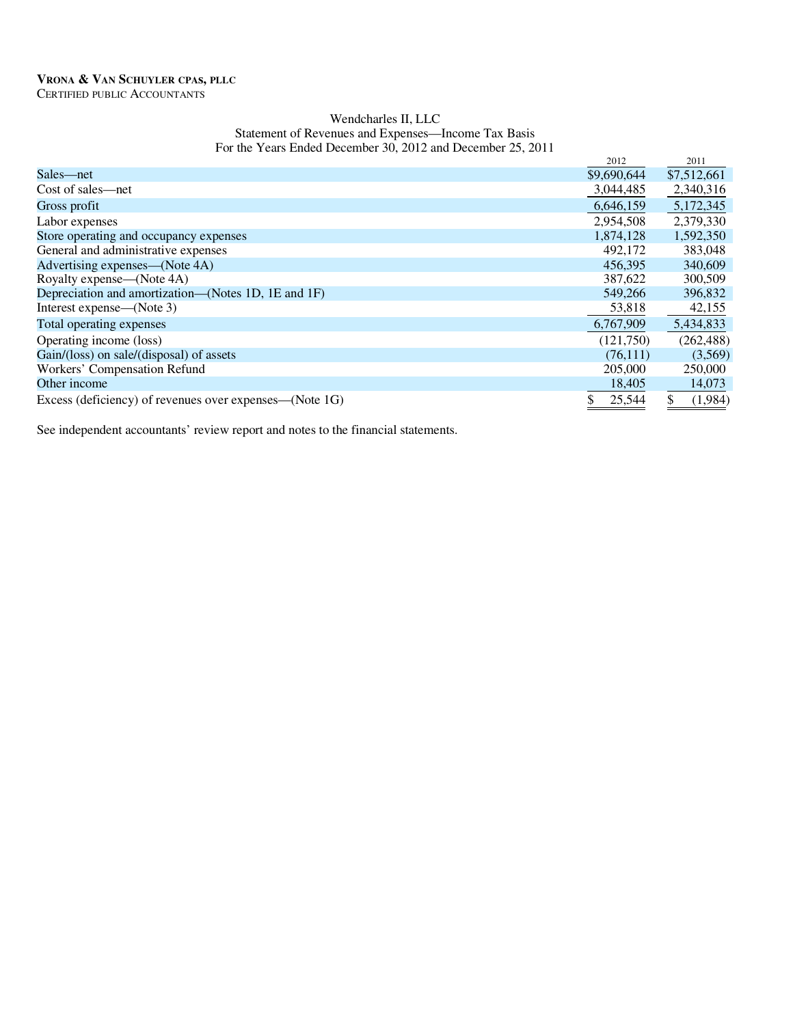# Wendcharles II, LLC Statement of Revenues and Expenses—Income Tax Basis

For the Years Ended December 30, 2012 and December 25, 2011

|                                                         | 2012        | 2011          |
|---------------------------------------------------------|-------------|---------------|
| Sales—net                                               | \$9,690,644 | \$7,512,661   |
| Cost of sales—net                                       | 3,044,485   | 2,340,316     |
| Gross profit                                            | 6,646,159   | 5,172,345     |
| Labor expenses                                          | 2.954.508   | 2,379,330     |
| Store operating and occupancy expenses                  | 1,874,128   | 1,592,350     |
| General and administrative expenses                     | 492,172     | 383,048       |
| Advertising expenses—(Note 4A)                          | 456,395     | 340,609       |
| Royalty expense—(Note 4A)                               | 387,622     | 300,509       |
| Depreciation and amortization—(Notes 1D, 1E and 1F)     | 549,266     | 396,832       |
| Interest expense—(Note 3)                               | 53,818      | 42,155        |
| Total operating expenses                                | 6,767,909   | 5,434,833     |
| Operating income (loss)                                 | (121,750)   | (262, 488)    |
| Gain/(loss) on sale/(disposal) of assets                | (76,111)    | (3,569)       |
| Workers' Compensation Refund                            | 205,000     | 250,000       |
| Other income                                            | 18,405      | 14,073        |
| Excess (deficiency) of revenues over expenses—(Note 1G) | 25,544      | \$<br>(1,984) |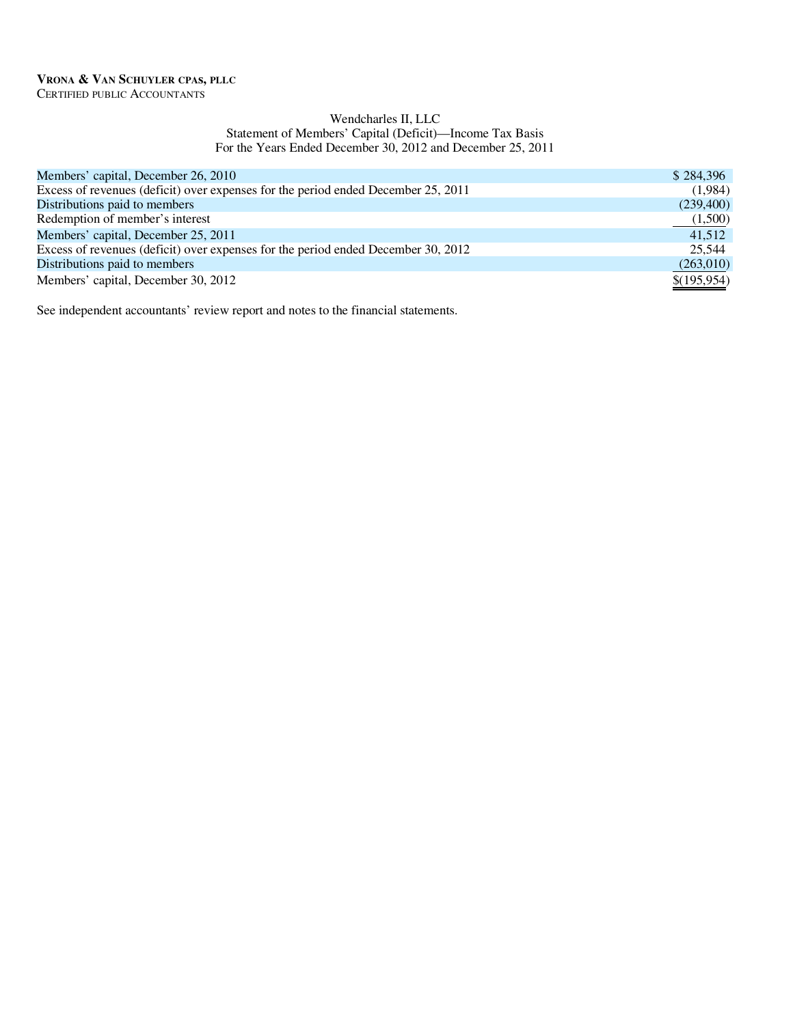### Wendcharles II, LLC Statement of Members' Capital (Deficit)—Income Tax Basis For the Years Ended December 30, 2012 and December 25, 2011

| Members' capital, December 26, 2010<br>\$284,396<br>Excess of revenues (deficit) over expenses for the period ended December 25, 2011<br>Distributions paid to members<br>(239,400) |         |
|-------------------------------------------------------------------------------------------------------------------------------------------------------------------------------------|---------|
|                                                                                                                                                                                     |         |
|                                                                                                                                                                                     | (1,984) |
|                                                                                                                                                                                     |         |
| Redemption of member's interest                                                                                                                                                     | (1,500) |
| Members' capital, December 25, 2011                                                                                                                                                 | 41.512  |
| Excess of revenues (deficit) over expenses for the period ended December 30, 2012<br>25.544                                                                                         |         |
| (263,010)<br>Distributions paid to members                                                                                                                                          |         |
| Members' capital, December 30, 2012<br>\$(195,954)                                                                                                                                  |         |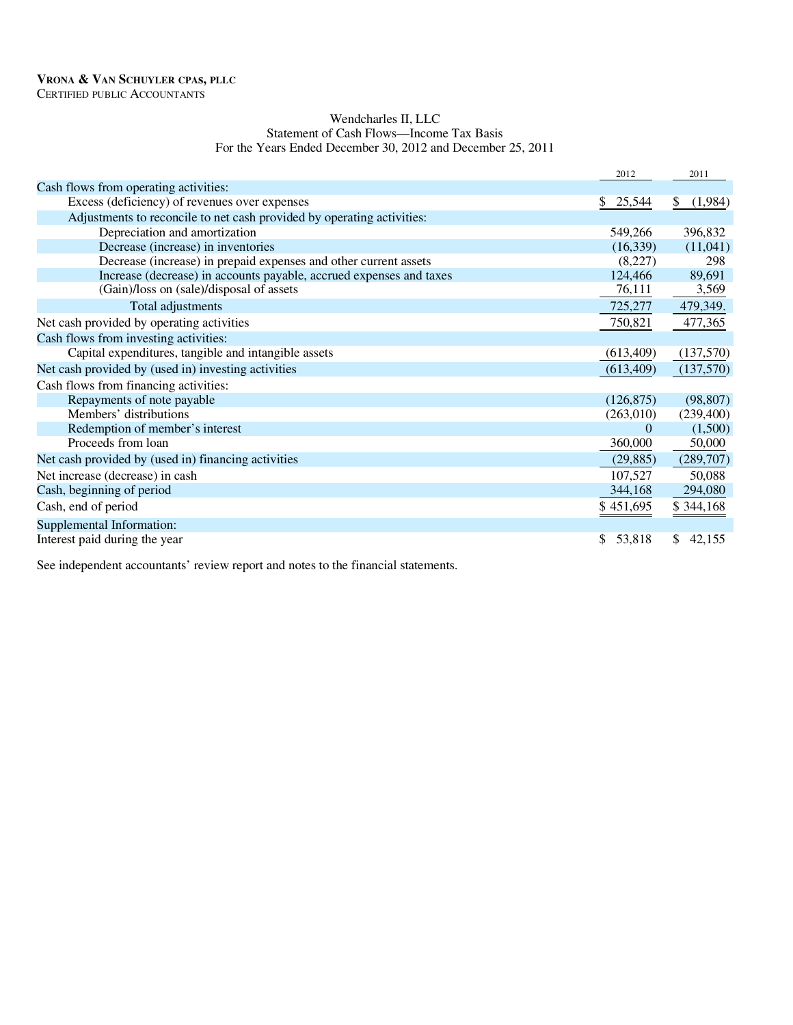### Wendcharles II, LLC Statement of Cash Flows—Income Tax Basis For the Years Ended December 30, 2012 and December 25, 2011

|                                                                        | 2012         | 2011          |
|------------------------------------------------------------------------|--------------|---------------|
| Cash flows from operating activities:                                  |              |               |
| Excess (deficiency) of revenues over expenses                          | 25,544<br>S. | (1,984)<br>S. |
| Adjustments to reconcile to net cash provided by operating activities: |              |               |
| Depreciation and amortization                                          | 549,266      | 396,832       |
| Decrease (increase) in inventories                                     | (16,339)     | (11,041)      |
| Decrease (increase) in prepaid expenses and other current assets       | (8,227)      | 298           |
| Increase (decrease) in accounts payable, accrued expenses and taxes    | 124,466      | 89,691        |
| (Gain)/loss on (sale)/disposal of assets                               | 76,111       | 3,569         |
| Total adjustments                                                      | 725,277      | 479,349.      |
| Net cash provided by operating activities                              | 750,821      | 477,365       |
| Cash flows from investing activities:                                  |              |               |
| Capital expenditures, tangible and intangible assets                   | (613, 409)   | (137,570)     |
| Net cash provided by (used in) investing activities                    | (613, 409)   | (137,570)     |
| Cash flows from financing activities:                                  |              |               |
| Repayments of note payable                                             | (126, 875)   | (98, 807)     |
| Members' distributions                                                 | (263,010)    | (239, 400)    |
| Redemption of member's interest                                        |              | (1,500)       |
| Proceeds from loan                                                     | 360,000      | 50,000        |
| Net cash provided by (used in) financing activities                    | (29, 885)    | (289,707)     |
| Net increase (decrease) in cash                                        | 107,527      | 50,088        |
| Cash, beginning of period                                              | 344,168      | 294,080       |
| Cash, end of period                                                    | \$451,695    | \$344,168     |
| Supplemental Information:                                              |              |               |
| Interest paid during the year                                          | 53,818       | 42,155<br>S.  |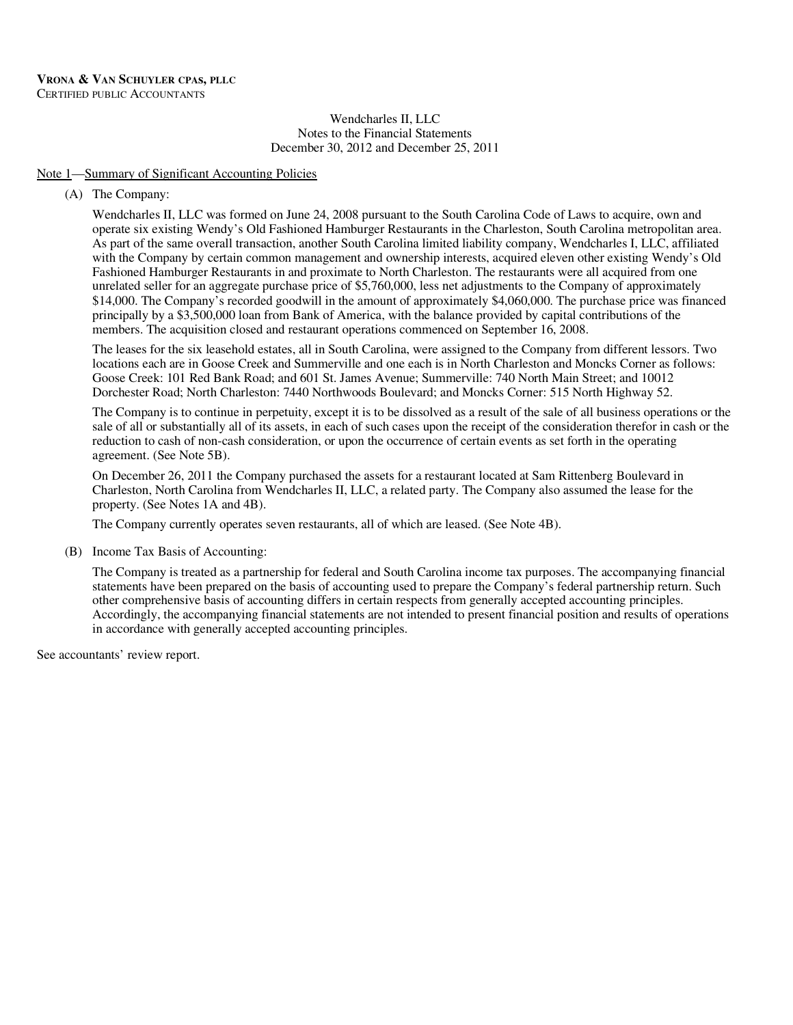## Note 1—Summary of Significant Accounting Policies

(A) The Company:

Wendcharles II, LLC was formed on June 24, 2008 pursuant to the South Carolina Code of Laws to acquire, own and operate six existing Wendy's Old Fashioned Hamburger Restaurants in the Charleston, South Carolina metropolitan area. As part of the same overall transaction, another South Carolina limited liability company, Wendcharles I, LLC, affiliated with the Company by certain common management and ownership interests, acquired eleven other existing Wendy's Old Fashioned Hamburger Restaurants in and proximate to North Charleston. The restaurants were all acquired from one unrelated seller for an aggregate purchase price of \$5,760,000, less net adjustments to the Company of approximately \$14,000. The Company's recorded goodwill in the amount of approximately \$4,060,000. The purchase price was financed principally by a \$3,500,000 loan from Bank of America, with the balance provided by capital contributions of the members. The acquisition closed and restaurant operations commenced on September 16, 2008.

The leases for the six leasehold estates, all in South Carolina, were assigned to the Company from different lessors. Two locations each are in Goose Creek and Summerville and one each is in North Charleston and Moncks Corner as follows: Goose Creek: 101 Red Bank Road; and 601 St. James Avenue; Summerville: 740 North Main Street; and 10012 Dorchester Road; North Charleston: 7440 Northwoods Boulevard; and Moncks Corner: 515 North Highway 52.

The Company is to continue in perpetuity, except it is to be dissolved as a result of the sale of all business operations or the sale of all or substantially all of its assets, in each of such cases upon the receipt of the consideration therefor in cash or the reduction to cash of non-cash consideration, or upon the occurrence of certain events as set forth in the operating agreement. (See Note 5B).

On December 26, 2011 the Company purchased the assets for a restaurant located at Sam Rittenberg Boulevard in Charleston, North Carolina from Wendcharles II, LLC, a related party. The Company also assumed the lease for the property. (See Notes 1A and 4B).

The Company currently operates seven restaurants, all of which are leased. (See Note 4B).

(B) Income Tax Basis of Accounting:

The Company is treated as a partnership for federal and South Carolina income tax purposes. The accompanying financial statements have been prepared on the basis of accounting used to prepare the Company's federal partnership return. Such other comprehensive basis of accounting differs in certain respects from generally accepted accounting principles. Accordingly, the accompanying financial statements are not intended to present financial position and results of operations in accordance with generally accepted accounting principles.

See accountants' review report.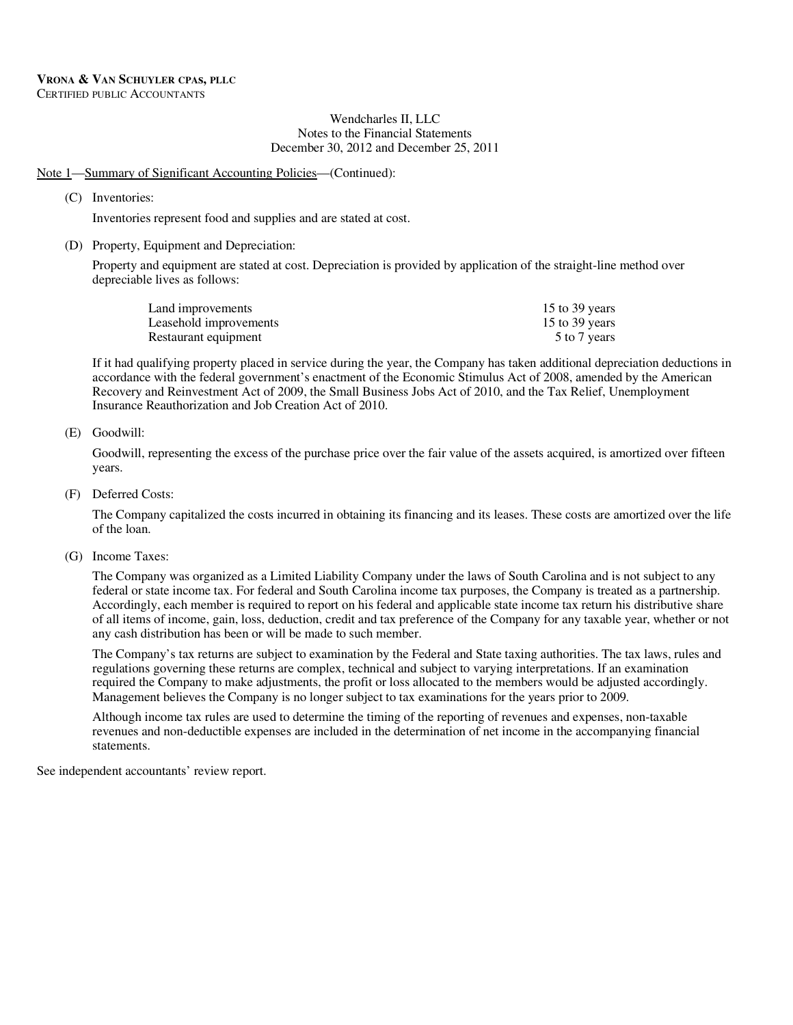### Note 1—Summary of Significant Accounting Policies—(Continued):

(C) Inventories:

Inventories represent food and supplies and are stated at cost.

(D) Property, Equipment and Depreciation:

Property and equipment are stated at cost. Depreciation is provided by application of the straight-line method over depreciable lives as follows:

| Land improvements      | 15 to 39 years |
|------------------------|----------------|
| Leasehold improvements | 15 to 39 years |
| Restaurant equipment   | 5 to 7 years   |

If it had qualifying property placed in service during the year, the Company has taken additional depreciation deductions in accordance with the federal government's enactment of the Economic Stimulus Act of 2008, amended by the American Recovery and Reinvestment Act of 2009, the Small Business Jobs Act of 2010, and the Tax Relief, Unemployment Insurance Reauthorization and Job Creation Act of 2010.

(E) Goodwill:

Goodwill, representing the excess of the purchase price over the fair value of the assets acquired, is amortized over fifteen years.

(F) Deferred Costs:

The Company capitalized the costs incurred in obtaining its financing and its leases. These costs are amortized over the life of the loan.

(G) Income Taxes:

The Company was organized as a Limited Liability Company under the laws of South Carolina and is not subject to any federal or state income tax. For federal and South Carolina income tax purposes, the Company is treated as a partnership. Accordingly, each member is required to report on his federal and applicable state income tax return his distributive share of all items of income, gain, loss, deduction, credit and tax preference of the Company for any taxable year, whether or not any cash distribution has been or will be made to such member.

The Company's tax returns are subject to examination by the Federal and State taxing authorities. The tax laws, rules and regulations governing these returns are complex, technical and subject to varying interpretations. If an examination required the Company to make adjustments, the profit or loss allocated to the members would be adjusted accordingly. Management believes the Company is no longer subject to tax examinations for the years prior to 2009.

Although income tax rules are used to determine the timing of the reporting of revenues and expenses, non-taxable revenues and non-deductible expenses are included in the determination of net income in the accompanying financial statements.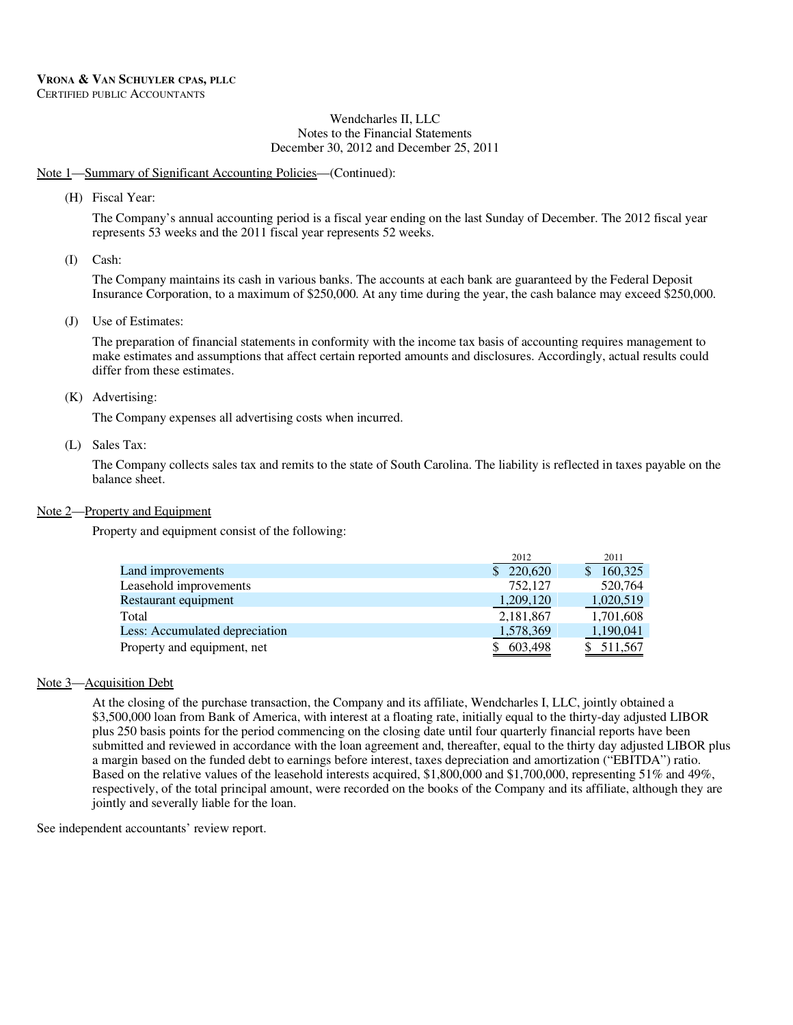### Note 1—Summary of Significant Accounting Policies—(Continued):

(H) Fiscal Year:

The Company's annual accounting period is a fiscal year ending on the last Sunday of December. The 2012 fiscal year represents 53 weeks and the 2011 fiscal year represents 52 weeks.

(I) Cash:

The Company maintains its cash in various banks. The accounts at each bank are guaranteed by the Federal Deposit Insurance Corporation, to a maximum of \$250,000. At any time during the year, the cash balance may exceed \$250,000.

(J) Use of Estimates:

The preparation of financial statements in conformity with the income tax basis of accounting requires management to make estimates and assumptions that affect certain reported amounts and disclosures. Accordingly, actual results could differ from these estimates.

(K) Advertising:

The Company expenses all advertising costs when incurred.

#### (L) Sales Tax:

The Company collects sales tax and remits to the state of South Carolina. The liability is reflected in taxes payable on the balance sheet.

### Note 2—Property and Equipment

Property and equipment consist of the following:

|                                | 2012      | 2011      |
|--------------------------------|-----------|-----------|
| Land improvements              | 220,620   | 160,325   |
| Leasehold improvements         | 752,127   | 520,764   |
| Restaurant equipment           | 1,209,120 | 1,020,519 |
| Total                          | 2,181,867 | 1,701,608 |
| Less: Accumulated depreciation | 1,578,369 | 1,190,041 |
| Property and equipment, net    | 603,498   | 511,567   |

### Note 3—Acquisition Debt

At the closing of the purchase transaction, the Company and its affiliate, Wendcharles I, LLC, jointly obtained a \$3,500,000 loan from Bank of America, with interest at a floating rate, initially equal to the thirty-day adjusted LIBOR plus 250 basis points for the period commencing on the closing date until four quarterly financial reports have been submitted and reviewed in accordance with the loan agreement and, thereafter, equal to the thirty day adjusted LIBOR plus a margin based on the funded debt to earnings before interest, taxes depreciation and amortization ("EBITDA") ratio. Based on the relative values of the leasehold interests acquired, \$1,800,000 and \$1,700,000, representing 51% and 49%, respectively, of the total principal amount, were recorded on the books of the Company and its affiliate, although they are jointly and severally liable for the loan.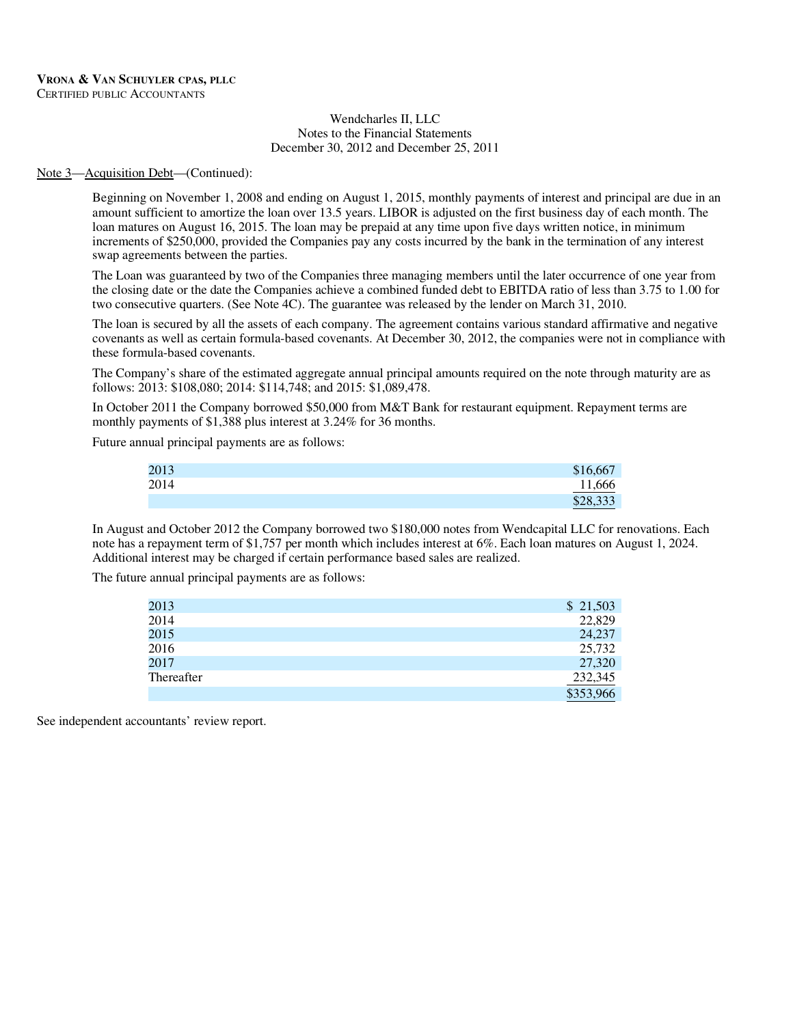#### Note 3—Acquisition Debt—(Continued):

Beginning on November 1, 2008 and ending on August 1, 2015, monthly payments of interest and principal are due in an amount sufficient to amortize the loan over 13.5 years. LIBOR is adjusted on the first business day of each month. The loan matures on August 16, 2015. The loan may be prepaid at any time upon five days written notice, in minimum increments of \$250,000, provided the Companies pay any costs incurred by the bank in the termination of any interest swap agreements between the parties.

The Loan was guaranteed by two of the Companies three managing members until the later occurrence of one year from the closing date or the date the Companies achieve a combined funded debt to EBITDA ratio of less than 3.75 to 1.00 for two consecutive quarters. (See Note 4C). The guarantee was released by the lender on March 31, 2010.

The loan is secured by all the assets of each company. The agreement contains various standard affirmative and negative covenants as well as certain formula-based covenants. At December 30, 2012, the companies were not in compliance with these formula-based covenants.

The Company's share of the estimated aggregate annual principal amounts required on the note through maturity are as follows: 2013: \$108,080; 2014: \$114,748; and 2015: \$1,089,478.

In October 2011 the Company borrowed \$50,000 from M&T Bank for restaurant equipment. Repayment terms are monthly payments of \$1,388 plus interest at 3.24% for 36 months.

Future annual principal payments are as follows:

| 2013 | \$16,667                              |
|------|---------------------------------------|
| 2014 | 11,666<br>$\sim$ $\sim$ $\sim$ $\sim$ |
|      | \$28,333                              |

In August and October 2012 the Company borrowed two \$180,000 notes from Wendcapital LLC for renovations. Each note has a repayment term of \$1,757 per month which includes interest at 6%. Each loan matures on August 1, 2024. Additional interest may be charged if certain performance based sales are realized.

The future annual principal payments are as follows:

| 2013       | \$21,503  |
|------------|-----------|
| 2014       | 22,829    |
| 2015       | 24,237    |
| 2016       | 25,732    |
| 2017       | 27,320    |
| Thereafter | 232,345   |
|            | \$353,966 |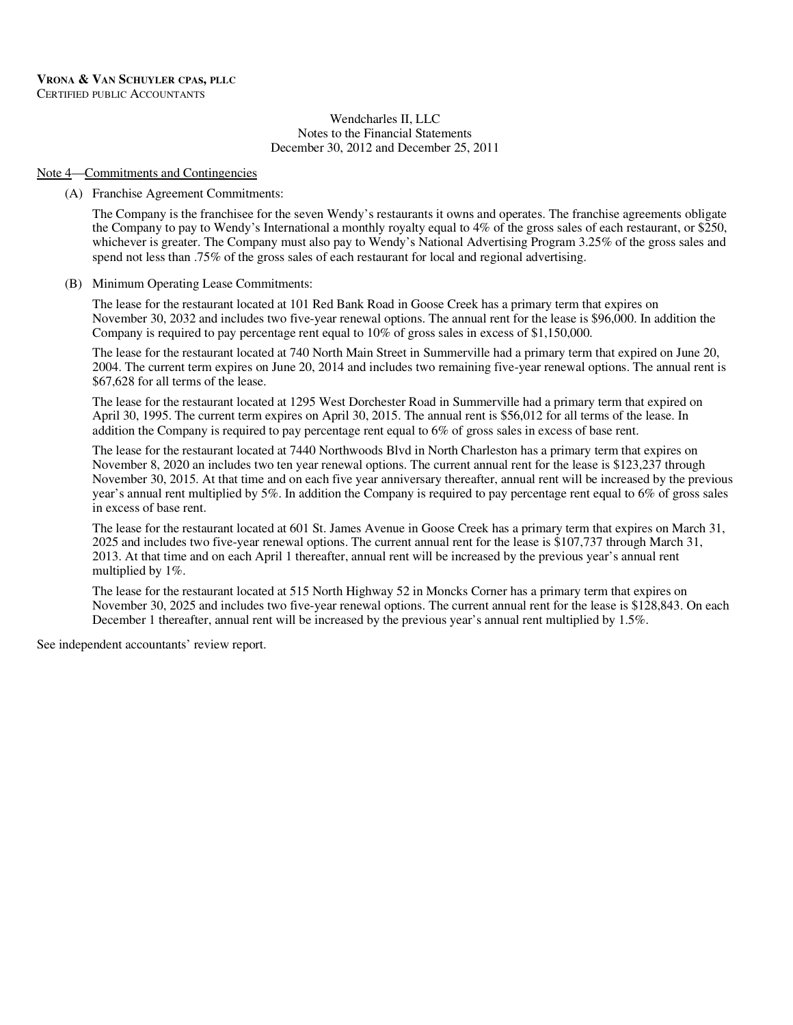#### Note 4—Commitments and Contingencies

#### (A) Franchise Agreement Commitments:

The Company is the franchisee for the seven Wendy's restaurants it owns and operates. The franchise agreements obligate the Company to pay to Wendy's International a monthly royalty equal to 4% of the gross sales of each restaurant, or \$250, whichever is greater. The Company must also pay to Wendy's National Advertising Program 3.25% of the gross sales and spend not less than .75% of the gross sales of each restaurant for local and regional advertising.

#### (B) Minimum Operating Lease Commitments:

The lease for the restaurant located at 101 Red Bank Road in Goose Creek has a primary term that expires on November 30, 2032 and includes two five-year renewal options. The annual rent for the lease is \$96,000. In addition the Company is required to pay percentage rent equal to 10% of gross sales in excess of \$1,150,000.

The lease for the restaurant located at 740 North Main Street in Summerville had a primary term that expired on June 20, 2004. The current term expires on June 20, 2014 and includes two remaining five-year renewal options. The annual rent is \$67,628 for all terms of the lease.

The lease for the restaurant located at 1295 West Dorchester Road in Summerville had a primary term that expired on April 30, 1995. The current term expires on April 30, 2015. The annual rent is \$56,012 for all terms of the lease. In addition the Company is required to pay percentage rent equal to 6% of gross sales in excess of base rent.

The lease for the restaurant located at 7440 Northwoods Blvd in North Charleston has a primary term that expires on November 8, 2020 an includes two ten year renewal options. The current annual rent for the lease is \$123,237 through November 30, 2015. At that time and on each five year anniversary thereafter, annual rent will be increased by the previous year's annual rent multiplied by 5%. In addition the Company is required to pay percentage rent equal to 6% of gross sales in excess of base rent.

The lease for the restaurant located at 601 St. James Avenue in Goose Creek has a primary term that expires on March 31, 2025 and includes two five-year renewal options. The current annual rent for the lease is \$107,737 through March 31, 2013. At that time and on each April 1 thereafter, annual rent will be increased by the previous year's annual rent multiplied by 1%.

The lease for the restaurant located at 515 North Highway 52 in Moncks Corner has a primary term that expires on November 30, 2025 and includes two five-year renewal options. The current annual rent for the lease is \$128,843. On each December 1 thereafter, annual rent will be increased by the previous year's annual rent multiplied by 1.5%.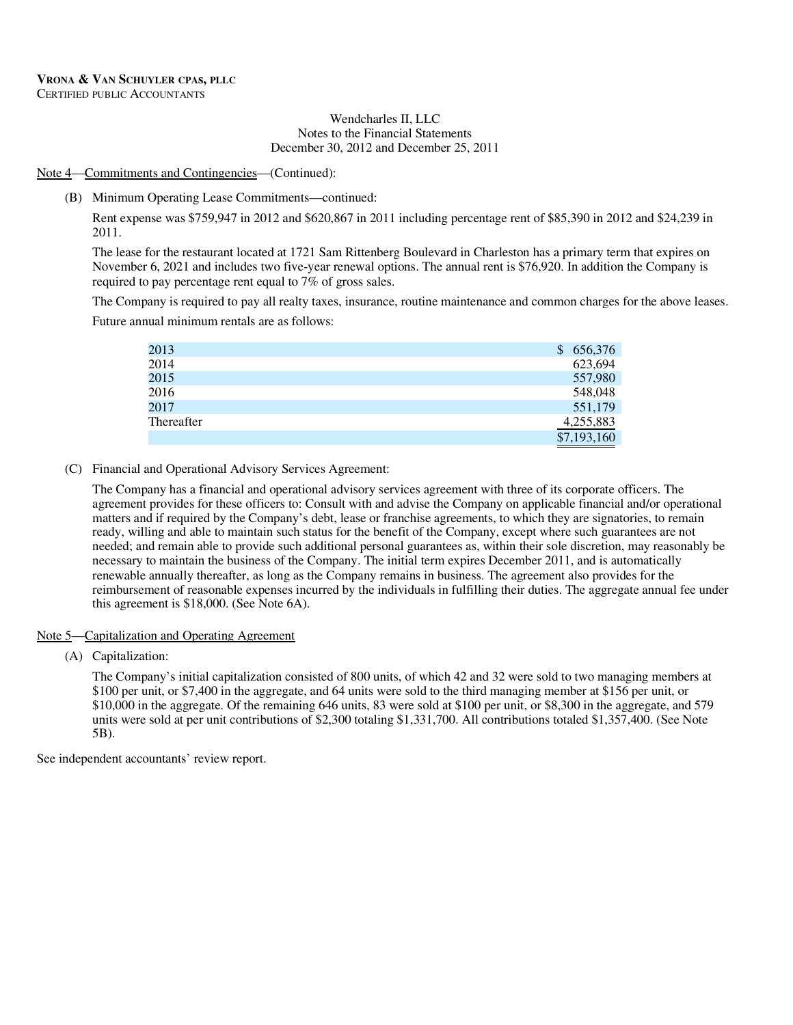#### Note 4—Commitments and Contingencies—(Continued):

#### (B) Minimum Operating Lease Commitments—continued:

Rent expense was \$759,947 in 2012 and \$620,867 in 2011 including percentage rent of \$85,390 in 2012 and \$24,239 in 2011.

The lease for the restaurant located at 1721 Sam Rittenberg Boulevard in Charleston has a primary term that expires on November 6, 2021 and includes two five-year renewal options. The annual rent is \$76,920. In addition the Company is required to pay percentage rent equal to 7% of gross sales.

The Company is required to pay all realty taxes, insurance, routine maintenance and common charges for the above leases.

Future annual minimum rentals are as follows:

| 2013       | 656,376<br>$\mathbb{S}^-$ |
|------------|---------------------------|
| 2014       | 623,694                   |
| 2015       | 557,980                   |
| 2016       | 548,048                   |
| 2017       | 551,179                   |
| Thereafter | 4,255,883                 |
|            | \$7,193,160               |

(C) Financial and Operational Advisory Services Agreement:

The Company has a financial and operational advisory services agreement with three of its corporate officers. The agreement provides for these officers to: Consult with and advise the Company on applicable financial and/or operational matters and if required by the Company's debt, lease or franchise agreements, to which they are signatories, to remain ready, willing and able to maintain such status for the benefit of the Company, except where such guarantees are not needed; and remain able to provide such additional personal guarantees as, within their sole discretion, may reasonably be necessary to maintain the business of the Company. The initial term expires December 2011, and is automatically renewable annually thereafter, as long as the Company remains in business. The agreement also provides for the reimbursement of reasonable expenses incurred by the individuals in fulfilling their duties. The aggregate annual fee under this agreement is \$18,000. (See Note 6A).

#### Note 5—Capitalization and Operating Agreement

(A) Capitalization:

The Company's initial capitalization consisted of 800 units, of which 42 and 32 were sold to two managing members at \$100 per unit, or \$7,400 in the aggregate, and 64 units were sold to the third managing member at \$156 per unit, or \$10,000 in the aggregate. Of the remaining 646 units, 83 were sold at \$100 per unit, or \$8,300 in the aggregate, and 579 units were sold at per unit contributions of \$2,300 totaling \$1,331,700. All contributions totaled \$1,357,400. (See Note 5B).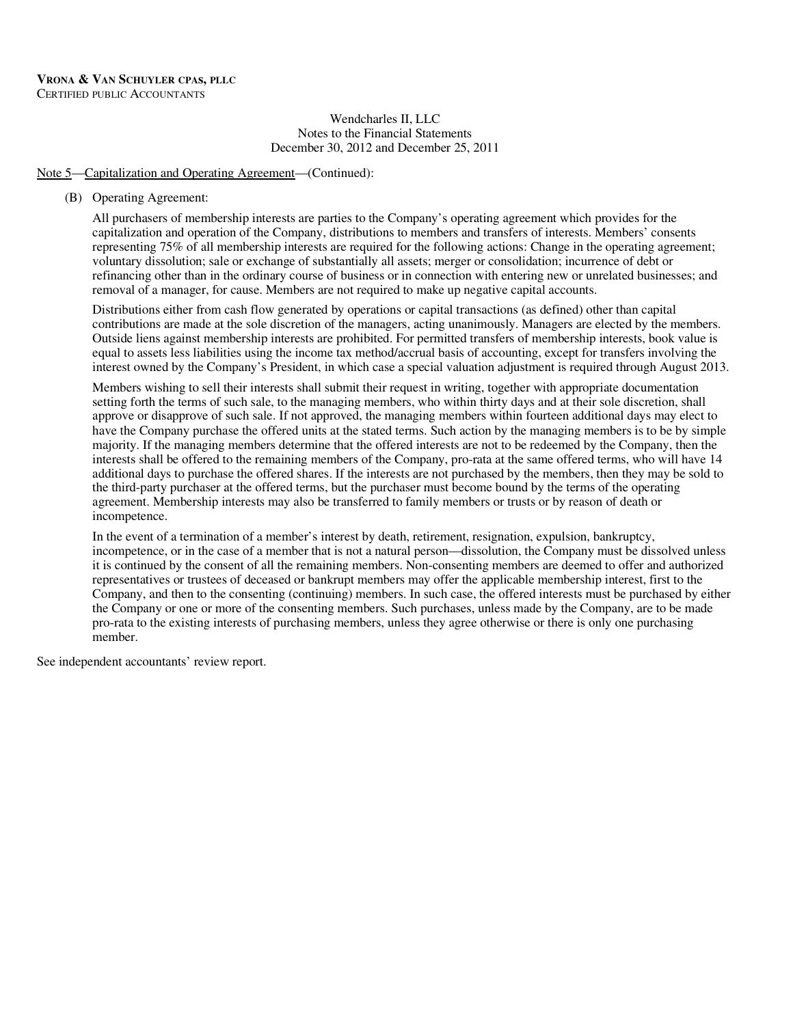#### Note 5—Capitalization and Operating Agreement—(Continued):

#### (B) Operating Agreement:

All purchasers of membership interests are parties to the Company's operating agreement which provides for the capitalization and operation of the Company, distributions to members and transfers of interests. Members' consents representing 75% of all membership interests are required for the following actions: Change in the operating agreement; voluntary dissolution; sale or exchange of substantially all assets; merger or consolidation; incurrence of debt or refinancing other than in the ordinary course of business or in connection with entering new or unrelated businesses; and removal of a manager, for cause. Members are not required to make up negative capital accounts.

Distributions either from cash flow generated by operations or capital transactions (as defined) other than capital contributions are made at the sole discretion of the managers, acting unanimously. Managers are elected by the members. Outside liens against membership interests are prohibited. For permitted transfers of membership interests, book value is equal to assets less liabilities using the income tax method/accrual basis of accounting, except for transfers involving the interest owned by the Company's President, in which case a special valuation adjustment is required through August 2013.

Members wishing to sell their interests shall submit their request in writing, together with appropriate documentation setting forth the terms of such sale, to the managing members, who within thirty days and at their sole discretion, shall approve or disapprove of such sale. If not approved, the managing members within fourteen additional days may elect to have the Company purchase the offered units at the stated terms. Such action by the managing members is to be by simple majority. If the managing members determine that the offered interests are not to be redeemed by the Company, then the interests shall be offered to the remaining members of the Company, pro-rata at the same offered terms, who will have 14 additional days to purchase the offered shares. If the interests are not purchased by the members, then they may be sold to the third-party purchaser at the offered terms, but the purchaser must become bound by the terms of the operating agreement. Membership interests may also be transferred to family members or trusts or by reason of death or incompetence.

In the event of a termination of a member's interest by death, retirement, resignation, expulsion, bankruptcy, incompetence, or in the case of a member that is not a natural person—dissolution, the Company must be dissolved unless it is continued by the consent of all the remaining members. Non-consenting members are deemed to offer and authorized representatives or trustees of deceased or bankrupt members may offer the applicable membership interest, first to the Company, and then to the consenting (continuing) members. In such case, the offered interests must be purchased by either the Company or one or more of the consenting members. Such purchases, unless made by the Company, are to be made pro-rata to the existing interests of purchasing members, unless they agree otherwise or there is only one purchasing member.